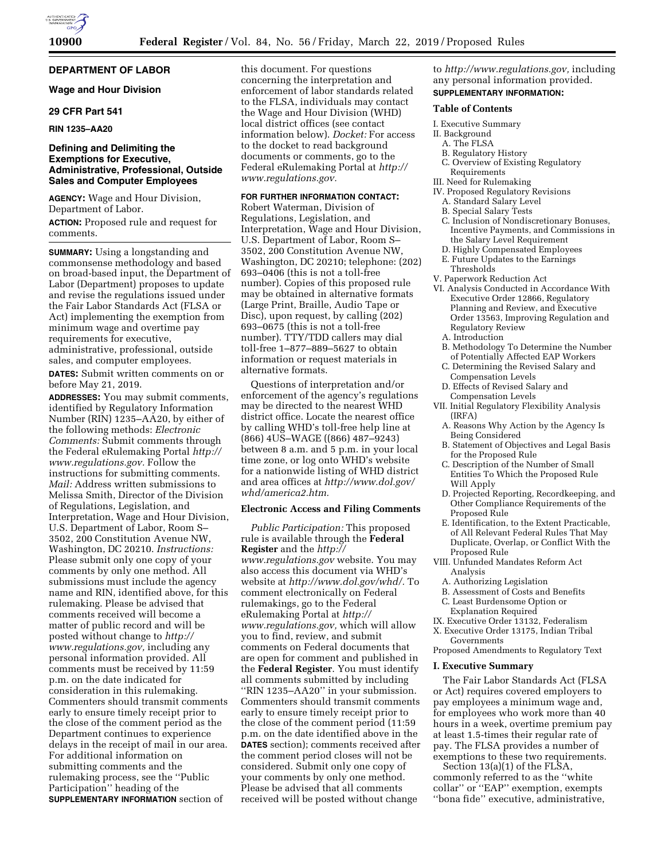### **DEPARTMENT OF LABOR**

### **Wage and Hour Division**

### **29 CFR Part 541**

### **RIN 1235–AA20**

### **Defining and Delimiting the Exemptions for Executive, Administrative, Professional, Outside Sales and Computer Employees**

**AGENCY:** Wage and Hour Division, Department of Labor.

**ACTION:** Proposed rule and request for comments.

**SUMMARY:** Using a longstanding and commonsense methodology and based on broad-based input, the Department of Labor (Department) proposes to update and revise the regulations issued under the Fair Labor Standards Act (FLSA or Act) implementing the exemption from minimum wage and overtime pay requirements for executive, administrative, professional, outside sales, and computer employees.

**DATES:** Submit written comments on or before May 21, 2019.

**ADDRESSES:** You may submit comments, identified by Regulatory Information Number (RIN) 1235–AA20, by either of the following methods: *Electronic Comments:* Submit comments through the Federal eRulemaking Portal *[http://](http://www.regulations.gov) [www.regulations.gov.](http://www.regulations.gov)* Follow the instructions for submitting comments. *Mail:* Address written submissions to Melissa Smith, Director of the Division of Regulations, Legislation, and Interpretation, Wage and Hour Division, U.S. Department of Labor, Room S– 3502, 200 Constitution Avenue NW, Washington, DC 20210. *Instructions:*  Please submit only one copy of your comments by only one method. All submissions must include the agency name and RIN, identified above, for this rulemaking. Please be advised that comments received will become a matter of public record and will be posted without change to *[http://](http://www.regulations.gov) [www.regulations.gov,](http://www.regulations.gov)* including any personal information provided. All comments must be received by 11:59 p.m. on the date indicated for consideration in this rulemaking. Commenters should transmit comments early to ensure timely receipt prior to the close of the comment period as the Department continues to experience delays in the receipt of mail in our area. For additional information on submitting comments and the rulemaking process, see the ''Public Participation'' heading of the **SUPPLEMENTARY INFORMATION** section of

this document. For questions concerning the interpretation and enforcement of labor standards related to the FLSA, individuals may contact the Wage and Hour Division (WHD) local district offices (see contact information below). *Docket:* For access to the docket to read background documents or comments, go to the Federal eRulemaking Portal at *[http://](http://www.regulations.gov) [www.regulations.gov.](http://www.regulations.gov)* 

#### **FOR FURTHER INFORMATION CONTACT:**

Robert Waterman, Division of Regulations, Legislation, and Interpretation, Wage and Hour Division, U.S. Department of Labor, Room S– 3502, 200 Constitution Avenue NW, Washington, DC 20210; telephone: (202) 693–0406 (this is not a toll-free number). Copies of this proposed rule may be obtained in alternative formats (Large Print, Braille, Audio Tape or Disc), upon request, by calling (202) 693–0675 (this is not a toll-free number). TTY/TDD callers may dial toll-free 1–877–889–5627 to obtain information or request materials in alternative formats.

Questions of interpretation and/or enforcement of the agency's regulations may be directed to the nearest WHD district office. Locate the nearest office by calling WHD's toll-free help line at (866) 4US–WAGE ((866) 487–9243) between 8 a.m. and 5 p.m. in your local time zone, or log onto WHD's website for a nationwide listing of WHD district and area offices at *[http://www.dol.gov/](http://www.dol.gov/whd/america2.htm)  [whd/america2.htm.](http://www.dol.gov/whd/america2.htm)* 

#### **Electronic Access and Filing Comments**

*Public Participation:* This proposed rule is available through the **Federal Register** and the *[http://](http://www.regulations.gov) [www.regulations.gov](http://www.regulations.gov)* website. You may also access this document via WHD's website at *[http://www.dol.gov/whd/.](http://www.dol.gov/whd/)* To comment electronically on Federal rulemakings, go to the Federal eRulemaking Portal at *[http://](http://www.regulations.gov) [www.regulations.gov,](http://www.regulations.gov)* which will allow you to find, review, and submit comments on Federal documents that are open for comment and published in the **Federal Register**. You must identify all comments submitted by including ''RIN 1235–AA20'' in your submission. Commenters should transmit comments early to ensure timely receipt prior to the close of the comment period (11:59 p.m. on the date identified above in the **DATES** section); comments received after the comment period closes will not be considered. Submit only one copy of your comments by only one method. Please be advised that all comments received will be posted without change

to *[http://www.regulations.gov,](http://www.regulations.gov)* including any personal information provided. **SUPPLEMENTARY INFORMATION:** 

#### **Table of Contents**

- I. Executive Summary
- II. Background
- A. The FLSA
- B. Regulatory History
- C. Overview of Existing Regulatory Requirements
- III. Need for Rulemaking
- IV. Proposed Regulatory Revisions
	- A. Standard Salary Level
	- B. Special Salary Tests
	- C. Inclusion of Nondiscretionary Bonuses, Incentive Payments, and Commissions in the Salary Level Requirement D. Highly Compensated Employees
	- E. Future Updates to the Earnings
	- Thresholds
- V. Paperwork Reduction Act
- VI. Analysis Conducted in Accordance With Executive Order 12866, Regulatory Planning and Review, and Executive Order 13563, Improving Regulation and Regulatory Review A. Introduction
	- B. Methodology To Determine the Number of Potentially Affected EAP Workers
	- C. Determining the Revised Salary and Compensation Levels
	- D. Effects of Revised Salary and Compensation Levels
- VII. Initial Regulatory Flexibility Analysis (IRFA)
	- A. Reasons Why Action by the Agency Is Being Considered
	- B. Statement of Objectives and Legal Basis for the Proposed Rule
	- C. Description of the Number of Small Entities To Which the Proposed Rule Will Apply
	- D. Projected Reporting, Recordkeeping, and Other Compliance Requirements of the Proposed Rule
	- E. Identification, to the Extent Practicable, of All Relevant Federal Rules That May Duplicate, Overlap, or Conflict With the Proposed Rule
- VIII. Unfunded Mandates Reform Act Analysis
	- A. Authorizing Legislation
	- B. Assessment of Costs and Benefits
- C. Least Burdensome Option or
- Explanation Required
- IX. Executive Order 13132, Federalism
- X. Executive Order 13175, Indian Tribal Governments
- Proposed Amendments to Regulatory Text

#### **I. Executive Summary**

The Fair Labor Standards Act (FLSA or Act) requires covered employers to pay employees a minimum wage and, for employees who work more than 40 hours in a week, overtime premium pay at least 1.5-times their regular rate of pay. The FLSA provides a number of exemptions to these two requirements.

Section 13(a)(1) of the FLSA, commonly referred to as the ''white collar'' or ''EAP'' exemption, exempts ''bona fide'' executive, administrative,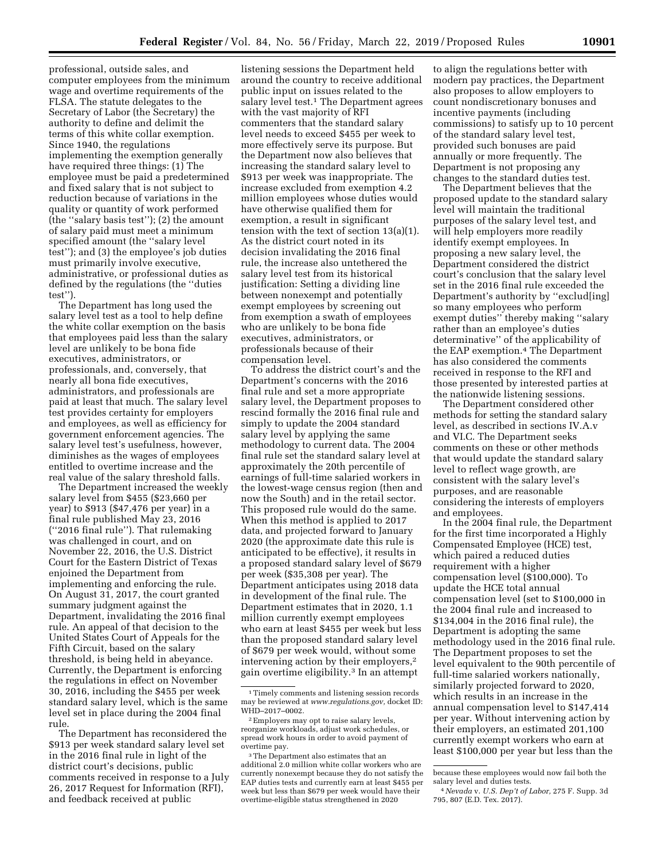professional, outside sales, and computer employees from the minimum wage and overtime requirements of the FLSA. The statute delegates to the Secretary of Labor (the Secretary) the authority to define and delimit the terms of this white collar exemption. Since 1940, the regulations implementing the exemption generally have required three things: (1) The employee must be paid a predetermined and fixed salary that is not subject to reduction because of variations in the quality or quantity of work performed (the ''salary basis test''); (2) the amount of salary paid must meet a minimum specified amount (the ''salary level test''); and (3) the employee's job duties must primarily involve executive, administrative, or professional duties as defined by the regulations (the ''duties test'').

The Department has long used the salary level test as a tool to help define the white collar exemption on the basis that employees paid less than the salary level are unlikely to be bona fide executives, administrators, or professionals, and, conversely, that nearly all bona fide executives, administrators, and professionals are paid at least that much. The salary level test provides certainty for employers and employees, as well as efficiency for government enforcement agencies. The salary level test's usefulness, however, diminishes as the wages of employees entitled to overtime increase and the real value of the salary threshold falls.

The Department increased the weekly salary level from \$455 (\$23,660 per year) to \$913 (\$47,476 per year) in a final rule published May 23, 2016 (''2016 final rule''). That rulemaking was challenged in court, and on November 22, 2016, the U.S. District Court for the Eastern District of Texas enjoined the Department from implementing and enforcing the rule. On August 31, 2017, the court granted summary judgment against the Department, invalidating the 2016 final rule. An appeal of that decision to the United States Court of Appeals for the Fifth Circuit, based on the salary threshold, is being held in abeyance. Currently, the Department is enforcing the regulations in effect on November 30, 2016, including the \$455 per week standard salary level, which is the same level set in place during the 2004 final rule.

The Department has reconsidered the \$913 per week standard salary level set in the 2016 final rule in light of the district court's decisions, public comments received in response to a July 26, 2017 Request for Information (RFI), and feedback received at public

listening sessions the Department held around the country to receive additional public input on issues related to the salary level test.<sup>1</sup> The Department agrees with the vast majority of RFI commenters that the standard salary level needs to exceed \$455 per week to more effectively serve its purpose. But the Department now also believes that increasing the standard salary level to \$913 per week was inappropriate. The increase excluded from exemption 4.2 million employees whose duties would have otherwise qualified them for exemption, a result in significant tension with the text of section 13(a)(1). As the district court noted in its decision invalidating the 2016 final rule, the increase also untethered the salary level test from its historical justification: Setting a dividing line between nonexempt and potentially exempt employees by screening out from exemption a swath of employees who are unlikely to be bona fide executives, administrators, or professionals because of their compensation level.

To address the district court's and the Department's concerns with the 2016 final rule and set a more appropriate salary level, the Department proposes to rescind formally the 2016 final rule and simply to update the 2004 standard salary level by applying the same methodology to current data. The 2004 final rule set the standard salary level at approximately the 20th percentile of earnings of full-time salaried workers in the lowest-wage census region (then and now the South) and in the retail sector. This proposed rule would do the same. When this method is applied to 2017 data, and projected forward to January 2020 (the approximate date this rule is anticipated to be effective), it results in a proposed standard salary level of \$679 per week (\$35,308 per year). The Department anticipates using 2018 data in development of the final rule. The Department estimates that in 2020, 1.1 million currently exempt employees who earn at least \$455 per week but less than the proposed standard salary level of \$679 per week would, without some intervening action by their employers,2 gain overtime eligibility.3 In an attempt

to align the regulations better with modern pay practices, the Department also proposes to allow employers to count nondiscretionary bonuses and incentive payments (including commissions) to satisfy up to 10 percent of the standard salary level test, provided such bonuses are paid annually or more frequently. The Department is not proposing any changes to the standard duties test.

The Department believes that the proposed update to the standard salary level will maintain the traditional purposes of the salary level test, and will help employers more readily identify exempt employees. In proposing a new salary level, the Department considered the district court's conclusion that the salary level set in the 2016 final rule exceeded the Department's authority by ''exclud[ing] so many employees who perform exempt duties'' thereby making ''salary rather than an employee's duties determinative'' of the applicability of the EAP exemption.4 The Department has also considered the comments received in response to the RFI and those presented by interested parties at the nationwide listening sessions.

The Department considered other methods for setting the standard salary level, as described in sections IV.A.v and VI.C. The Department seeks comments on these or other methods that would update the standard salary level to reflect wage growth, are consistent with the salary level's purposes, and are reasonable considering the interests of employers and employees.

In the 2004 final rule, the Department for the first time incorporated a Highly Compensated Employee (HCE) test, which paired a reduced duties requirement with a higher compensation level (\$100,000). To update the HCE total annual compensation level (set to \$100,000 in the 2004 final rule and increased to \$134,004 in the 2016 final rule), the Department is adopting the same methodology used in the 2016 final rule. The Department proposes to set the level equivalent to the 90th percentile of full-time salaried workers nationally, similarly projected forward to 2020, which results in an increase in the annual compensation level to \$147,414 per year. Without intervening action by their employers, an estimated 201,100 currently exempt workers who earn at least \$100,000 per year but less than the

<sup>1</sup>Timely comments and listening session records may be reviewed at *[www.regulations.gov,](http://www.regulations.gov)* docket ID: WHD–2017–0002.

<sup>2</sup>Employers may opt to raise salary levels, reorganize workloads, adjust work schedules, or spread work hours in order to avoid payment of overtime pay.

<sup>3</sup>The Department also estimates that an additional 2.0 million white collar workers who are currently nonexempt because they do not satisfy the EAP duties tests and currently earn at least \$455 per week but less than \$679 per week would have their overtime-eligible status strengthened in 2020

because these employees would now fail both the salary level and duties tests.

<sup>4</sup>*Nevada* v. *U.S. Dep't of Labor,* 275 F. Supp. 3d 795, 807 (E.D. Tex. 2017).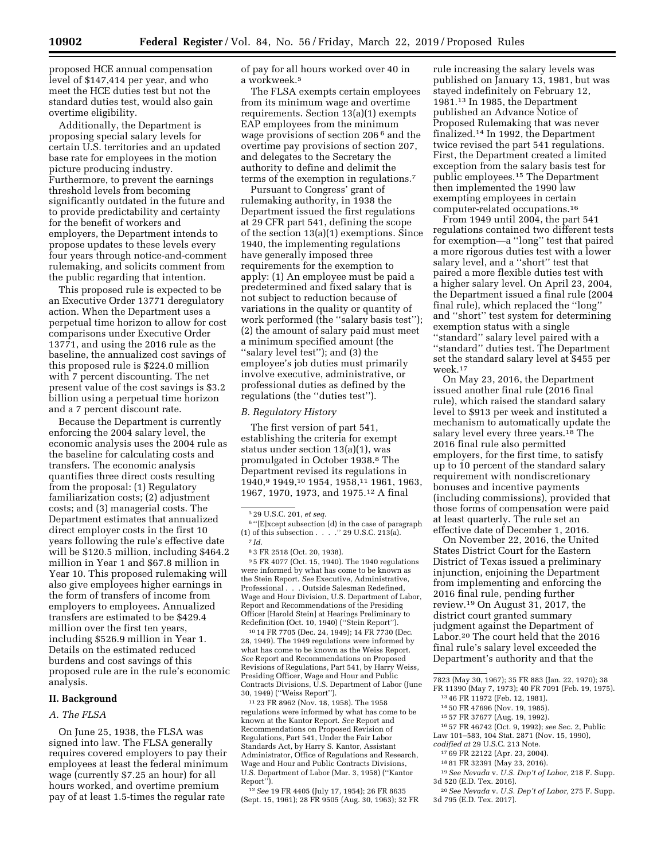proposed HCE annual compensation level of \$147,414 per year, and who meet the HCE duties test but not the standard duties test, would also gain overtime eligibility.

Additionally, the Department is proposing special salary levels for certain U.S. territories and an updated base rate for employees in the motion picture producing industry. Furthermore, to prevent the earnings threshold levels from becoming significantly outdated in the future and to provide predictability and certainty for the benefit of workers and employers, the Department intends to propose updates to these levels every four years through notice-and-comment rulemaking, and solicits comment from the public regarding that intention.

This proposed rule is expected to be an Executive Order 13771 deregulatory action. When the Department uses a perpetual time horizon to allow for cost comparisons under Executive Order 13771, and using the 2016 rule as the baseline, the annualized cost savings of this proposed rule is \$224.0 million with 7 percent discounting. The net present value of the cost savings is \$3.2 billion using a perpetual time horizon and a 7 percent discount rate.

Because the Department is currently enforcing the 2004 salary level, the economic analysis uses the 2004 rule as the baseline for calculating costs and transfers. The economic analysis quantifies three direct costs resulting from the proposal: (1) Regulatory familiarization costs; (2) adjustment costs; and (3) managerial costs. The Department estimates that annualized direct employer costs in the first 10 years following the rule's effective date will be \$120.5 million, including \$464.2 million in Year 1 and \$67.8 million in Year 10. This proposed rulemaking will also give employees higher earnings in the form of transfers of income from employers to employees. Annualized transfers are estimated to be \$429.4 million over the first ten years, including \$526.9 million in Year 1. Details on the estimated reduced burdens and cost savings of this proposed rule are in the rule's economic analysis.

#### **II. Background**

### *A. The FLSA*

On June 25, 1938, the FLSA was signed into law. The FLSA generally requires covered employers to pay their employees at least the federal minimum wage (currently \$7.25 an hour) for all hours worked, and overtime premium pay of at least 1.5-times the regular rate

of pay for all hours worked over 40 in a workweek.5

The FLSA exempts certain employees from its minimum wage and overtime requirements. Section 13(a)(1) exempts EAP employees from the minimum wage provisions of section 206 6 and the overtime pay provisions of section 207, and delegates to the Secretary the authority to define and delimit the terms of the exemption in regulations.7

Pursuant to Congress' grant of rulemaking authority, in 1938 the Department issued the first regulations at 29 CFR part 541, defining the scope of the section 13(a)(1) exemptions. Since 1940, the implementing regulations have generally imposed three requirements for the exemption to apply: (1) An employee must be paid a predetermined and fixed salary that is not subject to reduction because of variations in the quality or quantity of work performed (the ''salary basis test''); (2) the amount of salary paid must meet a minimum specified amount (the ''salary level test''); and (3) the employee's job duties must primarily involve executive, administrative, or professional duties as defined by the regulations (the ''duties test'').

#### *B. Regulatory History*

The first version of part 541, establishing the criteria for exempt status under section 13(a)(1), was promulgated in October 1938.8 The Department revised its regulations in 1940,9 1949,10 1954, 1958,11 1961, 1963, 1967, 1970, 1973, and 1975.12 A final

9 5 FR 4077 (Oct. 15, 1940). The 1940 regulations were informed by what has come to be known as the Stein Report. *See* Executive, Administrative, Professional . . . Outside Salesman Redefined, Wage and Hour Division, U.S. Department of Labor, Report and Recommendations of the Presiding Officer [Harold Stein] at Hearings Preliminary to Redefinition (Oct. 10, 1940) (''Stein Report'').

10 14 FR 7705 (Dec. 24, 1949); 14 FR 7730 (Dec. 28, 1949). The 1949 regulations were informed by what has come to be known as the Weiss Report. *See* Report and Recommendations on Proposed Revisions of Regulations, Part 541, by Harry Weiss, Presiding Officer, Wage and Hour and Public Contracts Divisions, U.S. Department of Labor (June 30, 1949) (''Weiss Report'').

11 23 FR 8962 (Nov. 18, 1958). The 1958 regulations were informed by what has come to be known at the Kantor Report. *See* Report and Recommendations on Proposed Revision of Regulations, Part 541, Under the Fair Labor Standards Act, by Harry S. Kantor, Assistant Administrator, Office of Regulations and Research, Wage and Hour and Public Contracts Divisions, U.S. Department of Labor (Mar. 3, 1958) (''Kantor Report'').

12*See* 19 FR 4405 (July 17, 1954); 26 FR 8635 (Sept. 15, 1961); 28 FR 9505 (Aug. 30, 1963); 32 FR

rule increasing the salary levels was published on January 13, 1981, but was stayed indefinitely on February 12, 1981.13 In 1985, the Department published an Advance Notice of Proposed Rulemaking that was never finalized.14 In 1992, the Department twice revised the part 541 regulations. First, the Department created a limited exception from the salary basis test for public employees.15 The Department then implemented the 1990 law exempting employees in certain computer-related occupations.16

From 1949 until 2004, the part 541 regulations contained two different tests for exemption—a ''long'' test that paired a more rigorous duties test with a lower salary level, and a ''short'' test that paired a more flexible duties test with a higher salary level. On April 23, 2004, the Department issued a final rule (2004 final rule), which replaced the ''long'' and ''short'' test system for determining exemption status with a single ''standard'' salary level paired with a ''standard'' duties test. The Department set the standard salary level at \$455 per week.17

On May 23, 2016, the Department issued another final rule (2016 final rule), which raised the standard salary level to \$913 per week and instituted a mechanism to automatically update the salary level every three years.<sup>18</sup> The 2016 final rule also permitted employers, for the first time, to satisfy up to 10 percent of the standard salary requirement with nondiscretionary bonuses and incentive payments (including commissions), provided that those forms of compensation were paid at least quarterly. The rule set an effective date of December 1, 2016.

On November 22, 2016, the United States District Court for the Eastern District of Texas issued a preliminary injunction, enjoining the Department from implementing and enforcing the 2016 final rule, pending further review.19 On August 31, 2017, the district court granted summary judgment against the Department of Labor.20 The court held that the 2016 final rule's salary level exceeded the Department's authority and that the

- FR 11390 (May 7, 1973); 40 FR 7091 (Feb. 19, 1975). 13 46 FR 11972 (Feb. 12, 1981). 14 50 FR 47696 (Nov. 19, 1985). 15 57 FR 37677 (Aug. 19, 1992). 16 57 FR 46742 (Oct. 9, 1992); *see* Sec. 2, Public Law 101–583, 104 Stat. 2871 (Nov. 15, 1990),
- *codified at* 29 U.S.C. 213 Note.
	- 17 69 FR 22122 (Apr. 23, 2004).
	- 18 81 FR 32391 (May 23, 2016).
- 19*See Nevada* v. *U.S. Dep't of Labor,* 218 F. Supp. 3d 520 (E.D. Tex. 2016).

<sup>5</sup> 29 U.S.C. 201, *et seq.* 

<sup>6</sup> ''[E]xcept subsection (d) in the case of paragraph (1) of this subsection . . . . " 29 U.S.C. 213(a). 7 *Id.* 

<sup>8</sup> 3 FR 2518 (Oct. 20, 1938).

<sup>7823 (</sup>May 30, 1967); 35 FR 883 (Jan. 22, 1970); 38

<sup>20</sup>*See Nevada* v. *U.S. Dep't of Labor,* 275 F. Supp. 3d 795 (E.D. Tex. 2017).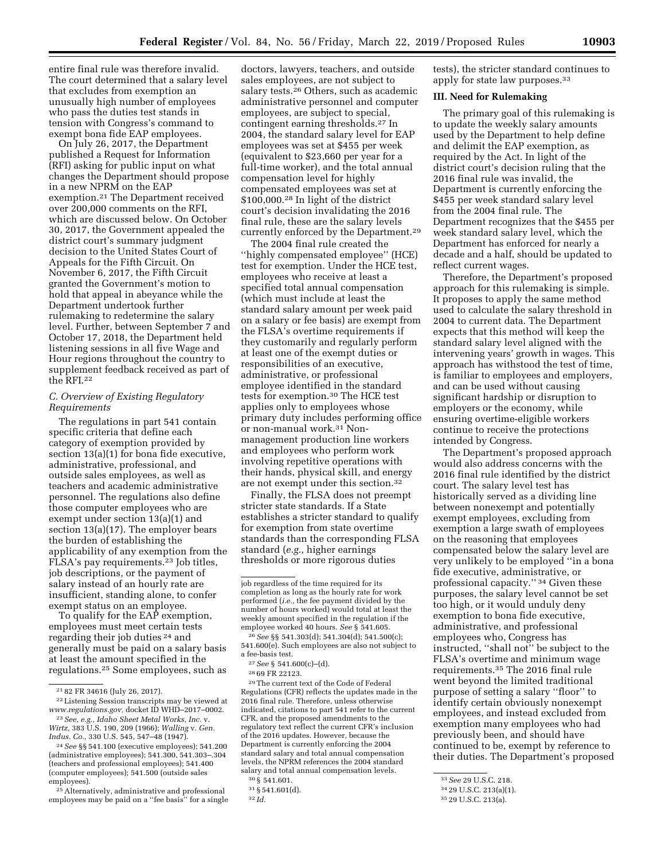entire final rule was therefore invalid. The court determined that a salary level that excludes from exemption an unusually high number of employees who pass the duties test stands in tension with Congress's command to exempt bona fide EAP employees.

On July 26, 2017, the Department published a Request for Information (RFI) asking for public input on what changes the Department should propose in a new NPRM on the EAP exemption.21 The Department received over 200,000 comments on the RFI, which are discussed below. On October 30, 2017, the Government appealed the district court's summary judgment decision to the United States Court of Appeals for the Fifth Circuit. On November 6, 2017, the Fifth Circuit granted the Government's motion to hold that appeal in abeyance while the Department undertook further rulemaking to redetermine the salary level. Further, between September 7 and October 17, 2018, the Department held listening sessions in all five Wage and Hour regions throughout the country to supplement feedback received as part of the RFI.22

### *C. Overview of Existing Regulatory Requirements*

The regulations in part 541 contain specific criteria that define each category of exemption provided by section 13(a)(1) for bona fide executive, administrative, professional, and outside sales employees, as well as teachers and academic administrative personnel. The regulations also define those computer employees who are exempt under section 13(a)(1) and section 13(a)(17). The employer bears the burden of establishing the applicability of any exemption from the FLSA's pay requirements.23 Job titles, job descriptions, or the payment of salary instead of an hourly rate are insufficient, standing alone, to confer exempt status on an employee.

To qualify for the EAP exemption, employees must meet certain tests regarding their job duties 24 and generally must be paid on a salary basis at least the amount specified in the regulations.25 Some employees, such as

24*See* §§ 541.100 (executive employees); 541.200 (administrative employees); 541.300, 541.303–.304 (teachers and professional employees); 541.400 (computer employees); 541.500 (outside sales employees).

25Alternatively, administrative and professional employees may be paid on a ''fee basis'' for a single

doctors, lawyers, teachers, and outside sales employees, are not subject to salary tests.26 Others, such as academic administrative personnel and computer employees, are subject to special, contingent earning thresholds.27 In 2004, the standard salary level for EAP employees was set at \$455 per week (equivalent to \$23,660 per year for a full-time worker), and the total annual compensation level for highly compensated employees was set at \$100,000.28 In light of the district court's decision invalidating the 2016 final rule, these are the salary levels currently enforced by the Department.29

The 2004 final rule created the ''highly compensated employee'' (HCE) test for exemption. Under the HCE test, employees who receive at least a specified total annual compensation (which must include at least the standard salary amount per week paid on a salary or fee basis) are exempt from the FLSA's overtime requirements if they customarily and regularly perform at least one of the exempt duties or responsibilities of an executive, administrative, or professional employee identified in the standard tests for exemption.30 The HCE test applies only to employees whose primary duty includes performing office or non-manual work.31 Nonmanagement production line workers and employees who perform work involving repetitive operations with their hands, physical skill, and energy are not exempt under this section.32

Finally, the FLSA does not preempt stricter state standards. If a State establishes a stricter standard to qualify for exemption from state overtime standards than the corresponding FLSA standard (*e.g.,* higher earnings thresholds or more rigorous duties

29The current text of the Code of Federal Regulations (CFR) reflects the updates made in the 2016 final rule. Therefore, unless otherwise indicated, citations to part 541 refer to the current CFR, and the proposed amendments to the regulatory text reflect the current CFR's inclusion of the 2016 updates. However, because the Department is currently enforcing the 2004 standard salary and total annual compensation levels, the NPRM references the 2004 standard salary and total annual compensation levels.

30 § 541.601.

tests), the stricter standard continues to apply for state law purposes.33

### **III. Need for Rulemaking**

The primary goal of this rulemaking is to update the weekly salary amounts used by the Department to help define and delimit the EAP exemption, as required by the Act. In light of the district court's decision ruling that the 2016 final rule was invalid, the Department is currently enforcing the \$455 per week standard salary level from the 2004 final rule. The Department recognizes that the \$455 per week standard salary level, which the Department has enforced for nearly a decade and a half, should be updated to reflect current wages.

Therefore, the Department's proposed approach for this rulemaking is simple. It proposes to apply the same method used to calculate the salary threshold in 2004 to current data. The Department expects that this method will keep the standard salary level aligned with the intervening years' growth in wages. This approach has withstood the test of time, is familiar to employees and employers, and can be used without causing significant hardship or disruption to employers or the economy, while ensuring overtime-eligible workers continue to receive the protections intended by Congress.

The Department's proposed approach would also address concerns with the 2016 final rule identified by the district court. The salary level test has historically served as a dividing line between nonexempt and potentially exempt employees, excluding from exemption a large swath of employees on the reasoning that employees compensated below the salary level are very unlikely to be employed ''in a bona fide executive, administrative, or professional capacity.'' 34 Given these purposes, the salary level cannot be set too high, or it would unduly deny exemption to bona fide executive, administrative, and professional employees who, Congress has instructed, ''shall not'' be subject to the FLSA's overtime and minimum wage requirements.35 The 2016 final rule went beyond the limited traditional purpose of setting a salary ''floor'' to identify certain obviously nonexempt employees, and instead excluded from exemption many employees who had previously been, and should have continued to be, exempt by reference to their duties. The Department's proposed

<sup>21</sup> 82 FR 34616 (July 26, 2017).

<sup>22</sup>Listening Session transcripts may be viewed at *[www.regulations.gov,](http://www.regulations.gov)* docket ID WHD–2017–0002. 23*See, e.g., Idaho Sheet Metal Works, Inc.* v.

*Wirtz,* 383 U.S. 190, 209 (1966); *Walling* v. *Gen. Indus. Co.,* 330 U.S. 545, 547–48 (1947).

job regardless of the time required for its completion as long as the hourly rate for work performed (*i.e.,* the fee payment divided by the number of hours worked) would total at least the weekly amount specified in the regulation if the employee worked 40 hours. *See* § 541.605.

<sup>26</sup>*See* §§ 541.303(d); 541.304(d); 541.500(c); 541.600(e). Such employees are also not subject to a fee-basis test.

<sup>27</sup>*See* § 541.600(c)–(d).

<sup>28</sup> 69 FR 22123.

<sup>31</sup> § 541.601(d).

<sup>32</sup> *Id.* 

<sup>33</sup>*See* 29 U.S.C. 218.

<sup>34</sup> 29 U.S.C. 213(a)(1).

<sup>35</sup> 29 U.S.C. 213(a).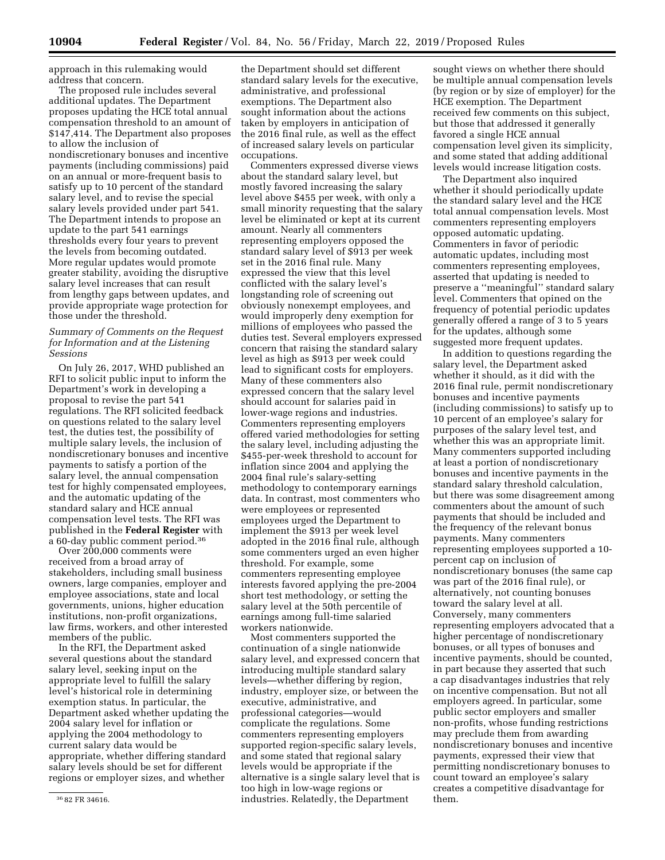approach in this rulemaking would address that concern.

The proposed rule includes several additional updates. The Department proposes updating the HCE total annual compensation threshold to an amount of \$147,414. The Department also proposes to allow the inclusion of nondiscretionary bonuses and incentive payments (including commissions) paid on an annual or more-frequent basis to satisfy up to 10 percent of the standard salary level, and to revise the special salary levels provided under part 541. The Department intends to propose an update to the part 541 earnings thresholds every four years to prevent the levels from becoming outdated. More regular updates would promote greater stability, avoiding the disruptive salary level increases that can result from lengthy gaps between updates, and provide appropriate wage protection for those under the threshold.

### *Summary of Comments on the Request for Information and at the Listening Sessions*

On July 26, 2017, WHD published an RFI to solicit public input to inform the Department's work in developing a proposal to revise the part 541 regulations. The RFI solicited feedback on questions related to the salary level test, the duties test, the possibility of multiple salary levels, the inclusion of nondiscretionary bonuses and incentive payments to satisfy a portion of the salary level, the annual compensation test for highly compensated employees, and the automatic updating of the standard salary and HCE annual compensation level tests. The RFI was published in the **Federal Register** with a 60-day public comment period.36

Over 200,000 comments were received from a broad array of stakeholders, including small business owners, large companies, employer and employee associations, state and local governments, unions, higher education institutions, non-profit organizations, law firms, workers, and other interested members of the public.

In the RFI, the Department asked several questions about the standard salary level, seeking input on the appropriate level to fulfill the salary level's historical role in determining exemption status. In particular, the Department asked whether updating the 2004 salary level for inflation or applying the 2004 methodology to current salary data would be appropriate, whether differing standard salary levels should be set for different regions or employer sizes, and whether

the Department should set different standard salary levels for the executive, administrative, and professional exemptions. The Department also sought information about the actions taken by employers in anticipation of the 2016 final rule, as well as the effect of increased salary levels on particular occupations.

Commenters expressed diverse views about the standard salary level, but mostly favored increasing the salary level above \$455 per week, with only a small minority requesting that the salary level be eliminated or kept at its current amount. Nearly all commenters representing employers opposed the standard salary level of \$913 per week set in the 2016 final rule. Many expressed the view that this level conflicted with the salary level's longstanding role of screening out obviously nonexempt employees, and would improperly deny exemption for millions of employees who passed the duties test. Several employers expressed concern that raising the standard salary level as high as \$913 per week could lead to significant costs for employers. Many of these commenters also expressed concern that the salary level should account for salaries paid in lower-wage regions and industries. Commenters representing employers offered varied methodologies for setting the salary level, including adjusting the \$455-per-week threshold to account for inflation since 2004 and applying the 2004 final rule's salary-setting methodology to contemporary earnings data. In contrast, most commenters who were employees or represented employees urged the Department to implement the \$913 per week level adopted in the 2016 final rule, although some commenters urged an even higher threshold. For example, some commenters representing employee interests favored applying the pre-2004 short test methodology, or setting the salary level at the 50th percentile of earnings among full-time salaried workers nationwide.

Most commenters supported the continuation of a single nationwide salary level, and expressed concern that introducing multiple standard salary levels—whether differing by region, industry, employer size, or between the executive, administrative, and professional categories—would complicate the regulations. Some commenters representing employers supported region-specific salary levels, and some stated that regional salary levels would be appropriate if the alternative is a single salary level that is too high in low-wage regions or industries. Relatedly, the Department

sought views on whether there should be multiple annual compensation levels (by region or by size of employer) for the HCE exemption. The Department received few comments on this subject, but those that addressed it generally favored a single HCE annual compensation level given its simplicity, and some stated that adding additional levels would increase litigation costs.

The Department also inquired whether it should periodically update the standard salary level and the HCE total annual compensation levels. Most commenters representing employers opposed automatic updating. Commenters in favor of periodic automatic updates, including most commenters representing employees, asserted that updating is needed to preserve a ''meaningful'' standard salary level. Commenters that opined on the frequency of potential periodic updates generally offered a range of 3 to 5 years for the updates, although some suggested more frequent updates.

In addition to questions regarding the salary level, the Department asked whether it should, as it did with the 2016 final rule, permit nondiscretionary bonuses and incentive payments (including commissions) to satisfy up to 10 percent of an employee's salary for purposes of the salary level test, and whether this was an appropriate limit. Many commenters supported including at least a portion of nondiscretionary bonuses and incentive payments in the standard salary threshold calculation, but there was some disagreement among commenters about the amount of such payments that should be included and the frequency of the relevant bonus payments. Many commenters representing employees supported a 10 percent cap on inclusion of nondiscretionary bonuses (the same cap was part of the 2016 final rule), or alternatively, not counting bonuses toward the salary level at all. Conversely, many commenters representing employers advocated that a higher percentage of nondiscretionary bonuses, or all types of bonuses and incentive payments, should be counted, in part because they asserted that such a cap disadvantages industries that rely on incentive compensation. But not all employers agreed. In particular, some public sector employers and smaller non-profits, whose funding restrictions may preclude them from awarding nondiscretionary bonuses and incentive payments, expressed their view that permitting nondiscretionary bonuses to count toward an employee's salary creates a competitive disadvantage for them.

<sup>36</sup> 82 FR 34616.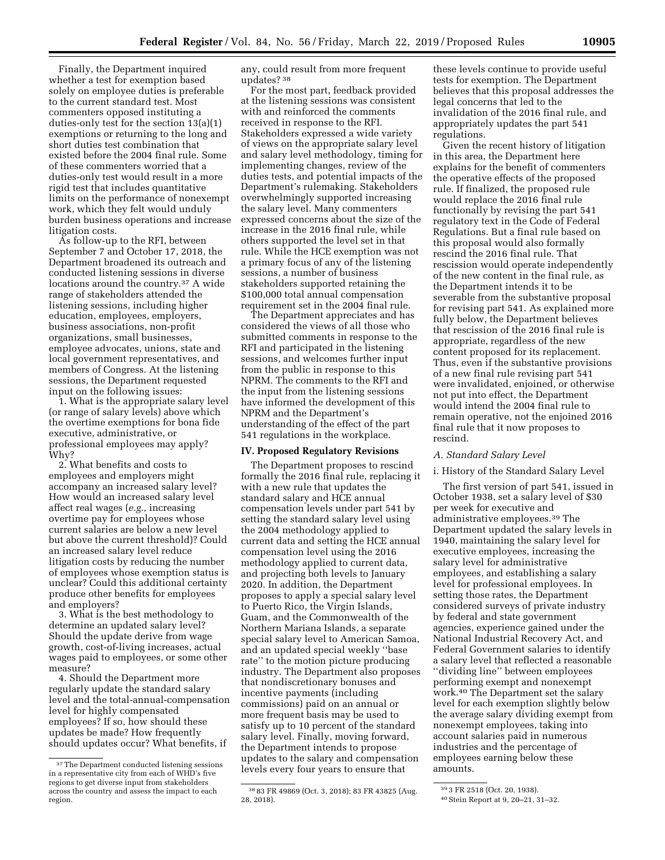Finally, the Department inquired whether a test for exemption based solely on employee duties is preferable to the current standard test. Most commenters opposed instituting a duties-only test for the section 13(a)(1) exemptions or returning to the long and short duties test combination that existed before the 2004 final rule. Some of these commenters worried that a duties-only test would result in a more rigid test that includes quantitative limits on the performance of nonexempt work, which they felt would unduly burden business operations and increase litigation costs.

As follow-up to the RFI, between September 7 and October 17, 2018, the Department broadened its outreach and conducted listening sessions in diverse locations around the country.37 A wide range of stakeholders attended the listening sessions, including higher education, employees, employers, business associations, non-profit organizations, small businesses, employee advocates, unions, state and local government representatives, and members of Congress. At the listening sessions, the Department requested input on the following issues:

1. What is the appropriate salary level (or range of salary levels) above which the overtime exemptions for bona fide executive, administrative, or professional employees may apply? Why?

2. What benefits and costs to employees and employers might accompany an increased salary level? How would an increased salary level affect real wages (*e.g.,* increasing overtime pay for employees whose current salaries are below a new level but above the current threshold)? Could an increased salary level reduce litigation costs by reducing the number of employees whose exemption status is unclear? Could this additional certainty produce other benefits for employees and employers?

3. What is the best methodology to determine an updated salary level? Should the update derive from wage growth, cost-of-living increases, actual wages paid to employees, or some other measure?

4. Should the Department more regularly update the standard salary level and the total-annual-compensation level for highly compensated employees? If so, how should these updates be made? How frequently should updates occur? What benefits, if

any, could result from more frequent updates? 38

For the most part, feedback provided at the listening sessions was consistent with and reinforced the comments received in response to the RFI. Stakeholders expressed a wide variety of views on the appropriate salary level and salary level methodology, timing for implementing changes, review of the duties tests, and potential impacts of the Department's rulemaking. Stakeholders overwhelmingly supported increasing the salary level. Many commenters expressed concerns about the size of the increase in the 2016 final rule, while others supported the level set in that rule. While the HCE exemption was not a primary focus of any of the listening sessions, a number of business stakeholders supported retaining the \$100,000 total annual compensation requirement set in the 2004 final rule.

The Department appreciates and has considered the views of all those who submitted comments in response to the RFI and participated in the listening sessions, and welcomes further input from the public in response to this NPRM. The comments to the RFI and the input from the listening sessions have informed the development of this NPRM and the Department's understanding of the effect of the part 541 regulations in the workplace.

#### **IV. Proposed Regulatory Revisions**

The Department proposes to rescind formally the 2016 final rule, replacing it with a new rule that updates the standard salary and HCE annual compensation levels under part 541 by setting the standard salary level using the 2004 methodology applied to current data and setting the HCE annual compensation level using the 2016 methodology applied to current data, and projecting both levels to January 2020. In addition, the Department proposes to apply a special salary level to Puerto Rico, the Virgin Islands, Guam, and the Commonwealth of the Northern Mariana Islands, a separate special salary level to American Samoa, and an updated special weekly ''base rate'' to the motion picture producing industry. The Department also proposes that nondiscretionary bonuses and incentive payments (including commissions) paid on an annual or more frequent basis may be used to satisfy up to 10 percent of the standard salary level. Finally, moving forward, the Department intends to propose updates to the salary and compensation levels every four years to ensure that

these levels continue to provide useful tests for exemption. The Department believes that this proposal addresses the legal concerns that led to the invalidation of the 2016 final rule, and appropriately updates the part 541 regulations.

Given the recent history of litigation in this area, the Department here explains for the benefit of commenters the operative effects of the proposed rule. If finalized, the proposed rule would replace the 2016 final rule functionally by revising the part 541 regulatory text in the Code of Federal Regulations. But a final rule based on this proposal would also formally rescind the 2016 final rule. That rescission would operate independently of the new content in the final rule, as the Department intends it to be severable from the substantive proposal for revising part 541. As explained more fully below, the Department believes that rescission of the 2016 final rule is appropriate, regardless of the new content proposed for its replacement. Thus, even if the substantive provisions of a new final rule revising part 541 were invalidated, enjoined, or otherwise not put into effect, the Department would intend the 2004 final rule to remain operative, not the enjoined 2016 final rule that it now proposes to rescind.

#### *A. Standard Salary Level*

#### i. History of the Standard Salary Level

The first version of part 541, issued in October 1938, set a salary level of \$30 per week for executive and administrative employees.39 The Department updated the salary levels in 1940, maintaining the salary level for executive employees, increasing the salary level for administrative employees, and establishing a salary level for professional employees. In setting those rates, the Department considered surveys of private industry by federal and state government agencies, experience gained under the National Industrial Recovery Act, and Federal Government salaries to identify a salary level that reflected a reasonable ''dividing line'' between employees performing exempt and nonexempt work.40 The Department set the salary level for each exemption slightly below the average salary dividing exempt from nonexempt employees, taking into account salaries paid in numerous industries and the percentage of employees earning below these amounts.

<sup>&</sup>lt;sup>37</sup>The Department conducted listening sessions in a representative city from each of WHD's five regions to get diverse input from stakeholders across the country and assess the impact to each region.

<sup>38</sup> 83 FR 49869 (Oct. 3, 2018); 83 FR 43825 (Aug. 28, 2018).

<sup>39</sup> 3 FR 2518 (Oct. 20, 1938).

<sup>40</sup>Stein Report at 9, 20–21, 31–32.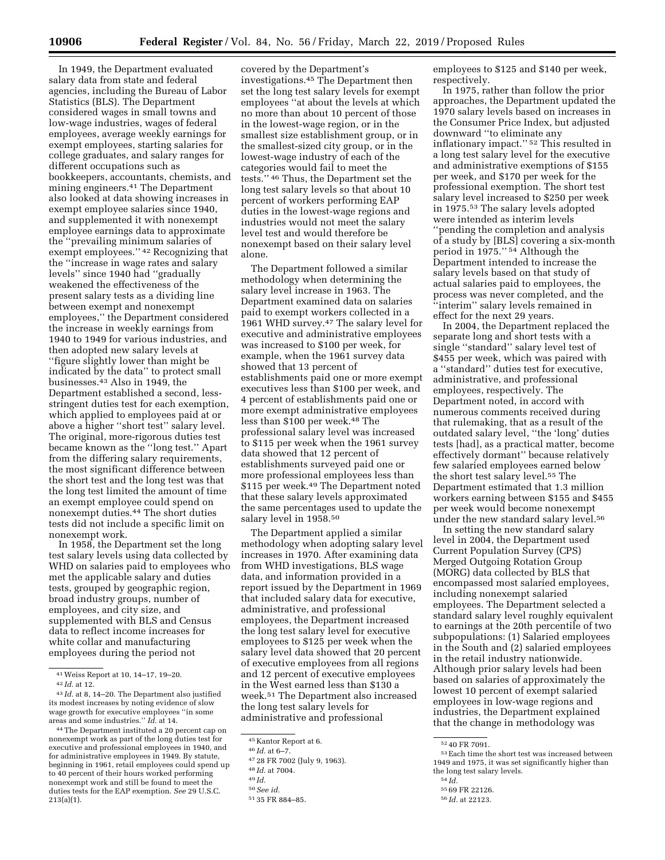In 1949, the Department evaluated salary data from state and federal agencies, including the Bureau of Labor Statistics (BLS). The Department considered wages in small towns and low-wage industries, wages of federal employees, average weekly earnings for exempt employees, starting salaries for college graduates, and salary ranges for different occupations such as bookkeepers, accountants, chemists, and mining engineers.41 The Department also looked at data showing increases in exempt employee salaries since 1940, and supplemented it with nonexempt employee earnings data to approximate the ''prevailing minimum salaries of exempt employees.'' 42 Recognizing that the ''increase in wage rates and salary levels'' since 1940 had ''gradually weakened the effectiveness of the present salary tests as a dividing line between exempt and nonexempt employees,'' the Department considered the increase in weekly earnings from 1940 to 1949 for various industries, and then adopted new salary levels at ''figure slightly lower than might be indicated by the data'' to protect small businesses.43 Also in 1949, the Department established a second, lessstringent duties test for each exemption, which applied to employees paid at or above a higher ''short test'' salary level. The original, more-rigorous duties test became known as the ''long test.'' Apart from the differing salary requirements, the most significant difference between the short test and the long test was that the long test limited the amount of time an exempt employee could spend on nonexempt duties.44 The short duties tests did not include a specific limit on nonexempt work.

In 1958, the Department set the long test salary levels using data collected by WHD on salaries paid to employees who met the applicable salary and duties tests, grouped by geographic region, broad industry groups, number of employees, and city size, and supplemented with BLS and Census data to reflect income increases for white collar and manufacturing employees during the period not

covered by the Department's investigations.45 The Department then set the long test salary levels for exempt employees ''at about the levels at which no more than about 10 percent of those in the lowest-wage region, or in the smallest size establishment group, or in the smallest-sized city group, or in the lowest-wage industry of each of the categories would fail to meet the tests.'' 46 Thus, the Department set the long test salary levels so that about 10 percent of workers performing EAP duties in the lowest-wage regions and industries would not meet the salary level test and would therefore be nonexempt based on their salary level alone.

The Department followed a similar methodology when determining the salary level increase in 1963. The Department examined data on salaries paid to exempt workers collected in a 1961 WHD survey.47 The salary level for executive and administrative employees was increased to \$100 per week, for example, when the 1961 survey data showed that 13 percent of establishments paid one or more exempt executives less than \$100 per week, and 4 percent of establishments paid one or more exempt administrative employees less than \$100 per week.48 The professional salary level was increased to \$115 per week when the 1961 survey data showed that 12 percent of establishments surveyed paid one or more professional employees less than \$115 per week.49 The Department noted that these salary levels approximated the same percentages used to update the salary level in 1958.50

The Department applied a similar methodology when adopting salary level increases in 1970. After examining data from WHD investigations, BLS wage data, and information provided in a report issued by the Department in 1969 that included salary data for executive, administrative, and professional employees, the Department increased the long test salary level for executive employees to \$125 per week when the salary level data showed that 20 percent of executive employees from all regions and 12 percent of executive employees in the West earned less than \$130 a week.51 The Department also increased the long test salary levels for administrative and professional

employees to \$125 and \$140 per week, respectively.

In 1975, rather than follow the prior approaches, the Department updated the 1970 salary levels based on increases in the Consumer Price Index, but adjusted downward ''to eliminate any inflationary impact.'' 52 This resulted in a long test salary level for the executive and administrative exemptions of \$155 per week, and \$170 per week for the professional exemption. The short test salary level increased to \$250 per week in 1975.53 The salary levels adopted were intended as interim levels ''pending the completion and analysis of a study by [BLS] covering a six-month period in 1975.'' 54 Although the Department intended to increase the salary levels based on that study of actual salaries paid to employees, the process was never completed, and the ''interim'' salary levels remained in effect for the next 29 years.

In 2004, the Department replaced the separate long and short tests with a single ''standard'' salary level test of \$455 per week, which was paired with a ''standard'' duties test for executive, administrative, and professional employees, respectively. The Department noted, in accord with numerous comments received during that rulemaking, that as a result of the outdated salary level, ''the 'long' duties tests [had], as a practical matter, become effectively dormant'' because relatively few salaried employees earned below the short test salary level.55 The Department estimated that 1.3 million workers earning between \$155 and \$455 per week would become nonexempt under the new standard salary level.56

In setting the new standard salary level in 2004, the Department used Current Population Survey (CPS) Merged Outgoing Rotation Group (MORG) data collected by BLS that encompassed most salaried employees, including nonexempt salaried employees. The Department selected a standard salary level roughly equivalent to earnings at the 20th percentile of two subpopulations: (1) Salaried employees in the South and (2) salaried employees in the retail industry nationwide. Although prior salary levels had been based on salaries of approximately the lowest 10 percent of exempt salaried employees in low-wage regions and industries, the Department explained that the change in methodology was

<sup>41</sup>Weiss Report at 10, 14–17, 19–20.

<sup>42</sup> *Id.* at 12.

<sup>43</sup> *Id.* at 8, 14–20. The Department also justified its modest increases by noting evidence of slow wage growth for executive employees ''in some areas and some industries.'' *Id.* at 14.

<sup>44</sup>The Department instituted a 20 percent cap on nonexempt work as part of the long duties test for executive and professional employees in 1940, and for administrative employees in 1949. By statute, beginning in 1961, retail employees could spend up to 40 percent of their hours worked performing nonexempt work and still be found to meet the duties tests for the EAP exemption. *See* 29 U.S.C. 213(a)(1).

<sup>45</sup> Kantor Report at 6.

<sup>46</sup> *Id.* at 6–7.

<sup>47</sup> 28 FR 7002 (July 9, 1963).

<sup>48</sup> *Id.* at 7004.

<sup>49</sup> *Id.* 

<sup>50</sup>*See id.* 

<sup>51</sup> 35 FR 884–85.

 $^{52}\,40$  FR 7091.  $^{53}\,$  Each time the short test was increased between 1949 and 1975, it was set significantly higher than the long test salary levels.<br> $\frac{54 \text{ } Id.}{256 \text{ } BR}$ 

<sup>55</sup> 69 FR 22126. 56 *Id.* at 22123.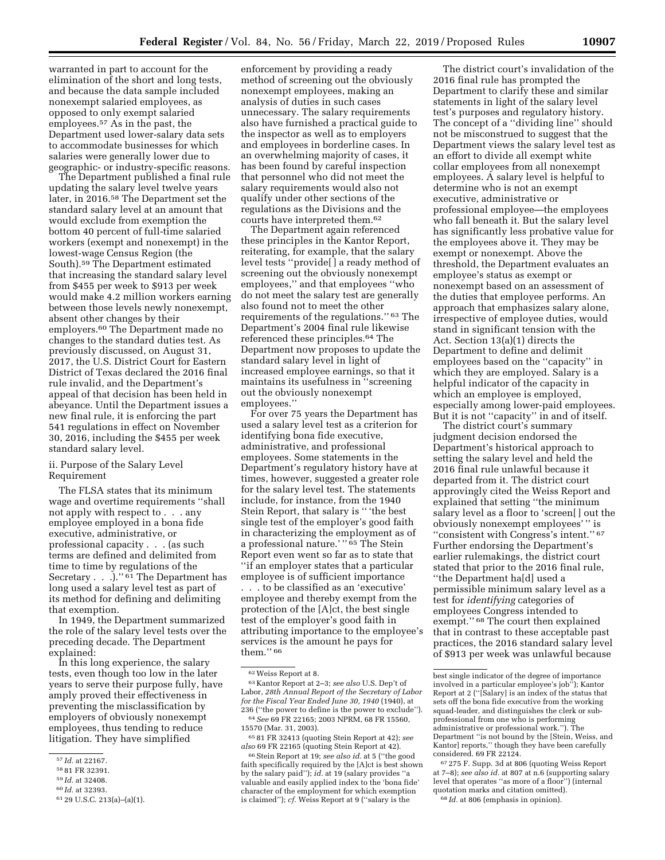warranted in part to account for the elimination of the short and long tests, and because the data sample included nonexempt salaried employees, as opposed to only exempt salaried employees.57 As in the past, the Department used lower-salary data sets to accommodate businesses for which salaries were generally lower due to geographic- or industry-specific reasons.

The Department published a final rule updating the salary level twelve years later, in 2016.58 The Department set the standard salary level at an amount that would exclude from exemption the bottom 40 percent of full-time salaried workers (exempt and nonexempt) in the lowest-wage Census Region (the South).59 The Department estimated that increasing the standard salary level from \$455 per week to \$913 per week would make 4.2 million workers earning between those levels newly nonexempt, absent other changes by their employers.60 The Department made no changes to the standard duties test. As previously discussed, on August 31, 2017, the U.S. District Court for Eastern District of Texas declared the 2016 final rule invalid, and the Department's appeal of that decision has been held in abeyance. Until the Department issues a new final rule, it is enforcing the part 541 regulations in effect on November 30, 2016, including the \$455 per week standard salary level.

### ii. Purpose of the Salary Level Requirement

The FLSA states that its minimum wage and overtime requirements ''shall not apply with respect to . . . any employee employed in a bona fide executive, administrative, or professional capacity . . . (as such terms are defined and delimited from time to time by regulations of the Secretary . . . . . . . . . The Department has long used a salary level test as part of its method for defining and delimiting that exemption.

In 1949, the Department summarized the role of the salary level tests over the preceding decade. The Department explained:

In this long experience, the salary tests, even though too low in the later years to serve their purpose fully, have amply proved their effectiveness in preventing the misclassification by employers of obviously nonexempt employees, thus tending to reduce litigation. They have simplified

59 *Id.* at 32408.

enforcement by providing a ready method of screening out the obviously nonexempt employees, making an analysis of duties in such cases unnecessary. The salary requirements also have furnished a practical guide to the inspector as well as to employers and employees in borderline cases. In an overwhelming majority of cases, it has been found by careful inspection that personnel who did not meet the salary requirements would also not qualify under other sections of the regulations as the Divisions and the courts have interpreted them.62

The Department again referenced these principles in the Kantor Report, reiterating, for example, that the salary level tests ''provide[ ] a ready method of screening out the obviously nonexempt employees,'' and that employees ''who do not meet the salary test are generally also found not to meet the other requirements of the regulations.'' 63 The Department's 2004 final rule likewise referenced these principles.64 The Department now proposes to update the standard salary level in light of increased employee earnings, so that it maintains its usefulness in ''screening out the obviously nonexempt employees.''

For over 75 years the Department has used a salary level test as a criterion for identifying bona fide executive, administrative, and professional employees. Some statements in the Department's regulatory history have at times, however, suggested a greater role for the salary level test. The statements include, for instance, from the 1940 Stein Report, that salary is '' 'the best single test of the employer's good faith in characterizing the employment as of a professional nature.' "<sup>65</sup> The Stein Report even went so far as to state that ''if an employer states that a particular employee is of sufficient importance . . . to be classified as an 'executive' employee and thereby exempt from the protection of the [A]ct, the best single test of the employer's good faith in attributing importance to the employee's services is the amount he pays for them.'' 66

65 81 FR 32413 (quoting Stein Report at 42); *see also* 69 FR 22165 (quoting Stein Report at 42).

66Stein Report at 19; *see also id.* at 5 (''the good faith specifically required by the [A]ct is best shown by the salary paid''); *id.* at 19 (salary provides " valuable and easily applied index to the 'bona fide' character of the employment for which exemption is claimed''); *cf.* Weiss Report at 9 (''salary is the

The district court's invalidation of the 2016 final rule has prompted the Department to clarify these and similar statements in light of the salary level test's purposes and regulatory history. The concept of a ''dividing line'' should not be misconstrued to suggest that the Department views the salary level test as an effort to divide all exempt white collar employees from all nonexempt employees. A salary level is helpful to determine who is not an exempt executive, administrative or professional employee—the employees who fall beneath it. But the salary level has significantly less probative value for the employees above it. They may be exempt or nonexempt. Above the threshold, the Department evaluates an employee's status as exempt or nonexempt based on an assessment of the duties that employee performs. An approach that emphasizes salary alone, irrespective of employee duties, would stand in significant tension with the Act. Section 13(a)(1) directs the Department to define and delimit employees based on the ''capacity'' in which they are employed. Salary is a helpful indicator of the capacity in which an employee is employed, especially among lower-paid employees. But it is not ''capacity'' in and of itself.

The district court's summary judgment decision endorsed the Department's historical approach to setting the salary level and held the 2016 final rule unlawful because it departed from it. The district court approvingly cited the Weiss Report and explained that setting ''the minimum salary level as a floor to 'screen[ ] out the obviously nonexempt employees' '' is ''consistent with Congress's intent.'' 67 Further endorsing the Department's earlier rulemakings, the district court stated that prior to the 2016 final rule, ''the Department ha[d] used a permissible minimum salary level as a test for *identifying* categories of employees Congress intended to exempt.'' 68 The court then explained that in contrast to these acceptable past practices, the 2016 standard salary level of \$913 per week was unlawful because

<sup>57</sup> *Id.* at 22167.

<sup>58</sup> 81 FR 32391.

<sup>60</sup> *Id.* at 32393.

<sup>61</sup> 29 U.S.C. 213(a)–(a)(1).

<sup>62</sup>Weiss Report at 8.

<sup>63</sup> Kantor Report at 2–3; *see also* U.S. Dep't of Labor, *28th Annual Report of the Secretary of Labor for the Fiscal Year Ended June 30, 1940* (1940), at 236 (''the power to define is the power to exclude''). 64*See* 69 FR 22165; 2003 NPRM, 68 FR 15560, 15570 (Mar. 31, 2003).

best single indicator of the degree of importance involved in a particular employee's job''); Kantor Report at 2 (''[Salary] is an index of the status that sets off the bona fide executive from the working squad-leader, and distinguishes the clerk or subprofessional from one who is performing administrative or professional work.''). The Department ''is not bound by the [Stein, Weiss, and Kantor] reports,'' though they have been carefully considered. 69 FR 22124.

<sup>67</sup> 275 F. Supp. 3d at 806 (quoting Weiss Report at 7–8); *see also id.* at 807 at n.6 (supporting salary level that operates ''as more of a floor'') (internal quotation marks and citation omitted). 68 *Id.* at 806 (emphasis in opinion).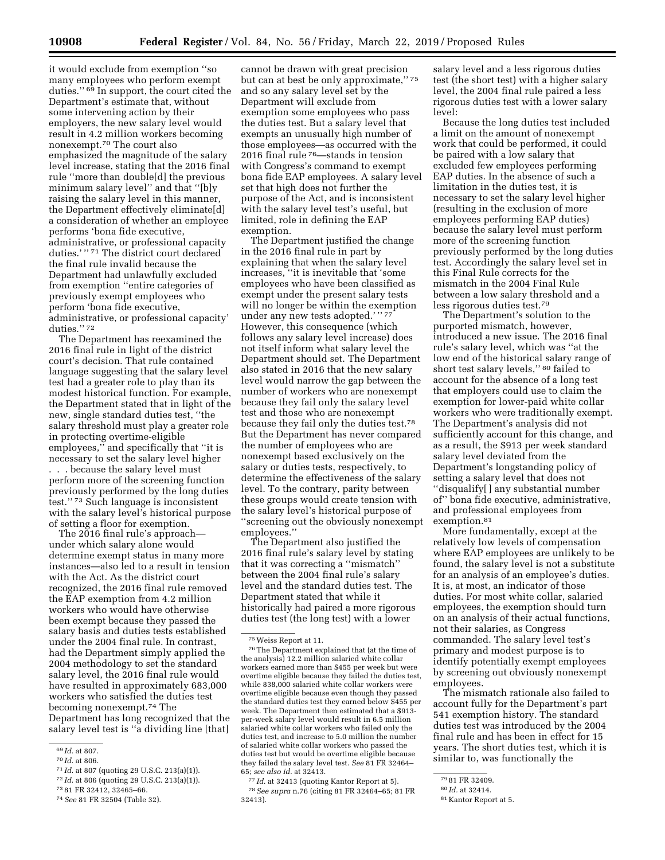it would exclude from exemption ''so many employees who perform exempt duties.'' 69 In support, the court cited the Department's estimate that, without some intervening action by their employers, the new salary level would result in 4.2 million workers becoming nonexempt.70 The court also emphasized the magnitude of the salary level increase, stating that the 2016 final rule ''more than double[d] the previous minimum salary level'' and that ''[b]y raising the salary level in this manner, the Department effectively eliminate[d] a consideration of whether an employee performs 'bona fide executive, administrative, or professional capacity duties.'"<sup>71</sup> The district court declared the final rule invalid because the Department had unlawfully excluded from exemption ''entire categories of previously exempt employees who perform 'bona fide executive, administrative, or professional capacity' duties.'' 72

The Department has reexamined the 2016 final rule in light of the district court's decision. That rule contained language suggesting that the salary level test had a greater role to play than its modest historical function. For example, the Department stated that in light of the new, single standard duties test, ''the salary threshold must play a greater role in protecting overtime-eligible employees," and specifically that "it is necessary to set the salary level higher . . . because the salary level must perform more of the screening function previously performed by the long duties test.'' 73 Such language is inconsistent with the salary level's historical purpose of setting a floor for exemption.

The 2016 final rule's approach under which salary alone would determine exempt status in many more instances—also led to a result in tension with the Act. As the district court recognized, the 2016 final rule removed the EAP exemption from 4.2 million workers who would have otherwise been exempt because they passed the salary basis and duties tests established under the 2004 final rule. In contrast, had the Department simply applied the 2004 methodology to set the standard salary level, the 2016 final rule would have resulted in approximately 683,000 workers who satisfied the duties test becoming nonexempt.74 The Department has long recognized that the salary level test is ''a dividing line [that]

cannot be drawn with great precision but can at best be only approximate,'' 75 and so any salary level set by the Department will exclude from exemption some employees who pass the duties test. But a salary level that exempts an unusually high number of those employees—as occurred with the 2016 final rule 76—stands in tension with Congress's command to exempt bona fide EAP employees. A salary level set that high does not further the purpose of the Act, and is inconsistent with the salary level test's useful, but limited, role in defining the EAP exemption.

The Department justified the change in the 2016 final rule in part by explaining that when the salary level increases, ''it is inevitable that 'some employees who have been classified as exempt under the present salary tests will no longer be within the exemption under any new tests adopted.' '' 77 However, this consequence (which follows any salary level increase) does not itself inform what salary level the Department should set. The Department also stated in 2016 that the new salary level would narrow the gap between the number of workers who are nonexempt because they fail only the salary level test and those who are nonexempt because they fail only the duties test.78 But the Department has never compared the number of employees who are nonexempt based exclusively on the salary or duties tests, respectively, to determine the effectiveness of the salary level. To the contrary, parity between these groups would create tension with the salary level's historical purpose of ''screening out the obviously nonexempt employees.''

The Department also justified the 2016 final rule's salary level by stating that it was correcting a ''mismatch'' between the 2004 final rule's salary level and the standard duties test. The Department stated that while it historically had paired a more rigorous duties test (the long test) with a lower

77 *Id.* at 32413 (quoting Kantor Report at 5). 78*See supra* n.76 (citing 81 FR 32464–65; 81 FR 32413).

salary level and a less rigorous duties test (the short test) with a higher salary level, the 2004 final rule paired a less rigorous duties test with a lower salary level:

Because the long duties test included a limit on the amount of nonexempt work that could be performed, it could be paired with a low salary that excluded few employees performing EAP duties. In the absence of such a limitation in the duties test, it is necessary to set the salary level higher (resulting in the exclusion of more employees performing EAP duties) because the salary level must perform more of the screening function previously performed by the long duties test. Accordingly the salary level set in this Final Rule corrects for the mismatch in the 2004 Final Rule between a low salary threshold and a less rigorous duties test.79

The Department's solution to the purported mismatch, however, introduced a new issue. The 2016 final rule's salary level, which was ''at the low end of the historical salary range of short test salary levels,'' 80 failed to account for the absence of a long test that employers could use to claim the exemption for lower-paid white collar workers who were traditionally exempt. The Department's analysis did not sufficiently account for this change, and as a result, the \$913 per week standard salary level deviated from the Department's longstanding policy of setting a salary level that does not ''disqualify[ ] any substantial number of'' bona fide executive, administrative, and professional employees from exemption.<sup>81</sup>

More fundamentally, except at the relatively low levels of compensation where EAP employees are unlikely to be found, the salary level is not a substitute for an analysis of an employee's duties. It is, at most, an indicator of those duties. For most white collar, salaried employees, the exemption should turn on an analysis of their actual functions, not their salaries, as Congress commanded. The salary level test's primary and modest purpose is to identify potentially exempt employees by screening out obviously nonexempt employees.

The mismatch rationale also failed to account fully for the Department's part 541 exemption history. The standard duties test was introduced by the 2004 final rule and has been in effect for 15 years. The short duties test, which it is similar to, was functionally the

<sup>69</sup> *Id.* at 807.

<sup>70</sup> *Id.* at 806.

<sup>71</sup> *Id.* at 807 (quoting 29 U.S.C. 213(a)(1)).

<sup>72</sup> *Id.* at 806 (quoting 29 U.S.C. 213(a)(1)).

<sup>73</sup> 81 FR 32412, 32465–66.

<sup>74</sup>*See* 81 FR 32504 (Table 32).

<sup>75</sup>Weiss Report at 11.

<sup>76</sup>The Department explained that (at the time of the analysis) 12.2 million salaried white collar workers earned more than \$455 per week but were overtime eligible because they failed the duties test, while 838,000 salaried white collar workers were overtime eligible because even though they passed the standard duties test they earned below \$455 per week. The Department then estimated that a \$913 per-week salary level would result in 6.5 million salaried white collar workers who failed only the duties test, and increase to 5.0 million the number of salaried white collar workers who passed the duties test but would be overtime eligible because they failed the salary level test. *See* 81 FR 32464– 65; *see also id.* at 32413.

<sup>79</sup> 81 FR 32409.

<sup>80</sup> *Id.* at 32414.

<sup>81</sup> Kantor Report at 5.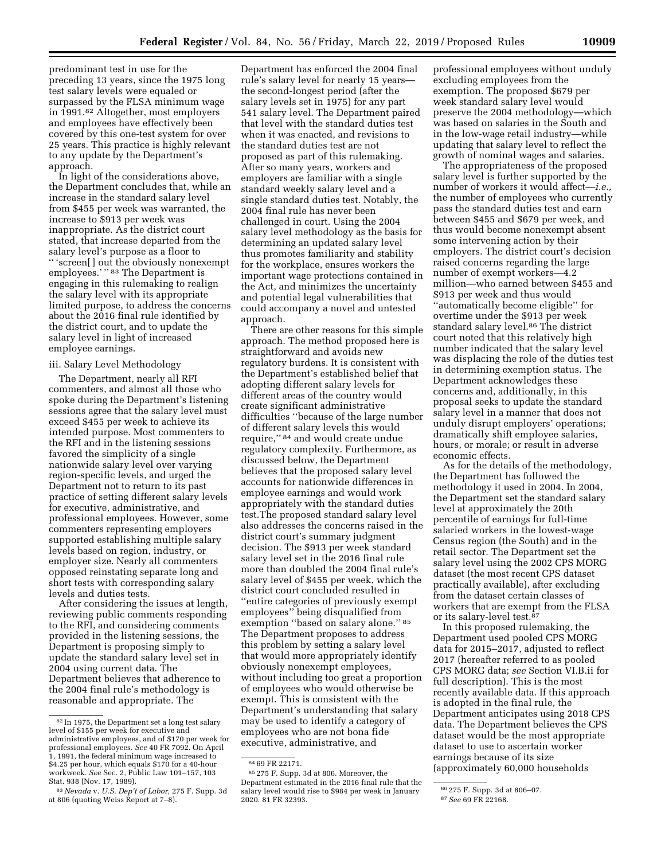predominant test in use for the preceding 13 years, since the 1975 long test salary levels were equaled or surpassed by the FLSA minimum wage in 1991.82 Altogether, most employers and employees have effectively been covered by this one-test system for over 25 years. This practice is highly relevant to any update by the Department's approach.

In light of the considerations above, the Department concludes that, while an increase in the standard salary level from \$455 per week was warranted, the increase to \$913 per week was inappropriate. As the district court stated, that increase departed from the salary level's purpose as a floor to '' 'screen[ ] out the obviously nonexempt employees.'"<sup>83</sup> The Department is engaging in this rulemaking to realign the salary level with its appropriate limited purpose, to address the concerns about the 2016 final rule identified by the district court, and to update the salary level in light of increased employee earnings.

#### iii. Salary Level Methodology

The Department, nearly all RFI commenters, and almost all those who spoke during the Department's listening sessions agree that the salary level must exceed \$455 per week to achieve its intended purpose. Most commenters to the RFI and in the listening sessions favored the simplicity of a single nationwide salary level over varying region-specific levels, and urged the Department not to return to its past practice of setting different salary levels for executive, administrative, and professional employees. However, some commenters representing employers supported establishing multiple salary levels based on region, industry, or employer size. Nearly all commenters opposed reinstating separate long and short tests with corresponding salary levels and duties tests.

After considering the issues at length, reviewing public comments responding to the RFI, and considering comments provided in the listening sessions, the Department is proposing simply to update the standard salary level set in 2004 using current data. The Department believes that adherence to the 2004 final rule's methodology is reasonable and appropriate. The

Department has enforced the 2004 final rule's salary level for nearly 15 years the second-longest period (after the salary levels set in 1975) for any part 541 salary level. The Department paired that level with the standard duties test when it was enacted, and revisions to the standard duties test are not proposed as part of this rulemaking. After so many years, workers and employers are familiar with a single standard weekly salary level and a single standard duties test. Notably, the 2004 final rule has never been challenged in court. Using the 2004 salary level methodology as the basis for determining an updated salary level thus promotes familiarity and stability for the workplace, ensures workers the important wage protections contained in the Act, and minimizes the uncertainty and potential legal vulnerabilities that could accompany a novel and untested approach.

There are other reasons for this simple approach. The method proposed here is straightforward and avoids new regulatory burdens. It is consistent with the Department's established belief that adopting different salary levels for different areas of the country would create significant administrative difficulties ''because of the large number of different salary levels this would require,'' 84 and would create undue regulatory complexity. Furthermore, as discussed below, the Department believes that the proposed salary level accounts for nationwide differences in employee earnings and would work appropriately with the standard duties test.The proposed standard salary level also addresses the concerns raised in the district court's summary judgment decision. The \$913 per week standard salary level set in the 2016 final rule more than doubled the 2004 final rule's salary level of \$455 per week, which the district court concluded resulted in ''entire categories of previously exempt employees'' being disqualified from exemption "based on salary alone." 85 The Department proposes to address this problem by setting a salary level that would more appropriately identify obviously nonexempt employees, without including too great a proportion of employees who would otherwise be exempt. This is consistent with the Department's understanding that salary may be used to identify a category of employees who are not bona fide executive, administrative, and

professional employees without unduly excluding employees from the exemption. The proposed \$679 per week standard salary level would preserve the 2004 methodology—which was based on salaries in the South and in the low-wage retail industry—while updating that salary level to reflect the growth of nominal wages and salaries.

The appropriateness of the proposed salary level is further supported by the number of workers it would affect—*i.e.,*  the number of employees who currently pass the standard duties test and earn between \$455 and \$679 per week, and thus would become nonexempt absent some intervening action by their employers. The district court's decision raised concerns regarding the large number of exempt workers—4.2 million—who earned between \$455 and \$913 per week and thus would ''automatically become eligible'' for overtime under the \$913 per week standard salary level.<sup>86</sup> The district court noted that this relatively high number indicated that the salary level was displacing the role of the duties test in determining exemption status. The Department acknowledges these concerns and, additionally, in this proposal seeks to update the standard salary level in a manner that does not unduly disrupt employers' operations; dramatically shift employee salaries, hours, or morale; or result in adverse economic effects.

As for the details of the methodology, the Department has followed the methodology it used in 2004. In 2004, the Department set the standard salary level at approximately the 20th percentile of earnings for full-time salaried workers in the lowest-wage Census region (the South) and in the retail sector. The Department set the salary level using the 2002 CPS MORG dataset (the most recent CPS dataset practically available), after excluding from the dataset certain classes of workers that are exempt from the FLSA or its salary-level test.87

In this proposed rulemaking, the Department used pooled CPS MORG data for 2015–2017, adjusted to reflect 2017 (hereafter referred to as pooled CPS MORG data; *see* Section VI.B.ii for full description). This is the most recently available data. If this approach is adopted in the final rule, the Department anticipates using 2018 CPS data. The Department believes the CPS dataset would be the most appropriate dataset to use to ascertain worker earnings because of its size (approximately 60,000 households

<sup>82</sup> In 1975, the Department set a long test salary level of \$155 per week for executive and administrative employees, and of \$170 per week for professional employees. *See* 40 FR 7092. On April 1, 1991, the federal minimum wage increased to \$4.25 per hour, which equals \$170 for a 40-hour workweek. *See* Sec. 2, Public Law 101–157, 103 Stat. 938 (Nov. 17, 1989).

<sup>83</sup>*Nevada* v. *U.S. Dep't of Labor,* 275 F. Supp. 3d at 806 (quoting Weiss Report at 7–8).

<sup>84</sup> 69 FR 22171.

<sup>85</sup> 275 F. Supp. 3d at 806. Moreover, the Department estimated in the 2016 final rule that the salary level would rise to \$984 per week in January 2020. 81 FR 32393.

<sup>86</sup> 275 F. Supp. 3d at 806–07.

<sup>87</sup>*See* 69 FR 22168.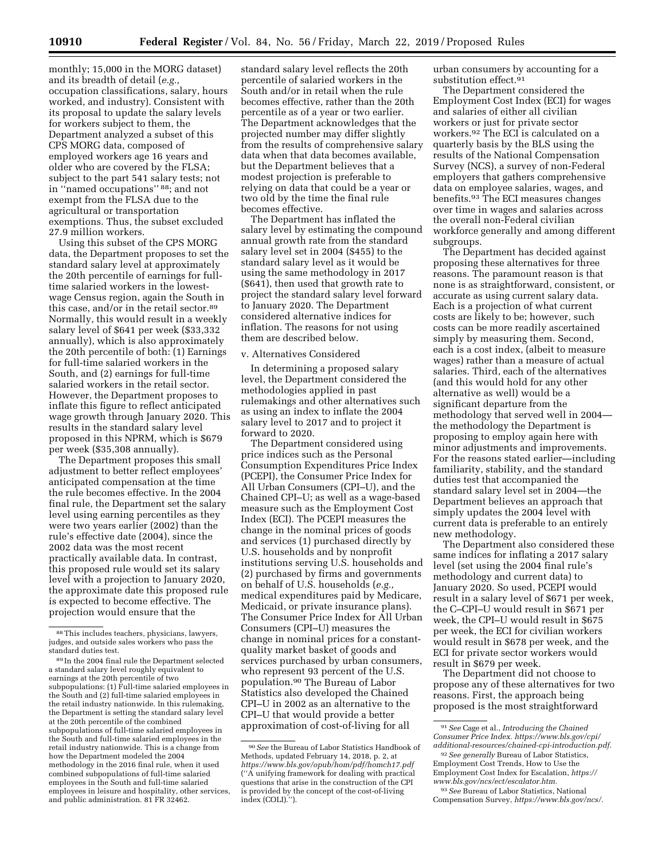monthly; 15,000 in the MORG dataset) and its breadth of detail (*e.g.,*  occupation classifications, salary, hours worked, and industry). Consistent with its proposal to update the salary levels for workers subject to them, the Department analyzed a subset of this CPS MORG data, composed of employed workers age 16 years and older who are covered by the FLSA; subject to the part 541 salary tests; not in ''named occupations'' 88; and not exempt from the FLSA due to the agricultural or transportation exemptions. Thus, the subset excluded 27.9 million workers.

Using this subset of the CPS MORG data, the Department proposes to set the standard salary level at approximately the 20th percentile of earnings for fulltime salaried workers in the lowestwage Census region, again the South in this case, and/or in the retail sector.89 Normally, this would result in a weekly salary level of \$641 per week (\$33,332 annually), which is also approximately the 20th percentile of both: (1) Earnings for full-time salaried workers in the South, and (2) earnings for full-time salaried workers in the retail sector. However, the Department proposes to inflate this figure to reflect anticipated wage growth through January 2020. This results in the standard salary level proposed in this NPRM, which is \$679 per week (\$35,308 annually).

The Department proposes this small adjustment to better reflect employees' anticipated compensation at the time the rule becomes effective. In the 2004 final rule, the Department set the salary level using earning percentiles as they were two years earlier (2002) than the rule's effective date (2004), since the 2002 data was the most recent practically available data. In contrast, this proposed rule would set its salary level with a projection to January 2020, the approximate date this proposed rule is expected to become effective. The projection would ensure that the

standard salary level reflects the 20th percentile of salaried workers in the South and/or in retail when the rule becomes effective, rather than the 20th percentile as of a year or two earlier. The Department acknowledges that the projected number may differ slightly from the results of comprehensive salary data when that data becomes available, but the Department believes that a modest projection is preferable to relying on data that could be a year or two old by the time the final rule becomes effective.

The Department has inflated the salary level by estimating the compound annual growth rate from the standard salary level set in 2004 (\$455) to the standard salary level as it would be using the same methodology in 2017 (\$641), then used that growth rate to project the standard salary level forward to January 2020. The Department considered alternative indices for inflation. The reasons for not using them are described below.

#### v. Alternatives Considered

In determining a proposed salary level, the Department considered the methodologies applied in past rulemakings and other alternatives such as using an index to inflate the 2004 salary level to 2017 and to project it forward to 2020.

The Department considered using price indices such as the Personal Consumption Expenditures Price Index (PCEPI), the Consumer Price Index for All Urban Consumers (CPI–U), and the Chained CPI–U; as well as a wage-based measure such as the Employment Cost Index (ECI). The PCEPI measures the change in the nominal prices of goods and services (1) purchased directly by U.S. households and by nonprofit institutions serving U.S. households and (2) purchased by firms and governments on behalf of U.S. households (*e.g.,*  medical expenditures paid by Medicare, Medicaid, or private insurance plans). The Consumer Price Index for All Urban Consumers (CPI–U) measures the change in nominal prices for a constantquality market basket of goods and services purchased by urban consumers, who represent 93 percent of the U.S. population.90 The Bureau of Labor Statistics also developed the Chained CPI–U in 2002 as an alternative to the CPI–U that would provide a better approximation of cost-of-living for all

urban consumers by accounting for a substitution effect.<sup>91</sup>

The Department considered the Employment Cost Index (ECI) for wages and salaries of either all civilian workers or just for private sector workers.92 The ECI is calculated on a quarterly basis by the BLS using the results of the National Compensation Survey (NCS), a survey of non-Federal employers that gathers comprehensive data on employee salaries, wages, and benefits.93 The ECI measures changes over time in wages and salaries across the overall non-Federal civilian workforce generally and among different subgroups.

The Department has decided against proposing these alternatives for three reasons. The paramount reason is that none is as straightforward, consistent, or accurate as using current salary data. Each is a projection of what current costs are likely to be; however, such costs can be more readily ascertained simply by measuring them. Second, each is a cost index, (albeit to measure wages) rather than a measure of actual salaries. Third, each of the alternatives (and this would hold for any other alternative as well) would be a significant departure from the methodology that served well in 2004 the methodology the Department is proposing to employ again here with minor adjustments and improvements. For the reasons stated earlier—including familiarity, stability, and the standard duties test that accompanied the standard salary level set in 2004—the Department believes an approach that simply updates the 2004 level with current data is preferable to an entirely new methodology.

The Department also considered these same indices for inflating a 2017 salary level (set using the 2004 final rule's methodology and current data) to January 2020. So used, PCEPI would result in a salary level of \$671 per week, the C–CPI–U would result in \$671 per week, the CPI–U would result in \$675 per week, the ECI for civilian workers would result in \$678 per week, and the ECI for private sector workers would result in \$679 per week.

The Department did not choose to propose any of these alternatives for two reasons. First, the approach being proposed is the most straightforward

<sup>88</sup>This includes teachers, physicians, lawyers, judges, and outside sales workers who pass the standard duties test.

<sup>89</sup> In the 2004 final rule the Department selected a standard salary level roughly equivalent to earnings at the 20th percentile of two subpopulations: (1) Full-time salaried employees in the South and (2) full-time salaried employees in the retail industry nationwide. In this rulemaking, the Department is setting the standard salary level at the 20th percentile of the combined subpopulations of full-time salaried employees in the South and full-time salaried employees in the retail industry nationwide. This is a change from how the Department modeled the 2004 methodology in the 2016 final rule, when it used combined subpopulations of full-time salaried employees in the South and full-time salaried employees in leisure and hospitality, other services, and public administration. 81 FR 32462.

<sup>90</sup>*See* the Bureau of Labor Statistics Handbook of Methods, updated February 14, 2018, p. 2, at *<https://www.bls.gov/opub/hom/pdf/homch17.pdf>*  (''A unifying framework for dealing with practical questions that arise in the construction of the CPI is provided by the concept of the cost-of-living index (COLI).'').

<sup>91</sup>*See* Cage et al., *Introducing the Chained Consumer Price Index. [https://www.bls.gov/cpi/](https://www.bls.gov/cpi/additional-resources/chained-cpi-introduction.pdf) [additional-resources/chained-cpi-introduction.pdf.](https://www.bls.gov/cpi/additional-resources/chained-cpi-introduction.pdf)* 

<sup>92</sup>*See generally* Bureau of Labor Statistics, Employment Cost Trends, How to Use the Employment Cost Index for Escalation, *[https://](https://www.bls.gov/ncs/ect/escalator.htm) [www.bls.gov/ncs/ect/escalator.htm.](https://www.bls.gov/ncs/ect/escalator.htm)* 

<sup>93</sup>*See* Bureau of Labor Statistics, National Compensation Survey, *[https://www.bls.gov/ncs/.](https://www.bls.gov/ncs/)*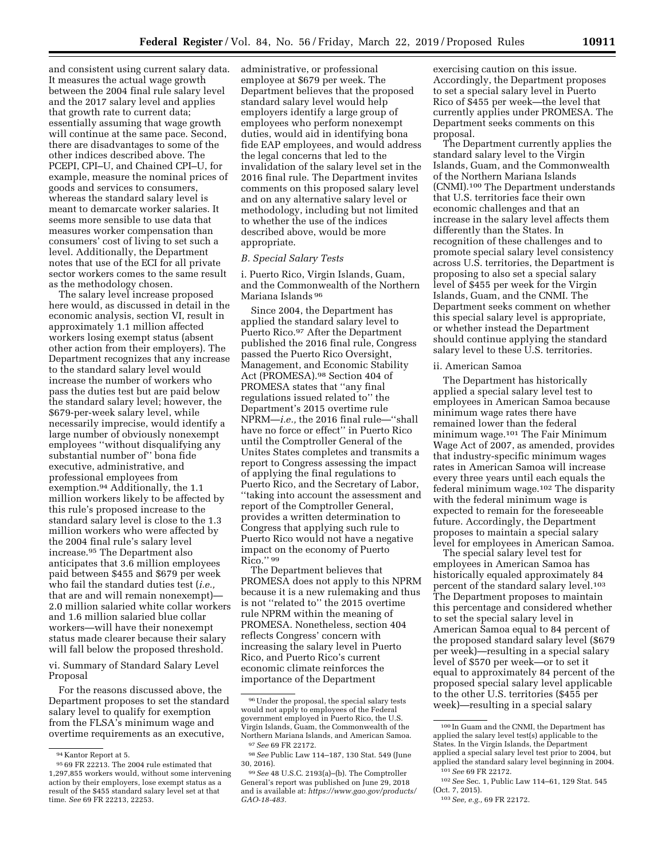and consistent using current salary data. It measures the actual wage growth between the 2004 final rule salary level and the 2017 salary level and applies that growth rate to current data; essentially assuming that wage growth will continue at the same pace. Second, there are disadvantages to some of the other indices described above. The PCEPI, CPI–U, and Chained CPI–U, for example, measure the nominal prices of goods and services to consumers, whereas the standard salary level is meant to demarcate worker salaries. It seems more sensible to use data that measures worker compensation than consumers' cost of living to set such a level. Additionally, the Department notes that use of the ECI for all private sector workers comes to the same result as the methodology chosen.

The salary level increase proposed here would, as discussed in detail in the economic analysis, section VI, result in approximately 1.1 million affected workers losing exempt status (absent other action from their employers). The Department recognizes that any increase to the standard salary level would increase the number of workers who pass the duties test but are paid below the standard salary level; however, the \$679-per-week salary level, while necessarily imprecise, would identify a large number of obviously nonexempt employees ''without disqualifying any substantial number of'' bona fide executive, administrative, and professional employees from exemption.94 Additionally, the 1.1 million workers likely to be affected by this rule's proposed increase to the standard salary level is close to the 1.3 million workers who were affected by the 2004 final rule's salary level increase.95 The Department also anticipates that 3.6 million employees paid between \$455 and \$679 per week who fail the standard duties test (*i.e.,*  that are and will remain nonexempt)— 2.0 million salaried white collar workers and 1.6 million salaried blue collar workers—will have their nonexempt status made clearer because their salary will fall below the proposed threshold.

vi. Summary of Standard Salary Level Proposal

For the reasons discussed above, the Department proposes to set the standard salary level to qualify for exemption from the FLSA's minimum wage and overtime requirements as an executive,

administrative, or professional employee at \$679 per week. The Department believes that the proposed standard salary level would help employers identify a large group of employees who perform nonexempt duties, would aid in identifying bona fide EAP employees, and would address the legal concerns that led to the invalidation of the salary level set in the 2016 final rule. The Department invites comments on this proposed salary level and on any alternative salary level or methodology, including but not limited to whether the use of the indices described above, would be more appropriate.

#### *B. Special Salary Tests*

i. Puerto Rico, Virgin Islands, Guam, and the Commonwealth of the Northern Mariana Islands 96

Since 2004, the Department has applied the standard salary level to Puerto Rico.97 After the Department published the 2016 final rule, Congress passed the Puerto Rico Oversight, Management, and Economic Stability Act (PROMESA).98 Section 404 of PROMESA states that ''any final regulations issued related to'' the Department's 2015 overtime rule NPRM—*i.e.,* the 2016 final rule—''shall have no force or effect'' in Puerto Rico until the Comptroller General of the Unites States completes and transmits a report to Congress assessing the impact of applying the final regulations to Puerto Rico, and the Secretary of Labor, ''taking into account the assessment and report of the Comptroller General, provides a written determination to Congress that applying such rule to Puerto Rico would not have a negative impact on the economy of Puerto Rico.'' 99

The Department believes that PROMESA does not apply to this NPRM because it is a new rulemaking and thus is not ''related to'' the 2015 overtime rule NPRM within the meaning of PROMESA. Nonetheless, section 404 reflects Congress' concern with increasing the salary level in Puerto Rico, and Puerto Rico's current economic climate reinforces the importance of the Department

exercising caution on this issue. Accordingly, the Department proposes to set a special salary level in Puerto Rico of \$455 per week—the level that currently applies under PROMESA. The Department seeks comments on this proposal.

The Department currently applies the standard salary level to the Virgin Islands, Guam, and the Commonwealth of the Northern Mariana Islands (CNMI).100 The Department understands that U.S. territories face their own economic challenges and that an increase in the salary level affects them differently than the States. In recognition of these challenges and to promote special salary level consistency across U.S. territories, the Department is proposing to also set a special salary level of \$455 per week for the Virgin Islands, Guam, and the CNMI. The Department seeks comment on whether this special salary level is appropriate, or whether instead the Department should continue applying the standard salary level to these U.S. territories.

#### ii. American Samoa

The Department has historically applied a special salary level test to employees in American Samoa because minimum wage rates there have remained lower than the federal minimum wage.101 The Fair Minimum Wage Act of 2007, as amended, provides that industry-specific minimum wages rates in American Samoa will increase every three years until each equals the federal minimum wage.102 The disparity with the federal minimum wage is expected to remain for the foreseeable future. Accordingly, the Department proposes to maintain a special salary level for employees in American Samoa.

The special salary level test for employees in American Samoa has historically equaled approximately 84 percent of the standard salary level.<sup>103</sup> The Department proposes to maintain this percentage and considered whether to set the special salary level in American Samoa equal to 84 percent of the proposed standard salary level (\$679 per week)—resulting in a special salary level of \$570 per week—or to set it equal to approximately 84 percent of the proposed special salary level applicable to the other U.S. territories (\$455 per week)—resulting in a special salary

<sup>94</sup> Kantor Report at 5.

<sup>95</sup> 69 FR 22213. The 2004 rule estimated that 1,297,855 workers would, without some intervening action by their employers, lose exempt status as a result of the \$455 standard salary level set at that time. *See* 69 FR 22213, 22253.

<sup>96</sup>Under the proposal, the special salary tests would not apply to employees of the Federal government employed in Puerto Rico, the U.S. Virgin Islands, Guam, the Commonwealth of the Northern Mariana Islands, and American Samoa. 97*See* 69 FR 22172.

<sup>98</sup>*See* Public Law 114–187, 130 Stat. 549 (June 30, 2016).

<sup>99</sup>*See* 48 U.S.C. 2193(a)–(b). The Comptroller General's report was published on June 29, 2018 and is available at: *[https://www.gao.gov/products/](https://www.gao.gov/products/GAO-18-483) [GAO-18-483.](https://www.gao.gov/products/GAO-18-483)* 

<sup>100</sup> In Guam and the CNMI, the Department has applied the salary level test(s) applicable to the States. In the Virgin Islands, the Department applied a special salary level test prior to 2004, but applied the standard salary level beginning in 2004. 101*See* 69 FR 22172.

<sup>102</sup>*See* Sec. 1, Public Law 114–61, 129 Stat. 545 (Oct. 7, 2015).

<sup>103</sup>*See, e.g.,* 69 FR 22172.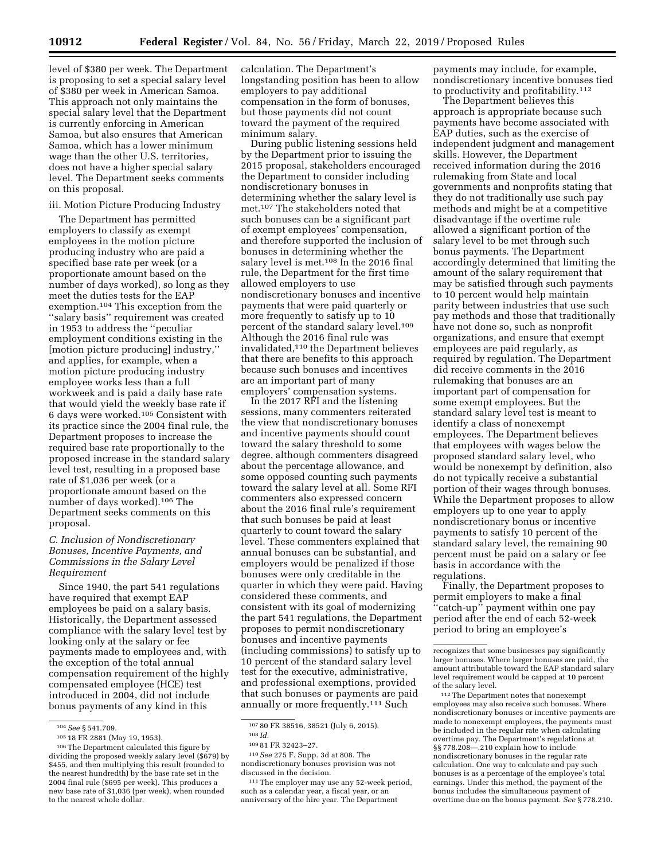level of \$380 per week. The Department is proposing to set a special salary level of \$380 per week in American Samoa. This approach not only maintains the special salary level that the Department is currently enforcing in American Samoa, but also ensures that American Samoa, which has a lower minimum wage than the other U.S. territories, does not have a higher special salary level. The Department seeks comments on this proposal.

#### iii. Motion Picture Producing Industry

The Department has permitted employers to classify as exempt employees in the motion picture producing industry who are paid a specified base rate per week (or a proportionate amount based on the number of days worked), so long as they meet the duties tests for the EAP exemption.104 This exception from the ''salary basis'' requirement was created in 1953 to address the ''peculiar employment conditions existing in the [motion picture producing] industry,'' and applies, for example, when a motion picture producing industry employee works less than a full workweek and is paid a daily base rate that would yield the weekly base rate if 6 days were worked.105 Consistent with its practice since the 2004 final rule, the Department proposes to increase the required base rate proportionally to the proposed increase in the standard salary level test, resulting in a proposed base rate of \$1,036 per week (or a proportionate amount based on the number of days worked).106 The Department seeks comments on this proposal.

### *C. Inclusion of Nondiscretionary Bonuses, Incentive Payments, and Commissions in the Salary Level Requirement*

Since 1940, the part 541 regulations have required that exempt EAP employees be paid on a salary basis. Historically, the Department assessed compliance with the salary level test by looking only at the salary or fee payments made to employees and, with the exception of the total annual compensation requirement of the highly compensated employee (HCE) test introduced in 2004, did not include bonus payments of any kind in this

calculation. The Department's longstanding position has been to allow employers to pay additional compensation in the form of bonuses, but those payments did not count toward the payment of the required minimum salary.

During public listening sessions held by the Department prior to issuing the 2015 proposal, stakeholders encouraged the Department to consider including nondiscretionary bonuses in determining whether the salary level is met.107 The stakeholders noted that such bonuses can be a significant part of exempt employees' compensation, and therefore supported the inclusion of bonuses in determining whether the salary level is met.<sup>108</sup> In the 2016 final rule, the Department for the first time allowed employers to use nondiscretionary bonuses and incentive payments that were paid quarterly or more frequently to satisfy up to 10 percent of the standard salary level.109 Although the 2016 final rule was invalidated,110 the Department believes that there are benefits to this approach because such bonuses and incentives are an important part of many employers' compensation systems.

In the 2017 RFI and the listening sessions, many commenters reiterated the view that nondiscretionary bonuses and incentive payments should count toward the salary threshold to some degree, although commenters disagreed about the percentage allowance, and some opposed counting such payments toward the salary level at all. Some RFI commenters also expressed concern about the 2016 final rule's requirement that such bonuses be paid at least quarterly to count toward the salary level. These commenters explained that annual bonuses can be substantial, and employers would be penalized if those bonuses were only creditable in the quarter in which they were paid. Having considered these comments, and consistent with its goal of modernizing the part 541 regulations, the Department proposes to permit nondiscretionary bonuses and incentive payments (including commissions) to satisfy up to 10 percent of the standard salary level test for the executive, administrative, and professional exemptions, provided that such bonuses or payments are paid annually or more frequently.<sup>111</sup> Such

110*See* 275 F. Supp. 3d at 808. The nondiscretionary bonuses provision was not discussed in the decision.

111The employer may use any 52-week period, such as a calendar year, a fiscal year, or an anniversary of the hire year. The Department

payments may include, for example, nondiscretionary incentive bonuses tied to productivity and profitability.112

The Department believes this approach is appropriate because such payments have become associated with EAP duties, such as the exercise of independent judgment and management skills. However, the Department received information during the 2016 rulemaking from State and local governments and nonprofits stating that they do not traditionally use such pay methods and might be at a competitive disadvantage if the overtime rule allowed a significant portion of the salary level to be met through such bonus payments. The Department accordingly determined that limiting the amount of the salary requirement that may be satisfied through such payments to 10 percent would help maintain parity between industries that use such pay methods and those that traditionally have not done so, such as nonprofit organizations, and ensure that exempt employees are paid regularly, as required by regulation. The Department did receive comments in the 2016 rulemaking that bonuses are an important part of compensation for some exempt employees. But the standard salary level test is meant to identify a class of nonexempt employees. The Department believes that employees with wages below the proposed standard salary level, who would be nonexempt by definition, also do not typically receive a substantial portion of their wages through bonuses. While the Department proposes to allow employers up to one year to apply nondiscretionary bonus or incentive payments to satisfy 10 percent of the standard salary level, the remaining 90 percent must be paid on a salary or fee basis in accordance with the regulations.

Finally, the Department proposes to permit employers to make a final 'catch-up'' payment within one pay period after the end of each 52-week period to bring an employee's

112The Department notes that nonexempt employees may also receive such bonuses. Where nondiscretionary bonuses or incentive payments are made to nonexempt employees, the payments must be included in the regular rate when calculating overtime pay. The Department's regulations at §§ 778.208—.210 explain how to include nondiscretionary bonuses in the regular rate calculation. One way to calculate and pay such bonuses is as a percentage of the employee's total earnings. Under this method, the payment of the bonus includes the simultaneous payment of overtime due on the bonus payment. *See* § 778.210.

<sup>104</sup>*See* § 541.709.

<sup>105</sup> 18 FR 2881 (May 19, 1953).

<sup>106</sup>The Department calculated this figure by dividing the proposed weekly salary level (\$679) by \$455, and then multiplying this result (rounded to the nearest hundredth) by the base rate set in the 2004 final rule (\$695 per week). This produces a new base rate of \$1,036 (per week), when rounded to the nearest whole dollar.

<sup>107</sup> 80 FR 38516, 38521 (July 6, 2015).

<sup>108</sup> *Id.* 

<sup>109</sup> 81 FR 32423–27.

recognizes that some businesses pay significantly larger bonuses. Where larger bonuses are paid, the amount attributable toward the EAP standard salary level requirement would be capped at 10 percent of the salary level.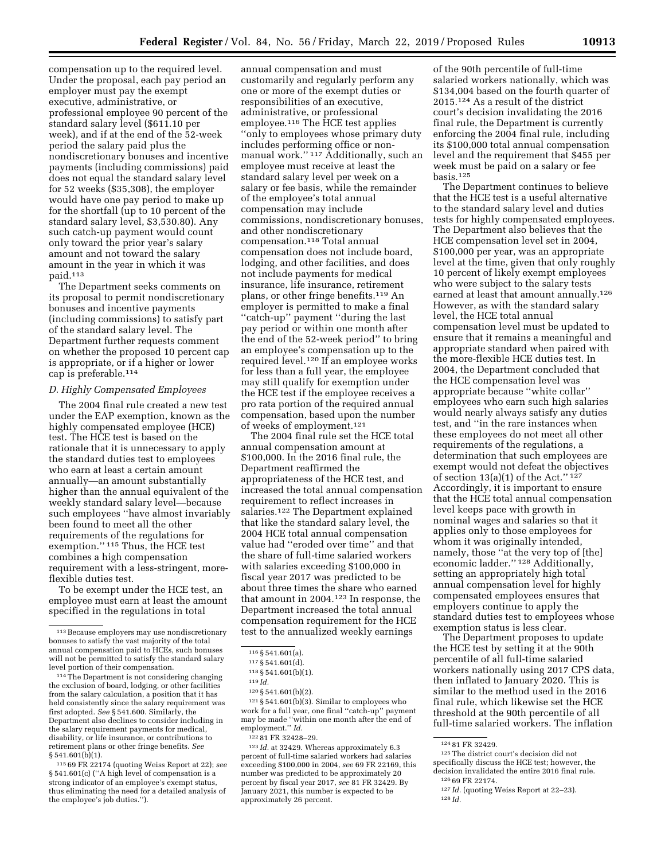compensation up to the required level. Under the proposal, each pay period an annual compensation and must

executive, administrative, or professional employee 90 percent of the standard salary level (\$611.10 per week), and if at the end of the 52-week period the salary paid plus the nondiscretionary bonuses and incentive payments (including commissions) paid does not equal the standard salary level for 52 weeks (\$35,308), the employer would have one pay period to make up for the shortfall (up to 10 percent of the standard salary level, \$3,530.80). Any such catch-up payment would count only toward the prior year's salary amount and not toward the salary amount in the year in which it was paid.113

employer must pay the exempt

The Department seeks comments on its proposal to permit nondiscretionary bonuses and incentive payments (including commissions) to satisfy part of the standard salary level. The Department further requests comment on whether the proposed 10 percent cap is appropriate, or if a higher or lower cap is preferable.114

### *D. Highly Compensated Employees*

The 2004 final rule created a new test under the EAP exemption, known as the highly compensated employee (HCE) test. The HCE test is based on the rationale that it is unnecessary to apply the standard duties test to employees who earn at least a certain amount annually—an amount substantially higher than the annual equivalent of the weekly standard salary level—because such employees ''have almost invariably been found to meet all the other requirements of the regulations for exemption.'' 115 Thus, the HCE test combines a high compensation requirement with a less-stringent, moreflexible duties test.

To be exempt under the HCE test, an employee must earn at least the amount specified in the regulations in total

114The Department is not considering changing the exclusion of board, lodging, or other facilities from the salary calculation, a position that it has held consistently since the salary requirement was first adopted. *See* § 541.600. Similarly, the Department also declines to consider including in the salary requirement payments for medical, disability, or life insurance, or contributions to retirement plans or other fringe benefits. *See*   $§ 541.601(b)(1).$ 

115 69 FR 22174 (quoting Weiss Report at 22); *see*  § 541.601(c) (''A high level of compensation is a strong indicator of an employee's exempt status, thus eliminating the need for a detailed analysis of the employee's job duties.'').

customarily and regularly perform any one or more of the exempt duties or responsibilities of an executive, administrative, or professional employee.116 The HCE test applies ''only to employees whose primary duty includes performing office or nonmanual work.'' 117 Additionally, such an employee must receive at least the standard salary level per week on a salary or fee basis, while the remainder of the employee's total annual compensation may include commissions, nondiscretionary bonuses, and other nondiscretionary compensation.118 Total annual compensation does not include board, lodging, and other facilities, and does not include payments for medical insurance, life insurance, retirement plans, or other fringe benefits.119 An employer is permitted to make a final ''catch-up'' payment ''during the last pay period or within one month after the end of the 52-week period'' to bring an employee's compensation up to the required level.120 If an employee works for less than a full year, the employee may still qualify for exemption under the HCE test if the employee receives a pro rata portion of the required annual compensation, based upon the number of weeks of employment.121

The 2004 final rule set the HCE total annual compensation amount at \$100,000. In the 2016 final rule, the Department reaffirmed the appropriateness of the HCE test, and increased the total annual compensation requirement to reflect increases in salaries.122 The Department explained that like the standard salary level, the 2004 HCE total annual compensation value had ''eroded over time'' and that the share of full-time salaried workers with salaries exceeding \$100,000 in fiscal year 2017 was predicted to be about three times the share who earned that amount in 2004.123 In response, the Department increased the total annual compensation requirement for the HCE test to the annualized weekly earnings

 $121 \text{ }\frac{6}{5} 541.601(b)(3)$ . Similar to employees who work for a full year, one final ''catch-up'' payment may be made ''within one month after the end of employment.'' *Id.* 

123 *Id.* at 32429. Whereas approximately 6.3 percent of full-time salaried workers had salaries exceeding \$100,000 in 2004, *see* 69 FR 22169, this number was predicted to be approximately 20 percent by fiscal year 2017, *see* 81 FR 32429. By January 2021, this number is expected to be approximately 26 percent.

of the 90th percentile of full-time salaried workers nationally, which was \$134,004 based on the fourth quarter of 2015.124 As a result of the district court's decision invalidating the 2016 final rule, the Department is currently enforcing the 2004 final rule, including its \$100,000 total annual compensation level and the requirement that \$455 per week must be paid on a salary or fee basis.125

The Department continues to believe that the HCE test is a useful alternative to the standard salary level and duties tests for highly compensated employees. The Department also believes that the HCE compensation level set in 2004, \$100,000 per year, was an appropriate level at the time, given that only roughly 10 percent of likely exempt employees who were subject to the salary tests earned at least that amount annually.126 However, as with the standard salary level, the HCE total annual compensation level must be updated to ensure that it remains a meaningful and appropriate standard when paired with the more-flexible HCE duties test. In 2004, the Department concluded that the HCE compensation level was appropriate because ''white collar'' employees who earn such high salaries would nearly always satisfy any duties test, and ''in the rare instances when these employees do not meet all other requirements of the regulations, a determination that such employees are exempt would not defeat the objectives of section  $13(a)(1)$  of the Act." 127 Accordingly, it is important to ensure that the HCE total annual compensation level keeps pace with growth in nominal wages and salaries so that it applies only to those employees for whom it was originally intended, namely, those ''at the very top of [the] economic ladder."<sup>128</sup> Additionally, setting an appropriately high total annual compensation level for highly compensated employees ensures that employers continue to apply the standard duties test to employees whose exemption status is less clear.

The Department proposes to update the HCE test by setting it at the 90th percentile of all full-time salaried workers nationally using 2017 CPS data, then inflated to January 2020. This is similar to the method used in the 2016 final rule, which likewise set the HCE threshold at the 90th percentile of all full-time salaried workers. The inflation

126 69 FR 22174.<br><sup>127</sup> *Id.* (quoting Weiss Report at 22–23). <sup>128</sup> *Id.* 

<sup>113</sup>Because employers may use nondiscretionary bonuses to satisfy the vast majority of the total annual compensation paid to HCEs, such bonuses will not be permitted to satisfy the standard salary level portion of their compensation.

<sup>116</sup> § 541.601(a).

<sup>117</sup> § 541.601(d).

<sup>118</sup> § 541.601(b)(1).

<sup>119</sup> *Id.* 

<sup>120</sup> § 541.601(b)(2).

<sup>122</sup> 81 FR 32428–29.

 $12481$  FR 32429. 125 The district court's decision did not specifically discuss the HCE test; however, the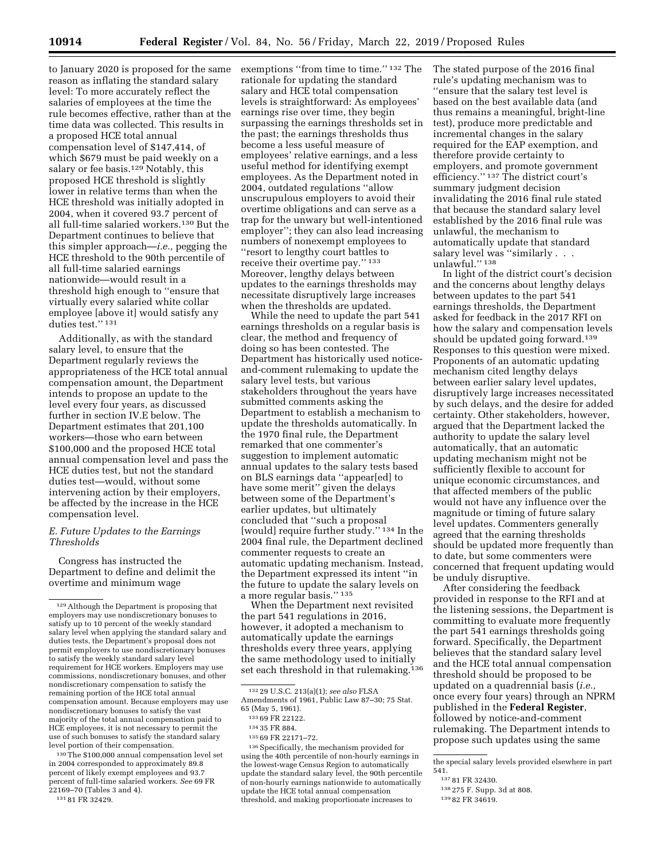to January 2020 is proposed for the same reason as inflating the standard salary level: To more accurately reflect the salaries of employees at the time the rule becomes effective, rather than at the time data was collected. This results in a proposed HCE total annual compensation level of \$147,414, of which \$679 must be paid weekly on a salary or fee basis.<sup>129</sup> Notably, this proposed HCE threshold is slightly lower in relative terms than when the HCE threshold was initially adopted in 2004, when it covered 93.7 percent of all full-time salaried workers.130 But the Department continues to believe that this simpler approach—*i.e.,* pegging the HCE threshold to the 90th percentile of all full-time salaried earnings nationwide—would result in a threshold high enough to ''ensure that virtually every salaried white collar employee [above it] would satisfy any duties test."<sup>131</sup>

Additionally, as with the standard salary level, to ensure that the Department regularly reviews the appropriateness of the HCE total annual compensation amount, the Department intends to propose an update to the level every four years, as discussed further in section IV.E below. The Department estimates that 201,100 workers—those who earn between \$100,000 and the proposed HCE total annual compensation level and pass the HCE duties test, but not the standard duties test—would, without some intervening action by their employers, be affected by the increase in the HCE compensation level.

### *E. Future Updates to the Earnings Thresholds*

Congress has instructed the Department to define and delimit the overtime and minimum wage

130The \$100,000 annual compensation level set in 2004 corresponded to approximately 89.8 percent of likely exempt employees and 93.7 percent of full-time salaried workers. *See* 69 FR 22169–70 (Tables 3 and 4). 131 81 FR 32429.

exemptions "from time to time."<sup>132</sup> The rationale for updating the standard salary and HCE total compensation levels is straightforward: As employees' earnings rise over time, they begin surpassing the earnings thresholds set in the past; the earnings thresholds thus become a less useful measure of employees' relative earnings, and a less useful method for identifying exempt employees. As the Department noted in 2004, outdated regulations ''allow unscrupulous employers to avoid their overtime obligations and can serve as a trap for the unwary but well-intentioned employer''; they can also lead increasing numbers of nonexempt employees to ''resort to lengthy court battles to receive their overtime pay.'' 133 Moreover, lengthy delays between updates to the earnings thresholds may necessitate disruptively large increases when the thresholds are updated.

While the need to update the part 541 earnings thresholds on a regular basis is clear, the method and frequency of doing so has been contested. The Department has historically used noticeand-comment rulemaking to update the salary level tests, but various stakeholders throughout the years have submitted comments asking the Department to establish a mechanism to update the thresholds automatically. In the 1970 final rule, the Department remarked that one commenter's suggestion to implement automatic annual updates to the salary tests based on BLS earnings data ''appear[ed] to have some merit'' given the delays between some of the Department's earlier updates, but ultimately concluded that ''such a proposal [would] require further study.'' 134 In the 2004 final rule, the Department declined commenter requests to create an automatic updating mechanism. Instead, the Department expressed its intent ''in the future to update the salary levels on a more regular basis.'' 135

When the Department next revisited the part 541 regulations in 2016, however, it adopted a mechanism to automatically update the earnings thresholds every three years, applying the same methodology used to initially set each threshold in that rulemaking.<sup>136</sup> The stated purpose of the 2016 final rule's updating mechanism was to ''ensure that the salary test level is based on the best available data (and thus remains a meaningful, bright-line test), produce more predictable and incremental changes in the salary required for the EAP exemption, and therefore provide certainty to employers, and promote government efficiency.'' 137 The district court's summary judgment decision invalidating the 2016 final rule stated that because the standard salary level established by the 2016 final rule was unlawful, the mechanism to automatically update that standard salary level was ''similarly . . . unlawful.'' 138

In light of the district court's decision and the concerns about lengthy delays between updates to the part 541 earnings thresholds, the Department asked for feedback in the 2017 RFI on how the salary and compensation levels should be updated going forward.<sup>139</sup> Responses to this question were mixed. Proponents of an automatic updating mechanism cited lengthy delays between earlier salary level updates, disruptively large increases necessitated by such delays, and the desire for added certainty. Other stakeholders, however, argued that the Department lacked the authority to update the salary level automatically, that an automatic updating mechanism might not be sufficiently flexible to account for unique economic circumstances, and that affected members of the public would not have any influence over the magnitude or timing of future salary level updates. Commenters generally agreed that the earning thresholds should be updated more frequently than to date, but some commenters were concerned that frequent updating would be unduly disruptive.

After considering the feedback provided in response to the RFI and at the listening sessions, the Department is committing to evaluate more frequently the part 541 earnings thresholds going forward. Specifically, the Department believes that the standard salary level and the HCE total annual compensation threshold should be proposed to be updated on a quadrennial basis (*i.e.,*  once every four years) through an NPRM published in the **Federal Register**, followed by notice-and-comment rulemaking. The Department intends to propose such updates using the same

```
139 82 FR 34619.
```
<sup>129</sup>Although the Department is proposing that employers may use nondiscretionary bonuses to satisfy up to 10 percent of the weekly standard salary level when applying the standard salary and duties tests, the Department's proposal does not permit employers to use nondiscretionary bonuses to satisfy the weekly standard salary level requirement for HCE workers. Employers may use commissions, nondiscretionary bonuses, and other nondiscretionary compensation to satisfy the remaining portion of the HCE total annual compensation amount. Because employers may use nondiscretionary bonuses to satisfy the vast majority of the total annual compensation paid to HCE employees, it is not necessary to permit the use of such bonuses to satisfy the standard salary level portion of their compensation.

<sup>132</sup> 29 U.S.C. 213(a)(1); *see also* FLSA Amendments of 1961, Public Law 87–30; 75 Stat. 65 (May 5, 1961).

<sup>133</sup> 69 FR 22122.

<sup>134</sup> 35 FR 884.

<sup>135</sup> 69 FR 22171–72.

<sup>136</sup>Specifically, the mechanism provided for using the 40th percentile of non-hourly earnings in the lowest-wage Census Region to automatically update the standard salary level, the 90th percentile of non-hourly earnings nationwide to automatically update the HCE total annual compensation threshold, and making proportionate increases to

the special salary levels provided elsewhere in part 541.

<sup>137</sup> 81 FR 32430.

<sup>138</sup> 275 F. Supp. 3d at 808.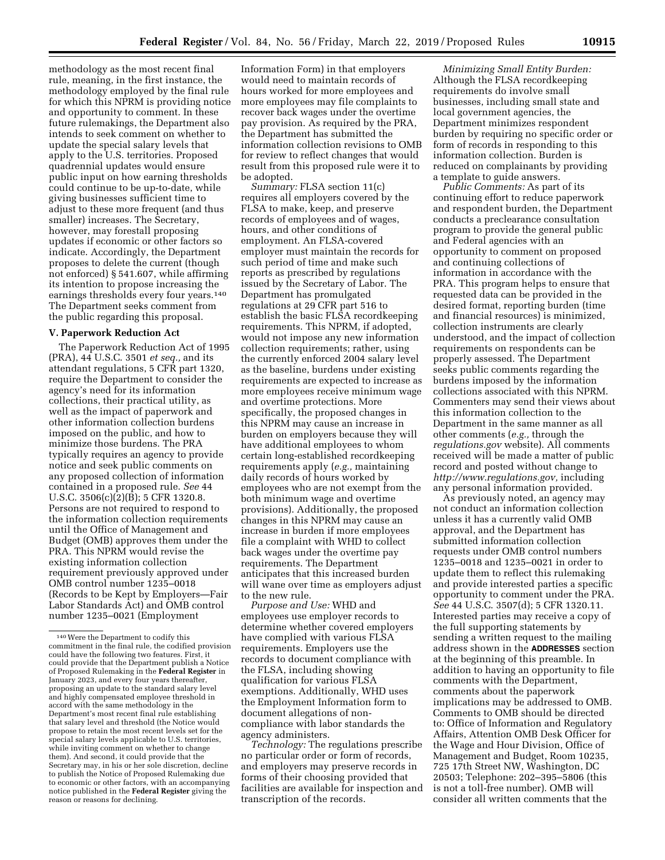methodology as the most recent final rule, meaning, in the first instance, the methodology employed by the final rule for which this NPRM is providing notice and opportunity to comment. In these future rulemakings, the Department also intends to seek comment on whether to update the special salary levels that apply to the U.S. territories. Proposed quadrennial updates would ensure public input on how earning thresholds could continue to be up-to-date, while giving businesses sufficient time to adjust to these more frequent (and thus smaller) increases. The Secretary, however, may forestall proposing updates if economic or other factors so indicate. Accordingly, the Department proposes to delete the current (though not enforced) § 541.607, while affirming its intention to propose increasing the earnings thresholds every four years.140 The Department seeks comment from the public regarding this proposal.

### **V. Paperwork Reduction Act**

The Paperwork Reduction Act of 1995 (PRA), 44 U.S.C. 3501 *et seq.,* and its attendant regulations, 5 CFR part 1320, require the Department to consider the agency's need for its information collections, their practical utility, as well as the impact of paperwork and other information collection burdens imposed on the public, and how to minimize those burdens. The PRA typically requires an agency to provide notice and seek public comments on any proposed collection of information contained in a proposed rule. *See* 44 U.S.C. 3506(c)(2)(B); 5 CFR 1320.8. Persons are not required to respond to the information collection requirements until the Office of Management and Budget (OMB) approves them under the PRA. This NPRM would revise the existing information collection requirement previously approved under OMB control number 1235–0018 (Records to be Kept by Employers—Fair Labor Standards Act) and OMB control number 1235–0021 (Employment

Information Form) in that employers would need to maintain records of hours worked for more employees and more employees may file complaints to recover back wages under the overtime pay provision. As required by the PRA, the Department has submitted the information collection revisions to OMB for review to reflect changes that would result from this proposed rule were it to be adopted.

*Summary:* FLSA section 11(c) requires all employers covered by the FLSA to make, keep, and preserve records of employees and of wages, hours, and other conditions of employment. An FLSA-covered employer must maintain the records for such period of time and make such reports as prescribed by regulations issued by the Secretary of Labor. The Department has promulgated regulations at 29 CFR part 516 to establish the basic FLSA recordkeeping requirements. This NPRM, if adopted, would not impose any new information collection requirements; rather, using the currently enforced 2004 salary level as the baseline, burdens under existing requirements are expected to increase as more employees receive minimum wage and overtime protections. More specifically, the proposed changes in this NPRM may cause an increase in burden on employers because they will have additional employees to whom certain long-established recordkeeping requirements apply (*e.g.,* maintaining daily records of hours worked by employees who are not exempt from the both minimum wage and overtime provisions). Additionally, the proposed changes in this NPRM may cause an increase in burden if more employees file a complaint with WHD to collect back wages under the overtime pay requirements. The Department anticipates that this increased burden will wane over time as employers adjust to the new rule.

*Purpose and Use:* WHD and employees use employer records to determine whether covered employers have complied with various FLSA requirements. Employers use the records to document compliance with the FLSA, including showing qualification for various FLSA exemptions. Additionally, WHD uses the Employment Information form to document allegations of noncompliance with labor standards the agency administers.

*Technology:* The regulations prescribe no particular order or form of records, and employers may preserve records in forms of their choosing provided that facilities are available for inspection and transcription of the records.

*Minimizing Small Entity Burden:*  Although the FLSA recordkeeping requirements do involve small businesses, including small state and local government agencies, the Department minimizes respondent burden by requiring no specific order or form of records in responding to this information collection. Burden is reduced on complainants by providing a template to guide answers.

*Public Comments:* As part of its continuing effort to reduce paperwork and respondent burden, the Department conducts a preclearance consultation program to provide the general public and Federal agencies with an opportunity to comment on proposed and continuing collections of information in accordance with the PRA. This program helps to ensure that requested data can be provided in the desired format, reporting burden (time and financial resources) is minimized, collection instruments are clearly understood, and the impact of collection requirements on respondents can be properly assessed. The Department seeks public comments regarding the burdens imposed by the information collections associated with this NPRM. Commenters may send their views about this information collection to the Department in the same manner as all other comments (*e.g.,* through the *regulations.gov* website). All comments received will be made a matter of public record and posted without change to *[http://www.regulations.gov,](http://www.regulations.gov)* including any personal information provided.

As previously noted, an agency may not conduct an information collection unless it has a currently valid OMB approval, and the Department has submitted information collection requests under OMB control numbers 1235–0018 and 1235–0021 in order to update them to reflect this rulemaking and provide interested parties a specific opportunity to comment under the PRA. *See* 44 U.S.C. 3507(d); 5 CFR 1320.11. Interested parties may receive a copy of the full supporting statements by sending a written request to the mailing address shown in the **ADDRESSES** section at the beginning of this preamble. In addition to having an opportunity to file comments with the Department, comments about the paperwork implications may be addressed to OMB. Comments to OMB should be directed to: Office of Information and Regulatory Affairs, Attention OMB Desk Officer for the Wage and Hour Division, Office of Management and Budget, Room 10235, 725 17th Street NW, Washington, DC 20503; Telephone: 202–395–5806 (this is not a toll-free number). OMB will consider all written comments that the

<sup>140</sup>Were the Department to codify this commitment in the final rule, the codified provision could have the following two features. First, it could provide that the Department publish a Notice of Proposed Rulemaking in the **Federal Register** in January 2023, and every four years thereafter, proposing an update to the standard salary level and highly compensated employee threshold in accord with the same methodology in the Department's most recent final rule establishing that salary level and threshold (the Notice would propose to retain the most recent levels set for the special salary levels applicable to U.S. territories, while inviting comment on whether to change them). And second, it could provide that the Secretary may, in his or her sole discretion, decline to publish the Notice of Proposed Rulemaking due to economic or other factors, with an accompanying notice published in the **Federal Register** giving the reason or reasons for declining.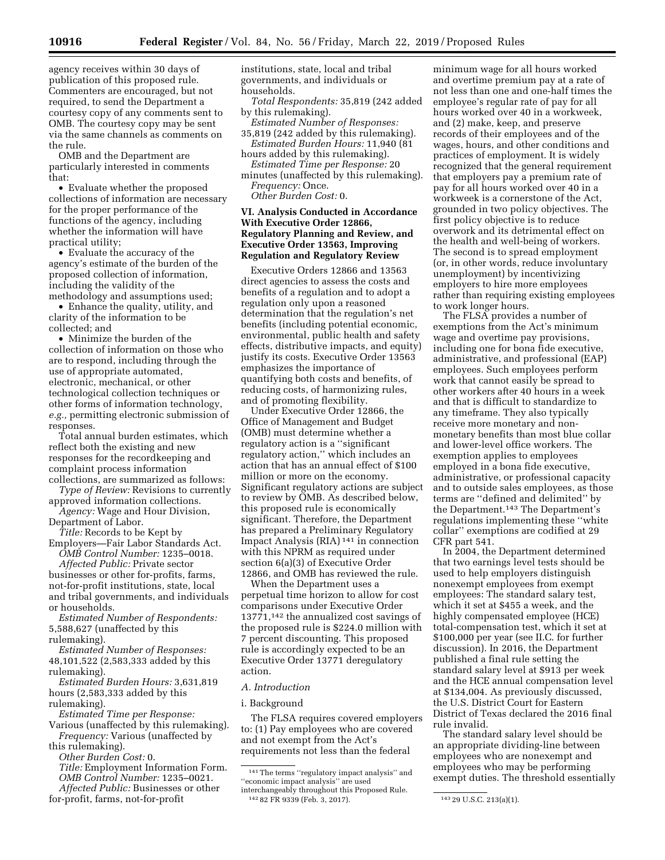agency receives within 30 days of publication of this proposed rule. Commenters are encouraged, but not required, to send the Department a courtesy copy of any comments sent to OMB. The courtesy copy may be sent via the same channels as comments on the rule.

OMB and the Department are particularly interested in comments that:

• Evaluate whether the proposed collections of information are necessary for the proper performance of the functions of the agency, including whether the information will have practical utility;

• Evaluate the accuracy of the agency's estimate of the burden of the proposed collection of information, including the validity of the methodology and assumptions used;

• Enhance the quality, utility, and clarity of the information to be collected; and

• Minimize the burden of the collection of information on those who are to respond, including through the use of appropriate automated, electronic, mechanical, or other technological collection techniques or other forms of information technology, *e.g.,* permitting electronic submission of responses.

Total annual burden estimates, which reflect both the existing and new responses for the recordkeeping and complaint process information collections, are summarized as follows:

*Type of Review:* Revisions to currently approved information collections.

*Agency:* Wage and Hour Division, Department of Labor.

*Title:* Records to be Kept by Employers—Fair Labor Standards Act.

*OMB Control Number:* 1235–0018. *Affected Public:* Private sector businesses or other for-profits, farms, not-for-profit institutions, state, local and tribal governments, and individuals or households.

*Estimated Number of Respondents:*  5,588,627 (unaffected by this rulemaking).

*Estimated Number of Responses:*  48,101,522 (2,583,333 added by this rulemaking).

*Estimated Burden Hours:* 3,631,819 hours (2,583,333 added by this rulemaking).

*Estimated Time per Response:* 

Various (unaffected by this rulemaking). *Frequency:* Various (unaffected by this rulemaking).

*Other Burden Cost:* 0.

*Title:* Employment Information Form. *OMB Control Number:* 1235–0021. *Affected Public:* Businesses or other

for-profit, farms, not-for-profit

institutions, state, local and tribal governments, and individuals or households.

*Total Respondents:* 35,819 (242 added by this rulemaking).

*Estimated Number of Responses:*  35,819 (242 added by this rulemaking).

*Estimated Burden Hours:* 11,940 (81 hours added by this rulemaking).

*Estimated Time per Response:* 20 minutes (unaffected by this rulemaking).

*Frequency:* Once. *Other Burden Cost:* 0.

### **VI. Analysis Conducted in Accordance With Executive Order 12866, Regulatory Planning and Review, and Executive Order 13563, Improving Regulation and Regulatory Review**

Executive Orders 12866 and 13563 direct agencies to assess the costs and benefits of a regulation and to adopt a regulation only upon a reasoned determination that the regulation's net benefits (including potential economic, environmental, public health and safety effects, distributive impacts, and equity) justify its costs. Executive Order 13563 emphasizes the importance of quantifying both costs and benefits, of reducing costs, of harmonizing rules, and of promoting flexibility.

Under Executive Order 12866, the Office of Management and Budget (OMB) must determine whether a regulatory action is a ''significant regulatory action,'' which includes an action that has an annual effect of \$100 million or more on the economy. Significant regulatory actions are subject to review by OMB. As described below, this proposed rule is economically significant. Therefore, the Department has prepared a Preliminary Regulatory Impact Analysis (RIA) 141 in connection with this NPRM as required under section 6(a)(3) of Executive Order 12866, and OMB has reviewed the rule.

When the Department uses a perpetual time horizon to allow for cost comparisons under Executive Order 13771,142 the annualized cost savings of the proposed rule is \$224.0 million with 7 percent discounting. This proposed rule is accordingly expected to be an Executive Order 13771 deregulatory action.

### *A. Introduction*

### i. Background

The FLSA requires covered employers to: (1) Pay employees who are covered and not exempt from the Act's requirements not less than the federal

minimum wage for all hours worked and overtime premium pay at a rate of not less than one and one-half times the employee's regular rate of pay for all hours worked over 40 in a workweek, and (2) make, keep, and preserve records of their employees and of the wages, hours, and other conditions and practices of employment. It is widely recognized that the general requirement that employers pay a premium rate of pay for all hours worked over 40 in a workweek is a cornerstone of the Act, grounded in two policy objectives. The first policy objective is to reduce overwork and its detrimental effect on the health and well-being of workers. The second is to spread employment (or, in other words, reduce involuntary unemployment) by incentivizing employers to hire more employees rather than requiring existing employees to work longer hours.

The FLSA provides a number of exemptions from the Act's minimum wage and overtime pay provisions, including one for bona fide executive, administrative, and professional (EAP) employees. Such employees perform work that cannot easily be spread to other workers after 40 hours in a week and that is difficult to standardize to any timeframe. They also typically receive more monetary and nonmonetary benefits than most blue collar and lower-level office workers. The exemption applies to employees employed in a bona fide executive, administrative, or professional capacity and to outside sales employees, as those terms are ''defined and delimited'' by the Department.<sup>143</sup> The Department's regulations implementing these ''white collar'' exemptions are codified at 29 CFR part 541.

In 2004, the Department determined that two earnings level tests should be used to help employers distinguish nonexempt employees from exempt employees: The standard salary test, which it set at \$455 a week, and the highly compensated employee (HCE) total-compensation test, which it set at \$100,000 per year (see II.C. for further discussion). In 2016, the Department published a final rule setting the standard salary level at \$913 per week and the HCE annual compensation level at \$134,004. As previously discussed, the U.S. District Court for Eastern District of Texas declared the 2016 final rule invalid.

The standard salary level should be an appropriate dividing-line between employees who are nonexempt and employees who may be performing exempt duties. The threshold essentially

<sup>141</sup>The terms ''regulatory impact analysis'' and ''economic impact analysis'' are used interchangeably throughout this Proposed Rule. 142 82 FR 9339 (Feb. 3, 2017). 143 29 U.S.C. 213(a)(1).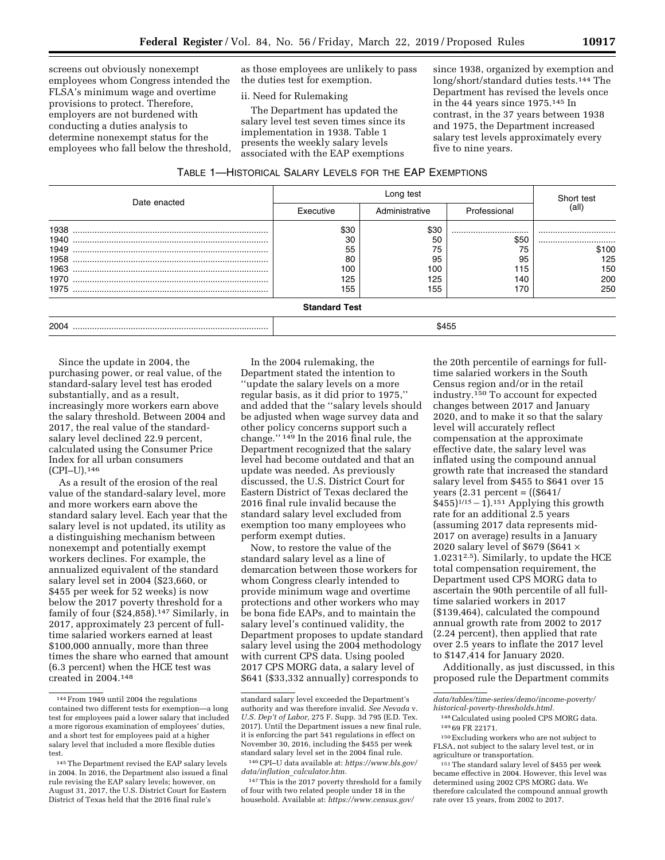screens out obviously nonexempt employees whom Congress intended the FLSA's minimum wage and overtime provisions to protect. Therefore, employers are not burdened with conducting a duties analysis to determine nonexempt status for the employees who fall below the threshold,

as those employees are unlikely to pass the duties test for exemption.

ii. Need for Rulemaking

The Department has updated the salary level test seven times since its implementation in 1938. Table 1 presents the weekly salary levels associated with the EAP exemptions

since 1938, organized by exemption and long/short/standard duties tests.144 The Department has revised the levels once in the 44 years since 1975.145 In contrast, in the 37 years between 1938 and 1975, the Department increased salary test levels approximately every five to nine years.

| Table 1—Historical Salary Levels for the EAP Exemptions |  |
|---------------------------------------------------------|--|
|---------------------------------------------------------|--|

|                              |                                      | Short test                           |                                    |                                    |
|------------------------------|--------------------------------------|--------------------------------------|------------------------------------|------------------------------------|
| Date enacted                 | Executive                            | Administrative                       | Professional                       | (all)                              |
| 1940<br>1949<br>1958<br>1970 | \$30<br>30<br>55<br>80<br>100<br>125 | \$30<br>50<br>75<br>95<br>100<br>125 | <br>\$50<br>75<br>95<br>115<br>140 | <br><br>\$100<br>125<br>150<br>200 |
| 1975                         | 155<br><b>Standard Test</b>          | 155                                  | 170                                | 250                                |
| 2004                         |                                      |                                      | \$455                              |                                    |

Since the update in 2004, the purchasing power, or real value, of the standard-salary level test has eroded substantially, and as a result, increasingly more workers earn above the salary threshold. Between 2004 and 2017, the real value of the standardsalary level declined 22.9 percent, calculated using the Consumer Price Index for all urban consumers (CPI–U).146

As a result of the erosion of the real value of the standard-salary level, more and more workers earn above the standard salary level. Each year that the salary level is not updated, its utility as a distinguishing mechanism between nonexempt and potentially exempt workers declines. For example, the annualized equivalent of the standard salary level set in 2004 (\$23,660, or \$455 per week for 52 weeks) is now below the 2017 poverty threshold for a family of four  $(\$24,858).^{147}$  Similarly, in 2017, approximately 23 percent of fulltime salaried workers earned at least \$100,000 annually, more than three times the share who earned that amount (6.3 percent) when the HCE test was created in 2004.148

In the 2004 rulemaking, the Department stated the intention to ''update the salary levels on a more regular basis, as it did prior to 1975,'' and added that the ''salary levels should be adjusted when wage survey data and other policy concerns support such a change.'' 149 In the 2016 final rule, the Department recognized that the salary level had become outdated and that an update was needed. As previously discussed, the U.S. District Court for Eastern District of Texas declared the 2016 final rule invalid because the standard salary level excluded from exemption too many employees who perform exempt duties.

Now, to restore the value of the standard salary level as a line of demarcation between those workers for whom Congress clearly intended to provide minimum wage and overtime protections and other workers who may be bona fide EAPs, and to maintain the salary level's continued validity, the Department proposes to update standard salary level using the 2004 methodology with current CPS data. Using pooled 2017 CPS MORG data, a salary level of \$641 (\$33,332 annually) corresponds to

146CPI–U data available at: *[https://www.bls.gov/](https://www.bls.gov/data/inflation_calculator.htm) data/inflation*\_*[calculator.htm.](https://www.bls.gov/data/inflation_calculator.htm)* 

147This is the 2017 poverty threshold for a family of four with two related people under 18 in the household. Available at: *[https://www.census.gov/](https://www.census.gov/data/tables/time-series/demo/income-poverty/historical-poverty-thresholds.html)* 

the 20th percentile of earnings for fulltime salaried workers in the South Census region and/or in the retail industry.150 To account for expected changes between 2017 and January 2020, and to make it so that the salary level will accurately reflect compensation at the approximate effective date, the salary level was inflated using the compound annual growth rate that increased the standard salary level from \$455 to \$641 over 15 years  $(2.31$  percent =  $((\$641)$  $$455$ )<sup>1/15</sup> - 1).<sup>151</sup> Applying this growth rate for an additional 2.5 years (assuming 2017 data represents mid-2017 on average) results in a January 2020 salary level of \$679 (\$641 × 1.02312.5). Similarly, to update the HCE total compensation requirement, the Department used CPS MORG data to ascertain the 90th percentile of all fulltime salaried workers in 2017 (\$139,464), calculated the compound annual growth rate from 2002 to 2017 (2.24 percent), then applied that rate over 2.5 years to inflate the 2017 level to \$147,414 for January 2020.

Additionally, as just discussed, in this proposed rule the Department commits

<sup>144</sup>From 1949 until 2004 the regulations contained two different tests for exemption—a long test for employees paid a lower salary that included a more rigorous examination of employees' duties, and a short test for employees paid at a higher salary level that included a more flexible duties test.

<sup>145</sup>The Department revised the EAP salary levels in 2004. In 2016, the Department also issued a final rule revising the EAP salary levels; however, on August 31, 2017, the U.S. District Court for Eastern District of Texas held that the 2016 final rule's

standard salary level exceeded the Department's authority and was therefore invalid. *See Nevada* v. *U.S. Dep't of Labor,* 275 F. Supp. 3d 795 (E.D. Tex. 2017). Until the Department issues a new final rule, it is enforcing the part 541 regulations in effect on November 30, 2016, including the \$455 per week standard salary level set in the 2004 final rule.

*[data/tables/time-series/demo/income-poverty/](https://www.census.gov/data/tables/time-series/demo/income-poverty/historical-poverty-thresholds.html) [historical-poverty-thresholds.html.](https://www.census.gov/data/tables/time-series/demo/income-poverty/historical-poverty-thresholds.html)* 

<sup>148</sup>Calculated using pooled CPS MORG data. 149 69 FR 22171.

<sup>150</sup>Excluding workers who are not subject to FLSA, not subject to the salary level test, or in agriculture or transportation.

<sup>151</sup>The standard salary level of \$455 per week became effective in 2004. However, this level was determined using 2002 CPS MORG data. We therefore calculated the compound annual growth rate over 15 years, from 2002 to 2017.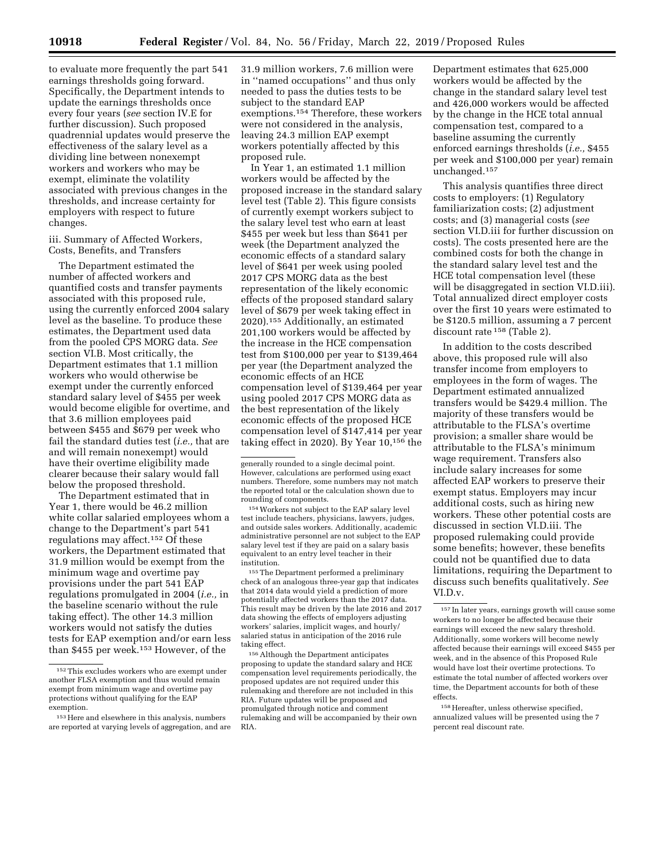to evaluate more frequently the part 541 earnings thresholds going forward. Specifically, the Department intends to update the earnings thresholds once every four years (*see* section IV.E for further discussion). Such proposed quadrennial updates would preserve the effectiveness of the salary level as a dividing line between nonexempt workers and workers who may be exempt, eliminate the volatility associated with previous changes in the thresholds, and increase certainty for employers with respect to future changes.

### iii. Summary of Affected Workers, Costs, Benefits, and Transfers

The Department estimated the number of affected workers and quantified costs and transfer payments associated with this proposed rule, using the currently enforced 2004 salary level as the baseline. To produce these estimates, the Department used data from the pooled CPS MORG data. *See*  section VI.B. Most critically, the Department estimates that 1.1 million workers who would otherwise be exempt under the currently enforced standard salary level of \$455 per week would become eligible for overtime, and that 3.6 million employees paid between \$455 and \$679 per week who fail the standard duties test (*i.e.,* that are and will remain nonexempt) would have their overtime eligibility made clearer because their salary would fall below the proposed threshold.

The Department estimated that in Year 1, there would be 46.2 million white collar salaried employees whom a change to the Department's part 541 regulations may affect.152 Of these workers, the Department estimated that 31.9 million would be exempt from the minimum wage and overtime pay provisions under the part 541 EAP regulations promulgated in 2004 (*i.e.,* in the baseline scenario without the rule taking effect). The other 14.3 million workers would not satisfy the duties tests for EAP exemption and/or earn less than \$455 per week.153 However, of the

31.9 million workers, 7.6 million were in ''named occupations'' and thus only needed to pass the duties tests to be subject to the standard EAP exemptions.154 Therefore, these workers were not considered in the analysis, leaving 24.3 million EAP exempt workers potentially affected by this proposed rule.

In Year 1, an estimated 1.1 million workers would be affected by the proposed increase in the standard salary level test (Table 2). This figure consists of currently exempt workers subject to the salary level test who earn at least \$455 per week but less than \$641 per week (the Department analyzed the economic effects of a standard salary level of \$641 per week using pooled 2017 CPS MORG data as the best representation of the likely economic effects of the proposed standard salary level of \$679 per week taking effect in 2020).155 Additionally, an estimated 201,100 workers would be affected by the increase in the HCE compensation test from \$100,000 per year to \$139,464 per year (the Department analyzed the economic effects of an HCE compensation level of \$139,464 per year using pooled 2017 CPS MORG data as the best representation of the likely economic effects of the proposed HCE compensation level of \$147,414 per year taking effect in 2020). By Year 10,156 the

154Workers not subject to the EAP salary level test include teachers, physicians, lawyers, judges, and outside sales workers. Additionally, academic administrative personnel are not subject to the EAP salary level test if they are paid on a salary basis equivalent to an entry level teacher in their institution.

155The Department performed a preliminary check of an analogous three-year gap that indicates that 2014 data would yield a prediction of more potentially affected workers than the 2017 data. This result may be driven by the late 2016 and 2017 data showing the effects of employers adjusting workers' salaries, implicit wages, and hourly/ salaried status in anticipation of the 2016 rule taking effect.

156Although the Department anticipates proposing to update the standard salary and HCE compensation level requirements periodically, the proposed updates are not required under this rulemaking and therefore are not included in this RIA. Future updates will be proposed and promulgated through notice and comment rulemaking and will be accompanied by their own RIA.

Department estimates that 625,000 workers would be affected by the change in the standard salary level test and 426,000 workers would be affected by the change in the HCE total annual compensation test, compared to a baseline assuming the currently enforced earnings thresholds (*i.e.,* \$455 per week and \$100,000 per year) remain unchanged.157

This analysis quantifies three direct costs to employers: (1) Regulatory familiarization costs; (2) adjustment costs; and (3) managerial costs (*see*  section VI.D.iii for further discussion on costs). The costs presented here are the combined costs for both the change in the standard salary level test and the HCE total compensation level (these will be disaggregated in section VI.D.iii). Total annualized direct employer costs over the first 10 years were estimated to be \$120.5 million, assuming a 7 percent discount rate 158 (Table 2).

In addition to the costs described above, this proposed rule will also transfer income from employers to employees in the form of wages. The Department estimated annualized transfers would be \$429.4 million. The majority of these transfers would be attributable to the FLSA's overtime provision; a smaller share would be attributable to the FLSA's minimum wage requirement. Transfers also include salary increases for some affected EAP workers to preserve their exempt status. Employers may incur additional costs, such as hiring new workers. These other potential costs are discussed in section VI.D.iii. The proposed rulemaking could provide some benefits; however, these benefits could not be quantified due to data limitations, requiring the Department to discuss such benefits qualitatively. *See*  VI.D.v.

158Hereafter, unless otherwise specified, annualized values will be presented using the 7 percent real discount rate.

<sup>152</sup>This excludes workers who are exempt under another FLSA exemption and thus would remain exempt from minimum wage and overtime pay protections without qualifying for the EAP exemption.

<sup>153</sup>Here and elsewhere in this analysis, numbers are reported at varying levels of aggregation, and are

generally rounded to a single decimal point. However, calculations are performed using exact numbers. Therefore, some numbers may not match the reported total or the calculation shown due to rounding of components.

<sup>157</sup> In later years, earnings growth will cause some workers to no longer be affected because their earnings will exceed the new salary threshold. Additionally, some workers will become newly affected because their earnings will exceed \$455 per week, and in the absence of this Proposed Rule would have lost their overtime protections. To estimate the total number of affected workers over time, the Department accounts for both of these effects.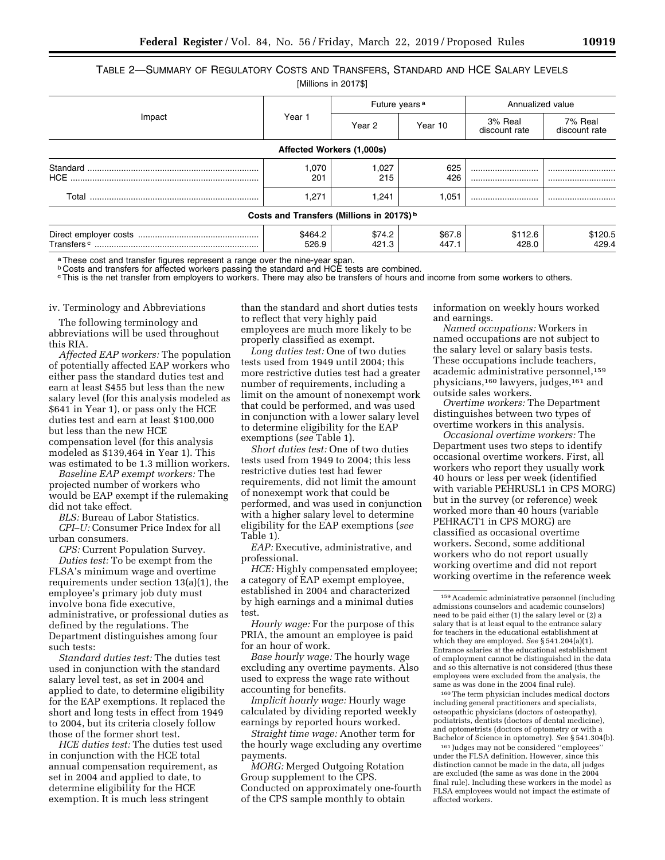TABLE 2—SUMMARY OF REGULATORY COSTS AND TRANSFERS, STANDARD AND HCE SALARY LEVELS

| [Millions in 2017\$] |  |  |  |
|----------------------|--|--|--|
|----------------------|--|--|--|

|                                                         |                  |                                                       | Future years <sup>a</sup> | Annualized value         |                          |  |
|---------------------------------------------------------|------------------|-------------------------------------------------------|---------------------------|--------------------------|--------------------------|--|
| Impact                                                  | Year 1           | Year 10<br>Year 2                                     |                           | 3% Real<br>discount rate | 7% Real<br>discount rate |  |
| Affected Workers (1,000s)                               |                  |                                                       |                           |                          |                          |  |
|                                                         | 1,070<br>201     | 1,027<br>215                                          | 625<br>426                | <br>                     | <br>                     |  |
|                                                         | 1.271            | 1,241                                                 | 1.051                     |                          |                          |  |
|                                                         |                  | Costs and Transfers (Millions in 2017\$) <sup>b</sup> |                           |                          |                          |  |
| $\label{eq:transfers} \mathsf{Transfers} \circ \text{}$ | \$464.2<br>526.9 | \$74.2<br>421.3                                       | \$67.8<br>447.1           | \$112.6<br>428.0         | \$120.5<br>429.4         |  |

a These cost and transfer figures represent a range over the nine-year span.

**b Costs and transfers for affected workers passing the standard and HCE tests are combined.** 

cThis is the net transfer from employers to workers. There may also be transfers of hours and income from some workers to others.

#### iv. Terminology and Abbreviations

The following terminology and abbreviations will be used throughout this RIA.

*Affected EAP workers:* The population of potentially affected EAP workers who either pass the standard duties test and earn at least \$455 but less than the new salary level (for this analysis modeled as \$641 in Year 1), or pass only the HCE duties test and earn at least \$100,000 but less than the new HCE compensation level (for this analysis modeled as \$139,464 in Year 1). This was estimated to be 1.3 million workers.

*Baseline EAP exempt workers:* The projected number of workers who would be EAP exempt if the rulemaking did not take effect.

*BLS:* Bureau of Labor Statistics.

*CPI–U:* Consumer Price Index for all urban consumers.

*CPS:* Current Population Survey.

*Duties test:* To be exempt from the FLSA's minimum wage and overtime requirements under section 13(a)(1), the employee's primary job duty must involve bona fide executive, administrative, or professional duties as defined by the regulations. The Department distinguishes among four such tests:

*Standard duties test:* The duties test used in conjunction with the standard salary level test, as set in 2004 and applied to date, to determine eligibility for the EAP exemptions. It replaced the short and long tests in effect from 1949 to 2004, but its criteria closely follow those of the former short test.

*HCE duties test:* The duties test used in conjunction with the HCE total annual compensation requirement, as set in 2004 and applied to date, to determine eligibility for the HCE exemption. It is much less stringent

than the standard and short duties tests to reflect that very highly paid employees are much more likely to be properly classified as exempt.

*Long duties test:* One of two duties tests used from 1949 until 2004; this more restrictive duties test had a greater number of requirements, including a limit on the amount of nonexempt work that could be performed, and was used in conjunction with a lower salary level to determine eligibility for the EAP exemptions (*see* Table 1).

*Short duties test:* One of two duties tests used from 1949 to 2004; this less restrictive duties test had fewer requirements, did not limit the amount of nonexempt work that could be performed, and was used in conjunction with a higher salary level to determine eligibility for the EAP exemptions (*see*  Table 1).

*EAP:* Executive, administrative, and professional.

*HCE:* Highly compensated employee; a category of EAP exempt employee, established in 2004 and characterized by high earnings and a minimal duties test.

*Hourly wage:* For the purpose of this PRIA, the amount an employee is paid for an hour of work.

*Base hourly wage:* The hourly wage excluding any overtime payments. Also used to express the wage rate without accounting for benefits.

*Implicit hourly wage:* Hourly wage calculated by dividing reported weekly earnings by reported hours worked.

*Straight time wage:* Another term for the hourly wage excluding any overtime payments.

*MORG:* Merged Outgoing Rotation Group supplement to the CPS. Conducted on approximately one-fourth of the CPS sample monthly to obtain

information on weekly hours worked and earnings.

*Named occupations:* Workers in named occupations are not subject to the salary level or salary basis tests. These occupations include teachers, academic administrative personnel,  $^{\rm 159}$ physicians,160 lawyers, judges,161 and outside sales workers.

*Overtime workers:* The Department distinguishes between two types of overtime workers in this analysis.

*Occasional overtime workers:* The Department uses two steps to identify occasional overtime workers. First, all workers who report they usually work 40 hours or less per week (identified with variable PEHRUSL1 in CPS MORG) but in the survey (or reference) week worked more than 40 hours (variable PEHRACT1 in CPS MORG) are classified as occasional overtime workers. Second, some additional workers who do not report usually working overtime and did not report working overtime in the reference week

160The term physician includes medical doctors including general practitioners and specialists, osteopathic physicians (doctors of osteopathy), podiatrists, dentists (doctors of dental medicine), and optometrists (doctors of optometry or with a Bachelor of Science in optometry). *See* § 541.304(b).

161 Judges may not be considered ''employees'' under the FLSA definition. However, since this distinction cannot be made in the data, all judges are excluded (the same as was done in the 2004 final rule). Including these workers in the model as FLSA employees would not impact the estimate of affected workers.

<sup>159</sup>Academic administrative personnel (including admissions counselors and academic counselors) need to be paid either (1) the salary level or (2) a salary that is at least equal to the entrance salary for teachers in the educational establishment at which they are employed. *See* § 541.204(a)(1). Entrance salaries at the educational establishment of employment cannot be distinguished in the data and so this alternative is not considered (thus these employees were excluded from the analysis, the same as was done in the 2004 final rule).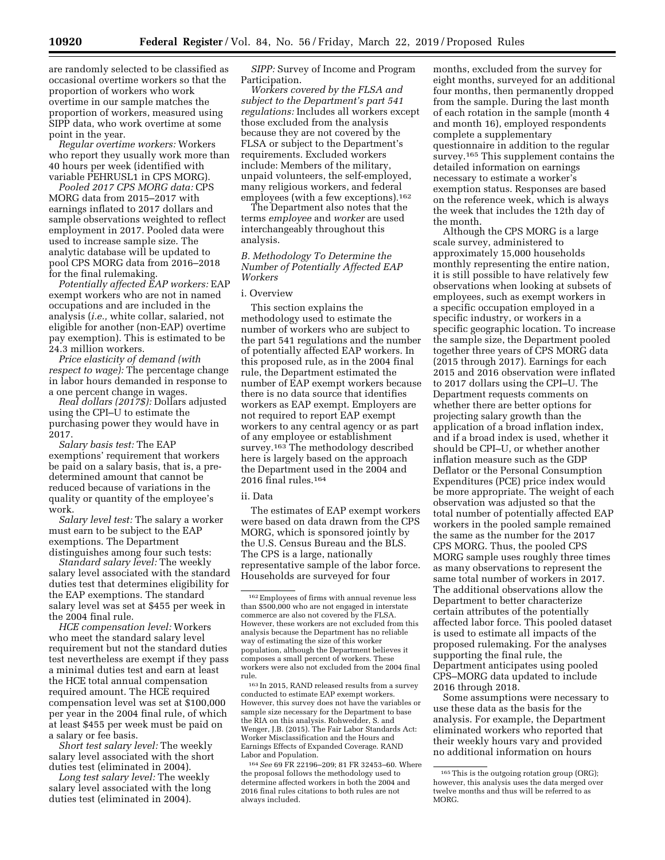are randomly selected to be classified as occasional overtime workers so that the proportion of workers who work overtime in our sample matches the proportion of workers, measured using SIPP data, who work overtime at some point in the year.

*Regular overtime workers:* Workers who report they usually work more than 40 hours per week (identified with variable PEHRUSL1 in CPS MORG).

*Pooled 2017 CPS MORG data:* CPS MORG data from 2015–2017 with earnings inflated to 2017 dollars and sample observations weighted to reflect employment in 2017. Pooled data were used to increase sample size. The analytic database will be updated to pool CPS MORG data from 2016–2018 for the final rulemaking.

*Potentially affected EAP workers:* EAP exempt workers who are not in named occupations and are included in the analysis (*i.e.,* white collar, salaried, not eligible for another (non-EAP) overtime pay exemption). This is estimated to be 24.3 million workers.

*Price elasticity of demand (with respect to wage):* The percentage change in labor hours demanded in response to a one percent change in wages.

*Real dollars (2017\$):* Dollars adjusted using the CPI–U to estimate the purchasing power they would have in 2017.

*Salary basis test:* The EAP exemptions' requirement that workers be paid on a salary basis, that is, a predetermined amount that cannot be reduced because of variations in the quality or quantity of the employee's work.

*Salary level test:* The salary a worker must earn to be subject to the EAP exemptions. The Department distinguishes among four such tests:

*Standard salary level:* The weekly salary level associated with the standard duties test that determines eligibility for the EAP exemptions. The standard salary level was set at \$455 per week in the 2004 final rule.

*HCE compensation level:* Workers who meet the standard salary level requirement but not the standard duties test nevertheless are exempt if they pass a minimal duties test and earn at least the HCE total annual compensation required amount. The HCE required compensation level was set at \$100,000 per year in the 2004 final rule, of which at least \$455 per week must be paid on a salary or fee basis.

*Short test salary level:* The weekly salary level associated with the short duties test (eliminated in 2004).

*Long test salary level:* The weekly salary level associated with the long duties test (eliminated in 2004).

*SIPP:* Survey of Income and Program Participation.

*Workers covered by the FLSA and subject to the Department's part 541 regulations:* Includes all workers except those excluded from the analysis because they are not covered by the FLSA or subject to the Department's requirements. Excluded workers include: Members of the military, unpaid volunteers, the self-employed, many religious workers, and federal employees (with a few exceptions).162

The Department also notes that the terms *employee* and *worker* are used interchangeably throughout this analysis.

*B. Methodology To Determine the Number of Potentially Affected EAP Workers* 

#### i. Overview

This section explains the methodology used to estimate the number of workers who are subject to the part 541 regulations and the number of potentially affected EAP workers. In this proposed rule, as in the 2004 final rule, the Department estimated the number of EAP exempt workers because there is no data source that identifies workers as EAP exempt. Employers are not required to report EAP exempt workers to any central agency or as part of any employee or establishment survey.<sup>163</sup> The methodology described here is largely based on the approach the Department used in the 2004 and 2016 final rules.164

### ii. Data

The estimates of EAP exempt workers were based on data drawn from the CPS MORG, which is sponsored jointly by the U.S. Census Bureau and the BLS. The CPS is a large, nationally representative sample of the labor force. Households are surveyed for four

163 In 2015, RAND released results from a survey conducted to estimate EAP exempt workers. However, this survey does not have the variables or sample size necessary for the Department to base the RIA on this analysis. Rohwedder, S. and Wenger, J.B. (2015). The Fair Labor Standards Act: Worker Misclassification and the Hours and Earnings Effects of Expanded Coverage. RAND Labor and Population.

164*See* 69 FR 22196–209; 81 FR 32453–60. Where the proposal follows the methodology used to determine affected workers in both the 2004 and 2016 final rules citations to both rules are not always included.

months, excluded from the survey for eight months, surveyed for an additional four months, then permanently dropped from the sample. During the last month of each rotation in the sample (month 4 and month 16), employed respondents complete a supplementary questionnaire in addition to the regular survey.165 This supplement contains the detailed information on earnings necessary to estimate a worker's exemption status. Responses are based on the reference week, which is always the week that includes the 12th day of the month.

Although the CPS MORG is a large scale survey, administered to approximately 15,000 households monthly representing the entire nation, it is still possible to have relatively few observations when looking at subsets of employees, such as exempt workers in a specific occupation employed in a specific industry, or workers in a specific geographic location. To increase the sample size, the Department pooled together three years of CPS MORG data (2015 through 2017). Earnings for each 2015 and 2016 observation were inflated to 2017 dollars using the CPI–U. The Department requests comments on whether there are better options for projecting salary growth than the application of a broad inflation index, and if a broad index is used, whether it should be CPI–U, or whether another inflation measure such as the GDP Deflator or the Personal Consumption Expenditures (PCE) price index would be more appropriate. The weight of each observation was adjusted so that the total number of potentially affected EAP workers in the pooled sample remained the same as the number for the 2017 CPS MORG. Thus, the pooled CPS MORG sample uses roughly three times as many observations to represent the same total number of workers in 2017. The additional observations allow the Department to better characterize certain attributes of the potentially affected labor force. This pooled dataset is used to estimate all impacts of the proposed rulemaking. For the analyses supporting the final rule, the Department anticipates using pooled CPS–MORG data updated to include 2016 through 2018.

Some assumptions were necessary to use these data as the basis for the analysis. For example, the Department eliminated workers who reported that their weekly hours vary and provided no additional information on hours

<sup>162</sup>Employees of firms with annual revenue less than \$500,000 who are not engaged in interstate commerce are also not covered by the FLSA. However, these workers are not excluded from this analysis because the Department has no reliable way of estimating the size of this worker population, although the Department believes it composes a small percent of workers. These workers were also not excluded from the 2004 final rule.

<sup>165</sup>This is the outgoing rotation group (ORG); however, this analysis uses the data merged over twelve months and thus will be referred to as MORG.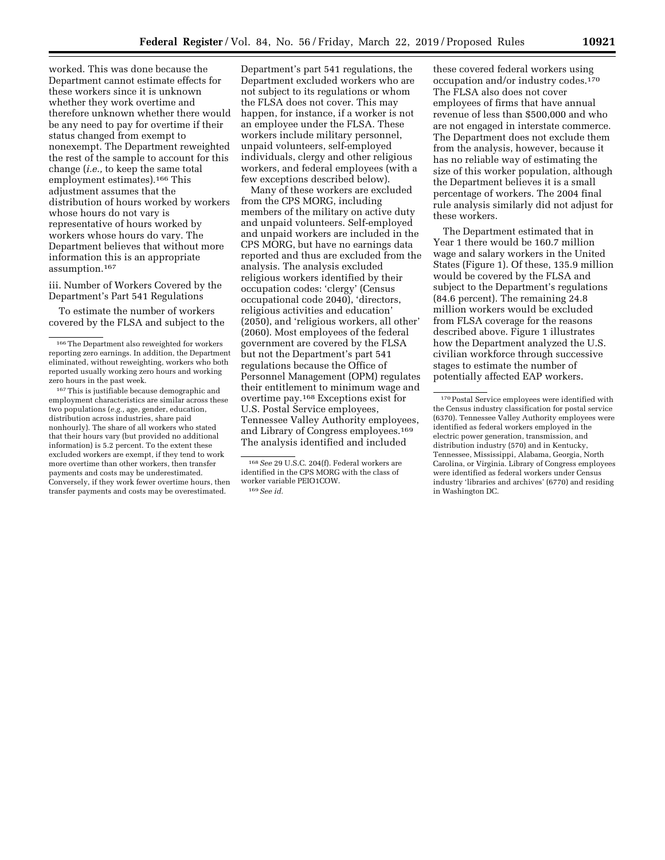worked. This was done because the Department cannot estimate effects for these workers since it is unknown whether they work overtime and therefore unknown whether there would be any need to pay for overtime if their status changed from exempt to nonexempt. The Department reweighted the rest of the sample to account for this change (*i.e.,* to keep the same total employment estimates).166 This adjustment assumes that the distribution of hours worked by workers whose hours do not vary is representative of hours worked by workers whose hours do vary. The Department believes that without more information this is an appropriate assumption.167

iii. Number of Workers Covered by the Department's Part 541 Regulations

To estimate the number of workers covered by the FLSA and subject to the

167This is justifiable because demographic and employment characteristics are similar across these two populations (*e.g.,* age, gender, education, distribution across industries, share paid nonhourly). The share of all workers who stated that their hours vary (but provided no additional information) is 5.2 percent. To the extent these excluded workers are exempt, if they tend to work more overtime than other workers, then transfer payments and costs may be underestimated. Conversely, if they work fewer overtime hours, then transfer payments and costs may be overestimated.

Department's part 541 regulations, the Department excluded workers who are not subject to its regulations or whom the FLSA does not cover. This may happen, for instance, if a worker is not an employee under the FLSA. These workers include military personnel, unpaid volunteers, self-employed individuals, clergy and other religious workers, and federal employees (with a few exceptions described below).

Many of these workers are excluded from the CPS MORG, including members of the military on active duty and unpaid volunteers. Self-employed and unpaid workers are included in the CPS MORG, but have no earnings data reported and thus are excluded from the analysis. The analysis excluded religious workers identified by their occupation codes: 'clergy' (Census occupational code 2040), 'directors, religious activities and education' (2050), and 'religious workers, all other' (2060). Most employees of the federal government are covered by the FLSA but not the Department's part 541 regulations because the Office of Personnel Management (OPM) regulates their entitlement to minimum wage and overtime pay.168 Exceptions exist for U.S. Postal Service employees, Tennessee Valley Authority employees, and Library of Congress employees.169 The analysis identified and included

these covered federal workers using occupation and/or industry codes.170 The FLSA also does not cover employees of firms that have annual revenue of less than \$500,000 and who are not engaged in interstate commerce. The Department does not exclude them from the analysis, however, because it has no reliable way of estimating the size of this worker population, although the Department believes it is a small percentage of workers. The 2004 final rule analysis similarly did not adjust for these workers.

The Department estimated that in Year 1 there would be 160.7 million wage and salary workers in the United States (Figure 1). Of these, 135.9 million would be covered by the FLSA and subject to the Department's regulations (84.6 percent). The remaining 24.8 million workers would be excluded from FLSA coverage for the reasons described above. Figure 1 illustrates how the Department analyzed the U.S. civilian workforce through successive stages to estimate the number of potentially affected EAP workers.

<sup>166</sup>The Department also reweighted for workers reporting zero earnings. In addition, the Department eliminated, without reweighting, workers who both reported usually working zero hours and working zero hours in the past week.

<sup>168</sup>*See* 29 U.S.C. 204(f). Federal workers are identified in the CPS MORG with the class of worker variable PEIO1COW. 169*See id.* 

<sup>170</sup>Postal Service employees were identified with the Census industry classification for postal service (6370). Tennessee Valley Authority employees were identified as federal workers employed in the electric power generation, transmission, and distribution industry (570) and in Kentucky, Tennessee, Mississippi, Alabama, Georgia, North Carolina, or Virginia. Library of Congress employees were identified as federal workers under Census industry 'libraries and archives' (6770) and residing in Washington DC.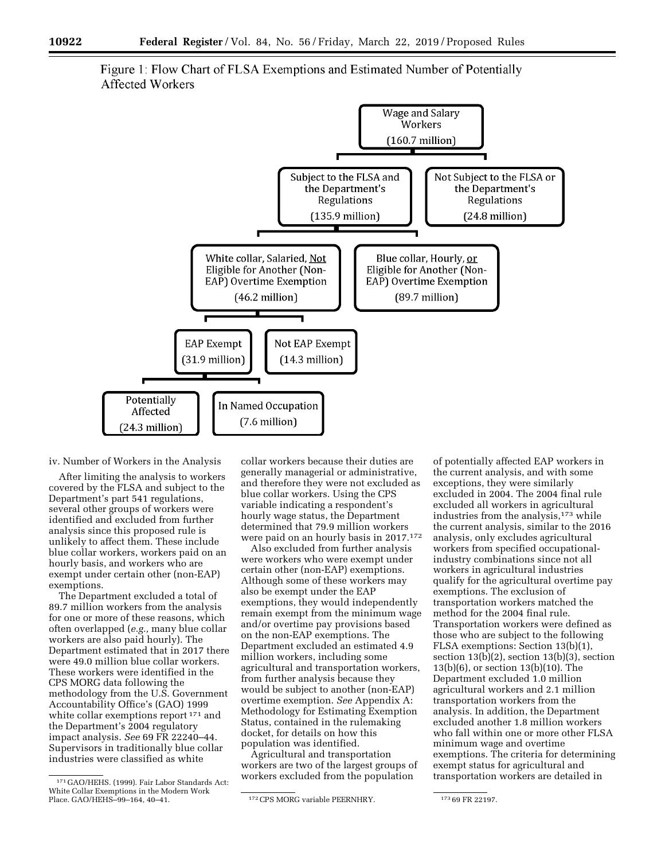

Figure 1: Flow Chart of FLSA Exemptions and Estimated Number of Potentially Affected Workers

iv. Number of Workers in the Analysis

After limiting the analysis to workers covered by the FLSA and subject to the Department's part 541 regulations, several other groups of workers were identified and excluded from further analysis since this proposed rule is unlikely to affect them. These include blue collar workers, workers paid on an hourly basis, and workers who are exempt under certain other (non-EAP) exemptions.

The Department excluded a total of 89.7 million workers from the analysis for one or more of these reasons, which often overlapped (*e.g.,* many blue collar workers are also paid hourly). The Department estimated that in 2017 there were 49.0 million blue collar workers. These workers were identified in the CPS MORG data following the methodology from the U.S. Government Accountability Office's (GAO) 1999 white collar exemptions report 171 and the Department's 2004 regulatory impact analysis. *See* 69 FR 22240–44. Supervisors in traditionally blue collar industries were classified as white

collar workers because their duties are generally managerial or administrative, and therefore they were not excluded as blue collar workers. Using the CPS variable indicating a respondent's hourly wage status, the Department determined that 79.9 million workers were paid on an hourly basis in 2017.172

Also excluded from further analysis were workers who were exempt under certain other (non-EAP) exemptions. Although some of these workers may also be exempt under the EAP exemptions, they would independently remain exempt from the minimum wage and/or overtime pay provisions based on the non-EAP exemptions. The Department excluded an estimated 4.9 million workers, including some agricultural and transportation workers, from further analysis because they would be subject to another (non-EAP) overtime exemption. *See* Appendix A: Methodology for Estimating Exemption Status, contained in the rulemaking docket, for details on how this population was identified.

Agricultural and transportation workers are two of the largest groups of workers excluded from the population

of potentially affected EAP workers in the current analysis, and with some exceptions, they were similarly excluded in 2004. The 2004 final rule excluded all workers in agricultural industries from the analysis,<sup>173</sup> while the current analysis, similar to the 2016 analysis, only excludes agricultural workers from specified occupationalindustry combinations since not all workers in agricultural industries qualify for the agricultural overtime pay exemptions. The exclusion of transportation workers matched the method for the 2004 final rule. Transportation workers were defined as those who are subject to the following FLSA exemptions: Section 13(b)(1), section  $13(b)(2)$ , section  $13(b)(3)$ , section 13(b)(6), or section 13(b)(10). The Department excluded 1.0 million agricultural workers and 2.1 million transportation workers from the analysis. In addition, the Department excluded another 1.8 million workers who fall within one or more other FLSA minimum wage and overtime exemptions. The criteria for determining exempt status for agricultural and transportation workers are detailed in

<sup>171</sup> GAO/HEHS. (1999). Fair Labor Standards Act: White Collar Exemptions in the Modern Work<br>Place. GAO/HEHS-99-164, 40-41.

<sup>&</sup>lt;sup>172</sup> CPS MORG variable PEERNHRY. <sup>173</sup> 69 FR 22197.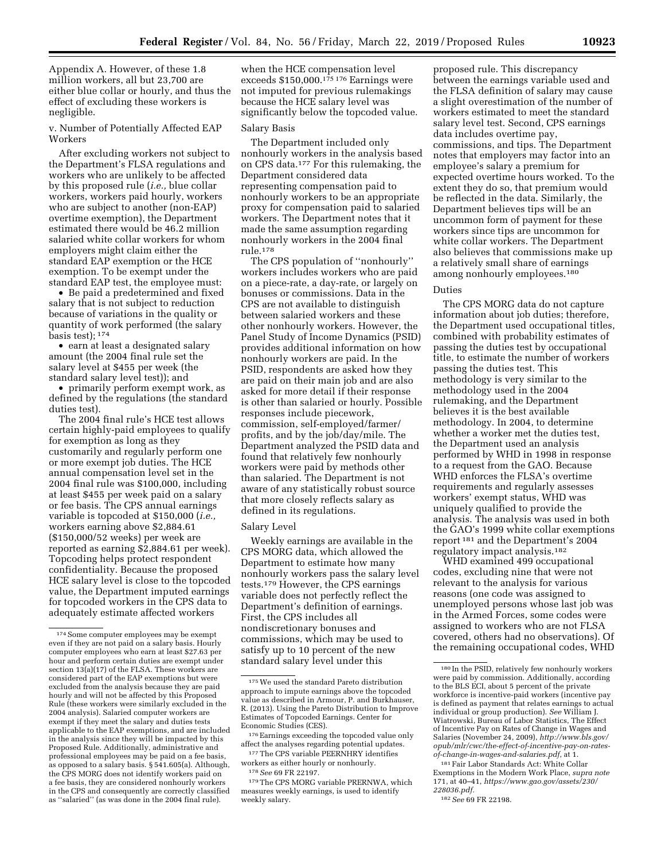Appendix A. However, of these 1.8 million workers, all but 23,700 are either blue collar or hourly, and thus the effect of excluding these workers is negligible.

v. Number of Potentially Affected EAP Workers

After excluding workers not subject to the Department's FLSA regulations and workers who are unlikely to be affected by this proposed rule (*i.e.,* blue collar workers, workers paid hourly, workers who are subject to another (non-EAP) overtime exemption), the Department estimated there would be 46.2 million salaried white collar workers for whom employers might claim either the standard EAP exemption or the HCE exemption. To be exempt under the standard EAP test, the employee must:

• Be paid a predetermined and fixed salary that is not subject to reduction because of variations in the quality or quantity of work performed (the salary basis test); 174

• earn at least a designated salary amount (the 2004 final rule set the salary level at \$455 per week (the standard salary level test)); and

• primarily perform exempt work, as defined by the regulations (the standard duties test).

The 2004 final rule's HCE test allows certain highly-paid employees to qualify for exemption as long as they customarily and regularly perform one or more exempt job duties. The HCE annual compensation level set in the 2004 final rule was \$100,000, including at least \$455 per week paid on a salary or fee basis. The CPS annual earnings variable is topcoded at \$150,000 (*i.e.,*  workers earning above \$2,884.61 (\$150,000/52 weeks) per week are reported as earning \$2,884.61 per week). Topcoding helps protect respondent confidentiality. Because the proposed HCE salary level is close to the topcoded value, the Department imputed earnings for topcoded workers in the CPS data to adequately estimate affected workers

when the HCE compensation level exceeds  $$150,000$ .<sup>175 176</sup> Earnings were not imputed for previous rulemakings because the HCE salary level was significantly below the topcoded value.

#### Salary Basis

The Department included only nonhourly workers in the analysis based on CPS data.177 For this rulemaking, the Department considered data representing compensation paid to nonhourly workers to be an appropriate proxy for compensation paid to salaried workers. The Department notes that it made the same assumption regarding nonhourly workers in the 2004 final rule.178

The CPS population of ''nonhourly'' workers includes workers who are paid on a piece-rate, a day-rate, or largely on bonuses or commissions. Data in the CPS are not available to distinguish between salaried workers and these other nonhourly workers. However, the Panel Study of Income Dynamics (PSID) provides additional information on how nonhourly workers are paid. In the PSID, respondents are asked how they are paid on their main job and are also asked for more detail if their response is other than salaried or hourly. Possible responses include piecework, commission, self-employed/farmer/ profits, and by the job/day/mile. The Department analyzed the PSID data and found that relatively few nonhourly workers were paid by methods other than salaried. The Department is not aware of any statistically robust source that more closely reflects salary as defined in its regulations.

#### Salary Level

Weekly earnings are available in the CPS MORG data, which allowed the Department to estimate how many nonhourly workers pass the salary level tests.179 However, the CPS earnings variable does not perfectly reflect the Department's definition of earnings. First, the CPS includes all nondiscretionary bonuses and commissions, which may be used to satisfy up to 10 percent of the new standard salary level under this

176Earnings exceeding the topcoded value only affect the analyses regarding potential updates.

177The CPS variable PEERNHRY identifies workers as either hourly or nonhourly. 178*See* 69 FR 22197.

179The CPS MORG variable PRERNWA, which measures weekly earnings, is used to identify weekly salary.

proposed rule. This discrepancy between the earnings variable used and the FLSA definition of salary may cause a slight overestimation of the number of workers estimated to meet the standard salary level test. Second, CPS earnings data includes overtime pay, commissions, and tips. The Department notes that employers may factor into an employee's salary a premium for expected overtime hours worked. To the extent they do so, that premium would be reflected in the data. Similarly, the Department believes tips will be an uncommon form of payment for these workers since tips are uncommon for white collar workers. The Department also believes that commissions make up a relatively small share of earnings among nonhourly employees.180

#### Duties

The CPS MORG data do not capture information about job duties; therefore, the Department used occupational titles, combined with probability estimates of passing the duties test by occupational title, to estimate the number of workers passing the duties test. This methodology is very similar to the methodology used in the 2004 rulemaking, and the Department believes it is the best available methodology. In 2004, to determine whether a worker met the duties test, the Department used an analysis performed by WHD in 1998 in response to a request from the GAO. Because WHD enforces the FLSA's overtime requirements and regularly assesses workers' exempt status, WHD was uniquely qualified to provide the analysis. The analysis was used in both the GAO's 1999 white collar exemptions report 181 and the Department's 2004 regulatory impact analysis.182

WHD examined 499 occupational codes, excluding nine that were not relevant to the analysis for various reasons (one code was assigned to unemployed persons whose last job was in the Armed Forces, some codes were assigned to workers who are not FLSA covered, others had no observations). Of the remaining occupational codes, WHD

181Fair Labor Standards Act: White Collar Exemptions in the Modern Work Place, *supra note*  171, at 40–41, *[https://www.gao.gov/assets/230/](https://www.gao.gov/assets/230/228036.pdf) [228036.pdf.](https://www.gao.gov/assets/230/228036.pdf)* 

182*See* 69 FR 22198.

<sup>174</sup>Some computer employees may be exempt even if they are not paid on a salary basis. Hourly computer employees who earn at least \$27.63 per hour and perform certain duties are exempt under section 13(a)(17) of the FLSA. These workers are considered part of the EAP exemptions but were excluded from the analysis because they are paid hourly and will not be affected by this Proposed Rule (these workers were similarly excluded in the 2004 analysis). Salaried computer workers are exempt if they meet the salary and duties tests applicable to the EAP exemptions, and are included in the analysis since they will be impacted by this Proposed Rule. Additionally, administrative and professional employees may be paid on a fee basis, as opposed to a salary basis. § 541.605(a). Although, the CPS MORG does not identify workers paid on a fee basis, they are considered nonhourly workers in the CPS and consequently are correctly classified as ''salaried'' (as was done in the 2004 final rule).

<sup>175</sup>We used the standard Pareto distribution approach to impute earnings above the topcoded value as described in Armour, P. and Burkhauser, R. (2013). Using the Pareto Distribution to Improve Estimates of Topcoded Earnings. Center for Economic Studies (CES).

<sup>180</sup> In the PSID, relatively few nonhourly workers were paid by commission. Additionally, according to the BLS ECI, about 5 percent of the private workforce is incentive-paid workers (incentive pay is defined as payment that relates earnings to actual individual or group production). *See* William J. Wiatrowski, Bureau of Labor Statistics, The Effect of Incentive Pay on Rates of Change in Wages and Salaries (November 24, 2009), *[http://www.bls.gov/](http://www.bls.gov/opub/mlr/cwc/the-effect-of-incentive-pay-on-rates-of-change-in-wages-and-salaries.pdf) [opub/mlr/cwc/the-effect-of-incentive-pay-on-rates](http://www.bls.gov/opub/mlr/cwc/the-effect-of-incentive-pay-on-rates-of-change-in-wages-and-salaries.pdf)[of-change-in-wages-and-salaries.pdf,](http://www.bls.gov/opub/mlr/cwc/the-effect-of-incentive-pay-on-rates-of-change-in-wages-and-salaries.pdf)* at 1.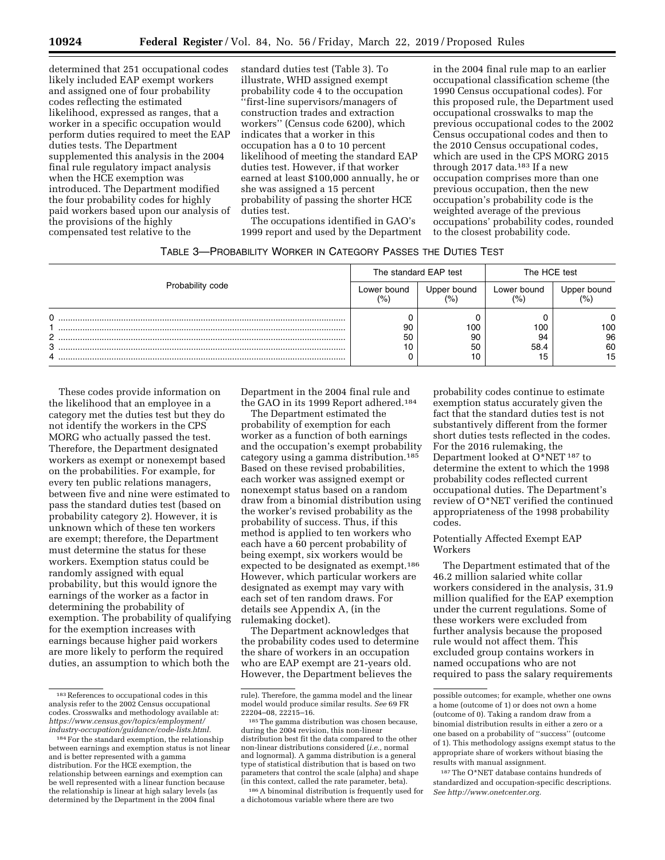determined that 251 occupational codes likely included EAP exempt workers and assigned one of four probability codes reflecting the estimated likelihood, expressed as ranges, that a worker in a specific occupation would perform duties required to meet the EAP duties tests. The Department supplemented this analysis in the 2004 final rule regulatory impact analysis when the HCE exemption was introduced. The Department modified the four probability codes for highly paid workers based upon our analysis of the provisions of the highly compensated test relative to the

standard duties test (Table 3). To illustrate, WHD assigned exempt probability code 4 to the occupation ''first-line supervisors/managers of construction trades and extraction workers'' (Census code 6200), which indicates that a worker in this occupation has a 0 to 10 percent likelihood of meeting the standard EAP duties test. However, if that worker earned at least \$100,000 annually, he or she was assigned a 15 percent probability of passing the shorter HCE duties test.

The occupations identified in GAO's 1999 report and used by the Department in the 2004 final rule map to an earlier occupational classification scheme (the 1990 Census occupational codes). For this proposed rule, the Department used occupational crosswalks to map the previous occupational codes to the 2002 Census occupational codes and then to the 2010 Census occupational codes, which are used in the CPS MORG 2015 through 2017 data.<sup>183</sup> If a new occupation comprises more than one previous occupation, then the new occupation's probability code is the weighted average of the previous occupations' probability codes, rounded to the closest probability code.

|                  |                    | The standard EAP test | The HCE test                  |             |
|------------------|--------------------|-----------------------|-------------------------------|-------------|
| Probability code | Lower bound<br>(%) | Upper bound           | Lower bound<br>$\frac{10}{6}$ | Upper bound |
| 0                |                    |                       |                               |             |
|                  | 90                 | 100                   | 100                           | 100         |
| っ                | 50                 | 90                    | 94                            | 96          |
| 3                |                    | 50                    | 58.4                          | 60          |
| 4                |                    | 10                    |                               | 15          |

These codes provide information on the likelihood that an employee in a category met the duties test but they do not identify the workers in the CPS MORG who actually passed the test. Therefore, the Department designated workers as exempt or nonexempt based on the probabilities. For example, for every ten public relations managers, between five and nine were estimated to pass the standard duties test (based on probability category 2). However, it is unknown which of these ten workers are exempt; therefore, the Department must determine the status for these workers. Exemption status could be randomly assigned with equal probability, but this would ignore the earnings of the worker as a factor in determining the probability of exemption. The probability of qualifying for the exemption increases with earnings because higher paid workers are more likely to perform the required duties, an assumption to which both the

Department in the 2004 final rule and the GAO in its 1999 Report adhered.184

The Department estimated the probability of exemption for each worker as a function of both earnings and the occupation's exempt probability category using a gamma distribution.185 Based on these revised probabilities, each worker was assigned exempt or nonexempt status based on a random draw from a binomial distribution using the worker's revised probability as the probability of success. Thus, if this method is applied to ten workers who each have a 60 percent probability of being exempt, six workers would be expected to be designated as exempt.186 However, which particular workers are designated as exempt may vary with each set of ten random draws. For details see Appendix A, (in the rulemaking docket).

The Department acknowledges that the probability codes used to determine the share of workers in an occupation who are EAP exempt are 21-years old. However, the Department believes the

186A binominal distribution is frequently used for a dichotomous variable where there are two

probability codes continue to estimate exemption status accurately given the fact that the standard duties test is not substantively different from the former short duties tests reflected in the codes. For the 2016 rulemaking, the Department looked at O\*NET<sup>187</sup> to determine the extent to which the 1998 probability codes reflected current occupational duties. The Department's review of O\*NET verified the continued appropriateness of the 1998 probability codes.

### Potentially Affected Exempt EAP Workers

The Department estimated that of the 46.2 million salaried white collar workers considered in the analysis, 31.9 million qualified for the EAP exemption under the current regulations. Some of these workers were excluded from further analysis because the proposed rule would not affect them. This excluded group contains workers in named occupations who are not required to pass the salary requirements

187The O\*NET database contains hundreds of standardized and occupation-specific descriptions. *See [http://www.onetcenter.org.](http://www.onetcenter.org)* 

<sup>183</sup>References to occupational codes in this analysis refer to the 2002 Census occupational codes. Crosswalks and methodology available at: *[https://www.census.gov/topics/employment/](https://www.census.gov/topics/employment/industry-occupation/guidance/code-lists.html)  [industry-occupation/guidance/code-lists.html.](https://www.census.gov/topics/employment/industry-occupation/guidance/code-lists.html)* 

<sup>184</sup> For the standard exemption, the relationship between earnings and exemption status is not linear and is better represented with a gamma distribution. For the HCE exemption, the relationship between earnings and exemption can be well represented with a linear function because the relationship is linear at high salary levels (as determined by the Department in the 2004 final

rule). Therefore, the gamma model and the linear model would produce similar results. *See* 69 FR

<sup>22204–08, 22215–16.</sup>  $185$  The gamma distribution was chosen because, during the 2004 revision, this non-linear distribution best fit the data compared to the other non-linear distributions considered (*i.e.,* normal and lognormal). A gamma distribution is a general type of statistical distribution that is based on two parameters that control the scale (alpha) and shape (in this context, called the rate parameter, beta).

possible outcomes; for example, whether one owns a home (outcome of 1) or does not own a home (outcome of 0). Taking a random draw from a binomial distribution results in either a zero or a one based on a probability of ''success'' (outcome of 1). This methodology assigns exempt status to the appropriate share of workers without biasing the results with manual assignment.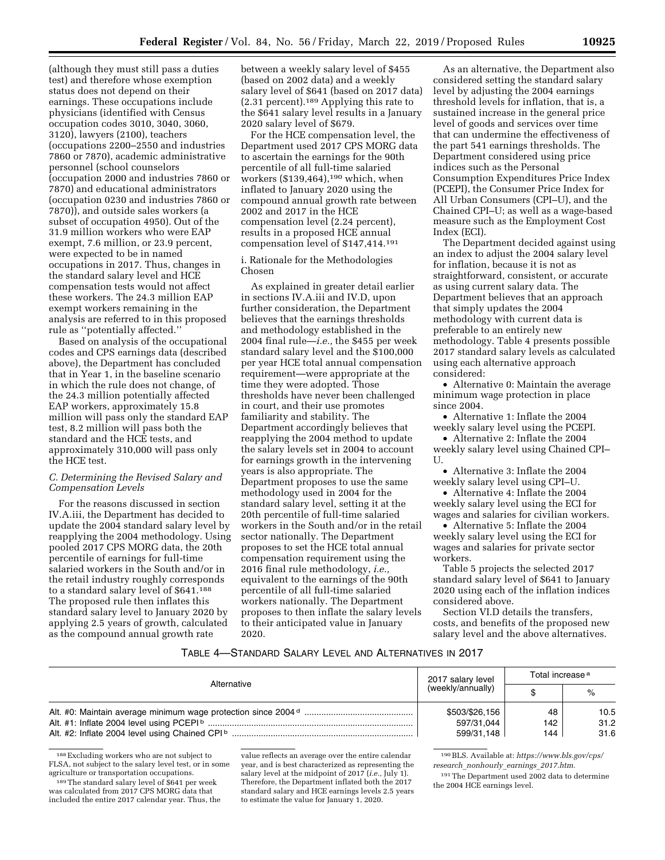(although they must still pass a duties test) and therefore whose exemption status does not depend on their earnings. These occupations include physicians (identified with Census occupation codes 3010, 3040, 3060, 3120), lawyers (2100), teachers (occupations 2200–2550 and industries 7860 or 7870), academic administrative personnel (school counselors (occupation 2000 and industries 7860 or 7870) and educational administrators (occupation 0230 and industries 7860 or 7870)), and outside sales workers (a subset of occupation 4950). Out of the 31.9 million workers who were EAP exempt, 7.6 million, or 23.9 percent, were expected to be in named occupations in 2017. Thus, changes in the standard salary level and HCE compensation tests would not affect these workers. The 24.3 million EAP exempt workers remaining in the analysis are referred to in this proposed rule as ''potentially affected.''

Based on analysis of the occupational codes and CPS earnings data (described above), the Department has concluded that in Year 1, in the baseline scenario in which the rule does not change, of the 24.3 million potentially affected EAP workers, approximately 15.8 million will pass only the standard EAP test, 8.2 million will pass both the standard and the HCE tests, and approximately 310,000 will pass only the HCE test.

### *C. Determining the Revised Salary and Compensation Levels*

For the reasons discussed in section IV.A.iii, the Department has decided to update the 2004 standard salary level by reapplying the 2004 methodology. Using pooled 2017 CPS MORG data, the 20th percentile of earnings for full-time salaried workers in the South and/or in the retail industry roughly corresponds to a standard salary level of \$641.188 The proposed rule then inflates this standard salary level to January 2020 by applying 2.5 years of growth, calculated as the compound annual growth rate

between a weekly salary level of \$455 (based on 2002 data) and a weekly salary level of \$641 (based on 2017 data) (2.31 percent).189 Applying this rate to the \$641 salary level results in a January 2020 salary level of \$679.

For the HCE compensation level, the Department used 2017 CPS MORG data to ascertain the earnings for the 90th percentile of all full-time salaried workers  $(\$139,464)$ ,<sup>190</sup> which, when inflated to January 2020 using the compound annual growth rate between 2002 and 2017 in the HCE compensation level (2.24 percent), results in a proposed HCE annual compensation level of \$147,414.191

i. Rationale for the Methodologies Chosen

As explained in greater detail earlier in sections IV.A.iii and IV.D, upon further consideration, the Department believes that the earnings thresholds and methodology established in the 2004 final rule—*i.e.,* the \$455 per week standard salary level and the \$100,000 per year HCE total annual compensation requirement—were appropriate at the time they were adopted. Those thresholds have never been challenged in court, and their use promotes familiarity and stability. The Department accordingly believes that reapplying the 2004 method to update the salary levels set in 2004 to account for earnings growth in the intervening years is also appropriate. The Department proposes to use the same methodology used in 2004 for the standard salary level, setting it at the 20th percentile of full-time salaried workers in the South and/or in the retail sector nationally. The Department proposes to set the HCE total annual compensation requirement using the 2016 final rule methodology, *i.e.,*  equivalent to the earnings of the 90th percentile of all full-time salaried workers nationally. The Department proposes to then inflate the salary levels to their anticipated value in January 2020.

As an alternative, the Department also considered setting the standard salary level by adjusting the 2004 earnings threshold levels for inflation, that is, a sustained increase in the general price level of goods and services over time that can undermine the effectiveness of the part 541 earnings thresholds. The Department considered using price indices such as the Personal Consumption Expenditures Price Index (PCEPI), the Consumer Price Index for All Urban Consumers (CPI–U), and the Chained CPI–U; as well as a wage-based measure such as the Employment Cost Index (ECI).

The Department decided against using an index to adjust the 2004 salary level for inflation, because it is not as straightforward, consistent, or accurate as using current salary data. The Department believes that an approach that simply updates the 2004 methodology with current data is preferable to an entirely new methodology. Table 4 presents possible 2017 standard salary levels as calculated using each alternative approach considered:

• Alternative 0: Maintain the average minimum wage protection in place since 2004.

• Alternative 1: Inflate the 2004 weekly salary level using the PCEPI.

• Alternative 2: Inflate the 2004 weekly salary level using Chained CPI– U.

• Alternative 3: Inflate the 2004 weekly salary level using CPI–U.

• Alternative 4: Inflate the 2004 weekly salary level using the ECI for wages and salaries for civilian workers.

• Alternative 5: Inflate the 2004 weekly salary level using the ECI for wages and salaries for private sector workers.

Table 5 projects the selected 2017 standard salary level of \$641 to January 2020 using each of the inflation indices considered above.

Section VI.D details the transfers, costs, and benefits of the proposed new salary level and the above alternatives.

### TABLE 4—STANDARD SALARY LEVEL AND ALTERNATIVES IN 2017

| Alternative | 2017 salary level | Total increase <sup>a</sup> |      |  |
|-------------|-------------------|-----------------------------|------|--|
|             | (weekly/annually) |                             | %    |  |
|             | \$503/\$26,156    | 48                          | 10.5 |  |
|             | 597/31,044        | 142                         | 31.2 |  |
|             | 599/31.148        | 144                         | 31.6 |  |

<sup>188</sup>Excluding workers who are not subject to FLSA, not subject to the salary level test, or in some agriculture or transportation occupations.

189The standard salary level of \$641 per week was calculated from 2017 CPS MORG data that included the entire 2017 calendar year. Thus, the

value reflects an average over the entire calendar year, and is best characterized as representing the salary level at the midpoint of 2017 (*i.e.,* July 1). Therefore, the Department inflated both the 2017 standard salary and HCE earnings levels 2.5 years to estimate the value for January 1, 2020.

190BLS. Available at: *[https://www.bls.gov/cps/](https://www.bls.gov/cps/research_nonhourly_earnings_2017.htm)  research*\_*[nonhourly](https://www.bls.gov/cps/research_nonhourly_earnings_2017.htm)*\_*earnings*\_*2017.htm.* 

191The Department used 2002 data to determine the 2004 HCE earnings level.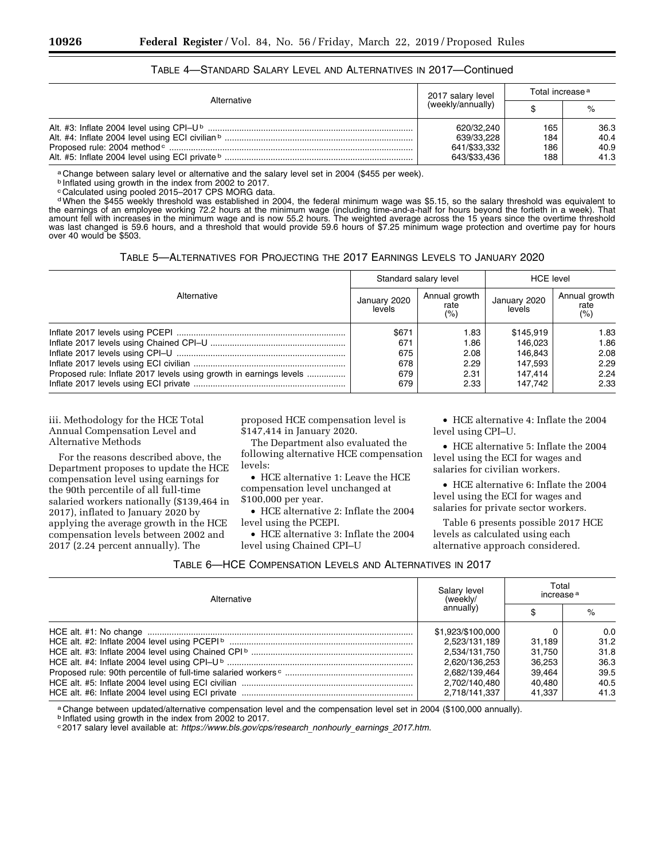| Alternative | 2017 salary level                                        | Total increase <sup>a</sup> |                              |
|-------------|----------------------------------------------------------|-----------------------------|------------------------------|
|             | (weekly/annually)                                        |                             | $\%$                         |
|             | 620/32.240<br>639/33.228<br>641/\$33,332<br>643/\$33,436 | 165<br>184<br>186<br>188    | 36.3<br>40.4<br>40.9<br>41.3 |

### TABLE 4—STANDARD SALARY LEVEL AND ALTERNATIVES IN 2017—Continued

a Change between salary level or alternative and the salary level set in 2004 (\$455 per week).

b Inflated using growth in the index from 2002 to 2017.

c Calculated using pooled 2015–2017 CPS MORG data.

dWhen the \$455 weekly threshold was established in 2004, the federal minimum wage was \$5.15, so the salary threshold was equivalent to the earnings of an employee working 72.2 hours at the minimum wage (including time-and-a-half for hours beyond the fortieth in a week). That amount fell with increases in the minimum wage and is now 55.2 hours. The weighted average across the 15 years since the overtime threshold was last changed is 59.6 hours, and a threshold that would provide 59.6 hours of \$7.25 minimum wage protection and overtime pay for hours over 40 would be \$503.

TABLE 5—ALTERNATIVES FOR PROJECTING THE 2017 EARNINGS LEVELS TO JANUARY 2020

|                                                                    | Standard salary level  |                              | <b>HCE</b> level       |                               |
|--------------------------------------------------------------------|------------------------|------------------------------|------------------------|-------------------------------|
| Alternative                                                        | January 2020<br>levels | Annual growth<br>rate<br>(%) | January 2020<br>levels | Annual growth<br>rate<br>(% ) |
|                                                                    | \$671                  | 1.83                         | \$145.919              | 1.83                          |
|                                                                    | 671                    | 1.86                         | 146.023                | 1.86                          |
|                                                                    | 675                    | 2.08                         | 146.843                | 2.08                          |
|                                                                    | 678                    | 2.29                         | 147.593                | 2.29                          |
| Proposed rule: Inflate 2017 levels using growth in earnings levels | 679                    | 2.31                         | 147.414                | 2.24                          |
|                                                                    | 679                    | 2.33                         | 147.742                | 2.33                          |

iii. Methodology for the HCE Total Annual Compensation Level and Alternative Methods

For the reasons described above, the Department proposes to update the HCE compensation level using earnings for the 90th percentile of all full-time salaried workers nationally (\$139,464 in 2017), inflated to January 2020 by applying the average growth in the HCE compensation levels between 2002 and 2017 (2.24 percent annually). The

proposed HCE compensation level is \$147,414 in January 2020.

The Department also evaluated the following alternative HCE compensation levels:

• HCE alternative 1: Leave the HCE compensation level unchanged at \$100,000 per year.

• HCE alternative 2: Inflate the 2004 level using the PCEPI.

• HCE alternative 3: Inflate the 2004 level using Chained CPI–U

• HCE alternative 4: Inflate the 2004 level using CPI–U.

• HCE alternative 5: Inflate the 2004 level using the ECI for wages and salaries for civilian workers.

• HCE alternative 6: Inflate the 2004 level using the ECI for wages and salaries for private sector workers.

Table 6 presents possible 2017 HCE levels as calculated using each alternative approach considered.

| TABLE 6—HCE COMPENSATION LEVELS AND ALTERNATIVES IN 2017 |  |  |
|----------------------------------------------------------|--|--|
|----------------------------------------------------------|--|--|

| Alternative | Salary level<br>(weekly/ | Total<br>increase <sup>a</sup> |      |
|-------------|--------------------------|--------------------------------|------|
|             | annually)                |                                | $\%$ |
|             | \$1,923/\$100,000        |                                | 0.0  |
|             | 2.523/131.189            | 31.189                         | 31.2 |
|             | 2.534/131.750            | 31.750                         | 31.8 |
|             | 2.620/136.253            | 36.253                         | 36.3 |
|             | 2.682/139.464            | 39.464                         | 39.5 |
|             | 2.702/140.480            | 40.480                         | 40.5 |
|             | 2.718/141.337            | 41.337                         | 41.3 |

a Change between updated/alternative compensation level and the compensation level set in 2004 (\$100,000 annually).

b Inflated using growth in the index from 2002 to 2017.

<sup>c</sup> 2017 salary level available at: *[https://www.bls.gov/cps/research](https://www.bls.gov/cps/research_nonhourly_earnings_2017.htm)*\_*nonhourly*\_*earnings*\_*2017.htm.*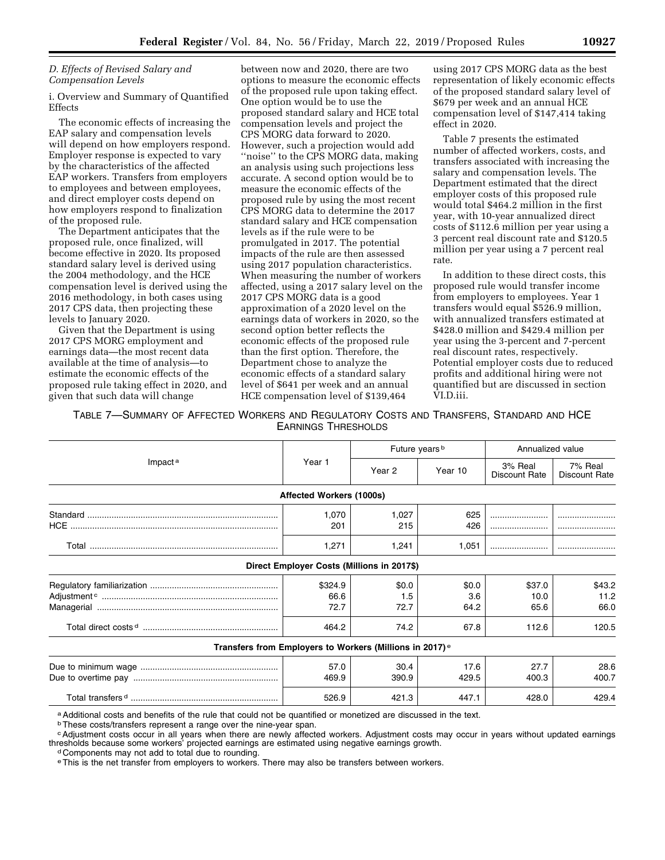### *D. Effects of Revised Salary and Compensation Levels*

i. Overview and Summary of Quantified Effects

The economic effects of increasing the EAP salary and compensation levels will depend on how employers respond. Employer response is expected to vary by the characteristics of the affected EAP workers. Transfers from employers to employees and between employees, and direct employer costs depend on how employers respond to finalization of the proposed rule.

The Department anticipates that the proposed rule, once finalized, will become effective in 2020. Its proposed standard salary level is derived using the 2004 methodology, and the HCE compensation level is derived using the 2016 methodology, in both cases using 2017 CPS data, then projecting these levels to January 2020.

Given that the Department is using 2017 CPS MORG employment and earnings data—the most recent data available at the time of analysis—to estimate the economic effects of the proposed rule taking effect in 2020, and given that such data will change

between now and 2020, there are two options to measure the economic effects of the proposed rule upon taking effect. One option would be to use the proposed standard salary and HCE total compensation levels and project the CPS MORG data forward to 2020. However, such a projection would add ''noise'' to the CPS MORG data, making an analysis using such projections less accurate. A second option would be to measure the economic effects of the proposed rule by using the most recent CPS MORG data to determine the 2017 standard salary and HCE compensation levels as if the rule were to be promulgated in 2017. The potential impacts of the rule are then assessed using 2017 population characteristics. When measuring the number of workers affected, using a 2017 salary level on the 2017 CPS MORG data is a good approximation of a 2020 level on the earnings data of workers in 2020, so the second option better reflects the economic effects of the proposed rule than the first option. Therefore, the Department chose to analyze the economic effects of a standard salary level of \$641 per week and an annual HCE compensation level of \$139,464

using 2017 CPS MORG data as the best representation of likely economic effects of the proposed standard salary level of \$679 per week and an annual HCE compensation level of \$147,414 taking effect in 2020.

Table 7 presents the estimated number of affected workers, costs, and transfers associated with increasing the salary and compensation levels. The Department estimated that the direct employer costs of this proposed rule would total \$464.2 million in the first year, with 10-year annualized direct costs of \$112.6 million per year using a 3 percent real discount rate and \$120.5 million per year using a 7 percent real rate.

In addition to these direct costs, this proposed rule would transfer income from employers to employees. Year 1 transfers would equal \$526.9 million, with annualized transfers estimated at \$428.0 million and \$429.4 million per year using the 3-percent and 7-percent real discount rates, respectively. Potential employer costs due to reduced profits and additional hiring were not quantified but are discussed in section VI.D.iii.

TABLE 7—SUMMARY OF AFFECTED WORKERS AND REGULATORY COSTS AND TRANSFERS, STANDARD AND HCE EARNINGS THRESHOLDS

|                                                                                                                |                                            | Future years <sup>b</sup> |         | Annualized value                |                                 |
|----------------------------------------------------------------------------------------------------------------|--------------------------------------------|---------------------------|---------|---------------------------------|---------------------------------|
| Impact <sup>a</sup>                                                                                            | Year 1                                     | Year 2                    | Year 10 | 3% Real<br><b>Discount Rate</b> | 7% Real<br><b>Discount Rate</b> |
|                                                                                                                | Affected Workers (1000s)                   |                           |         |                                 |                                 |
|                                                                                                                | 1.070                                      | 1,027                     | 625     |                                 |                                 |
|                                                                                                                | 201                                        | 215                       | 426     |                                 |                                 |
|                                                                                                                | 1,271                                      | 1,241                     | 1.051   |                                 |                                 |
|                                                                                                                | Direct Employer Costs (Millions in 2017\$) |                           |         |                                 |                                 |
|                                                                                                                | \$324.9                                    | \$0.0                     | \$0.0   | \$37.0                          | \$43.2                          |
|                                                                                                                | 66.6                                       | 1.5                       | 3.6     | 10.0                            | 11.2                            |
|                                                                                                                | 72.7                                       | 72.7                      | 64.2    | 65.6                            | 66.0                            |
|                                                                                                                | 464.2                                      | 74.2                      | 67.8    | 112.6                           | 120.5                           |
| Transfers from Employers to Workers (Millions in 2017) <sup>e</sup>                                            |                                            |                           |         |                                 |                                 |
|                                                                                                                | 57.0                                       | 30.4                      | 17.6    | 27.7                            | 28.6                            |
|                                                                                                                | 469.9                                      | 390.9                     | 429.5   | 400.3                           | 400.7                           |
|                                                                                                                | 526.9                                      | 421.3                     | 447.1   | 428.0                           | 429.4                           |
| a halitional associated the sule that equipment and the superified as monotified and analize atoo atomic field |                                            |                           |         |                                 |                                 |

aAdditional costs and benefits of the rule that could not be quantified or monetized are discussed in the text.

bThese costs/transfers represent a range over the nine-year span.

cAdjustment costs occur in all years when there are newly affected workers. Adjustment costs may occur in years without updated earnings thresholds because some workers' projected earnings are estimated using negative earnings growth.<br>d Components may not add to total due to rounding.

eThis is the net transfer from employers to workers. There may also be transfers between workers.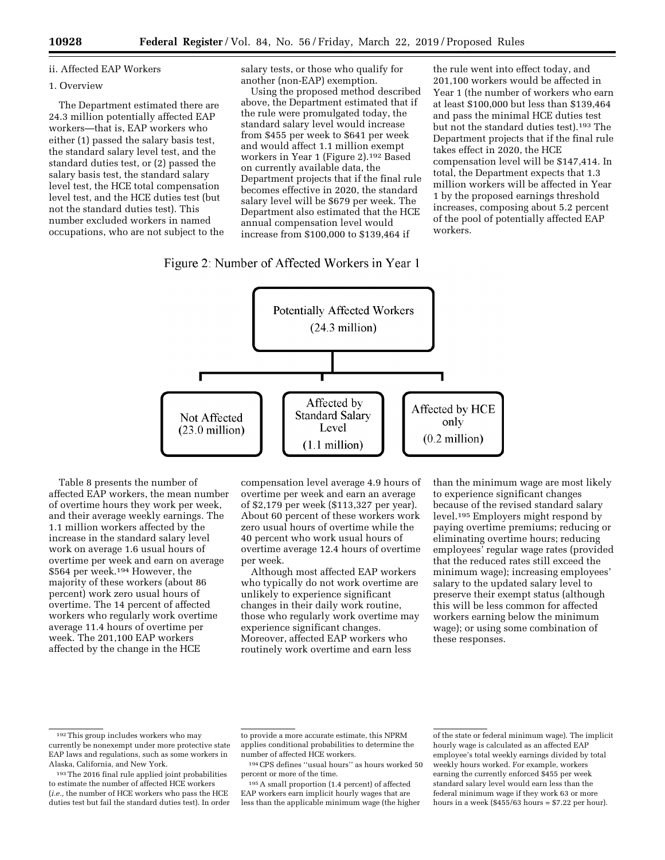### ii. Affected EAP Workers

#### 1. Overview

The Department estimated there are 24.3 million potentially affected EAP workers—that is, EAP workers who either (1) passed the salary basis test, the standard salary level test, and the standard duties test, or (2) passed the salary basis test, the standard salary level test, the HCE total compensation level test, and the HCE duties test (but not the standard duties test). This number excluded workers in named occupations, who are not subject to the salary tests, or those who qualify for another (non-EAP) exemption.

Using the proposed method described above, the Department estimated that if the rule were promulgated today, the standard salary level would increase from \$455 per week to \$641 per week and would affect 1.1 million exempt workers in Year 1 (Figure 2).192 Based on currently available data, the Department projects that if the final rule becomes effective in 2020, the standard salary level will be \$679 per week. The Department also estimated that the HCE annual compensation level would increase from \$100,000 to \$139,464 if

### Figure 2: Number of Affected Workers in Year 1

the rule went into effect today, and 201,100 workers would be affected in Year 1 (the number of workers who earn at least \$100,000 but less than \$139,464 and pass the minimal HCE duties test but not the standard duties test).193 The Department projects that if the final rule takes effect in 2020, the HCE compensation level will be \$147,414. In total, the Department expects that 1.3 million workers will be affected in Year 1 by the proposed earnings threshold increases, composing about 5.2 percent of the pool of potentially affected EAP workers.



Table 8 presents the number of affected EAP workers, the mean number of overtime hours they work per week, and their average weekly earnings. The 1.1 million workers affected by the increase in the standard salary level work on average 1.6 usual hours of overtime per week and earn on average \$564 per week.194 However, the majority of these workers (about 86 percent) work zero usual hours of overtime. The 14 percent of affected workers who regularly work overtime average 11.4 hours of overtime per week. The 201,100 EAP workers affected by the change in the HCE

compensation level average 4.9 hours of overtime per week and earn an average of \$2,179 per week (\$113,327 per year). About 60 percent of these workers work zero usual hours of overtime while the 40 percent who work usual hours of overtime average 12.4 hours of overtime per week.

Although most affected EAP workers who typically do not work overtime are unlikely to experience significant changes in their daily work routine, those who regularly work overtime may experience significant changes. Moreover, affected EAP workers who routinely work overtime and earn less

than the minimum wage are most likely to experience significant changes because of the revised standard salary level.195 Employers might respond by paying overtime premiums; reducing or eliminating overtime hours; reducing employees' regular wage rates (provided that the reduced rates still exceed the minimum wage); increasing employees' salary to the updated salary level to preserve their exempt status (although this will be less common for affected workers earning below the minimum wage); or using some combination of these responses.

<sup>192</sup>This group includes workers who may currently be nonexempt under more protective state EAP laws and regulations, such as some workers in Alaska, California, and New York.

<sup>193</sup>The 2016 final rule applied joint probabilities to estimate the number of affected HCE workers (*i.e.,* the number of HCE workers who pass the HCE duties test but fail the standard duties test). In order

to provide a more accurate estimate, this NPRM applies conditional probabilities to determine the number of affected HCE workers.

<sup>194</sup>CPS defines ''usual hours'' as hours worked 50 percent or more of the time.

<sup>195</sup>A small proportion (1.4 percent) of affected EAP workers earn implicit hourly wages that are less than the applicable minimum wage (the higher

of the state or federal minimum wage). The implicit hourly wage is calculated as an affected EAP employee's total weekly earnings divided by total weekly hours worked. For example, workers earning the currently enforced \$455 per week standard salary level would earn less than the federal minimum wage if they work 63 or more hours in a week (\$455/63 hours = \$7.22 per hour).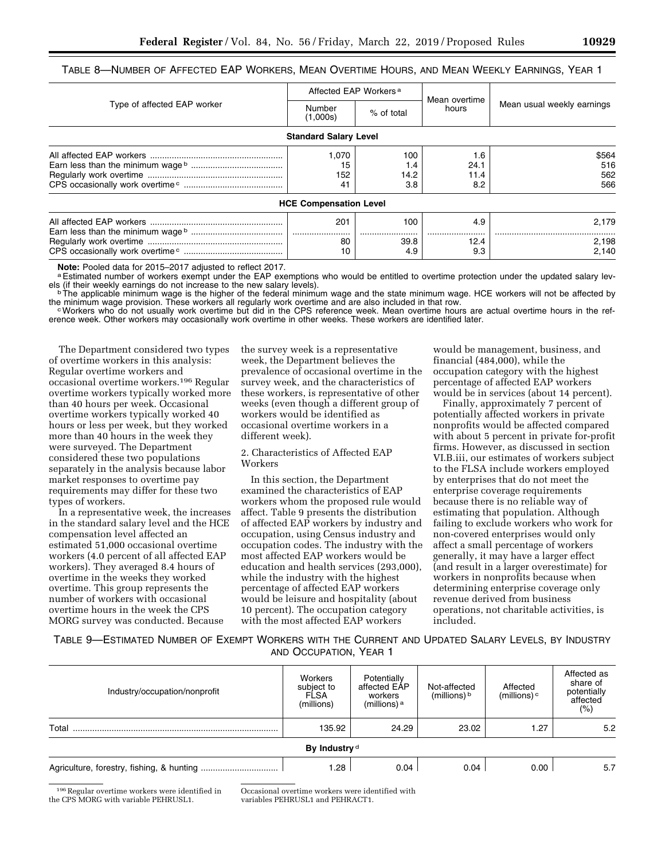|  | Table 8—Number of Affected EAP Workers, Mean Overtime Hours, and Mean Weekly Earnings, Year 1 |
|--|-----------------------------------------------------------------------------------------------|
|--|-----------------------------------------------------------------------------------------------|

|                             | Affected EAP Workers <sup>a</sup> |                           |                            |                            |  |
|-----------------------------|-----------------------------------|---------------------------|----------------------------|----------------------------|--|
| Type of affected EAP worker | Number<br>(1,000s)                | % of total                | Mean overtime<br>hours     | Mean usual weekly earnings |  |
|                             | <b>Standard Salary Level</b>      |                           |                            |                            |  |
|                             | 1.070<br>15<br>152<br>41          | 100<br>1.4<br>14.2<br>3.8 | 1.6<br>24.1<br>11.4<br>8.2 | \$564<br>516<br>562<br>566 |  |
|                             | <b>HCE Compensation Level</b>     |                           |                            |                            |  |
|                             | 201                               | 100                       | 4.9                        | 2.179                      |  |
|                             | 80                                | 39.8                      | 12.4                       | 2.198                      |  |

**Note:** Pooled data for 2015–2017 adjusted to reflect 2017.<br><sup>a</sup> Estimated number of workers exempt under the EAP exemptions who would be entitled to overtime protection under the updated salary lev-

CPS occasionally work overtime c ......................................... 10 4.9 9.3 2,140

els (if their weekly earnings do not increase to the new salary levels).<br>
<sup>b</sup>The applicable minimum wage is the higher of the federal minimum wage and the state minimum wage. HCE workers will not be affected by<br>
the minimu

cWorkers who do not usually work overtime but did in the CPS reference week. Mean overtime hours are actual overtime hours in the reference week. Other workers may occasionally work overtime in other weeks. These workers are identified later.

The Department considered two types of overtime workers in this analysis: Regular overtime workers and occasional overtime workers.196 Regular overtime workers typically worked more than 40 hours per week. Occasional overtime workers typically worked 40 hours or less per week, but they worked more than 40 hours in the week they were surveyed. The Department considered these two populations separately in the analysis because labor market responses to overtime pay requirements may differ for these two types of workers.

In a representative week, the increases in the standard salary level and the HCE compensation level affected an estimated 51,000 occasional overtime workers (4.0 percent of all affected EAP workers). They averaged 8.4 hours of overtime in the weeks they worked overtime. This group represents the number of workers with occasional overtime hours in the week the CPS MORG survey was conducted. Because

the survey week is a representative week, the Department believes the prevalence of occasional overtime in the survey week, and the characteristics of these workers, is representative of other weeks (even though a different group of workers would be identified as occasional overtime workers in a different week).

2. Characteristics of Affected EAP Workers

In this section, the Department examined the characteristics of EAP workers whom the proposed rule would affect. Table 9 presents the distribution of affected EAP workers by industry and occupation, using Census industry and occupation codes. The industry with the most affected EAP workers would be education and health services (293,000), while the industry with the highest percentage of affected EAP workers would be leisure and hospitality (about 10 percent). The occupation category with the most affected EAP workers

would be management, business, and financial (484,000), while the occupation category with the highest percentage of affected EAP workers would be in services (about 14 percent).

Finally, approximately 7 percent of potentially affected workers in private nonprofits would be affected compared with about 5 percent in private for-profit firms. However, as discussed in section VI.B.iii, our estimates of workers subject to the FLSA include workers employed by enterprises that do not meet the enterprise coverage requirements because there is no reliable way of estimating that population. Although failing to exclude workers who work for non-covered enterprises would only affect a small percentage of workers generally, it may have a larger effect (and result in a larger overestimate) for workers in nonprofits because when determining enterprise coverage only revenue derived from business operations, not charitable activities, is included.

TABLE 9—ESTIMATED NUMBER OF EXEMPT WORKERS WITH THE CURRENT AND UPDATED SALARY LEVELS, BY INDUSTRY AND OCCUPATION, YEAR 1

| Industry/occupation/nonprofit | Workers<br>subject to<br><b>FLSA</b><br>(millions) | Potentially<br>affected EAP<br>workers<br>(millions) <sup>a</sup> | Not-affected<br>(millions) $b$ | Affected<br>(millions) $\circ$ | Affected as<br>share of<br>potentially<br>affected<br>$(\% )$ |
|-------------------------------|----------------------------------------------------|-------------------------------------------------------------------|--------------------------------|--------------------------------|---------------------------------------------------------------|
| Total                         | 135.92                                             | 24.29                                                             | 23.02                          | 1.27                           | 5.2                                                           |
|                               | By Industry <sup>d</sup>                           |                                                                   |                                |                                |                                                               |
|                               | 1.28                                               | 0.04                                                              | 0.04                           | 0.00                           | 5.7                                                           |

196Regular overtime workers were identified in the CPS MORG with variable PEHRUSL1.

Occasional overtime workers were identified with variables PEHRUSL1 and PEHRACT1.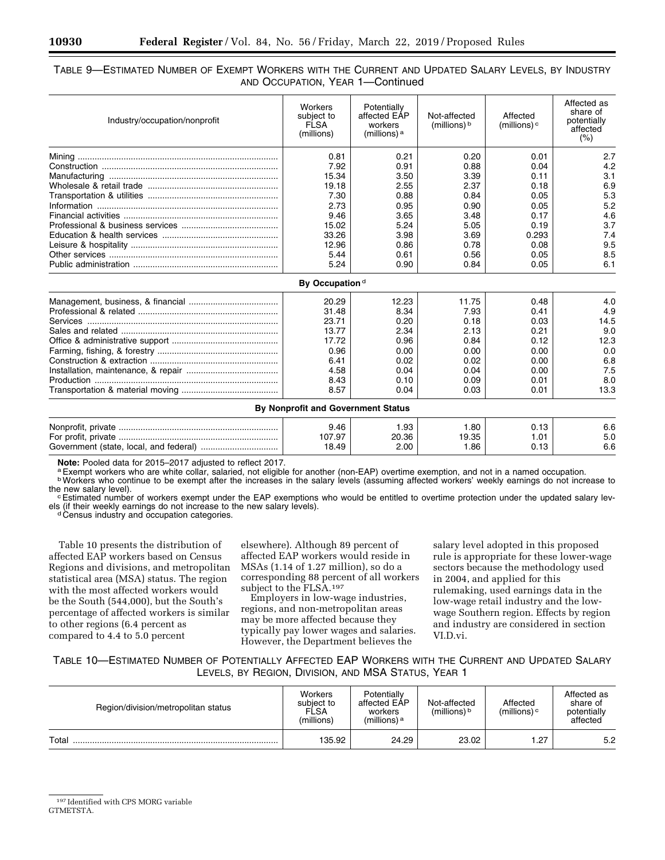### TABLE 9—ESTIMATED NUMBER OF EXEMPT WORKERS WITH THE CURRENT AND UPDATED SALARY LEVELS, BY INDUSTRY AND OCCUPATION, YEAR 1—Continued

| Industry/occupation/nonprofit | Workers<br>subject to<br>FLSA<br>(millions) | Potentially<br>affected EAP<br>workers<br>(millions) a | Not-affected<br>(millions) $b$ | Affected<br>(millions) $\circ$ | Affected as<br>share of<br>potentially<br>affected<br>(% ) |
|-------------------------------|---------------------------------------------|--------------------------------------------------------|--------------------------------|--------------------------------|------------------------------------------------------------|
|                               | 0.81                                        | 0.21                                                   | 0.20                           | 0.01                           | 2.7                                                        |
|                               | 7.92                                        | 0.91                                                   | 0.88                           | 0.04                           | 4.2                                                        |
|                               | 15.34                                       | 3.50                                                   | 3.39                           | 0.11                           | 3.1                                                        |
|                               | 19.18                                       | 2.55                                                   | 2.37                           | 0.18                           | 6.9                                                        |
|                               | 7.30                                        | 0.88                                                   | 0.84                           | 0.05                           | 5.3                                                        |
|                               | 2.73                                        | 0.95                                                   | 0.90                           | 0.05                           | 5.2                                                        |
|                               | 9.46                                        | 3.65                                                   | 3.48                           | 0.17                           | 4.6                                                        |
|                               | 15.02                                       | 5.24                                                   | 5.05                           | 0.19                           | 3.7                                                        |
|                               | 33.26                                       | 3.98                                                   | 3.69                           | 0.293                          | 7.4                                                        |
|                               | 12.96                                       | 0.86                                                   | 0.78                           | 0.08                           | 9.5                                                        |
|                               | 5.44                                        | 0.61                                                   | 0.56                           | 0.05                           | 8.5                                                        |
|                               | 5.24                                        | 0.90                                                   | 0.84                           | 0.05                           | 6.1                                                        |
|                               | By Occupation <sup>d</sup>                  |                                                        |                                |                                |                                                            |
|                               | 20.29                                       | 12.23                                                  | 11.75                          | 0.48                           | 4.0                                                        |
|                               | 31.48                                       | 8.34                                                   | 7.93                           | 0.41                           | 4.9                                                        |
|                               | 23.71                                       | 0.20                                                   | 0.18                           | 0.03                           | 14.5                                                       |
|                               | 13.77                                       | 2.34                                                   | 2.13                           | 0.21                           | 9.0                                                        |
|                               | 17.72                                       | 0.96                                                   | 0.84                           | 0.12                           | 12.3                                                       |
|                               | 0.96                                        | 0.00                                                   | 0.00                           | 0.00                           | 0.0                                                        |
|                               | 6.41                                        | 0.02                                                   | 0.02                           | 0.00                           | 6.8                                                        |
|                               | 4.58                                        | 0.04                                                   | 0.04                           | 0.00                           | 7.5                                                        |
|                               | 8.43                                        | 0.10                                                   | 0.09                           | 0.01                           | 8.0                                                        |
|                               | 8.57                                        | 0.04                                                   | 0.03                           | 0.01                           | 13.3                                                       |
|                               | By Nonprofit and Government Status          |                                                        |                                |                                |                                                            |
|                               | 9.46                                        | 1.93                                                   | 1.80                           | 0.13                           | 6.6                                                        |
|                               | 107.97                                      | 20.36                                                  | 19.35                          | 1.01                           | 5.0                                                        |
|                               | 18.49                                       | 2.00                                                   | 1.86                           | 0.13                           | 6.6                                                        |

Note: Pooled data for 2015–2017 adjusted to reflect 2017.<br><sup>a</sup> Exempt workers who are white collar, salaried, not eligible for another (non-EAP) overtime exemption, and not in a named occupation.<br><sup>b</sup> Workers who continue to

Estimated number of workers exempt under the EAP exemptions who would be entitled to overtime protection under the updated salary levels (if their weekly earnings do not increase to the new salary levels).<br>d Census industry and occupation categories.

Table 10 presents the distribution of affected EAP workers based on Census Regions and divisions, and metropolitan statistical area (MSA) status. The region with the most affected workers would be the South (544,000), but the South's percentage of affected workers is similar to other regions (6.4 percent as compared to 4.4 to 5.0 percent

elsewhere). Although 89 percent of affected EAP workers would reside in MSAs (1.14 of 1.27 million), so do a corresponding 88 percent of all workers subject to the FLSA.<sup>197</sup>

Employers in low-wage industries, regions, and non-metropolitan areas may be more affected because they typically pay lower wages and salaries. However, the Department believes the

salary level adopted in this proposed rule is appropriate for these lower-wage sectors because the methodology used in 2004, and applied for this rulemaking, used earnings data in the low-wage retail industry and the lowwage Southern region. Effects by region and industry are considered in section VI.D.vi.

TABLE 10—ESTIMATED NUMBER OF POTENTIALLY AFFECTED EAP WORKERS WITH THE CURRENT AND UPDATED SALARY LEVELS, BY REGION, DIVISION, AND MSA STATUS, YEAR 1

| Region/division/metropolitan status | Workers<br>subject to<br>FLSA<br>(millions) | Potentially<br>affected EAP<br>workers<br>(millions) $a$ | Not-affected<br>(millions) $b$ | Affected<br>(millions) $\circ$ | Affected as<br>share of<br>potentially<br>affected |
|-------------------------------------|---------------------------------------------|----------------------------------------------------------|--------------------------------|--------------------------------|----------------------------------------------------|
| Total                               | 135.92                                      | 24.29                                                    | 23.02                          | .27                            | 5.2                                                |

<sup>197</sup> Identified with CPS MORG variable GTMETSTA.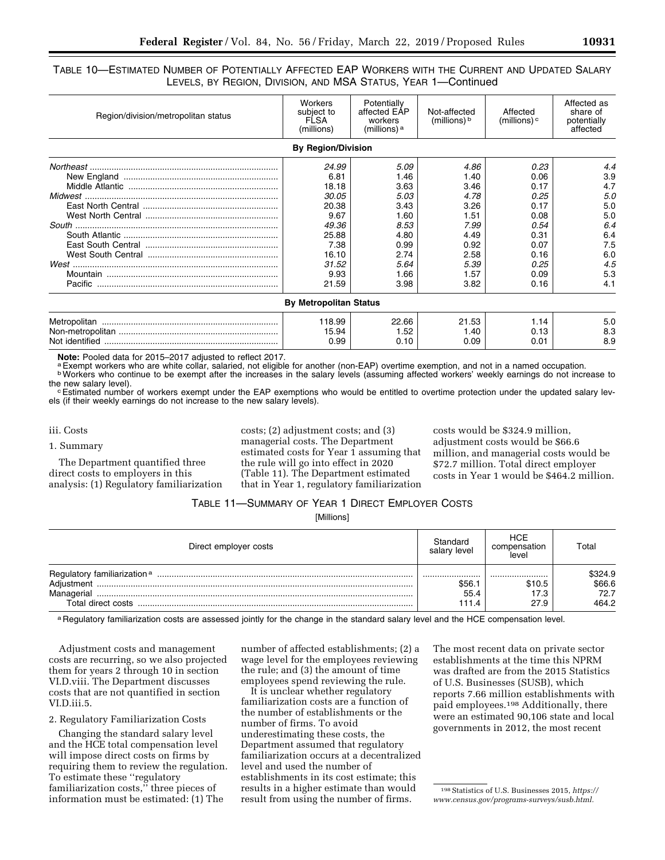### TABLE 10—ESTIMATED NUMBER OF POTENTIALLY AFFECTED EAP WORKERS WITH THE CURRENT AND UPDATED SALARY LEVELS, BY REGION, DIVISION, AND MSA STATUS, YEAR 1—Continued

| Region/division/metropolitan status | Workers<br>subject to<br><b>FLSA</b><br>(millions) | Potentially<br>affected EAP<br>workers<br>(millions) <sup>a</sup> | Not-affected<br>(millions) $\frac{b}{b}$ | Affected<br>(millions) $\circ$ | Affected as<br>share of<br>potentially<br>affected |
|-------------------------------------|----------------------------------------------------|-------------------------------------------------------------------|------------------------------------------|--------------------------------|----------------------------------------------------|
|                                     | <b>By Region/Division</b>                          |                                                                   |                                          |                                |                                                    |
|                                     | 24.99                                              | 5.09                                                              | 4.86                                     | 0.23                           | 4.4                                                |
|                                     | 6.81                                               | 1.46                                                              | 1.40                                     | 0.06                           | 3.9                                                |
|                                     | 18.18                                              | 3.63                                                              | 3.46                                     | 0.17                           | 4.7                                                |
|                                     | 30.05                                              | 5.03                                                              | 4.78                                     | 0.25                           | 5.0                                                |
|                                     | 20.38                                              | 3.43                                                              | 3.26                                     | 0.17                           | 5.0                                                |
|                                     | 9.67                                               | 1.60                                                              | 1.51                                     | 0.08                           | 5.0                                                |
|                                     | 49.36                                              | 8.53                                                              | 7.99                                     | 0.54                           | 6.4                                                |
|                                     | 25.88                                              | 4.80                                                              | 4.49                                     | 0.31                           | 6.4                                                |
|                                     | 7.38                                               | 0.99                                                              | 0.92                                     | 0.07                           | 7.5                                                |
|                                     | 16.10                                              | 2.74                                                              | 2.58                                     | 0.16                           | 6.0                                                |
|                                     | 31.52                                              | 5.64                                                              | 5.39                                     | 0.25                           | 4.5                                                |
|                                     | 9.93                                               | 1.66                                                              | 1.57                                     | 0.09                           | 5.3                                                |
|                                     | 21.59                                              | 3.98                                                              | 3.82                                     | 0.16                           | 4.1                                                |
|                                     | <b>By Metropolitan Status</b>                      |                                                                   |                                          |                                |                                                    |
|                                     | 118.99                                             | 22.66                                                             | 21.53                                    | 1.14                           | 5.0                                                |
|                                     | 15.94                                              | 1.52                                                              | 1.40                                     | 0.13                           | 8.3                                                |
|                                     | 0.99                                               | 0.10                                                              | 0.09                                     | 0.01                           | 8.9                                                |

Note: Pooled data for 2015–2017 adjusted to reflect 2017.<br><sup>a</sup> Exempt workers who are white collar, salaried, not eligible for another (non-EAP) overtime exemption, and not in a named occupation.<br><sup>b</sup> Workers who continue to

Estimated number of workers exempt under the EAP exemptions who would be entitled to overtime protection under the updated salary levels (if their weekly earnings do not increase to the new salary levels).

#### iii. Costs

1. Summary

The Department quantified three direct costs to employers in this analysis: (1) Regulatory familiarization costs; (2) adjustment costs; and (3) managerial costs. The Department estimated costs for Year 1 assuming that the rule will go into effect in 2020 (Table 11). The Department estimated that in Year 1, regulatory familiarization

costs would be \$324.9 million, adjustment costs would be \$66.6 million, and managerial costs would be \$72.7 million. Total direct employer costs in Year 1 would be \$464.2 million.

### TABLE 11—SUMMARY OF YEAR 1 DIRECT EMPLOYER COSTS

[Millions]

| Direct employer costs | Standard<br>salary level | HCE<br>compensation<br>level | Total   |
|-----------------------|--------------------------|------------------------------|---------|
|                       |                          |                              | \$324.9 |
| Adjustment            | \$56.                    | \$10.5                       | \$66.6  |
| Managerial            | 55.4                     | 17.3                         | 72.7    |
| Total direct costs    | 111.4                    | 27.9                         | 464.2   |

a Regulatory familiarization costs are assessed jointly for the change in the standard salary level and the HCE compensation level.

Adjustment costs and management costs are recurring, so we also projected them for years 2 through 10 in section VI.D.viii. The Department discusses costs that are not quantified in section VI<sub>D</sub> iii 5

#### 2. Regulatory Familiarization Costs

Changing the standard salary level and the HCE total compensation level will impose direct costs on firms by requiring them to review the regulation. To estimate these ''regulatory familiarization costs,'' three pieces of information must be estimated: (1) The

number of affected establishments; (2) a wage level for the employees reviewing the rule; and (3) the amount of time employees spend reviewing the rule.

It is unclear whether regulatory familiarization costs are a function of the number of establishments or the number of firms. To avoid underestimating these costs, the Department assumed that regulatory familiarization occurs at a decentralized level and used the number of establishments in its cost estimate; this results in a higher estimate than would result from using the number of firms.

The most recent data on private sector establishments at the time this NPRM was drafted are from the 2015 Statistics of U.S. Businesses (SUSB), which reports 7.66 million establishments with paid employees.198 Additionally, there were an estimated 90,106 state and local governments in 2012, the most recent

<sup>198</sup>Statistics of U.S. Businesses 2015, *[https://](https://www.census.gov/programs-surveys/susb.html) [www.census.gov/programs-surveys/susb.html.](https://www.census.gov/programs-surveys/susb.html)*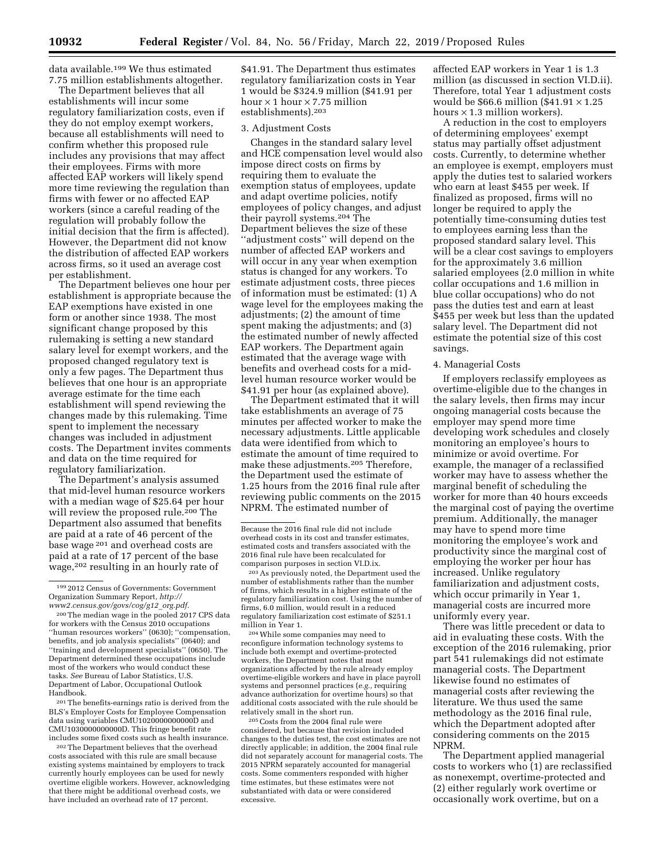data available.199 We thus estimated 7.75 million establishments altogether.

The Department believes that all establishments will incur some regulatory familiarization costs, even if they do not employ exempt workers, because all establishments will need to confirm whether this proposed rule includes any provisions that may affect their employees. Firms with more affected EAP workers will likely spend more time reviewing the regulation than firms with fewer or no affected EAP workers (since a careful reading of the regulation will probably follow the initial decision that the firm is affected). However, the Department did not know the distribution of affected EAP workers across firms, so it used an average cost per establishment.

The Department believes one hour per establishment is appropriate because the EAP exemptions have existed in one form or another since 1938. The most significant change proposed by this rulemaking is setting a new standard salary level for exempt workers, and the proposed changed regulatory text is only a few pages. The Department thus believes that one hour is an appropriate average estimate for the time each establishment will spend reviewing the changes made by this rulemaking. Time spent to implement the necessary changes was included in adjustment costs. The Department invites comments and data on the time required for regulatory familiarization.

The Department's analysis assumed that mid-level human resource workers with a median wage of \$25.64 per hour will review the proposed rule.<sup>200</sup> The Department also assumed that benefits are paid at a rate of 46 percent of the base wage 201 and overhead costs are paid at a rate of 17 percent of the base wage,202 resulting in an hourly rate of

201The benefits-earnings ratio is derived from the BLS's Employer Costs for Employee Compensation data using variables CMU1020000000000D and CMU1030000000000D. This fringe benefit rate includes some fixed costs such as health insurance.

202The Department believes that the overhead costs associated with this rule are small because existing systems maintained by employers to track currently hourly employees can be used for newly overtime eligible workers. However, acknowledging that there might be additional overhead costs, we have included an overhead rate of 17 percent.

\$41.91. The Department thus estimates regulatory familiarization costs in Year 1 would be \$324.9 million (\$41.91 per hour  $\times$  1 hour  $\times$  7.75 million establishments).203

#### 3. Adjustment Costs

Changes in the standard salary level and HCE compensation level would also impose direct costs on firms by requiring them to evaluate the exemption status of employees, update and adapt overtime policies, notify employees of policy changes, and adjust their payroll systems.204 The Department believes the size of these ''adjustment costs'' will depend on the number of affected EAP workers and will occur in any year when exemption status is changed for any workers. To estimate adjustment costs, three pieces of information must be estimated: (1) A wage level for the employees making the adjustments; (2) the amount of time spent making the adjustments; and (3) the estimated number of newly affected EAP workers. The Department again estimated that the average wage with benefits and overhead costs for a midlevel human resource worker would be \$41.91 per hour (as explained above).

The Department estimated that it will take establishments an average of 75 minutes per affected worker to make the necessary adjustments. Little applicable data were identified from which to estimate the amount of time required to make these adjustments.205 Therefore, the Department used the estimate of 1.25 hours from the 2016 final rule after reviewing public comments on the 2015 NPRM. The estimated number of

204While some companies may need to reconfigure information technology systems to include both exempt and overtime-protected workers, the Department notes that most organizations affected by the rule already employ overtime-eligible workers and have in place payroll systems and personnel practices (*e.g.,* requiring advance authorization for overtime hours) so that additional costs associated with the rule should be relatively small in the short run.

205Costs from the 2004 final rule were considered, but because that revision included changes to the duties test, the cost estimates are not directly applicable; in addition, the 2004 final rule did not separately account for managerial costs. The 2015 NPRM separately accounted for managerial costs. Some commenters responded with higher time estimates, but these estimates were not substantiated with data or were considered excessive.

affected EAP workers in Year 1 is 1.3 million (as discussed in section VI.D.ii). Therefore, total Year 1 adjustment costs would be \$66.6 million (\$41.91  $\times$  1.25 hours  $\times$  1.3 million workers).

A reduction in the cost to employers of determining employees' exempt status may partially offset adjustment costs. Currently, to determine whether an employee is exempt, employers must apply the duties test to salaried workers who earn at least \$455 per week. If finalized as proposed, firms will no longer be required to apply the potentially time-consuming duties test to employees earning less than the proposed standard salary level. This will be a clear cost savings to employers for the approximately 3.6 million salaried employees (2.0 million in white collar occupations and 1.6 million in blue collar occupations) who do not pass the duties test and earn at least \$455 per week but less than the updated salary level. The Department did not estimate the potential size of this cost savings.

#### 4. Managerial Costs

If employers reclassify employees as overtime-eligible due to the changes in the salary levels, then firms may incur ongoing managerial costs because the employer may spend more time developing work schedules and closely monitoring an employee's hours to minimize or avoid overtime. For example, the manager of a reclassified worker may have to assess whether the marginal benefit of scheduling the worker for more than 40 hours exceeds the marginal cost of paying the overtime premium. Additionally, the manager may have to spend more time monitoring the employee's work and productivity since the marginal cost of employing the worker per hour has increased. Unlike regulatory familiarization and adjustment costs, which occur primarily in Year 1, managerial costs are incurred more uniformly every year.

There was little precedent or data to aid in evaluating these costs. With the exception of the 2016 rulemaking, prior part 541 rulemakings did not estimate managerial costs. The Department likewise found no estimates of managerial costs after reviewing the literature. We thus used the same methodology as the 2016 final rule, which the Department adopted after considering comments on the 2015 NPRM.

The Department applied managerial costs to workers who (1) are reclassified as nonexempt, overtime-protected and (2) either regularly work overtime or occasionally work overtime, but on a

<sup>199</sup> 2012 Census of Governments: Government Organization Summary Report, *[http://](http://www2.census.gov/govs/cog/g12_org.pdf) [www2.census.gov/govs/cog/g12](http://www2.census.gov/govs/cog/g12_org.pdf)*\_*org.pdf.* 

<sup>200</sup>The median wage in the pooled 2017 CPS data for workers with the Census 2010 occupations ''human resources workers'' (0630); ''compensation, benefits, and job analysis specialists'' (0640); and ''training and development specialists'' (0650). The Department determined these occupations include most of the workers who would conduct these tasks. *See* Bureau of Labor Statistics, U.S. Department of Labor, Occupational Outlook Handbook.

Because the 2016 final rule did not include overhead costs in its cost and transfer estimates, estimated costs and transfers associated with the 2016 final rule have been recalculated for comparison purposes in section VI.D.ix.

<sup>203</sup>As previously noted, the Department used the number of establishments rather than the number of firms, which results in a higher estimate of the regulatory familiarization cost. Using the number of firms, 6.0 million, would result in a reduced regulatory familiarization cost estimate of \$251.1 million in Year 1.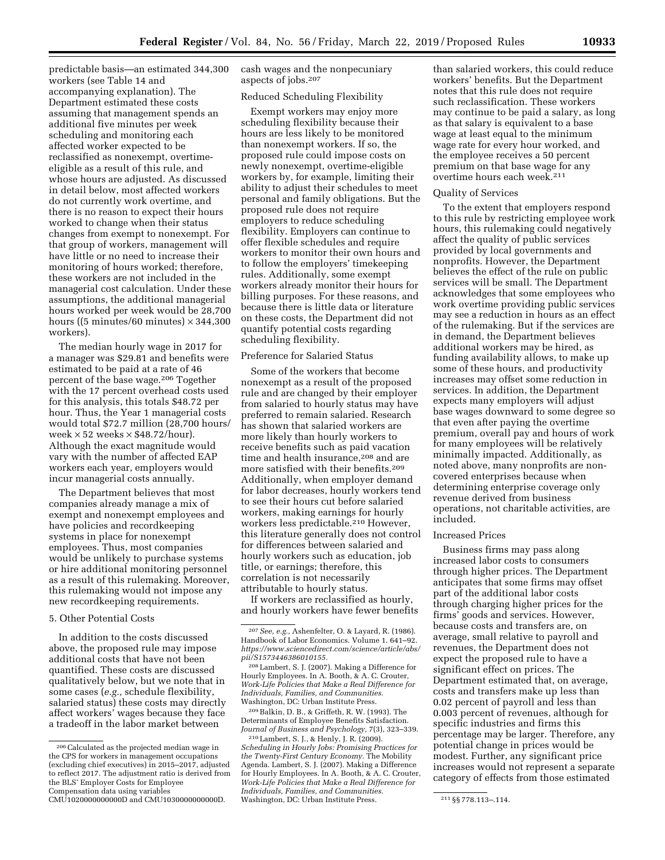predictable basis—an estimated 344,300 workers (see Table 14 and accompanying explanation). The Department estimated these costs assuming that management spends an additional five minutes per week scheduling and monitoring each affected worker expected to be reclassified as nonexempt, overtimeeligible as a result of this rule, and whose hours are adjusted. As discussed in detail below, most affected workers do not currently work overtime, and there is no reason to expect their hours worked to change when their status changes from exempt to nonexempt. For that group of workers, management will have little or no need to increase their monitoring of hours worked; therefore, these workers are not included in the managerial cost calculation. Under these assumptions, the additional managerial hours worked per week would be 28,700 hours ((5 minutes/60 minutes)  $\times$  344,300 workers).

The median hourly wage in 2017 for a manager was \$29.81 and benefits were estimated to be paid at a rate of 46 percent of the base wage.206 Together with the 17 percent overhead costs used for this analysis, this totals \$48.72 per hour. Thus, the Year 1 managerial costs would total \$72.7 million (28,700 hours/ week  $\times$  52 weeks  $\times$  \$48.72/hour). Although the exact magnitude would vary with the number of affected EAP workers each year, employers would incur managerial costs annually.

The Department believes that most companies already manage a mix of exempt and nonexempt employees and have policies and recordkeeping systems in place for nonexempt employees. Thus, most companies would be unlikely to purchase systems or hire additional monitoring personnel as a result of this rulemaking. Moreover, this rulemaking would not impose any new recordkeeping requirements.

### 5. Other Potential Costs

In addition to the costs discussed above, the proposed rule may impose additional costs that have not been quantified. These costs are discussed qualitatively below, but we note that in some cases (*e.g.,* schedule flexibility, salaried status) these costs may directly affect workers' wages because they face a tradeoff in the labor market between

CMU1020000000000D and CMU1030000000000D.

cash wages and the nonpecuniary aspects of jobs.207

### Reduced Scheduling Flexibility

Exempt workers may enjoy more scheduling flexibility because their hours are less likely to be monitored than nonexempt workers. If so, the proposed rule could impose costs on newly nonexempt, overtime-eligible workers by, for example, limiting their ability to adjust their schedules to meet personal and family obligations. But the proposed rule does not require employers to reduce scheduling flexibility. Employers can continue to offer flexible schedules and require workers to monitor their own hours and to follow the employers' timekeeping rules. Additionally, some exempt workers already monitor their hours for billing purposes. For these reasons, and because there is little data or literature on these costs, the Department did not quantify potential costs regarding scheduling flexibility.

### Preference for Salaried Status

Some of the workers that become nonexempt as a result of the proposed rule and are changed by their employer from salaried to hourly status may have preferred to remain salaried. Research has shown that salaried workers are more likely than hourly workers to receive benefits such as paid vacation time and health insurance,<sup>208</sup> and are more satisfied with their benefits.209 Additionally, when employer demand for labor decreases, hourly workers tend to see their hours cut before salaried workers, making earnings for hourly workers less predictable.210 However, this literature generally does not control for differences between salaried and hourly workers such as education, job title, or earnings; therefore, this correlation is not necessarily attributable to hourly status.

If workers are reclassified as hourly, and hourly workers have fewer benefits

209Balkin, D. B., & Griffeth, R. W. (1993). The Determinants of Employee Benefits Satisfaction. *Journal of Business and Psychology,* 7(3), 323–339.

than salaried workers, this could reduce workers' benefits. But the Department notes that this rule does not require such reclassification. These workers may continue to be paid a salary, as long as that salary is equivalent to a base wage at least equal to the minimum wage rate for every hour worked, and the employee receives a 50 percent premium on that base wage for any overtime hours each week.211

#### Quality of Services

To the extent that employers respond to this rule by restricting employee work hours, this rulemaking could negatively affect the quality of public services provided by local governments and nonprofits. However, the Department believes the effect of the rule on public services will be small. The Department acknowledges that some employees who work overtime providing public services may see a reduction in hours as an effect of the rulemaking. But if the services are in demand, the Department believes additional workers may be hired, as funding availability allows, to make up some of these hours, and productivity increases may offset some reduction in services. In addition, the Department expects many employers will adjust base wages downward to some degree so that even after paying the overtime premium, overall pay and hours of work for many employees will be relatively minimally impacted. Additionally, as noted above, many nonprofits are noncovered enterprises because when determining enterprise coverage only revenue derived from business operations, not charitable activities, are included.

### Increased Prices

Business firms may pass along increased labor costs to consumers through higher prices. The Department anticipates that some firms may offset part of the additional labor costs through charging higher prices for the firms' goods and services. However, because costs and transfers are, on average, small relative to payroll and revenues, the Department does not expect the proposed rule to have a significant effect on prices. The Department estimated that, on average, costs and transfers make up less than 0.02 percent of payroll and less than 0.003 percent of revenues, although for specific industries and firms this percentage may be larger. Therefore, any potential change in prices would be modest. Further, any significant price increases would not represent a separate category of effects from those estimated

<sup>206</sup>Calculated as the projected median wage in the CPS for workers in management occupations (excluding chief executives) in 2015–2017, adjusted to reflect 2017. The adjustment ratio is derived from the BLS' Employer Costs for Employee Compensation data using variables

<sup>207</sup>*See, e.g.,* Ashenfelter, O. & Layard, R. (1986). Handbook of Labor Economics. Volume 1. 641–92. *[https://www.sciencedirect.com/science/article/abs/](https://www.sciencedirect.com/science/article/abs/pii/S1573446386010155) [pii/S1573446386010155.](https://www.sciencedirect.com/science/article/abs/pii/S1573446386010155)* 

<sup>208</sup>Lambert, S. J. (2007). Making a Difference for Hourly Employees. In A. Booth, & A. C. Crouter, *Work-Life Policies that Make a Real Difference for Individuals, Families, and Communities.*  Washington, DC: Urban Institute Press.

<sup>210</sup>Lambert, S. J., & Henly, J. R. (2009). *Scheduling in Hourly Jobs: Promising Practices for the Twenty-First Century Economy.* The Mobility Agenda. Lambert, S. J. (2007). Making a Difference for Hourly Employees. In A. Booth, & A. C. Crouter, *Work-Life Policies that Make a Real Difference for Individuals, Families, and Communities.*  Washington, DC: Urban Institute Press. 211 §§ 778.113-.114.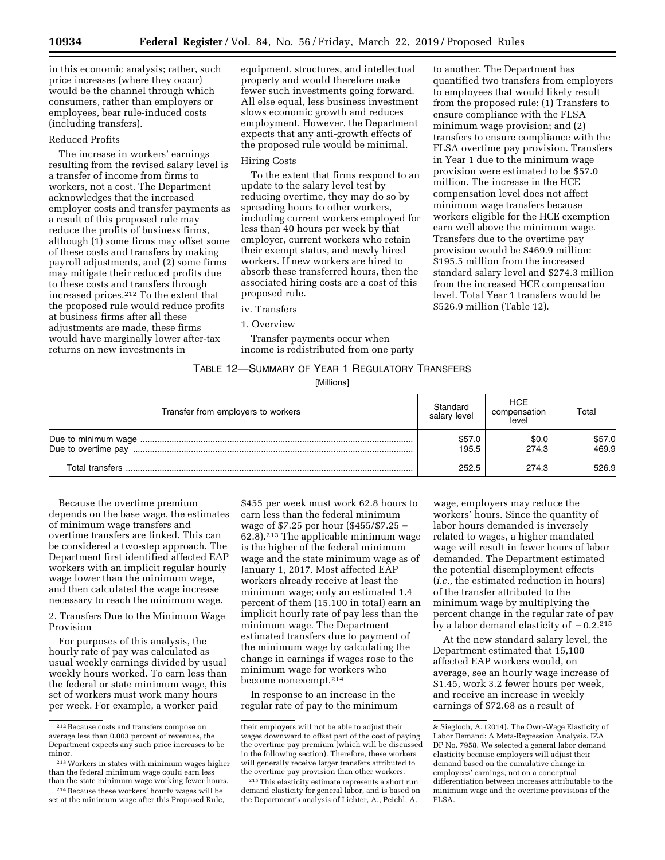in this economic analysis; rather, such price increases (where they occur) would be the channel through which consumers, rather than employers or employees, bear rule-induced costs (including transfers).

#### Reduced Profits

The increase in workers' earnings resulting from the revised salary level is a transfer of income from firms to workers, not a cost. The Department acknowledges that the increased employer costs and transfer payments as a result of this proposed rule may reduce the profits of business firms, although (1) some firms may offset some of these costs and transfers by making payroll adjustments, and (2) some firms may mitigate their reduced profits due to these costs and transfers through increased prices.212 To the extent that the proposed rule would reduce profits at business firms after all these adjustments are made, these firms would have marginally lower after-tax returns on new investments in

equipment, structures, and intellectual property and would therefore make fewer such investments going forward. All else equal, less business investment slows economic growth and reduces employment. However, the Department expects that any anti-growth effects of the proposed rule would be minimal.

### Hiring Costs

To the extent that firms respond to an update to the salary level test by reducing overtime, they may do so by spreading hours to other workers, including current workers employed for less than 40 hours per week by that employer, current workers who retain their exempt status, and newly hired workers. If new workers are hired to absorb these transferred hours, then the associated hiring costs are a cost of this proposed rule.

#### iv. Transfers

Transfer payments occur when income is redistributed from one party

# TABLE 12—SUMMARY OF YEAR 1 REGULATORY TRANSFERS

[Millions]

| Transfer from employers to workers | Standard<br>salary level | <b>HCE</b><br>compensation<br>level | Total           |
|------------------------------------|--------------------------|-------------------------------------|-----------------|
|                                    | \$57.0<br>195.5          | \$0.0<br>274.3                      | \$57.0<br>469.9 |
|                                    | 252.5                    | 274.3                               | 526.9           |

Because the overtime premium depends on the base wage, the estimates of minimum wage transfers and overtime transfers are linked. This can be considered a two-step approach. The Department first identified affected EAP workers with an implicit regular hourly wage lower than the minimum wage, and then calculated the wage increase necessary to reach the minimum wage.

2. Transfers Due to the Minimum Wage Provision

For purposes of this analysis, the hourly rate of pay was calculated as usual weekly earnings divided by usual weekly hours worked. To earn less than the federal or state minimum wage, this set of workers must work many hours per week. For example, a worker paid

\$455 per week must work 62.8 hours to earn less than the federal minimum wage of \$7.25 per hour (\$455/\$7.25 =  $62.8$ ).<sup>213</sup> The applicable minimum wage is the higher of the federal minimum wage and the state minimum wage as of January 1, 2017. Most affected EAP workers already receive at least the minimum wage; only an estimated 1.4 percent of them (15,100 in total) earn an implicit hourly rate of pay less than the minimum wage. The Department estimated transfers due to payment of the minimum wage by calculating the change in earnings if wages rose to the minimum wage for workers who become nonexempt.214

In response to an increase in the regular rate of pay to the minimum

wage, employers may reduce the workers' hours. Since the quantity of labor hours demanded is inversely related to wages, a higher mandated wage will result in fewer hours of labor demanded. The Department estimated the potential disemployment effects (*i.e.,* the estimated reduction in hours) of the transfer attributed to the minimum wage by multiplying the percent change in the regular rate of pay by a labor demand elasticity of  $-0.2$ .<sup>215</sup>

to another. The Department has

\$526.9 million (Table 12).

quantified two transfers from employers to employees that would likely result from the proposed rule: (1) Transfers to ensure compliance with the FLSA minimum wage provision; and (2) transfers to ensure compliance with the FLSA overtime pay provision. Transfers in Year 1 due to the minimum wage provision were estimated to be \$57.0 million. The increase in the HCE compensation level does not affect minimum wage transfers because workers eligible for the HCE exemption earn well above the minimum wage. Transfers due to the overtime pay provision would be \$469.9 million: \$195.5 million from the increased standard salary level and \$274.3 million from the increased HCE compensation level. Total Year 1 transfers would be

At the new standard salary level, the Department estimated that 15,100 affected EAP workers would, on average, see an hourly wage increase of \$1.45, work 3.2 fewer hours per week, and receive an increase in weekly earnings of \$72.68 as a result of

<sup>1.</sup> Overview

 $\rm ^{212}$  Because costs and transfers compose on average less than 0.003 percent of revenues, the Department expects any such price increases to be minor.

<sup>213</sup>Workers in states with minimum wages higher than the federal minimum wage could earn less than the state minimum wage working fewer hours.

<sup>214</sup>Because these workers' hourly wages will be set at the minimum wage after this Proposed Rule,

their employers will not be able to adjust their wages downward to offset part of the cost of paying the overtime pay premium (which will be discussed in the following section). Therefore, these workers will generally receive larger transfers attributed to the overtime pay provision than other workers.

<sup>215</sup>This elasticity estimate represents a short run demand elasticity for general labor, and is based on the Department's analysis of Lichter, A., Peichl, A.

<sup>&</sup>amp; Siegloch, A. (2014). The Own-Wage Elasticity of Labor Demand: A Meta-Regression Analysis. IZA DP No. 7958. We selected a general labor demand elasticity because employers will adjust their demand based on the cumulative change in employees' earnings, not on a conceptual differentiation between increases attributable to the minimum wage and the overtime provisions of the FLSA.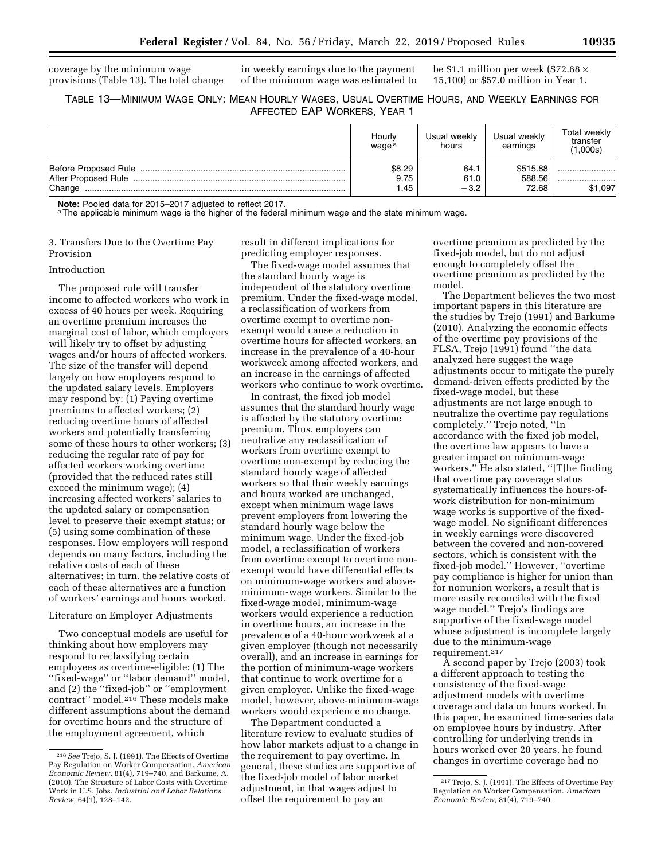coverage by the minimum wage

in weekly earnings due to the payment of the minimum wage was estimated to be \$1.1 million per week (\$72.68  $\times$ 15,100) or \$57.0 million in Year 1.

### TABLE 13—MINIMUM WAGE ONLY: MEAN HOURLY WAGES, USUAL OVERTIME HOURS, AND WEEKLY EARNINGS FOR AFFECTED EAP WORKERS, YEAR 1

|        | Hourly<br>waqe <sup>a</sup> | Usual weekly<br>hours  | Usual weekly<br>earnings    | Total weekly<br>transfer<br>(1,000s) |
|--------|-----------------------------|------------------------|-----------------------------|--------------------------------------|
| Change | \$8.29<br>9.75<br>1.45      | 64.1<br>61.0<br>$-3.2$ | \$515.88<br>588.56<br>72.68 | <br><br>\$1,097                      |

**Note:** Pooled data for 2015–2017 adjusted to reflect 2017.<br><sup>a</sup>The applicable minimum wage is the higher of the federal minimum wage and the state minimum wage.

3. Transfers Due to the Overtime Pay Provision

provisions (Table 13). The total change

### Introduction

The proposed rule will transfer income to affected workers who work in excess of 40 hours per week. Requiring an overtime premium increases the marginal cost of labor, which employers will likely try to offset by adjusting wages and/or hours of affected workers. The size of the transfer will depend largely on how employers respond to the updated salary levels. Employers may respond by: (1) Paying overtime premiums to affected workers; (2) reducing overtime hours of affected workers and potentially transferring some of these hours to other workers; (3) reducing the regular rate of pay for affected workers working overtime (provided that the reduced rates still exceed the minimum wage); (4) increasing affected workers' salaries to the updated salary or compensation level to preserve their exempt status; or (5) using some combination of these responses. How employers will respond depends on many factors, including the relative costs of each of these alternatives; in turn, the relative costs of each of these alternatives are a function of workers' earnings and hours worked.

### Literature on Employer Adjustments

Two conceptual models are useful for thinking about how employers may respond to reclassifying certain employees as overtime-eligible: (1) The ''fixed-wage'' or ''labor demand'' model, and (2) the ''fixed-job'' or ''employment contract'' model.216 These models make different assumptions about the demand for overtime hours and the structure of the employment agreement, which

result in different implications for predicting employer responses.

The fixed-wage model assumes that the standard hourly wage is independent of the statutory overtime premium. Under the fixed-wage model, a reclassification of workers from overtime exempt to overtime nonexempt would cause a reduction in overtime hours for affected workers, an increase in the prevalence of a 40-hour workweek among affected workers, and an increase in the earnings of affected workers who continue to work overtime.

In contrast, the fixed job model assumes that the standard hourly wage is affected by the statutory overtime premium. Thus, employers can neutralize any reclassification of workers from overtime exempt to overtime non-exempt by reducing the standard hourly wage of affected workers so that their weekly earnings and hours worked are unchanged, except when minimum wage laws prevent employers from lowering the standard hourly wage below the minimum wage. Under the fixed-job model, a reclassification of workers from overtime exempt to overtime nonexempt would have differential effects on minimum-wage workers and aboveminimum-wage workers. Similar to the fixed-wage model, minimum-wage workers would experience a reduction in overtime hours, an increase in the prevalence of a 40-hour workweek at a given employer (though not necessarily overall), and an increase in earnings for the portion of minimum-wage workers that continue to work overtime for a given employer. Unlike the fixed-wage model, however, above-minimum-wage workers would experience no change.

The Department conducted a literature review to evaluate studies of how labor markets adjust to a change in the requirement to pay overtime. In general, these studies are supportive of the fixed-job model of labor market adjustment, in that wages adjust to offset the requirement to pay an

overtime premium as predicted by the fixed-job model, but do not adjust enough to completely offset the overtime premium as predicted by the model.

The Department believes the two most important papers in this literature are the studies by Trejo (1991) and Barkume (2010). Analyzing the economic effects of the overtime pay provisions of the FLSA, Trejo (1991) found ''the data analyzed here suggest the wage adjustments occur to mitigate the purely demand-driven effects predicted by the fixed-wage model, but these adjustments are not large enough to neutralize the overtime pay regulations completely.'' Trejo noted, ''In accordance with the fixed job model, the overtime law appears to have a greater impact on minimum-wage workers.'' He also stated, ''[T]he finding that overtime pay coverage status systematically influences the hours-ofwork distribution for non-minimum wage works is supportive of the fixedwage model. No significant differences in weekly earnings were discovered between the covered and non-covered sectors, which is consistent with the fixed-job model.'' However, ''overtime pay compliance is higher for union than for nonunion workers, a result that is more easily reconciled with the fixed wage model.'' Trejo's findings are supportive of the fixed-wage model whose adjustment is incomplete largely due to the minimum-wage requirement.217

A second paper by Trejo (2003) took a different approach to testing the consistency of the fixed-wage adjustment models with overtime coverage and data on hours worked. In this paper, he examined time-series data on employee hours by industry. After controlling for underlying trends in hours worked over 20 years, he found changes in overtime coverage had no

<sup>216</sup>*See* Trejo, S. J. (1991). The Effects of Overtime Pay Regulation on Worker Compensation. *American Economic Review,* 81(4), 719–740, and Barkume, A. (2010). The Structure of Labor Costs with Overtime Work in U.S. Jobs. *Industrial and Labor Relations Review,* 64(1), 128–142.

<sup>217</sup>Trejo, S. J. (1991). The Effects of Overtime Pay Regulation on Worker Compensation. *American Economic Review,* 81(4), 719–740.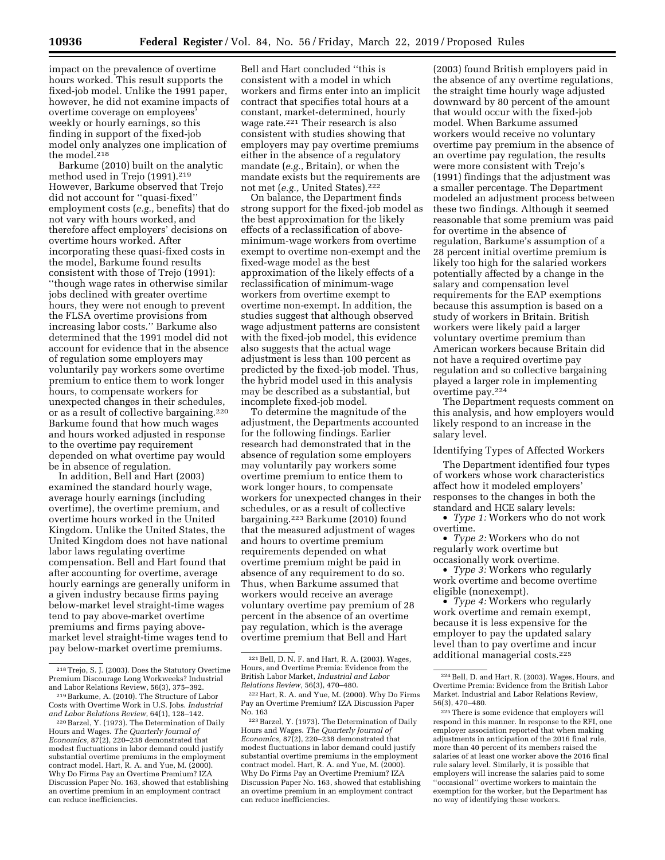impact on the prevalence of overtime hours worked. This result supports the fixed-job model. Unlike the 1991 paper, however, he did not examine impacts of overtime coverage on employees' weekly or hourly earnings, so this finding in support of the fixed-job model only analyzes one implication of the model.218

Barkume (2010) built on the analytic method used in Trejo (1991).219 However, Barkume observed that Trejo did not account for ''quasi-fixed'' employment costs (*e.g.,* benefits) that do not vary with hours worked, and therefore affect employers' decisions on overtime hours worked. After incorporating these quasi-fixed costs in the model, Barkume found results consistent with those of Trejo (1991): ''though wage rates in otherwise similar jobs declined with greater overtime hours, they were not enough to prevent the FLSA overtime provisions from increasing labor costs.'' Barkume also determined that the 1991 model did not account for evidence that in the absence of regulation some employers may voluntarily pay workers some overtime premium to entice them to work longer hours, to compensate workers for unexpected changes in their schedules, or as a result of collective bargaining.220 Barkume found that how much wages and hours worked adjusted in response to the overtime pay requirement depended on what overtime pay would be in absence of regulation.

In addition, Bell and Hart (2003) examined the standard hourly wage, average hourly earnings (including overtime), the overtime premium, and overtime hours worked in the United Kingdom. Unlike the United States, the United Kingdom does not have national labor laws regulating overtime compensation. Bell and Hart found that after accounting for overtime, average hourly earnings are generally uniform in a given industry because firms paying below-market level straight-time wages tend to pay above-market overtime premiums and firms paying abovemarket level straight-time wages tend to pay below-market overtime premiums.

Bell and Hart concluded ''this is consistent with a model in which workers and firms enter into an implicit contract that specifies total hours at a constant, market-determined, hourly wage rate.221 Their research is also consistent with studies showing that employers may pay overtime premiums either in the absence of a regulatory mandate (*e.g.,* Britain), or when the mandate exists but the requirements are not met (*e.g.,* United States).222

On balance, the Department finds strong support for the fixed-job model as the best approximation for the likely effects of a reclassification of aboveminimum-wage workers from overtime exempt to overtime non-exempt and the fixed-wage model as the best approximation of the likely effects of a reclassification of minimum-wage workers from overtime exempt to overtime non-exempt. In addition, the studies suggest that although observed wage adjustment patterns are consistent with the fixed-job model, this evidence also suggests that the actual wage adjustment is less than 100 percent as predicted by the fixed-job model. Thus, the hybrid model used in this analysis may be described as a substantial, but incomplete fixed-job model.

To determine the magnitude of the adjustment, the Departments accounted for the following findings. Earlier research had demonstrated that in the absence of regulation some employers may voluntarily pay workers some overtime premium to entice them to work longer hours, to compensate workers for unexpected changes in their schedules, or as a result of collective bargaining.223 Barkume (2010) found that the measured adjustment of wages and hours to overtime premium requirements depended on what overtime premium might be paid in absence of any requirement to do so. Thus, when Barkume assumed that workers would receive an average voluntary overtime pay premium of 28 percent in the absence of an overtime pay regulation, which is the average overtime premium that Bell and Hart

(2003) found British employers paid in the absence of any overtime regulations, the straight time hourly wage adjusted downward by 80 percent of the amount that would occur with the fixed-job model. When Barkume assumed workers would receive no voluntary overtime pay premium in the absence of an overtime pay regulation, the results were more consistent with Trejo's (1991) findings that the adjustment was a smaller percentage. The Department modeled an adjustment process between these two findings. Although it seemed reasonable that some premium was paid for overtime in the absence of regulation, Barkume's assumption of a 28 percent initial overtime premium is likely too high for the salaried workers potentially affected by a change in the salary and compensation level requirements for the EAP exemptions because this assumption is based on a study of workers in Britain. British workers were likely paid a larger voluntary overtime premium than American workers because Britain did not have a required overtime pay regulation and so collective bargaining played a larger role in implementing overtime pay.224

The Department requests comment on this analysis, and how employers would likely respond to an increase in the salary level.

#### Identifying Types of Affected Workers

The Department identified four types of workers whose work characteristics affect how it modeled employers' responses to the changes in both the standard and HCE salary levels:

• *Type 1:* Workers who do not work overtime.

• *Type 2:* Workers who do not regularly work overtime but occasionally work overtime.

• *Type 3:* Workers who regularly work overtime and become overtime eligible (nonexempt).

• *Type 4:* Workers who regularly work overtime and remain exempt, because it is less expensive for the employer to pay the updated salary level than to pay overtime and incur additional managerial costs.225

<sup>218</sup>Trejo, S. J. (2003). Does the Statutory Overtime Premium Discourage Long Workweeks? Industrial

<sup>&</sup>lt;sup>219</sup> Barkume, A. (2010). The Structure of Labor Costs with Overtime Work in U.S. Jobs. *Industrial* 

<sup>&</sup>lt;sup>220</sup> Barzel, Y. (1973). The Determination of Daily Hours and Wages. *The Quarterly Journal of Economics,* 87(2), 220–238 demonstrated that modest fluctuations in labor demand could justify substantial overtime premiums in the employment contract model. Hart, R. A. and Yue, M. (2000). Why Do Firms Pay an Overtime Premium? IZA Discussion Paper No. 163, showed that establishing an overtime premium in an employment contract can reduce inefficiencies.

<sup>221</sup>Bell, D. N. F. and Hart, R. A. (2003). Wages, Hours, and Overtime Premia: Evidence from the British Labor Market, *Industrial and Labor Relations Review,* 56(3), 470–480.

<sup>222</sup>Hart, R. A. and Yue, M. (2000). Why Do Firms Pay an Overtime Premium? IZA Discussion Paper No. 163

<sup>223</sup>Barzel, Y. (1973). The Determination of Daily Hours and Wages. *The Quarterly Journal of Economics,* 87(2), 220–238 demonstrated that modest fluctuations in labor demand could justify substantial overtime premiums in the employment contract model. Hart, R. A. and Yue, M. (2000). Why Do Firms Pay an Overtime Premium? IZA Discussion Paper No. 163, showed that establishing an overtime premium in an employment contract can reduce inefficiencies.

<sup>224</sup>Bell, D. and Hart, R. (2003). Wages, Hours, and Overtime Premia: Evidence from the British Labor Market. Industrial and Labor Relations Review, 56(3), 470–480.

<sup>225</sup>There is some evidence that employers will respond in this manner. In response to the RFI, one employer association reported that when making adjustments in anticipation of the 2016 final rule, more than 40 percent of its members raised the salaries of at least one worker above the 2016 final rule salary level. Similarly, it is possible that employers will increase the salaries paid to some ''occasional'' overtime workers to maintain the exemption for the worker, but the Department has no way of identifying these workers.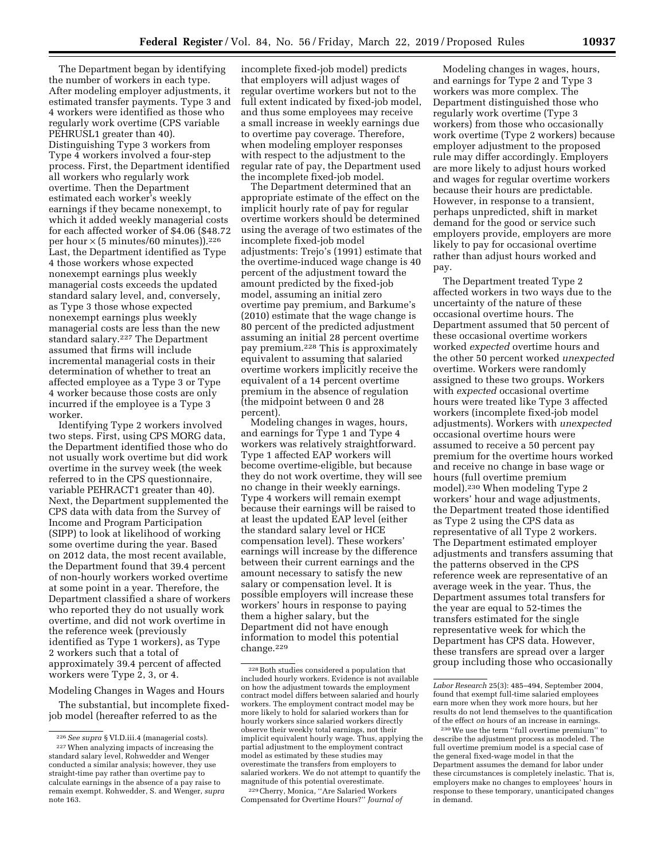The Department began by identifying the number of workers in each type. After modeling employer adjustments, it estimated transfer payments. Type 3 and 4 workers were identified as those who regularly work overtime (CPS variable PEHRUSL1 greater than 40). Distinguishing Type 3 workers from Type 4 workers involved a four-step process. First, the Department identified all workers who regularly work overtime. Then the Department estimated each worker's weekly earnings if they became nonexempt, to which it added weekly managerial costs for each affected worker of \$4.06 (\$48.72 per hour  $\times$  (5 minutes/60 minutes)).<sup>226</sup> Last, the Department identified as Type 4 those workers whose expected nonexempt earnings plus weekly managerial costs exceeds the updated standard salary level, and, conversely, as Type 3 those whose expected nonexempt earnings plus weekly managerial costs are less than the new standard salary.227 The Department assumed that firms will include incremental managerial costs in their determination of whether to treat an affected employee as a Type 3 or Type 4 worker because those costs are only incurred if the employee is a Type 3 worker.

Identifying Type 2 workers involved two steps. First, using CPS MORG data, the Department identified those who do not usually work overtime but did work overtime in the survey week (the week referred to in the CPS questionnaire, variable PEHRACT1 greater than 40). Next, the Department supplemented the CPS data with data from the Survey of Income and Program Participation (SIPP) to look at likelihood of working some overtime during the year. Based on 2012 data, the most recent available, the Department found that 39.4 percent of non-hourly workers worked overtime at some point in a year. Therefore, the Department classified a share of workers who reported they do not usually work overtime, and did not work overtime in the reference week (previously identified as Type 1 workers), as Type 2 workers such that a total of approximately 39.4 percent of affected workers were Type 2, 3, or 4.

Modeling Changes in Wages and Hours

The substantial, but incomplete fixedjob model (hereafter referred to as the

incomplete fixed-job model) predicts that employers will adjust wages of regular overtime workers but not to the full extent indicated by fixed-job model, and thus some employees may receive a small increase in weekly earnings due to overtime pay coverage. Therefore, when modeling employer responses with respect to the adjustment to the regular rate of pay, the Department used the incomplete fixed-job model.

The Department determined that an appropriate estimate of the effect on the implicit hourly rate of pay for regular overtime workers should be determined using the average of two estimates of the incomplete fixed-job model adjustments: Trejo's (1991) estimate that the overtime-induced wage change is 40 percent of the adjustment toward the amount predicted by the fixed-job model, assuming an initial zero overtime pay premium, and Barkume's (2010) estimate that the wage change is 80 percent of the predicted adjustment assuming an initial 28 percent overtime pay premium.228 This is approximately equivalent to assuming that salaried overtime workers implicitly receive the equivalent of a 14 percent overtime premium in the absence of regulation (the midpoint between 0 and 28 percent).

Modeling changes in wages, hours, and earnings for Type 1 and Type 4 workers was relatively straightforward. Type 1 affected EAP workers will become overtime-eligible, but because they do not work overtime, they will see no change in their weekly earnings. Type 4 workers will remain exempt because their earnings will be raised to at least the updated EAP level (either the standard salary level or HCE compensation level). These workers' earnings will increase by the difference between their current earnings and the amount necessary to satisfy the new salary or compensation level. It is possible employers will increase these workers' hours in response to paying them a higher salary, but the Department did not have enough information to model this potential change.<sup>229</sup>

229Cherry, Monica, ''Are Salaried Workers Compensated for Overtime Hours?'' *Journal of* 

Modeling changes in wages, hours, and earnings for Type 2 and Type 3 workers was more complex. The Department distinguished those who regularly work overtime (Type 3 workers) from those who occasionally work overtime (Type 2 workers) because employer adjustment to the proposed rule may differ accordingly. Employers are more likely to adjust hours worked and wages for regular overtime workers because their hours are predictable. However, in response to a transient, perhaps unpredicted, shift in market demand for the good or service such employers provide, employers are more likely to pay for occasional overtime rather than adjust hours worked and pay.

The Department treated Type 2 affected workers in two ways due to the uncertainty of the nature of these occasional overtime hours. The Department assumed that 50 percent of these occasional overtime workers worked *expected* overtime hours and the other 50 percent worked *unexpected*  overtime. Workers were randomly assigned to these two groups. Workers with *expected* occasional overtime hours were treated like Type 3 affected workers (incomplete fixed-job model adjustments). Workers with *unexpected*  occasional overtime hours were assumed to receive a 50 percent pay premium for the overtime hours worked and receive no change in base wage or hours (full overtime premium model).230 When modeling Type 2 workers' hour and wage adjustments, the Department treated those identified as Type 2 using the CPS data as representative of all Type 2 workers. The Department estimated employer adjustments and transfers assuming that the patterns observed in the CPS reference week are representative of an average week in the year. Thus, the Department assumes total transfers for the year are equal to 52-times the transfers estimated for the single representative week for which the Department has CPS data. However, these transfers are spread over a larger group including those who occasionally

<sup>226</sup>*See supra* § VI.D.iii.4 (managerial costs). 227When analyzing impacts of increasing the standard salary level, Rohwedder and Wenger conducted a similar analysis; however, they use straight-time pay rather than overtime pay to calculate earnings in the absence of a pay raise to remain exempt. Rohwedder, S. and Wenger, *supra*  note 163.

<sup>228</sup>Both studies considered a population that included hourly workers. Evidence is not available on how the adjustment towards the employment contract model differs between salaried and hourly workers. The employment contract model may be more likely to hold for salaried workers than for hourly workers since salaried workers directly observe their weekly total earnings, not their implicit equivalent hourly wage. Thus, applying the partial adjustment to the employment contract model as estimated by these studies may overestimate the transfers from employers to salaried workers. We do not attempt to quantify the magnitude of this potential overestimate.

*Labor Research* 25(3): 485–494, September 2004, found that exempt full-time salaried employees earn more when they work more hours, but her results do not lend themselves to the quantification of the effect *on* hours of an increase in earnings.

<sup>230</sup>We use the term ''full overtime premium'' to describe the adjustment process as modeled. The full overtime premium model is a special case of the general fixed-wage model in that the Department assumes the demand for labor under these circumstances is completely inelastic. That is, employers make no changes to employees' hours in response to these temporary, unanticipated changes in demand.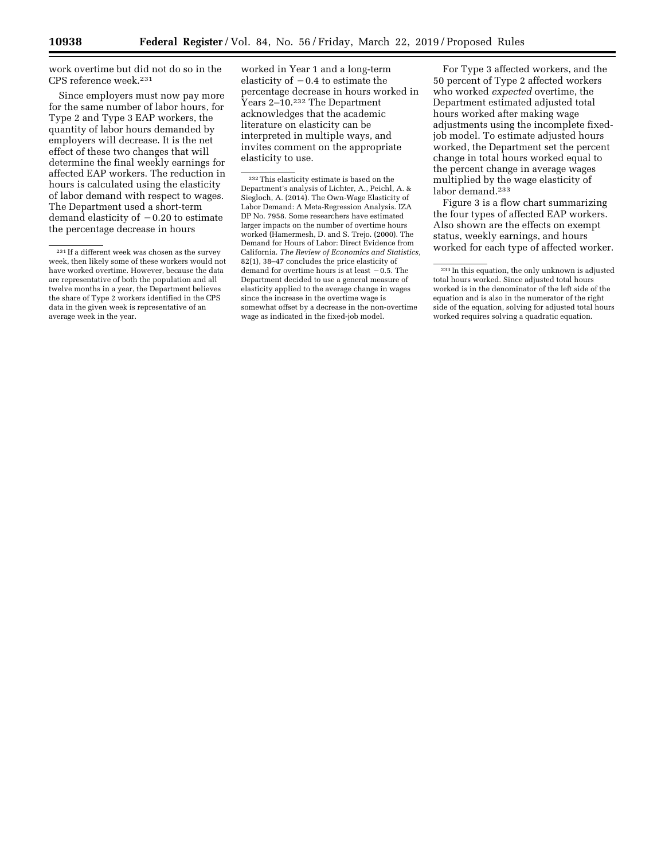work overtime but did not do so in the CPS reference week.231

Since employers must now pay more for the same number of labor hours, for Type 2 and Type 3 EAP workers, the quantity of labor hours demanded by employers will decrease. It is the net effect of these two changes that will determine the final weekly earnings for affected EAP workers. The reduction in hours is calculated using the elasticity of labor demand with respect to wages. The Department used a short-term demand elasticity of  $-0.20$  to estimate the percentage decrease in hours

worked in Year 1 and a long-term elasticity of  $-0.4$  to estimate the percentage decrease in hours worked in Years 2–10.232 The Department acknowledges that the academic literature on elasticity can be interpreted in multiple ways, and invites comment on the appropriate elasticity to use.

 $\rm ^{232}$  This elasticity estimate is based on the Department's analysis of Lichter, A., Peichl, A. & Siegloch, A. (2014). The Own-Wage Elasticity of Labor Demand: A Meta-Regression Analysis. IZA DP No. 7958. Some researchers have estimated larger impacts on the number of overtime hours worked (Hamermesh, D. and S. Trejo. (2000). The Demand for Hours of Labor: Direct Evidence from California. *The Review of Economics and Statistics,*  82(1), 38–47 concludes the price elasticity of demand for overtime hours is at least  $-0.5$ . The Department decided to use a general measure of elasticity applied to the average change in wages since the increase in the overtime wage is somewhat offset by a decrease in the non-overtime wage as indicated in the fixed-job model.

For Type 3 affected workers, and the 50 percent of Type 2 affected workers who worked *expected* overtime, the Department estimated adjusted total hours worked after making wage adjustments using the incomplete fixedjob model. To estimate adjusted hours worked, the Department set the percent change in total hours worked equal to the percent change in average wages multiplied by the wage elasticity of labor demand.233

Figure 3 is a flow chart summarizing the four types of affected EAP workers. Also shown are the effects on exempt status, weekly earnings, and hours worked for each type of affected worker.

<sup>231</sup> If a different week was chosen as the survey week, then likely some of these workers would not have worked overtime. However, because the data are representative of both the population and all twelve months in a year, the Department believes the share of Type 2 workers identified in the CPS data in the given week is representative of an average week in the year.

<sup>233</sup> In this equation, the only unknown is adjusted total hours worked. Since adjusted total hours worked is in the denominator of the left side of the equation and is also in the numerator of the right side of the equation, solving for adjusted total hours worked requires solving a quadratic equation.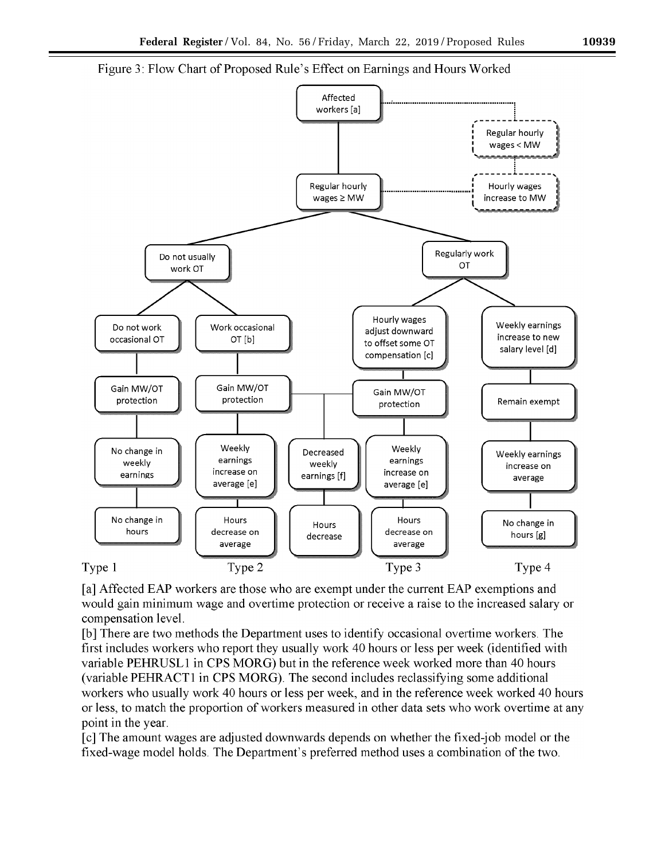

Figure 3: Flow Chart of Proposed Rule's Effect on Earnings and Hours Worked

[a] Affected EAP workers are those who are exempt under the current EAP exemptions and would gain minimum wage and overtime protection or receive a raise to the increased salary or compensation level.

[b] There are two methods the Department uses to identify occasional overtime workers. The first includes workers who report they usually work 40 hours or less per week (identified with variable PEHRUSL1 in CPS MORG) but in the reference week worked more than 40 hours (variable PEHRACT1 in CPS MORG). The second includes reclassifying some additional workers who usually work 40 hours or less per week, and in the reference week worked 40 hours or less, to match the proportion of workers measured in other data sets who work overtime at any point in the year.

[c] The amount wages are adjusted downwards depends on whether the fixed-job model or the fixed-wage model holds. The Department's preferred method uses a combination of the two.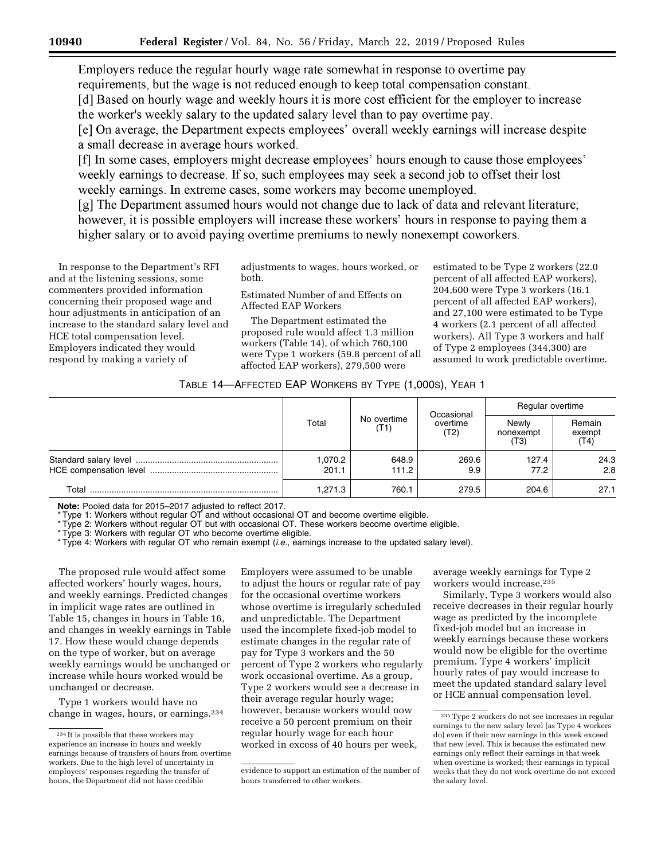Employers reduce the regular hourly wage rate somewhat in response to overtime pay requirements, but the wage is not reduced enough to keep total compensation constant.

[d] Based on hourly wage and weekly hours it is more cost efficient for the employer to increase the worker's weekly salary to the updated salary level than to pay overtime pay.

[e] On average, the Department expects employees' overall weekly earnings will increase despite a small decrease in average hours worked.

[f] In some cases, employers might decrease employees' hours enough to cause those employees' weekly earnings to decrease. If so, such employees may seek a second job to offset their lost weekly earnings. In extreme cases, some workers may become unemployed.

[g] The Department assumed hours would not change due to lack of data and relevant literature; however, it is possible employers will increase these workers' hours in response to paying them a higher salary or to avoid paying overtime premiums to newly nonexempt coworkers.

In response to the Department's RFI and at the listening sessions, some commenters provided information concerning their proposed wage and hour adjustments in anticipation of an increase to the standard salary level and HCE total compensation level. Employers indicated they would respond by making a variety of

adjustments to wages, hours worked, or both.

Estimated Number of and Effects on Affected EAP Workers

The Department estimated the proposed rule would affect 1.3 million workers (Table 14), of which 760,100 were Type 1 workers (59.8 percent of all affected EAP workers), 279,500 were

estimated to be Type 2 workers (22.0 percent of all affected EAP workers), 204,600 were Type 3 workers (16.1 percent of all affected EAP workers), and 27,100 were estimated to be Type 4 workers (2.1 percent of all affected workers). All Type 3 workers and half of Type 2 employees (344,300) are assumed to work predictable overtime.

### TABLE 14—AFFECTED EAP WORKERS BY TYPE (1,000S), YEAR 1

|       |                  |                     | Occasional<br>overtime<br>(T2) | Regular overtime           |                          |
|-------|------------------|---------------------|--------------------------------|----------------------------|--------------------------|
|       | Total            | No overtime<br>(T1) |                                | Newly<br>nonexempt<br>(T3) | Remain<br>exempt<br>(T4) |
|       | 1,070.2<br>201.1 | 648.9<br>111.2      | 269.6<br>9.9                   | 127.4<br>77.2              | 24.3<br>2.8              |
| Total | 1.271.3          | 760.1               | 279.5                          | 204.6                      | 27.1                     |

**Note:** Pooled data for 2015–2017 adjusted to reflect 2017.

Type 1: Workers without regular OT and without occasional OT and become overtime eligible.

\* Type 2: Workers without regular OT but with occasional OT. These workers become overtime eligible.

\* Type 3: Workers with regular OT who become overtime eligible.

\* Type 4: Workers with regular OT who remain exempt (*i.e.,* earnings increase to the updated salary level).

The proposed rule would affect some affected workers' hourly wages, hours, and weekly earnings. Predicted changes in implicit wage rates are outlined in Table 15, changes in hours in Table 16, and changes in weekly earnings in Table 17. How these would change depends on the type of worker, but on average weekly earnings would be unchanged or increase while hours worked would be unchanged or decrease.

Type 1 workers would have no change in wages, hours, or earnings.234 Employers were assumed to be unable to adjust the hours or regular rate of pay for the occasional overtime workers whose overtime is irregularly scheduled and unpredictable. The Department used the incomplete fixed-job model to estimate changes in the regular rate of pay for Type 3 workers and the 50 percent of Type 2 workers who regularly work occasional overtime. As a group, Type 2 workers would see a decrease in their average regular hourly wage; however, because workers would now receive a 50 percent premium on their regular hourly wage for each hour worked in excess of 40 hours per week,

average weekly earnings for Type 2 workers would increase.235

Similarly, Type 3 workers would also receive decreases in their regular hourly wage as predicted by the incomplete fixed-job model but an increase in weekly earnings because these workers would now be eligible for the overtime premium. Type 4 workers' implicit hourly rates of pay would increase to meet the updated standard salary level or HCE annual compensation level.

<sup>234</sup> It is possible that these workers may experience an increase in hours and weekly earnings because of transfers of hours from overtime workers. Due to the high level of uncertainty in employers' responses regarding the transfer of hours, the Department did not have credible

evidence to support an estimation of the number of hours transferred to other workers.

<sup>235</sup>Type 2 workers do not see increases in regular earnings to the new salary level (as Type 4 workers do) even if their new earnings in this week exceed that new level. This is because the estimated new earnings only reflect their earnings in that week when overtime is worked; their earnings in typical weeks that they do not work overtime do not exceed the salary level.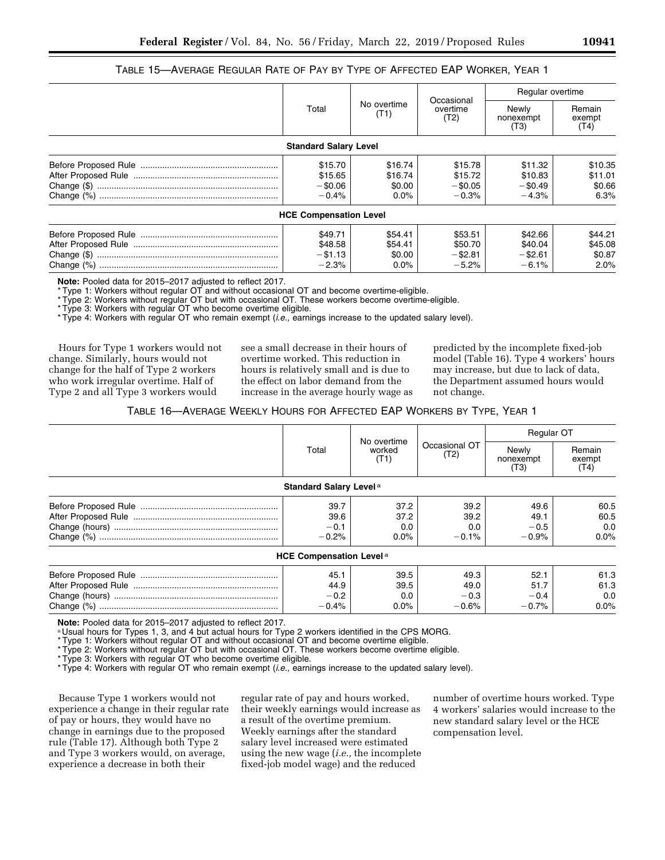### TABLE 15—AVERAGE REGULAR RATE OF PAY BY TYPE OF AFFECTED EAP WORKER, YEAR 1

|                                             |                                         | Occasional                                  |                                             | Regular overtime                     |  |
|---------------------------------------------|-----------------------------------------|---------------------------------------------|---------------------------------------------|--------------------------------------|--|
| Total                                       | No overtime<br>(T1)                     | overtime<br>(T2)                            | Newly<br>nonexempt<br>(T3)                  | Remain<br>exempt<br>(T4)             |  |
| <b>Standard Salary Level</b>                |                                         |                                             |                                             |                                      |  |
| \$15.70<br>\$15.65<br>$-$ \$0.06<br>$-0.4%$ | \$16.74<br>\$16.74<br>\$0.00<br>$0.0\%$ | \$15.78<br>\$15.72<br>$-$ \$0.05<br>$-0.3%$ | \$11.32<br>\$10.83<br>$-$ \$0.49<br>$-4.3%$ | \$10.35<br>\$11.01<br>\$0.66<br>6.3% |  |
| <b>HCE Compensation Level</b>               |                                         |                                             |                                             |                                      |  |
| \$49.71<br>\$48.58<br>$-$ \$1.13<br>$-2.3%$ | \$54.41<br>\$54.41<br>\$0.00<br>$0.0\%$ | \$53.51<br>\$50.70<br>$-$ \$2.81<br>$-5.2%$ | \$42.66<br>\$40.04<br>$-$ \$2.61<br>$-6.1%$ | \$44.21<br>\$45.08<br>\$0.87<br>2.0% |  |

**Note:** Pooled data for 2015–2017 adjusted to reflect 2017.

\* Type 1: Workers without regular OT and without occasional OT and become overtime-eligible.

\* Type 2: Workers without regular OT but with occasional OT. These workers become overtime-eligible.

\* Type 3: Workers with regular OT who become overtime eligible.

\* Type 4: Workers with regular OT who remain exempt (*i.e.,* earnings increase to the updated salary level).

Hours for Type 1 workers would not change. Similarly, hours would not change for the half of Type 2 workers who work irregular overtime. Half of Type 2 and all Type 3 workers would

see a small decrease in their hours of overtime worked. This reduction in hours is relatively small and is due to the effect on labor demand from the increase in the average hourly wage as

predicted by the incomplete fixed-job model (Table 16). Type 4 workers' hours may increase, but due to lack of data, the Department assumed hours would not change.

TABLE 16—AVERAGE WEEKLY HOURS FOR AFFECTED EAP WORKERS BY TYPE, YEAR 1

|                                           |                                | Occasional OT<br>(T2)             | <b>Regular OT</b>                 |                                |
|-------------------------------------------|--------------------------------|-----------------------------------|-----------------------------------|--------------------------------|
| Total                                     | No overtime<br>worked<br>(T1)  |                                   | Newly<br>nonexempt<br>(T3)        | Remain<br>exempt<br>(T4)       |
| Standard Salary Level <sup>a</sup>        |                                |                                   |                                   |                                |
| 39.7<br>39.6<br>$-0.1$<br>$-0.2%$         | 37.2<br>37.2<br>0.0<br>$0.0\%$ | 39.2<br>39.2<br>0.0<br>$-0.1%$    | 49.6<br>49.1<br>$-0.5$<br>$-0.9%$ | 60.5<br>60.5<br>0.0<br>$0.0\%$ |
| <b>HCE Compensation Level<sup>a</sup></b> |                                |                                   |                                   |                                |
| 45.1<br>44.9<br>$-0.2$<br>$-0.4%$         | 39.5<br>39.5<br>0.0<br>$0.0\%$ | 49.3<br>49.0<br>$-0.3$<br>$-0.6%$ | 52.1<br>51.7<br>$-0.4$<br>$-0.7%$ | 61.3<br>61.3<br>0.0<br>$0.0\%$ |

**Note:** Pooled data for 2015–2017 adjusted to reflect 2017.<br><sup>a</sup> Usual hours for Types 1, 3, and 4 but actual hours for Type 2 workers identified in the CPS MORG.

\* Type 1: Workers without regular OT and without occasional OT and become overtime eligible.

\* Type 2: Workers without regular OT but with occasional OT. These workers become overtime eligible.

\* Type 3: Workers with regular OT who become overtime eligible.

\* Type 4: Workers with regular OT who remain exempt (*i.e.,* earnings increase to the updated salary level).

Because Type 1 workers would not experience a change in their regular rate of pay or hours, they would have no change in earnings due to the proposed rule (Table 17). Although both Type 2 and Type 3 workers would, on average, experience a decrease in both their

regular rate of pay and hours worked, their weekly earnings would increase as a result of the overtime premium. Weekly earnings after the standard salary level increased were estimated using the new wage (*i.e.,* the incomplete fixed-job model wage) and the reduced

number of overtime hours worked. Type 4 workers' salaries would increase to the new standard salary level or the HCE compensation level.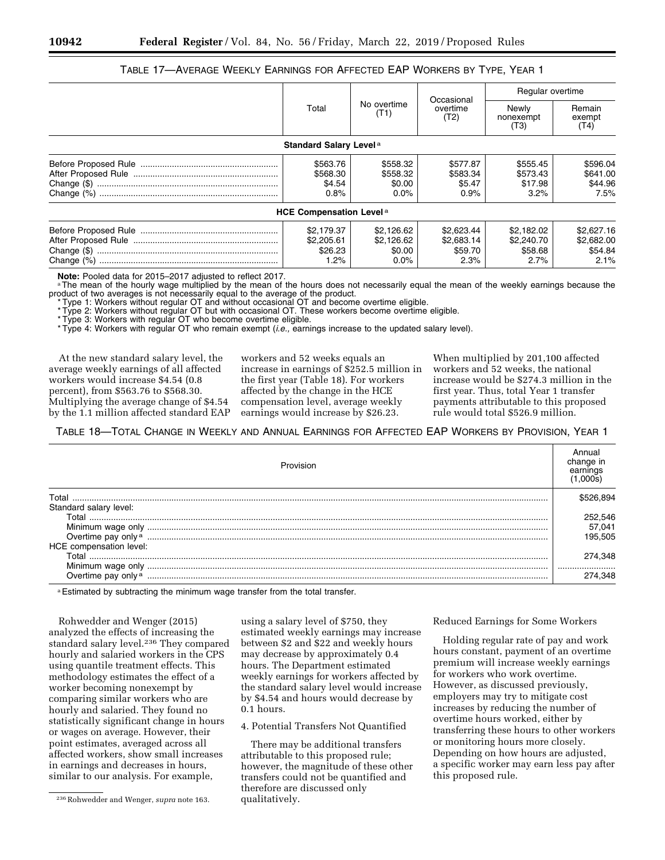## TABLE 17—AVERAGE WEEKLY EARNINGS FOR AFFECTED EAP WORKERS BY TYPE, YEAR 1

|                                             |                                               | Occasional<br>overtime<br>(T2)              | Regular overtime                            |                                             |
|---------------------------------------------|-----------------------------------------------|---------------------------------------------|---------------------------------------------|---------------------------------------------|
| Total                                       | No overtime<br>(T1)                           |                                             | Newly<br>nonexempt<br>(T3)                  | Remain<br>exempt<br>(T4)                    |
| <b>Standard Salary Level a</b>              |                                               |                                             |                                             |                                             |
| \$563.76<br>\$568.30<br>\$4.54<br>0.8%      | \$558.32<br>\$558.32<br>\$0.00<br>0.0%        | \$577.87<br>\$583.34<br>\$5.47<br>0.9%      | \$555.45<br>\$573.43<br>\$17.98<br>3.2%     | \$596.04<br>\$641.00<br>\$44.96<br>7.5%     |
| <b>HCE Compensation Level<sup>a</sup></b>   |                                               |                                             |                                             |                                             |
| \$2.179.37<br>\$2,205.61<br>\$26.23<br>1.2% | \$2.126.62<br>\$2.126.62<br>\$0.00<br>$0.0\%$ | \$2,623.44<br>\$2,683.14<br>\$59.70<br>2.3% | \$2.182.02<br>\$2,240.70<br>\$58.68<br>2.7% | \$2,627.16<br>\$2,682.00<br>\$54.84<br>2.1% |

**Note:** Pooled data for 2015–2017 adjusted to reflect 2017.<br><sup>a</sup>The mean of the hourly wage multiplied by the mean of the hours does not necessarily equal the mean of the weekly earnings because the product of two averages is not necessarily equal to the average of the product.

\* Type 1: Workers without regular OT and without occasional OT and become overtime eligible.

\* Type 2: Workers without regular OT but with occasional OT. These workers become overtime eligible.

\* Type 3: Workers with regular OT who become overtime eligible.

\* Type 4: Workers with regular OT who remain exempt (*i.e.,* earnings increase to the updated salary level).

At the new standard salary level, the average weekly earnings of all affected workers would increase \$4.54 (0.8 percent), from \$563.76 to \$568.30. Multiplying the average change of \$4.54 by the 1.1 million affected standard EAP workers and 52 weeks equals an increase in earnings of \$252.5 million in the first year (Table 18). For workers affected by the change in the HCE compensation level, average weekly earnings would increase by \$26.23.

When multiplied by 201,100 affected workers and 52 weeks, the national increase would be \$274.3 million in the first year. Thus, total Year 1 transfer payments attributable to this proposed rule would total \$526.9 million.

TABLE 18—TOTAL CHANGE IN WEEKLY AND ANNUAL EARNINGS FOR AFFECTED EAP WORKERS BY PROVISION, YEAR 1

| Provision                                                                                                                                                                                                                      | change ir<br>earnings |
|--------------------------------------------------------------------------------------------------------------------------------------------------------------------------------------------------------------------------------|-----------------------|
| Total                                                                                                                                                                                                                          |                       |
| Standard salary level:                                                                                                                                                                                                         |                       |
| Total                                                                                                                                                                                                                          | 252,546               |
|                                                                                                                                                                                                                                | 57,041                |
| Overtime pay only a material contract of the contract of the contract of the contract of the contract of the contract of the contract of the contract of the contract of the contract of the contract of the contract of the c | 195.505               |
| HCE compensation level:                                                                                                                                                                                                        |                       |
| ⊺otal                                                                                                                                                                                                                          | 274.348               |
|                                                                                                                                                                                                                                |                       |
| Overtime pay only a                                                                                                                                                                                                            | 274.348               |

a Estimated by subtracting the minimum wage transfer from the total transfer.

Rohwedder and Wenger (2015) analyzed the effects of increasing the standard salary level.236 They compared hourly and salaried workers in the CPS using quantile treatment effects. This methodology estimates the effect of a worker becoming nonexempt by comparing similar workers who are hourly and salaried. They found no statistically significant change in hours or wages on average. However, their point estimates, averaged across all affected workers, show small increases in earnings and decreases in hours, similar to our analysis. For example,

using a salary level of \$750, they estimated weekly earnings may increase between \$2 and \$22 and weekly hours may decrease by approximately 0.4 hours. The Department estimated weekly earnings for workers affected by the standard salary level would increase by \$4.54 and hours would decrease by 0.1 hours.

4. Potential Transfers Not Quantified

There may be additional transfers attributable to this proposed rule; however, the magnitude of these other transfers could not be quantified and therefore are discussed only qualitatively.

Reduced Earnings for Some Workers

Holding regular rate of pay and work hours constant, payment of an overtime premium will increase weekly earnings for workers who work overtime. However, as discussed previously, employers may try to mitigate cost increases by reducing the number of overtime hours worked, either by transferring these hours to other workers or monitoring hours more closely. Depending on how hours are adjusted, a specific worker may earn less pay after this proposed rule.

<sup>236</sup>Rohwedder and Wenger, *supra* note 163.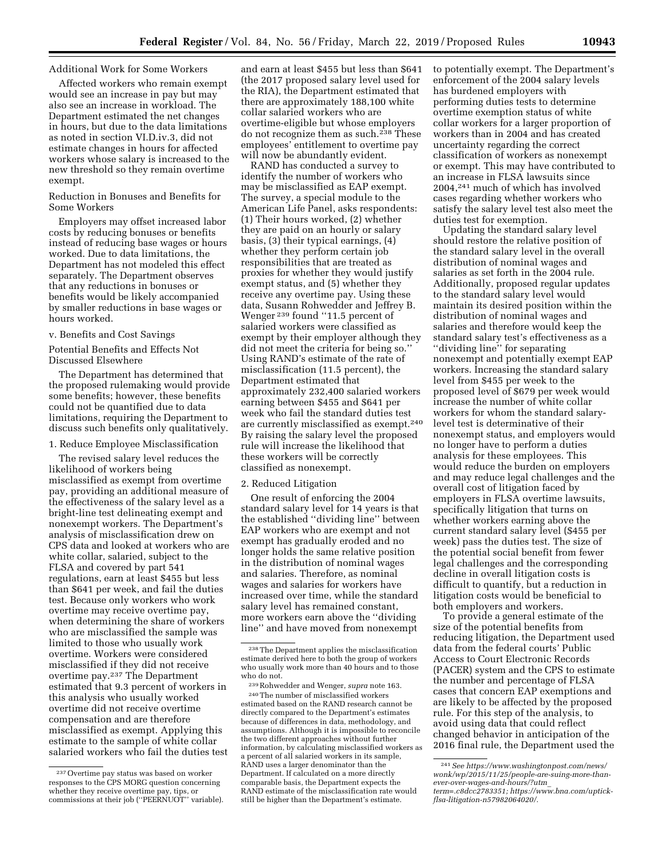### Additional Work for Some Workers

Affected workers who remain exempt would see an increase in pay but may also see an increase in workload. The Department estimated the net changes in hours, but due to the data limitations as noted in section VI.D.iv.3, did not estimate changes in hours for affected workers whose salary is increased to the new threshold so they remain overtime exempt.

### Reduction in Bonuses and Benefits for Some Workers

Employers may offset increased labor costs by reducing bonuses or benefits instead of reducing base wages or hours worked. Due to data limitations, the Department has not modeled this effect separately. The Department observes that any reductions in bonuses or benefits would be likely accompanied by smaller reductions in base wages or hours worked.

### v. Benefits and Cost Savings

### Potential Benefits and Effects Not Discussed Elsewhere

The Department has determined that the proposed rulemaking would provide some benefits; however, these benefits could not be quantified due to data limitations, requiring the Department to discuss such benefits only qualitatively.

### 1. Reduce Employee Misclassification

The revised salary level reduces the likelihood of workers being misclassified as exempt from overtime pay, providing an additional measure of the effectiveness of the salary level as a bright-line test delineating exempt and nonexempt workers. The Department's analysis of misclassification drew on CPS data and looked at workers who are white collar, salaried, subject to the FLSA and covered by part 541 regulations, earn at least \$455 but less than \$641 per week, and fail the duties test. Because only workers who work overtime may receive overtime pay, when determining the share of workers who are misclassified the sample was limited to those who usually work overtime. Workers were considered misclassified if they did not receive overtime pay.237 The Department estimated that 9.3 percent of workers in this analysis who usually worked overtime did not receive overtime compensation and are therefore misclassified as exempt. Applying this estimate to the sample of white collar salaried workers who fail the duties test

and earn at least \$455 but less than \$641 (the 2017 proposed salary level used for the RIA), the Department estimated that there are approximately 188,100 white collar salaried workers who are overtime-eligible but whose employers do not recognize them as such.238 These employees' entitlement to overtime pay will now be abundantly evident.

RAND has conducted a survey to identify the number of workers who may be misclassified as EAP exempt. The survey, a special module to the American Life Panel, asks respondents: (1) Their hours worked, (2) whether they are paid on an hourly or salary basis, (3) their typical earnings, (4) whether they perform certain job responsibilities that are treated as proxies for whether they would justify exempt status, and (5) whether they receive any overtime pay. Using these data, Susann Rohwedder and Jeffrey B. Wenger 239 found ''11.5 percent of salaried workers were classified as exempt by their employer although they did not meet the criteria for being so.'' Using RAND's estimate of the rate of misclassification (11.5 percent), the Department estimated that approximately 232,400 salaried workers earning between \$455 and \$641 per week who fail the standard duties test are currently misclassified as exempt.240 By raising the salary level the proposed rule will increase the likelihood that these workers will be correctly classified as nonexempt.

#### 2. Reduced Litigation

One result of enforcing the 2004 standard salary level for 14 years is that the established ''dividing line'' between EAP workers who are exempt and not exempt has gradually eroded and no longer holds the same relative position in the distribution of nominal wages and salaries. Therefore, as nominal wages and salaries for workers have increased over time, while the standard salary level has remained constant, more workers earn above the ''dividing line'' and have moved from nonexempt

to potentially exempt. The Department's enforcement of the 2004 salary levels has burdened employers with performing duties tests to determine overtime exemption status of white collar workers for a larger proportion of workers than in 2004 and has created uncertainty regarding the correct classification of workers as nonexempt or exempt. This may have contributed to an increase in FLSA lawsuits since 2004,241 much of which has involved cases regarding whether workers who satisfy the salary level test also meet the duties test for exemption.

Updating the standard salary level should restore the relative position of the standard salary level in the overall distribution of nominal wages and salaries as set forth in the 2004 rule. Additionally, proposed regular updates to the standard salary level would maintain its desired position within the distribution of nominal wages and salaries and therefore would keep the standard salary test's effectiveness as a "dividing line" for separating nonexempt and potentially exempt EAP workers. Increasing the standard salary level from \$455 per week to the proposed level of \$679 per week would increase the number of white collar workers for whom the standard salarylevel test is determinative of their nonexempt status, and employers would no longer have to perform a duties analysis for these employees. This would reduce the burden on employers and may reduce legal challenges and the overall cost of litigation faced by employers in FLSA overtime lawsuits, specifically litigation that turns on whether workers earning above the current standard salary level (\$455 per week) pass the duties test. The size of the potential social benefit from fewer legal challenges and the corresponding decline in overall litigation costs is difficult to quantify, but a reduction in litigation costs would be beneficial to both employers and workers.

To provide a general estimate of the size of the potential benefits from reducing litigation, the Department used data from the federal courts' Public Access to Court Electronic Records (PACER) system and the CPS to estimate the number and percentage of FLSA cases that concern EAP exemptions and are likely to be affected by the proposed rule. For this step of the analysis, to avoid using data that could reflect changed behavior in anticipation of the 2016 final rule, the Department used the

<sup>237</sup>Overtime pay status was based on worker responses to the CPS MORG question concerning whether they receive overtime pay, tips, or commissions at their job ("PEERNUOT" variable).

<sup>238</sup>The Department applies the misclassification estimate derived here to both the group of workers who usually work more than 40 hours and to those who do not.

<sup>239</sup>Rohwedder and Wenger, *supra* note 163. 240The number of misclassified workers estimated based on the RAND research cannot be directly compared to the Department's estimates because of differences in data, methodology, and assumptions. Although it is impossible to reconcile the two different approaches without further information, by calculating misclassified workers as a percent of all salaried workers in its sample, RAND uses a larger denominator than the Department. If calculated on a more directly comparable basis, the Department expects the RAND estimate of the misclassification rate would still be higher than the Department's estimate.

<sup>241</sup>*See [https://www.washingtonpost.com/news/](https://www.washingtonpost.com/news/wonk/wp/2015/11/25/people-are-suing-more-than-ever-over-wages-and-hours/?utm_term=.c8dcc2783351)  [wonk/wp/2015/11/25/people-are-suing-more-than](https://www.washingtonpost.com/news/wonk/wp/2015/11/25/people-are-suing-more-than-ever-over-wages-and-hours/?utm_term=.c8dcc2783351)[ever-over-wages-and-hours/?utm](https://www.washingtonpost.com/news/wonk/wp/2015/11/25/people-are-suing-more-than-ever-over-wages-and-hours/?utm_term=.c8dcc2783351)*\_ *[term=.c8dcc2783351;](https://www.washingtonpost.com/news/wonk/wp/2015/11/25/people-are-suing-more-than-ever-over-wages-and-hours/?utm_term=.c8dcc2783351) [https://www.bna.com/uptick](https://www.bna.com/uptick-flsa-litigation-n57982064020/)[flsa-litigation-n57982064020/.](https://www.bna.com/uptick-flsa-litigation-n57982064020/)*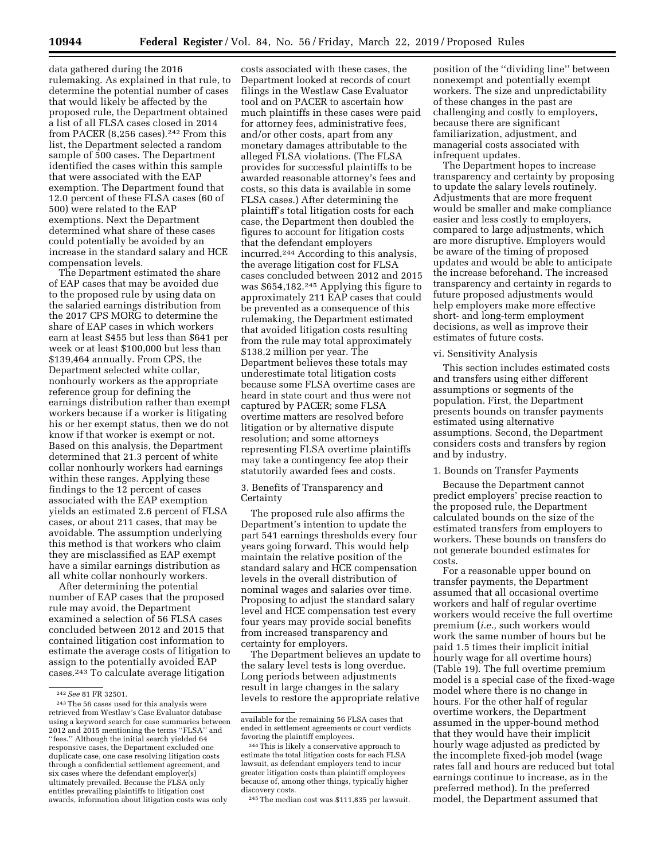data gathered during the 2016 rulemaking. As explained in that rule, to determine the potential number of cases that would likely be affected by the proposed rule, the Department obtained a list of all FLSA cases closed in 2014 from PACER (8,256 cases).<sup>242</sup> From this list, the Department selected a random sample of 500 cases. The Department identified the cases within this sample that were associated with the EAP exemption. The Department found that 12.0 percent of these FLSA cases (60 of 500) were related to the EAP exemptions. Next the Department determined what share of these cases could potentially be avoided by an increase in the standard salary and HCE compensation levels.

The Department estimated the share of EAP cases that may be avoided due to the proposed rule by using data on the salaried earnings distribution from the 2017 CPS MORG to determine the share of EAP cases in which workers earn at least \$455 but less than \$641 per week or at least \$100,000 but less than \$139,464 annually. From CPS, the Department selected white collar, nonhourly workers as the appropriate reference group for defining the earnings distribution rather than exempt workers because if a worker is litigating his or her exempt status, then we do not know if that worker is exempt or not. Based on this analysis, the Department determined that 21.3 percent of white collar nonhourly workers had earnings within these ranges. Applying these findings to the 12 percent of cases associated with the EAP exemption yields an estimated 2.6 percent of FLSA cases, or about 211 cases, that may be avoidable. The assumption underlying this method is that workers who claim they are misclassified as EAP exempt have a similar earnings distribution as all white collar nonhourly workers.

After determining the potential number of EAP cases that the proposed rule may avoid, the Department examined a selection of 56 FLSA cases concluded between 2012 and 2015 that contained litigation cost information to estimate the average costs of litigation to assign to the potentially avoided EAP cases.243 To calculate average litigation

costs associated with these cases, the Department looked at records of court filings in the Westlaw Case Evaluator tool and on PACER to ascertain how much plaintiffs in these cases were paid for attorney fees, administrative fees, and/or other costs, apart from any monetary damages attributable to the alleged FLSA violations. (The FLSA provides for successful plaintiffs to be awarded reasonable attorney's fees and costs, so this data is available in some FLSA cases.) After determining the plaintiff's total litigation costs for each case, the Department then doubled the figures to account for litigation costs that the defendant employers incurred.244 According to this analysis, the average litigation cost for FLSA cases concluded between 2012 and 2015 was \$654,182.245 Applying this figure to approximately 211 EAP cases that could be prevented as a consequence of this rulemaking, the Department estimated that avoided litigation costs resulting from the rule may total approximately \$138.2 million per year. The Department believes these totals may underestimate total litigation costs because some FLSA overtime cases are heard in state court and thus were not captured by PACER; some FLSA overtime matters are resolved before litigation or by alternative dispute resolution; and some attorneys representing FLSA overtime plaintiffs may take a contingency fee atop their statutorily awarded fees and costs.

3. Benefits of Transparency and Certainty

The proposed rule also affirms the Department's intention to update the part 541 earnings thresholds every four years going forward. This would help maintain the relative position of the standard salary and HCE compensation levels in the overall distribution of nominal wages and salaries over time. Proposing to adjust the standard salary level and HCE compensation test every four years may provide social benefits from increased transparency and certainty for employers.

The Department believes an update to the salary level tests is long overdue. Long periods between adjustments result in large changes in the salary levels to restore the appropriate relative

245The median cost was \$111,835 per lawsuit.

position of the ''dividing line'' between nonexempt and potentially exempt workers. The size and unpredictability of these changes in the past are challenging and costly to employers, because there are significant familiarization, adjustment, and managerial costs associated with infrequent updates.

The Department hopes to increase transparency and certainty by proposing to update the salary levels routinely. Adjustments that are more frequent would be smaller and make compliance easier and less costly to employers, compared to large adjustments, which are more disruptive. Employers would be aware of the timing of proposed updates and would be able to anticipate the increase beforehand. The increased transparency and certainty in regards to future proposed adjustments would help employers make more effective short- and long-term employment decisions, as well as improve their estimates of future costs.

#### vi. Sensitivity Analysis

This section includes estimated costs and transfers using either different assumptions or segments of the population. First, the Department presents bounds on transfer payments estimated using alternative assumptions. Second, the Department considers costs and transfers by region and by industry.

#### 1. Bounds on Transfer Payments

Because the Department cannot predict employers' precise reaction to the proposed rule, the Department calculated bounds on the size of the estimated transfers from employers to workers. These bounds on transfers do not generate bounded estimates for costs.

For a reasonable upper bound on transfer payments, the Department assumed that all occasional overtime workers and half of regular overtime workers would receive the full overtime premium (*i.e.,* such workers would work the same number of hours but be paid 1.5 times their implicit initial hourly wage for all overtime hours) (Table 19). The full overtime premium model is a special case of the fixed-wage model where there is no change in hours. For the other half of regular overtime workers, the Department assumed in the upper-bound method that they would have their implicit hourly wage adjusted as predicted by the incomplete fixed-job model (wage rates fall and hours are reduced but total earnings continue to increase, as in the preferred method). In the preferred model, the Department assumed that

<sup>242</sup>*See* 81 FR 32501.

 $^{\rm 243}$  The 56 cases used for this analysis were retrieved from Westlaw's Case Evaluator database using a keyword search for case summaries between 2012 and 2015 mentioning the terms ''FLSA'' and ''fees.'' Although the initial search yielded 64 responsive cases, the Department excluded one duplicate case, one case resolving litigation costs through a confidential settlement agreement, and six cases where the defendant employer(s) ultimately prevailed. Because the FLSA only entitles prevailing plaintiffs to litigation cost awards, information about litigation costs was only

available for the remaining 56 FLSA cases that ended in settlement agreements or court verdicts favoring the plaintiff employees.

<sup>244</sup>This is likely a conservative approach to estimate the total litigation costs for each FLSA lawsuit, as defendant employers tend to incur greater litigation costs than plaintiff employees because of, among other things, typically higher discovery costs.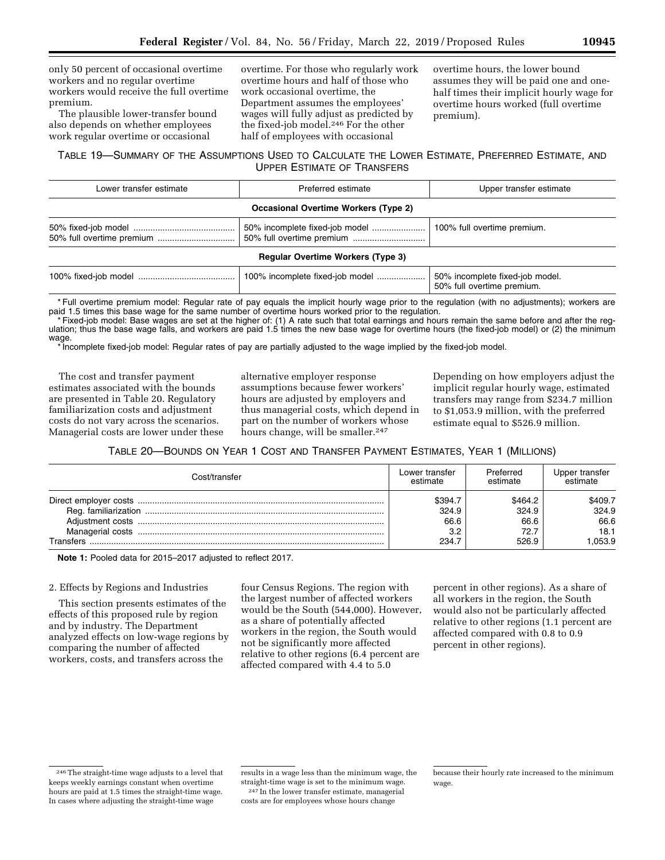only 50 percent of occasional overtime workers and no regular overtime workers would receive the full overtime premium.

The plausible lower-transfer bound also depends on whether employees work regular overtime or occasional

overtime. For those who regularly work overtime hours and half of those who work occasional overtime, the Department assumes the employees' wages will fully adjust as predicted by the fixed-job model.246 For the other half of employees with occasional

overtime hours, the lower bound assumes they will be paid one and onehalf times their implicit hourly wage for overtime hours worked (full overtime premium).

### TABLE 19—SUMMARY OF THE ASSUMPTIONS USED TO CALCULATE THE LOWER ESTIMATE, PREFERRED ESTIMATE, AND UPPER ESTIMATE OF TRANSFERS

| Lower transfer estimate                  | Preferred estimate                          | Upper transfer estimate        |  |  |
|------------------------------------------|---------------------------------------------|--------------------------------|--|--|
|                                          | <b>Occasional Overtime Workers (Type 2)</b> |                                |  |  |
|                                          |                                             | 100% full overtime premium.    |  |  |
| <b>Regular Overtime Workers (Type 3)</b> |                                             |                                |  |  |
| 100% fixed-ioh model                     | 100% incomplete fixed-ioh model             | 50% incomplete fixed-job model |  |  |

100% fixed-job model ........................................ 100% incomplete fixed-job model .................... 50% incomplete fixed-job model. 50% full overtime premium.

\* Full overtime premium model: Regular rate of pay equals the implicit hourly wage prior to the regulation (with no adjustments); workers are paid 1.5 times this base wage for the same number of overtime hours worked prior to the regulation.

\* Fixed-job model: Base wages are set at the higher of: (1) A rate such that total earnings and hours remain the same before and after the regulation; thus the base wage falls, and workers are paid 1.5 times the new base wage for overtime hours (the fixed-job model) or (2) the minimum wage.

\* Incomplete fixed-job model: Regular rates of pay are partially adjusted to the wage implied by the fixed-job model.

The cost and transfer payment estimates associated with the bounds are presented in Table 20. Regulatory familiarization costs and adjustment costs do not vary across the scenarios. Managerial costs are lower under these alternative employer response assumptions because fewer workers' hours are adjusted by employers and thus managerial costs, which depend in part on the number of workers whose hours change, will be smaller.<sup>247</sup>

Depending on how employers adjust the implicit regular hourly wage, estimated transfers may range from \$234.7 million to \$1,053.9 million, with the preferred estimate equal to \$526.9 million.

TABLE 20—BOUNDS ON YEAR 1 COST AND TRANSFER PAYMENT ESTIMATES, YEAR 1 (MILLIONS)

| Cost/transfer    | Lower transfer<br>estimate      | Preferred<br>estimate            | Upper transfer<br>estimate       |
|------------------|---------------------------------|----------------------------------|----------------------------------|
| Managerial costs | \$394.7<br>324.9<br>66.6<br>3.2 | \$464.2<br>324.9<br>66.6<br>72.7 | \$409.7<br>324.9<br>66.6<br>18.1 |
| <b>Transfers</b> | 234.7                           | 526.9                            | .053.9                           |

**Note 1:** Pooled data for 2015–2017 adjusted to reflect 2017.

### 2. Effects by Regions and Industries

This section presents estimates of the effects of this proposed rule by region and by industry. The Department analyzed effects on low-wage regions by comparing the number of affected workers, costs, and transfers across the

four Census Regions. The region with the largest number of affected workers would be the South (544,000). However, as a share of potentially affected workers in the region, the South would not be significantly more affected relative to other regions (6.4 percent are affected compared with 4.4 to 5.0

percent in other regions). As a share of all workers in the region, the South would also not be particularly affected relative to other regions (1.1 percent are affected compared with 0.8 to 0.9 percent in other regions).

<sup>246</sup>The straight-time wage adjusts to a level that keeps weekly earnings constant when overtime hours are paid at 1.5 times the straight-time wage. In cases where adjusting the straight-time wage

results in a wage less than the minimum wage, the straight-time wage is set to the minimum wage. 247 In the lower transfer estimate, managerial costs are for employees whose hours change

because their hourly rate increased to the minimum wage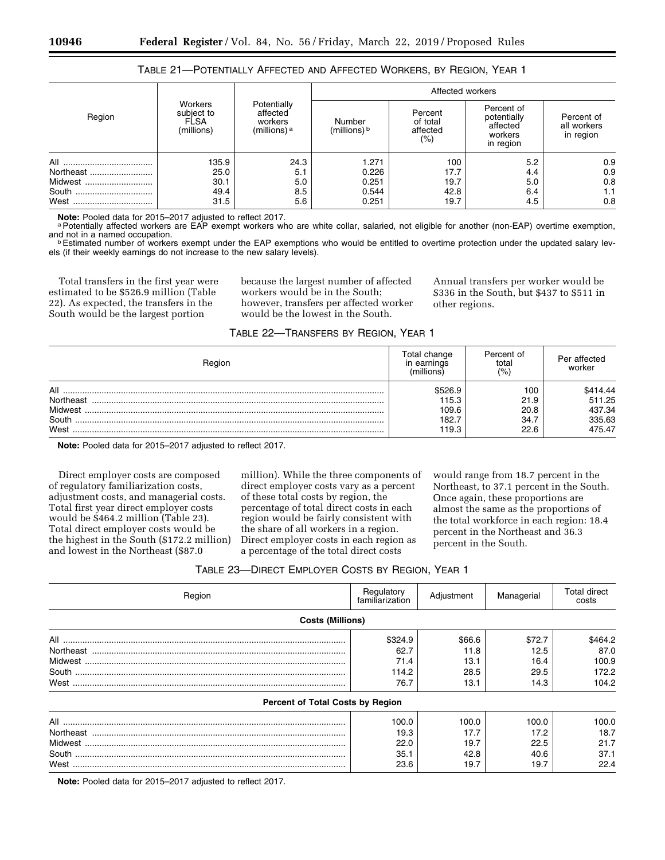| Table 21—Potentially Affected and Affected Workers, by Region, Year 1 |  |  |  |  |
|-----------------------------------------------------------------------|--|--|--|--|
|-----------------------------------------------------------------------|--|--|--|--|

|                                       |                                                    |                                                               | Affected workers                          |                                        |                                                               |                                        |  |
|---------------------------------------|----------------------------------------------------|---------------------------------------------------------------|-------------------------------------------|----------------------------------------|---------------------------------------------------------------|----------------------------------------|--|
| Region                                | Workers<br>subject to<br><b>FLSA</b><br>(millions) | Potentially<br>affected<br>workers<br>(millions) <sup>a</sup> | Number<br>(millions) b                    | Percent<br>of total<br>affected<br>(%) | Percent of<br>potentially<br>affected<br>workers<br>in region | Percent of<br>all workers<br>in region |  |
| Northeast<br>Midwest<br>South<br>West | 135.9<br>25.0<br>30.1<br>49.4<br>31.5              | 24.3<br>5.1<br>5.0<br>8.5<br>5.6                              | 1.271<br>0.226<br>0.251<br>0.544<br>0.251 | 100<br>17.7<br>19.7<br>42.8<br>19.7    | 5.2<br>4.4<br>5.0<br>6.4<br>4.5                               | 0.9<br>0.9<br>0.8<br>1.1<br>0.8        |  |

Note: Pooled data for 2015–2017 adjusted to reflect 2017.<br><sup>a</sup> Potentially affected workers are EAP exempt workers who are white collar, salaried, not eligible for another (non-EAP) overtime exemption, and not in a named oc

**b** Estimated number of workers exempt under the EAP exemptions who would be entitled to overtime protection under the updated salary levels (if their weekly earnings do not increase to the new salary levels).

Total transfers in the first year were estimated to be \$526.9 million (Table 22). As expected, the transfers in the South would be the largest portion

because the largest number of affected workers would be in the South; however, transfers per affected worker would be the lowest in the South.

Annual transfers per worker would be \$336 in the South, but \$437 to \$511 in other regions.

#### TABLE 22—TRANSFERS BY REGION, YEAR 1

| Region    | Total change<br>in earnings<br>(millions) | Percent of<br>total<br>(% ) | Per affected<br>worker |
|-----------|-------------------------------------------|-----------------------------|------------------------|
| All       | \$526.9                                   | 100                         | \$414.44               |
| Northeast | 115.3                                     | 21.9                        | 511.25                 |
| Midwest   | 109.6                                     | 20.8                        | 437.34                 |
| South     | 182.7                                     | 34.7                        | 335.63                 |
| West      | 119.3                                     | 22.6                        | 475.47                 |

**Note:** Pooled data for 2015–2017 adjusted to reflect 2017.

Direct employer costs are composed of regulatory familiarization costs, adjustment costs, and managerial costs. Total first year direct employer costs would be \$464.2 million (Table 23). Total direct employer costs would be the highest in the South (\$172.2 million) and lowest in the Northeast (\$87.0

million). While the three components of direct employer costs vary as a percent of these total costs by region, the percentage of total direct costs in each region would be fairly consistent with the share of all workers in a region. Direct employer costs in each region as a percentage of the total direct costs

would range from 18.7 percent in the Northeast, to 37.1 percent in the South. Once again, these proportions are almost the same as the proportions of the total workforce in each region: 18.4 percent in the Northeast and 36.3 percent in the South.

| TABLE 23-DIRECT EMPLOYER COSTS BY REGION, YEAR 1 |  |
|--------------------------------------------------|--|
|--------------------------------------------------|--|

| Region                           | Regulatory<br>familiarization | Adjustment | Managerial | Total direct<br>costs |
|----------------------------------|-------------------------------|------------|------------|-----------------------|
| <b>Costs (Millions)</b>          |                               |            |            |                       |
|                                  | \$324.9                       | \$66.6     | \$72.7     | \$464.2               |
|                                  | 62.7                          | 11.8       | 12.5       | 87.0                  |
|                                  | 71.4                          | 13.1       | 16.4       | 100.9                 |
|                                  | 114.2                         | 28.5       | 29.5       | 172.2                 |
|                                  | 76.7                          | 13.1       | 14.3       | 104.2                 |
| Percent of Total Costs by Region |                               |            |            |                       |
|                                  | 100.0                         | 100.0      | 100.0      | 100.0                 |
|                                  | 19.3                          | 17.7       | 17.2       | 18.7                  |
|                                  | 22.0                          | 19.7       | 22.5       | 21.7                  |
|                                  | 35.1                          | 42.8       | 40.6       | 37.1                  |
| West                             | 23.6                          | 19.7       | 19.7       | 22.4                  |

**Note:** Pooled data for 2015–2017 adjusted to reflect 2017.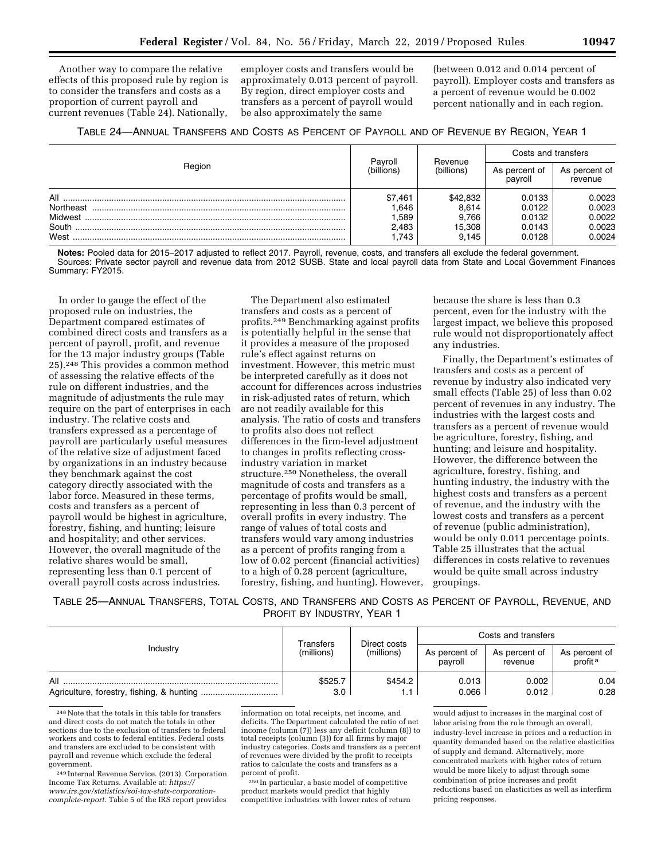Another way to compare the relative effects of this proposed rule by region is to consider the transfers and costs as a proportion of current payroll and current revenues (Table 24). Nationally,

employer costs and transfers would be approximately 0.013 percent of payroll. By region, direct employer costs and transfers as a percent of payroll would be also approximately the same

(between 0.012 and 0.014 percent of payroll). Employer costs and transfers as a percent of revenue would be 0.002 percent nationally and in each region.

|  | TABLE 24—ANNUAL TRANSFERS AND COSTS AS PERCENT OF PAYROLL AND OF REVENUE BY REGION, YEAR 1 |  |
|--|--------------------------------------------------------------------------------------------|--|
|--|--------------------------------------------------------------------------------------------|--|

| Region    | Pavroll<br>(billions) |                       | Costs and transfers      |                          |
|-----------|-----------------------|-----------------------|--------------------------|--------------------------|
|           |                       | Revenue<br>(billions) | As percent of<br>payroll | As percent of<br>revenue |
| All       | \$7,461               | \$42,832              | 0.0133                   | 0.0023                   |
| Northeast | .646                  | 8,614                 | 0.0122                   | 0.0023                   |
| Midwest   | .589                  | 9.766                 | 0.0132                   | 0.0022                   |
| South     | 2.483                 | 15.308                | 0.0143                   | 0.0023                   |
| West      | .743                  | 9.145                 | 0.0128                   | 0.0024                   |

**Notes:** Pooled data for 2015–2017 adjusted to reflect 2017. Payroll, revenue, costs, and transfers all exclude the federal government. Sources: Private sector payroll and revenue data from 2012 SUSB. State and local payroll data from State and Local Government Finances Summary: FY2015.

In order to gauge the effect of the proposed rule on industries, the Department compared estimates of combined direct costs and transfers as a percent of payroll, profit, and revenue for the 13 major industry groups (Table 25).248 This provides a common method of assessing the relative effects of the rule on different industries, and the magnitude of adjustments the rule may require on the part of enterprises in each industry. The relative costs and transfers expressed as a percentage of payroll are particularly useful measures of the relative size of adjustment faced by organizations in an industry because they benchmark against the cost category directly associated with the labor force. Measured in these terms, costs and transfers as a percent of payroll would be highest in agriculture, forestry, fishing, and hunting; leisure and hospitality; and other services. However, the overall magnitude of the relative shares would be small, representing less than 0.1 percent of overall payroll costs across industries.

The Department also estimated transfers and costs as a percent of profits.249 Benchmarking against profits is potentially helpful in the sense that it provides a measure of the proposed rule's effect against returns on investment. However, this metric must be interpreted carefully as it does not account for differences across industries in risk-adjusted rates of return, which are not readily available for this analysis. The ratio of costs and transfers to profits also does not reflect differences in the firm-level adjustment to changes in profits reflecting crossindustry variation in market structure.250 Nonetheless, the overall magnitude of costs and transfers as a percentage of profits would be small, representing in less than 0.3 percent of overall profits in every industry. The range of values of total costs and transfers would vary among industries as a percent of profits ranging from a low of 0.02 percent (financial activities) to a high of 0.28 percent (agriculture, forestry, fishing, and hunting). However, because the share is less than 0.3 percent, even for the industry with the largest impact, we believe this proposed rule would not disproportionately affect any industries.

Finally, the Department's estimates of transfers and costs as a percent of revenue by industry also indicated very small effects (Table 25) of less than 0.02 percent of revenues in any industry. The industries with the largest costs and transfers as a percent of revenue would be agriculture, forestry, fishing, and hunting; and leisure and hospitality. However, the difference between the agriculture, forestry, fishing, and hunting industry, the industry with the highest costs and transfers as a percent of revenue, and the industry with the lowest costs and transfers as a percent of revenue (public administration), would be only 0.011 percentage points. Table 25 illustrates that the actual differences in costs relative to revenues would be quite small across industry groupings.

TABLE 25—ANNUAL TRANSFERS, TOTAL COSTS, AND TRANSFERS AND COSTS AS PERCENT OF PAYROLL, REVENUE, AND PROFIT BY INDUSTRY, YEAR 1

| Industry | Direct costs<br>Transfers<br>(millions)<br>(millions) | Costs and transfers |                          |                          |                                      |
|----------|-------------------------------------------------------|---------------------|--------------------------|--------------------------|--------------------------------------|
|          |                                                       |                     | As percent of<br>payroll | As percent of<br>revenue | As percent of<br>profit <sup>a</sup> |
| All      | \$525.7<br>3.0                                        | \$454.2             | 0.013<br>0.066           | 0.002<br>0.012           | 0.04<br>0.28                         |

248Note that the totals in this table for transfers and direct costs do not match the totals in other sections due to the exclusion of transfers to federal workers and costs to federal entities. Federal costs and transfers are excluded to be consistent with payroll and revenue which exclude the federal government.

249 Internal Revenue Service. (2013). Corporation Income Tax Returns. Available at: *[https://](https://www.irs.gov/statistics/soi-tax-stats-corporation-complete-report) [www.irs.gov/statistics/soi-tax-stats-corporation](https://www.irs.gov/statistics/soi-tax-stats-corporation-complete-report)[complete-report.](https://www.irs.gov/statistics/soi-tax-stats-corporation-complete-report)* Table 5 of the IRS report provides

information on total receipts, net income, and deficits. The Department calculated the ratio of net income (column (7)) less any deficit (column (8)) to total receipts (column (3)) for all firms by major industry categories. Costs and transfers as a percent of revenues were divided by the profit to receipts ratios to calculate the costs and transfers as a percent of profit.

250 In particular, a basic model of competitive product markets would predict that highly competitive industries with lower rates of return

would adjust to increases in the marginal cost of labor arising from the rule through an overall, industry-level increase in prices and a reduction in quantity demanded based on the relative elasticities of supply and demand. Alternatively, more concentrated markets with higher rates of return would be more likely to adjust through some combination of price increases and profit reductions based on elasticities as well as interfirm pricing responses.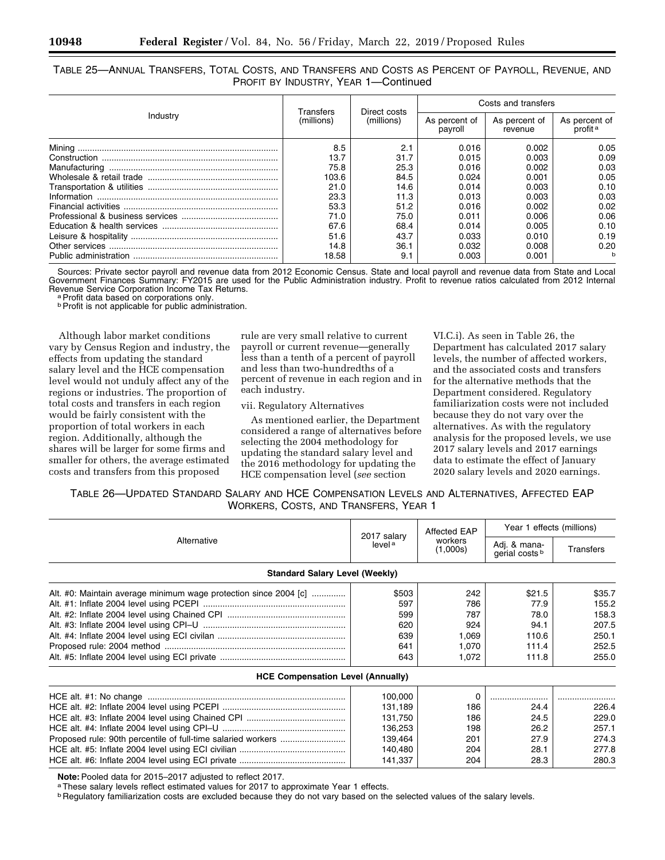TABLE 25—ANNUAL TRANSFERS, TOTAL COSTS, AND TRANSFERS AND COSTS AS PERCENT OF PAYROLL, REVENUE, AND PROFIT BY INDUSTRY, YEAR 1—Continued

|          |                         |                            | Costs and transfers      |                          |                                      |  |
|----------|-------------------------|----------------------------|--------------------------|--------------------------|--------------------------------------|--|
| Industry | Transfers<br>(millions) | Direct costs<br>(millions) | As percent of<br>payroll | As percent of<br>revenue | As percent of<br>profit <sup>a</sup> |  |
|          | 8.5                     | 2.1                        | 0.016                    | 0.002                    | 0.05                                 |  |
|          | 13.7                    | 31.7                       | 0.015                    | 0.003                    | 0.09                                 |  |
|          | 75.8                    | 25.3                       | 0.016                    | 0.002                    | 0.03                                 |  |
|          | 103.6                   | 84.5                       | 0.024                    | 0.001                    | 0.05                                 |  |
|          | 21.0                    | 14.6                       | 0.014                    | 0.003                    | 0.10                                 |  |
|          | 23.3                    | 11.3                       | 0.013                    | 0.003                    | 0.03                                 |  |
|          | 53.3                    | 51.2                       | 0.016                    | 0.002                    | 0.02                                 |  |
|          | 71.0                    | 75.0                       | 0.011                    | 0.006                    | 0.06                                 |  |
|          | 67.6                    | 68.4                       | 0.014                    | 0.005                    | 0.10                                 |  |
|          | 51.6                    | 43.7                       | 0.033                    | 0.010                    | 0.19                                 |  |
|          | 14.8                    | 36.1                       | 0.032                    | 0.008                    | 0.20                                 |  |
|          | 18.58                   | 9.1                        | 0.003                    | 0.001                    | h                                    |  |

Sources: Private sector payroll and revenue data from 2012 Economic Census. State and local payroll and revenue data from State and Local Government Finances Summary: FY2015 are used for the Public Administration industry. Profit to revenue ratios calculated from 2012 Internal Revenue Service Corporation Income Tax Returns.<br><sup>a</sup> Profit data based on corporations only.

**b** Profit is not applicable for public administration.

Although labor market conditions vary by Census Region and industry, the effects from updating the standard salary level and the HCE compensation level would not unduly affect any of the regions or industries. The proportion of total costs and transfers in each region would be fairly consistent with the proportion of total workers in each region. Additionally, although the shares will be larger for some firms and smaller for others, the average estimated costs and transfers from this proposed

rule are very small relative to current payroll or current revenue—generally less than a tenth of a percent of payroll and less than two-hundredths of a percent of revenue in each region and in each industry.

### vii. Regulatory Alternatives

As mentioned earlier, the Department considered a range of alternatives before selecting the 2004 methodology for updating the standard salary level and the 2016 methodology for updating the HCE compensation level (*see* section

VI.C.i). As seen in Table 26, the Department has calculated 2017 salary levels, the number of affected workers, and the associated costs and transfers for the alternative methods that the Department considered. Regulatory familiarization costs were not included because they do not vary over the alternatives. As with the regulatory analysis for the proposed levels, we use 2017 salary levels and 2017 earnings data to estimate the effect of January 2020 salary levels and 2020 earnings.

| TABLE 26—UPDATED STANDARD SALARY AND HCE COMPENSATION LEVELS AND ALTERNATIVES, AFFECTED EAP |  |
|---------------------------------------------------------------------------------------------|--|
| WORKERS, COSTS, AND TRANSFERS, YEAR 1                                                       |  |

|                                                                  |                                   | Affected EAP        | Year 1 effects (millions)                 |                  |
|------------------------------------------------------------------|-----------------------------------|---------------------|-------------------------------------------|------------------|
| Alternative                                                      | 2017 salary<br>level <sup>a</sup> | workers<br>(1,000s) | Adj. & mana-<br>gerial costs <sup>b</sup> | <b>Transfers</b> |
| <b>Standard Salary Level (Weekly)</b>                            |                                   |                     |                                           |                  |
| Alt. #0: Maintain average minimum wage protection since 2004 [c] | \$503                             | 242                 | \$21.5                                    | \$35.7           |
|                                                                  | 597                               | 786                 | 77.9                                      | 155.2            |
|                                                                  | 599                               | 787                 | 78.0                                      | 158.3            |
|                                                                  | 620                               | 924                 | 94.1                                      | 207.5            |
|                                                                  | 639                               | 1,069               | 110.6                                     | 250.1            |
|                                                                  | 641                               | 1,070               | 111.4                                     | 252.5            |
|                                                                  | 643                               | 1,072               | 111.8                                     | 255.0            |
| <b>HCE Compensation Level (Annually)</b>                         |                                   |                     |                                           |                  |
|                                                                  | 100,000                           | $\Omega$            |                                           |                  |
|                                                                  | 131,189                           | 186                 | 24.4                                      | 226.4            |
|                                                                  | 131,750                           | 186                 | 24.5                                      | 229.0            |
|                                                                  | 136,253                           | 198                 | 26.2                                      | 257.1            |
|                                                                  | 139,464                           | 201                 | 27.9                                      | 274.3            |
|                                                                  | 140,480                           | 204                 | 28.1                                      | 277.8            |
|                                                                  | 141,337                           | 204                 | 28.3                                      | 280.3            |

Note: Pooled data for 2015–2017 adjusted to reflect 2017.<br><sup>a</sup>These salary levels reflect estimated values for 2017 to approximate Year 1 effects.

**b** Regulatory familiarization costs are excluded because they do not vary based on the selected values of the salary levels.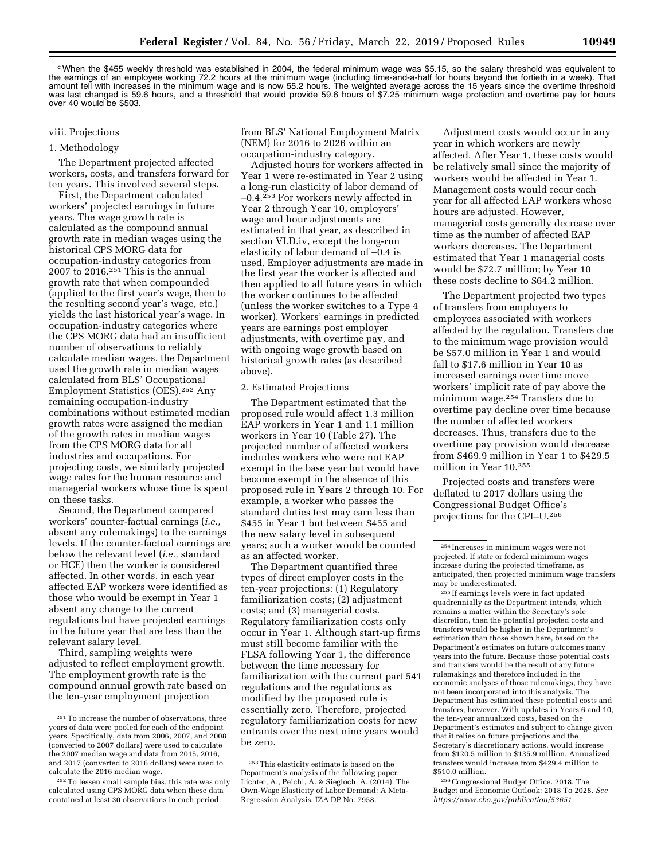cWhen the \$455 weekly threshold was established in 2004, the federal minimum wage was \$5.15, so the salary threshold was equivalent to the earnings of an employee working 72.2 hours at the minimum wage (including time-and-a-half for hours beyond the fortieth in a week). That amount fell with increases in the minimum wage and is now 55.2 hours. The weighted average across the 15 years since the overtime threshold was last changed is 59.6 hours, and a threshold that would provide 59.6 hours of \$7.25 minimum wage protection and overtime pay for hours over 40 would be \$503.

### viii. Projections

### 1. Methodology

The Department projected affected workers, costs, and transfers forward for ten years. This involved several steps.

First, the Department calculated workers' projected earnings in future years. The wage growth rate is calculated as the compound annual growth rate in median wages using the historical CPS MORG data for occupation-industry categories from 2007 to 2016.251 This is the annual growth rate that when compounded (applied to the first year's wage, then to the resulting second year's wage, etc.) yields the last historical year's wage. In occupation-industry categories where the CPS MORG data had an insufficient number of observations to reliably calculate median wages, the Department used the growth rate in median wages calculated from BLS' Occupational Employment Statistics (OES).252 Any remaining occupation-industry combinations without estimated median growth rates were assigned the median of the growth rates in median wages from the CPS MORG data for all industries and occupations. For projecting costs, we similarly projected wage rates for the human resource and managerial workers whose time is spent on these tasks.

Second, the Department compared workers' counter-factual earnings (*i.e.,*  absent any rulemakings) to the earnings levels. If the counter-factual earnings are below the relevant level (*i.e.,* standard or HCE) then the worker is considered affected. In other words, in each year affected EAP workers were identified as those who would be exempt in Year 1 absent any change to the current regulations but have projected earnings in the future year that are less than the relevant salary level.

Third, sampling weights were adjusted to reflect employment growth. The employment growth rate is the compound annual growth rate based on the ten-year employment projection

from BLS' National Employment Matrix (NEM) for 2016 to 2026 within an occupation-industry category.

Adjusted hours for workers affected in Year 1 were re-estimated in Year 2 using a long-run elasticity of labor demand of –0.4.253 For workers newly affected in Year 2 through Year 10, employers' wage and hour adjustments are estimated in that year, as described in section VI.D.iv, except the long-run elasticity of labor demand of –0.4 is used. Employer adjustments are made in the first year the worker is affected and then applied to all future years in which the worker continues to be affected (unless the worker switches to a Type 4 worker). Workers' earnings in predicted years are earnings post employer adjustments, with overtime pay, and with ongoing wage growth based on historical growth rates (as described above).

### 2. Estimated Projections

The Department estimated that the proposed rule would affect 1.3 million EAP workers in Year 1 and 1.1 million workers in Year 10 (Table 27). The projected number of affected workers includes workers who were not EAP exempt in the base year but would have become exempt in the absence of this proposed rule in Years 2 through 10. For example, a worker who passes the standard duties test may earn less than \$455 in Year 1 but between \$455 and the new salary level in subsequent years; such a worker would be counted as an affected worker.

The Department quantified three types of direct employer costs in the ten-year projections: (1) Regulatory familiarization costs; (2) adjustment costs; and (3) managerial costs. Regulatory familiarization costs only occur in Year 1. Although start-up firms must still become familiar with the FLSA following Year 1, the difference between the time necessary for familiarization with the current part 541 regulations and the regulations as modified by the proposed rule is essentially zero. Therefore, projected regulatory familiarization costs for new entrants over the next nine years would be zero.

Adjustment costs would occur in any year in which workers are newly affected. After Year 1, these costs would be relatively small since the majority of workers would be affected in Year 1. Management costs would recur each year for all affected EAP workers whose hours are adjusted. However, managerial costs generally decrease over time as the number of affected EAP workers decreases. The Department estimated that Year 1 managerial costs would be \$72.7 million; by Year 10 these costs decline to \$64.2 million.

The Department projected two types of transfers from employers to employees associated with workers affected by the regulation. Transfers due to the minimum wage provision would be \$57.0 million in Year 1 and would fall to \$17.6 million in Year 10 as increased earnings over time move workers' implicit rate of pay above the minimum wage.254 Transfers due to overtime pay decline over time because the number of affected workers decreases. Thus, transfers due to the overtime pay provision would decrease from \$469.9 million in Year 1 to \$429.5 million in Year 10.255

Projected costs and transfers were deflated to 2017 dollars using the Congressional Budget Office's projections for the CPI–U.256

255 If earnings levels were in fact updated quadrennially as the Department intends, which remains a matter within the Secretary's sole discretion, then the potential projected costs and transfers would be higher in the Department's estimation than those shown here, based on the Department's estimates on future outcomes many years into the future. Because those potential costs and transfers would be the result of any future rulemakings and therefore included in the economic analyses of those rulemakings, they have not been incorporated into this analysis. The Department has estimated these potential costs and transfers, however. With updates in Years 6 and 10, the ten-year annualized costs, based on the Department's estimates and subject to change given that it relies on future projections and the Secretary's discretionary actions, would increase from \$120.5 million to \$135.9 million. Annualized transfers would increase from \$429.4 million to \$510.0 million.

256Congressional Budget Office. 2018. The Budget and Economic Outlook: 2018 To 2028. *See [https://www.cbo.gov/publication/53651.](https://www.cbo.gov/publication/53651)* 

<sup>251</sup>To increase the number of observations, three years of data were pooled for each of the endpoint years. Specifically, data from 2006, 2007, and 2008 (converted to 2007 dollars) were used to calculate the 2007 median wage and data from 2015, 2016, and 2017 (converted to 2016 dollars) were used to calculate the 2016 median wage.

<sup>252</sup>To lessen small sample bias, this rate was only calculated using CPS MORG data when these data contained at least 30 observations in each period.

<sup>253</sup>This elasticity estimate is based on the Department's analysis of the following paper: Lichter, A., Peichl, A. & Siegloch, A. (2014). The Own-Wage Elasticity of Labor Demand: A Meta-Regression Analysis. IZA DP No. 7958.

<sup>254</sup> Increases in minimum wages were not projected. If state or federal minimum wages increase during the projected timeframe, as anticipated, then projected minimum wage transfers may be underestimated.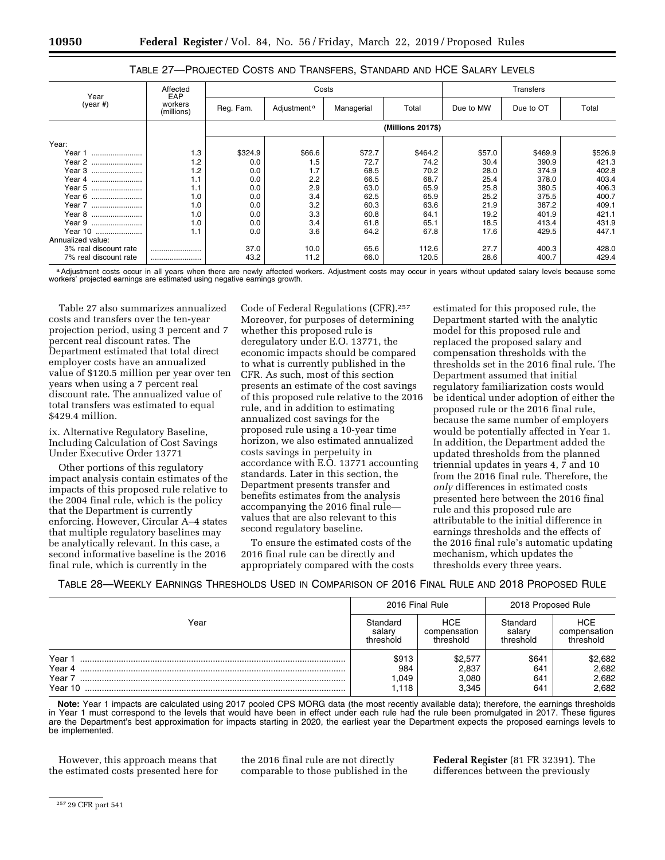### TABLE 27—PROJECTED COSTS AND TRANSFERS, STANDARD AND HCE SALARY LEVELS

| Year                  | Affected<br>EAP       |                   | Costs                   |            |         |           | Transfers |         |  |
|-----------------------|-----------------------|-------------------|-------------------------|------------|---------|-----------|-----------|---------|--|
| $(year \#)$           | workers<br>(millions) | Reg. Fam.         | Adjustment <sup>a</sup> | Managerial | Total   | Due to MW | Due to OT | Total   |  |
|                       |                       | (Millions 2017\$) |                         |            |         |           |           |         |  |
| Year:                 |                       |                   |                         |            |         |           |           |         |  |
| Year 1                | 1.3                   | \$324.9           | \$66.6                  | \$72.7     | \$464.2 | \$57.0    | \$469.9   | \$526.9 |  |
| Year 2                | 1.2                   | 0.0               | 1.5                     | 72.7       | 74.2    | 30.4      | 390.9     | 421.3   |  |
| Year 3                | 1.2                   | 0.0               | 1.7                     | 68.5       | 70.2    | 28.0      | 374.9     | 402.8   |  |
| Year 4                | 1.1                   | 0.0               | 2.2                     | 66.5       | 68.7    | 25.4      | 378.0     | 403.4   |  |
| Year 5                | 1.1                   | 0.0               | 2.9                     | 63.0       | 65.9    | 25.8      | 380.5     | 406.3   |  |
| Year 6                | 1.0                   | 0.0               | 3.4                     | 62.5       | 65.9    | 25.2      | 375.5     | 400.7   |  |
| Year 7                | 1.0                   | 0.0               | 3.2                     | 60.3       | 63.6    | 21.9      | 387.2     | 409.1   |  |
| Year 8                | 1.0                   | 0.0               | 3.3                     | 60.8       | 64.1    | 19.2      | 401.9     | 421.1   |  |
| Year 9                | 1.0                   | 0.0               | 3.4                     | 61.8       | 65.1    | 18.5      | 413.4     | 431.9   |  |
| Year 10               | 1.1                   | 0.0               | 3.6                     | 64.2       | 67.8    | 17.6      | 429.5     | 447.1   |  |
| Annualized value:     |                       |                   |                         |            |         |           |           |         |  |
| 3% real discount rate |                       | 37.0              | 10.0                    | 65.6       | 112.6   | 27.7      | 400.3     | 428.0   |  |
| 7% real discount rate |                       | 43.2              | 11.2                    | 66.0       | 120.5   | 28.6      | 400.7     | 429.4   |  |

a Adjustment costs occur in all years when there are newly affected workers. Adjustment costs may occur in years without updated salary levels because some workers' projected earnings are estimated using negative earnings growth.

Table 27 also summarizes annualized costs and transfers over the ten-year projection period, using 3 percent and 7 percent real discount rates. The Department estimated that total direct employer costs have an annualized value of \$120.5 million per year over ten years when using a 7 percent real discount rate. The annualized value of total transfers was estimated to equal \$429.4 million.

ix. Alternative Regulatory Baseline, Including Calculation of Cost Savings Under Executive Order 13771

Other portions of this regulatory impact analysis contain estimates of the impacts of this proposed rule relative to the 2004 final rule, which is the policy that the Department is currently enforcing. However, Circular A–4 states that multiple regulatory baselines may be analytically relevant. In this case, a second informative baseline is the 2016 final rule, which is currently in the

Code of Federal Regulations (CFR).257 Moreover, for purposes of determining whether this proposed rule is deregulatory under E.O. 13771, the economic impacts should be compared to what is currently published in the CFR. As such, most of this section presents an estimate of the cost savings of this proposed rule relative to the 2016 rule, and in addition to estimating annualized cost savings for the proposed rule using a 10-year time horizon, we also estimated annualized costs savings in perpetuity in accordance with E.O. 13771 accounting standards. Later in this section, the Department presents transfer and benefits estimates from the analysis accompanying the 2016 final rule values that are also relevant to this second regulatory baseline.

To ensure the estimated costs of the 2016 final rule can be directly and appropriately compared with the costs

estimated for this proposed rule, the Department started with the analytic model for this proposed rule and replaced the proposed salary and compensation thresholds with the thresholds set in the 2016 final rule. The Department assumed that initial regulatory familiarization costs would be identical under adoption of either the proposed rule or the 2016 final rule, because the same number of employers would be potentially affected in Year 1. In addition, the Department added the updated thresholds from the planned triennial updates in years 4, 7 and 10 from the 2016 final rule. Therefore, the *only* differences in estimated costs presented here between the 2016 final rule and this proposed rule are attributable to the initial difference in earnings thresholds and the effects of the 2016 final rule's automatic updating mechanism, which updates the thresholds every three years.

TABLE 28—WEEKLY EARNINGS THRESHOLDS USED IN COMPARISON OF 2016 FINAL RULE AND 2018 PROPOSED RULE

|                                       | 2016 Final Rule                 |                                         | 2018 Proposed Rule              |                                         |
|---------------------------------------|---------------------------------|-----------------------------------------|---------------------------------|-----------------------------------------|
| Year                                  | Standard<br>salarv<br>threshold | <b>HCE</b><br>compensation<br>threshold | Standard<br>salary<br>threshold | <b>HCE</b><br>compensation<br>threshold |
| Year 1<br>Year 4<br>Year 7<br>Year 10 | \$913<br>984<br>1.049<br>118.،  | \$2,577<br>2,837<br>3,080<br>3.345      | \$641<br>641<br>641<br>641      | \$2,682<br>2,682<br>2,682<br>2,682      |

**Note:** Year 1 impacts are calculated using 2017 pooled CPS MORG data (the most recently available data); therefore, the earnings thresholds in Year 1 must correspond to the levels that would have been in effect under each rule had the rule been promulgated in 2017. These figures are the Department's best approximation for impacts starting in 2020, the earliest year the Department expects the proposed earnings levels to be implemented.

However, this approach means that the estimated costs presented here for the 2016 final rule are not directly comparable to those published in the **Federal Register** (81 FR 32391). The differences between the previously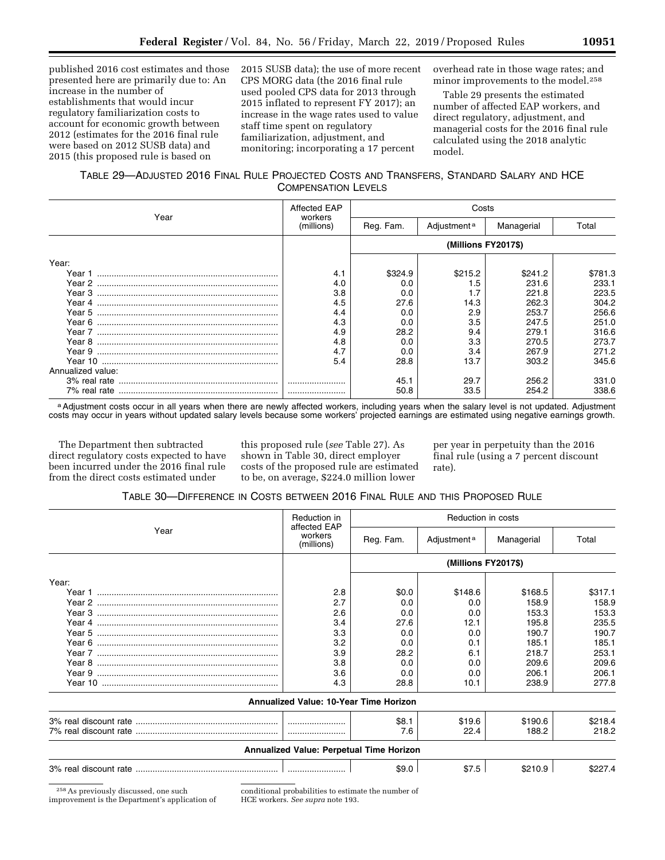published 2016 cost estimates and those presented here are primarily due to: An increase in the number of establishments that would incur regulatory familiarization costs to account for economic growth between 2012 (estimates for the 2016 final rule were based on 2012 SUSB data) and 2015 (this proposed rule is based on

2015 SUSB data); the use of more recent CPS MORG data (the 2016 final rule used pooled CPS data for 2013 through 2015 inflated to represent FY 2017); an increase in the wage rates used to value staff time spent on regulatory familiarization, adjustment, and monitoring; incorporating a 17 percent

overhead rate in those wage rates; and minor improvements to the model.258

Table 29 presents the estimated number of affected EAP workers, and direct regulatory, adjustment, and managerial costs for the 2016 final rule calculated using the 2018 analytic model.

### TABLE 29—ADJUSTED 2016 FINAL RULE PROJECTED COSTS AND TRANSFERS, STANDARD SALARY AND HCE COMPENSATION LEVELS

|                   | Affected EAP          | Costs     |                         |            |         |  |
|-------------------|-----------------------|-----------|-------------------------|------------|---------|--|
| Year              | workers<br>(millions) | Reg. Fam. | Adjustment <sup>a</sup> | Managerial | Total   |  |
|                   |                       |           | (Millions FY2017\$)     |            |         |  |
| Year:             |                       |           |                         |            |         |  |
|                   | 4.1                   | \$324.9   | \$215.2                 | \$241.2    | \$781.3 |  |
|                   | 4.0                   | 0.0       | 1.5                     | 231.6      | 233.1   |  |
|                   | 3.8                   | 0.0       | 1.7                     | 221.8      | 223.5   |  |
|                   | 4.5                   | 27.6      | 14.3                    | 262.3      | 304.2   |  |
|                   | 4.4                   | 0.0       | 2.9                     | 253.7      | 256.6   |  |
|                   | 4.3                   | 0.0       | 3.5                     | 247.5      | 251.0   |  |
|                   | 4.9                   | 28.2      | 9.4                     | 279.1      | 316.6   |  |
|                   | 4.8                   | 0.0       | 3.3                     | 270.5      | 273.7   |  |
|                   | 4.7                   | 0.0       | 3.4                     | 267.9      | 271.2   |  |
|                   | 5.4                   | 28.8      | 13.7                    | 303.2      | 345.6   |  |
| Annualized value: |                       |           |                         |            |         |  |
|                   |                       | 45.1      | 29.7                    | 256.2      | 331.0   |  |
|                   |                       | 50.8      | 33.5                    | 254.2      | 338.6   |  |

a Adjustment costs occur in all years when there are newly affected workers, including years when the salary level is not updated. Adjustment costs may occur in years without updated salary levels because some workers' projected earnings are estimated using negative earnings growth.

The Department then subtracted direct regulatory costs expected to have been incurred under the 2016 final rule from the direct costs estimated under

this proposed rule (*see* Table 27). As shown in Table 30, direct employer costs of the proposed rule are estimated to be, on average, \$224.0 million lower

per year in perpetuity than the 2016 final rule (using a 7 percent discount rate).

### TABLE 30—DIFFERENCE IN COSTS BETWEEN 2016 FINAL RULE AND THIS PROPOSED RULE

|       | Reduction in<br>affected EAP                  | Reduction in costs |                         |            |         |
|-------|-----------------------------------------------|--------------------|-------------------------|------------|---------|
| Year  | workers<br>(millions)                         | Reg. Fam.          | Adjustment <sup>a</sup> | Managerial | Total   |
|       |                                               |                    | (Millions FY2017\$)     |            |         |
| Year: |                                               |                    |                         |            |         |
|       | 2.8                                           | \$0.0              | \$148.6                 | \$168.5    | \$317.1 |
|       | 2.7                                           | 0.0                | 0.0                     | 158.9      | 158.9   |
|       | 2.6                                           | 0.0                | 0.0                     | 153.3      | 153.3   |
|       | 3.4                                           | 27.6               | 12.1                    | 195.8      | 235.5   |
|       | 3.3                                           | 0.0                | 0.0                     | 190.7      | 190.7   |
|       | 3.2                                           | 0.0                | 0.1                     | 185.1      | 185.1   |
|       | 3.9                                           | 28.2               | 6.1                     | 218.7      | 253.1   |
|       | 3.8                                           | 0.0                | 0.0                     | 209.6      | 209.6   |
|       | 3.6                                           | 0.0                | 0.0                     | 206.1      | 206.1   |
|       | 4.3                                           | 28.8               | 10.1                    | 238.9      | 277.8   |
|       | <b>Annualized Value: 10-Year Time Horizon</b> |                    |                         |            |         |
|       |                                               | \$8.1              | \$19.6                  | \$190.6    | \$218.4 |
|       |                                               | 7.6                | 22.4                    | 188.2      | 218.2   |
|       | Annualized Value: Perpetual Time Horizon      |                    |                         |            |         |
|       |                                               | \$9.0              | \$7.5                   | \$210.9    | \$227.4 |

258As previously discussed, one such improvement is the Department's application of conditional probabilities to estimate the number of HCE workers. *See supra* note 193.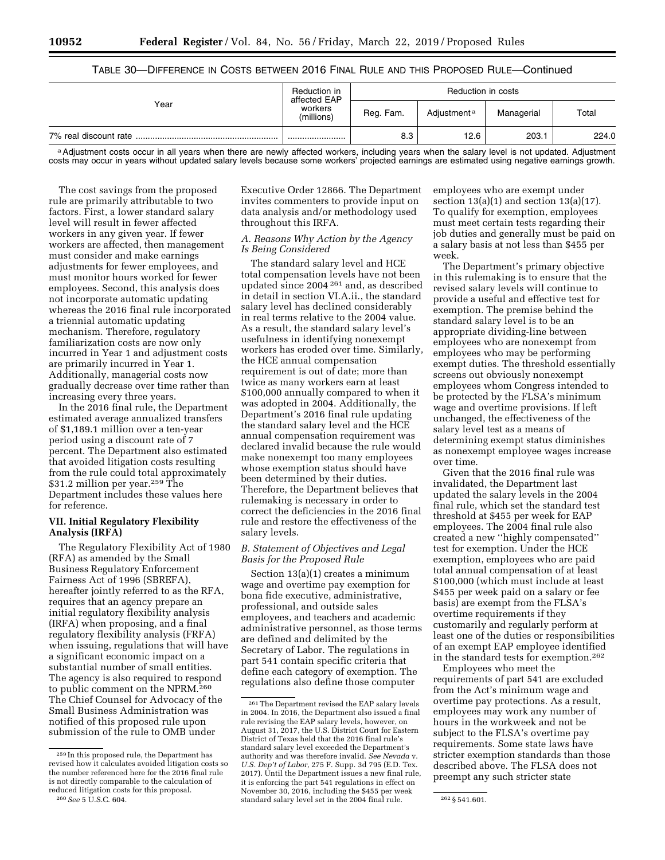### TABLE 30—DIFFERENCE IN COSTS BETWEEN 2016 FINAL RULE AND THIS PROPOSED RULE—Continued

|                       | Reduction in<br>affected EAP | Reduction in costs |                         |            |       |  |
|-----------------------|------------------------------|--------------------|-------------------------|------------|-------|--|
| Year                  | workers<br>(millions)        | Reg. Fam.          | Adjustment <sup>a</sup> | Managerial | Total |  |
| 7% real discount rate |                              | 8.3                | 12.6                    | 203.1      | 224.0 |  |

a Adjustment costs occur in all years when there are newly affected workers, including years when the salary level is not updated. Adjustment costs may occur in years without updated salary levels because some workers' projected earnings are estimated using negative earnings growth.

The cost savings from the proposed rule are primarily attributable to two factors. First, a lower standard salary level will result in fewer affected workers in any given year. If fewer workers are affected, then management must consider and make earnings adjustments for fewer employees, and must monitor hours worked for fewer employees. Second, this analysis does not incorporate automatic updating whereas the 2016 final rule incorporated a triennial automatic updating mechanism. Therefore, regulatory familiarization costs are now only incurred in Year 1 and adjustment costs are primarily incurred in Year 1. Additionally, managerial costs now gradually decrease over time rather than increasing every three years.

In the 2016 final rule, the Department estimated average annualized transfers of \$1,189.1 million over a ten-year period using a discount rate of 7 percent. The Department also estimated that avoided litigation costs resulting from the rule could total approximately \$31.2 million per year.259 The Department includes these values here for reference.

#### **VII. Initial Regulatory Flexibility Analysis (IRFA)**

The Regulatory Flexibility Act of 1980 (RFA) as amended by the Small Business Regulatory Enforcement Fairness Act of 1996 (SBREFA), hereafter jointly referred to as the RFA, requires that an agency prepare an initial regulatory flexibility analysis (IRFA) when proposing, and a final regulatory flexibility analysis (FRFA) when issuing, regulations that will have a significant economic impact on a substantial number of small entities. The agency is also required to respond to public comment on the NPRM.260 The Chief Counsel for Advocacy of the Small Business Administration was notified of this proposed rule upon submission of the rule to OMB under

Executive Order 12866. The Department invites commenters to provide input on data analysis and/or methodology used throughout this IRFA.

### *A. Reasons Why Action by the Agency Is Being Considered*

The standard salary level and HCE total compensation levels have not been updated since 2004 261 and, as described in detail in section VI.A.ii., the standard salary level has declined considerably in real terms relative to the 2004 value. As a result, the standard salary level's usefulness in identifying nonexempt workers has eroded over time. Similarly, the HCE annual compensation requirement is out of date; more than twice as many workers earn at least \$100,000 annually compared to when it was adopted in 2004. Additionally, the Department's 2016 final rule updating the standard salary level and the HCE annual compensation requirement was declared invalid because the rule would make nonexempt too many employees whose exemption status should have been determined by their duties. Therefore, the Department believes that rulemaking is necessary in order to correct the deficiencies in the 2016 final rule and restore the effectiveness of the salary levels.

### *B. Statement of Objectives and Legal Basis for the Proposed Rule*

Section 13(a)(1) creates a minimum wage and overtime pay exemption for bona fide executive, administrative, professional, and outside sales employees, and teachers and academic administrative personnel, as those terms are defined and delimited by the Secretary of Labor. The regulations in part 541 contain specific criteria that define each category of exemption. The regulations also define those computer

employees who are exempt under section  $13(a)(1)$  and section  $13(a)(17)$ . To qualify for exemption, employees must meet certain tests regarding their job duties and generally must be paid on a salary basis at not less than \$455 per week.

The Department's primary objective in this rulemaking is to ensure that the revised salary levels will continue to provide a useful and effective test for exemption. The premise behind the standard salary level is to be an appropriate dividing-line between employees who are nonexempt from employees who may be performing exempt duties. The threshold essentially screens out obviously nonexempt employees whom Congress intended to be protected by the FLSA's minimum wage and overtime provisions. If left unchanged, the effectiveness of the salary level test as a means of determining exempt status diminishes as nonexempt employee wages increase over time.

Given that the 2016 final rule was invalidated, the Department last updated the salary levels in the 2004 final rule, which set the standard test threshold at \$455 per week for EAP employees. The 2004 final rule also created a new ''highly compensated'' test for exemption. Under the HCE exemption, employees who are paid total annual compensation of at least \$100,000 (which must include at least \$455 per week paid on a salary or fee basis) are exempt from the FLSA's overtime requirements if they customarily and regularly perform at least one of the duties or responsibilities of an exempt EAP employee identified in the standard tests for exemption.262

Employees who meet the requirements of part 541 are excluded from the Act's minimum wage and overtime pay protections. As a result, employees may work any number of hours in the workweek and not be subject to the FLSA's overtime pay requirements. Some state laws have stricter exemption standards than those described above. The FLSA does not preempt any such stricter state

<sup>259</sup> In this proposed rule, the Department has revised how it calculates avoided litigation costs so the number referenced here for the 2016 final rule is not directly comparable to the calculation of reduced litigation costs for this proposal. 260*See* 5 U.S.C. 604.

<sup>261</sup>The Department revised the EAP salary levels in 2004. In 2016, the Department also issued a final rule revising the EAP salary levels, however, on August 31, 2017, the U.S. District Court for Eastern District of Texas held that the 2016 final rule's standard salary level exceeded the Department's authority and was therefore invalid. *See Nevada* v. *U.S. Dep't of Labor,* 275 F. Supp. 3d 795 (E.D. Tex. 2017). Until the Department issues a new final rule, it is enforcing the part 541 regulations in effect on November 30, 2016, including the \$455 per week standard salary level set in the 2004 final rule. 262 § 541.601.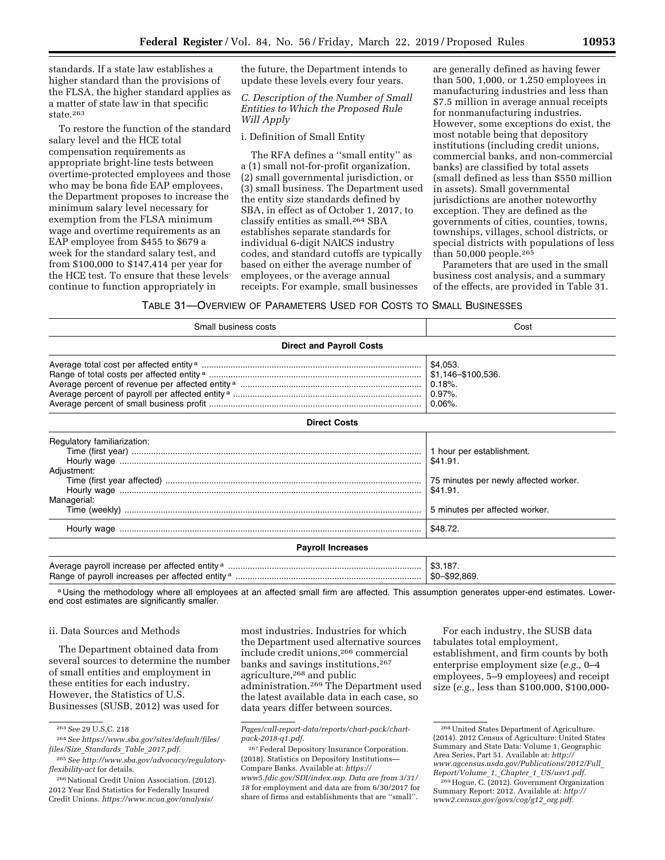standards. If a state law establishes a higher standard than the provisions of the FLSA, the higher standard applies as a matter of state law in that specific state.263

To restore the function of the standard salary level and the HCE total compensation requirements as appropriate bright-line tests between overtime-protected employees and those who may be bona fide EAP employees, the Department proposes to increase the minimum salary level necessary for exemption from the FLSA minimum wage and overtime requirements as an EAP employee from \$455 to \$679 a week for the standard salary test, and from \$100,000 to \$147,414 per year for the HCE test. To ensure that these levels continue to function appropriately in

the future, the Department intends to update these levels every four years.

*C. Description of the Number of Small Entities to Which the Proposed Rule Will Apply* 

i. Definition of Small Entity

The RFA defines a ''small entity'' as a (1) small not-for-profit organization, (2) small governmental jurisdiction, or (3) small business. The Department used the entity size standards defined by SBA, in effect as of October 1, 2017, to classify entities as small.264 SBA establishes separate standards for individual 6-digit NAICS industry codes, and standard cutoffs are typically based on either the average number of employees, or the average annual receipts. For example, small businesses

are generally defined as having fewer than 500, 1,000, or 1,250 employees in manufacturing industries and less than \$7.5 million in average annual receipts for nonmanufacturing industries. However, some exceptions do exist, the most notable being that depository institutions (including credit unions, commercial banks, and non-commercial banks) are classified by total assets (small defined as less than \$550 million in assets). Small governmental jurisdictions are another noteworthy exception. They are defined as the governments of cities, counties, towns, townships, villages, school districts, or special districts with populations of less than 50,000 people.265

Parameters that are used in the small business cost analysis, and a summary of the effects, are provided in Table 31.

TABLE 31—OVERVIEW OF PARAMETERS USED FOR COSTS TO SMALL BUSINESSES

| Small business costs                                      | Cost                                                                                                                         |  |  |  |  |  |  |
|-----------------------------------------------------------|------------------------------------------------------------------------------------------------------------------------------|--|--|--|--|--|--|
| <b>Direct and Payroll Costs</b>                           |                                                                                                                              |  |  |  |  |  |  |
|                                                           | \$4,053.<br>0.18%<br>$0.97\%$ .<br>$0.06\%$ .                                                                                |  |  |  |  |  |  |
| <b>Direct Costs</b>                                       |                                                                                                                              |  |  |  |  |  |  |
| Regulatory familiarization:<br>Adjustment:<br>Managerial: | 1 hour per establishment.<br>\$41.91.<br>75 minutes per newly affected worker.<br>\$41.91.<br>5 minutes per affected worker. |  |  |  |  |  |  |
|                                                           | \$48.72.                                                                                                                     |  |  |  |  |  |  |
| <b>Payroll Increases</b>                                  |                                                                                                                              |  |  |  |  |  |  |
|                                                           |                                                                                                                              |  |  |  |  |  |  |

a Using the methodology where all employees at an affected small firm are affected. This assumption generates upper-end estimates. Lowerend cost estimates are significantly smaller.

#### ii. Data Sources and Methods

The Department obtained data from several sources to determine the number of small entities and employment in these entities for each industry. However, the Statistics of U.S. Businesses (SUSB, 2012) was used for

most industries. Industries for which the Department used alternative sources include credit unions,266 commercial banks and savings institutions,267 agriculture,268 and public administration.269 The Department used the latest available data in each case, so data years differ between sources.

For each industry, the SUSB data tabulates total employment, establishment, and firm counts by both enterprise employment size (*e.g.,* 0–4 employees, 5–9 employees) and receipt size (*e.g.,* less than \$100,000, \$100,000-

<sup>263</sup>*See* 29 U.S.C. 218

<sup>264</sup>*See [https://www.sba.gov/sites/default/files/](https://www.sba.gov/sites/default/files/files/Size_Standards_Table_2017.pdf) files/Size*\_*[Standards](https://www.sba.gov/sites/default/files/files/Size_Standards_Table_2017.pdf)*\_*Table*\_*2017.pdf.* 

<sup>265</sup>*See [http://www.sba.gov/advocacy/regulatory](http://www.sba.gov/advocacy/regulatory-flexibility-act)[flexibility-act](http://www.sba.gov/advocacy/regulatory-flexibility-act)* for details.

<sup>266</sup>National Credit Union Association. (2012). 2012 Year End Statistics for Federally Insured Credit Unions. *[https://www.ncua.gov/analysis/](https://www.ncua.gov/analysis/Pages/call-report-data/reports/chart-pack/chart-pack-2018-q1.pdf)* 

*[Pages/call-report-data/reports/chart-pack/chart](https://www.ncua.gov/analysis/Pages/call-report-data/reports/chart-pack/chart-pack-2018-q1.pdf)[pack-2018-q1.pdf.](https://www.ncua.gov/analysis/Pages/call-report-data/reports/chart-pack/chart-pack-2018-q1.pdf)* 

<sup>267</sup>Federal Depository Insurance Corporation. (2018). Statistics on Depository Institutions— Compare Banks. Available at: *[https://](https://www5.fdic.gov/SDI/index.asp) [www5.fdic.gov/SDI/index.asp.](https://www5.fdic.gov/SDI/index.asp) Data are from 3/31/ 18* for employment and data are from 6/30/2017 for share of firms and establishments that are ''small''.

<sup>268</sup>United States Department of Agriculture. (2014). 2012 Census of Agriculture: United States Summary and State Data: Volume 1, Geographic Area Series, Part 51. Available at: *[http://](http://www.agcensus.usda.gov/Publications/2012/Full_Report/Volume_1,_Chapter_1_US/usv1.pdf) [www.agcensus.usda.gov/Publications/2012/Full](http://www.agcensus.usda.gov/Publications/2012/Full_Report/Volume_1,_Chapter_1_US/usv1.pdf)*\_ *[Report/Volume](http://www.agcensus.usda.gov/Publications/2012/Full_Report/Volume_1,_Chapter_1_US/usv1.pdf)*\_*1,*\_*Chapter*\_*1*\_*US/usv1.pdf.* 

<sup>269</sup>Hogue, C. (2012). Government Organization Summary Report: 2012. Available at: *[http://](http://www2.census.gov/govs/cog/g12_org.pdf) [www2.census.gov/govs/cog/g12](http://www2.census.gov/govs/cog/g12_org.pdf)*\_*org.pdf.*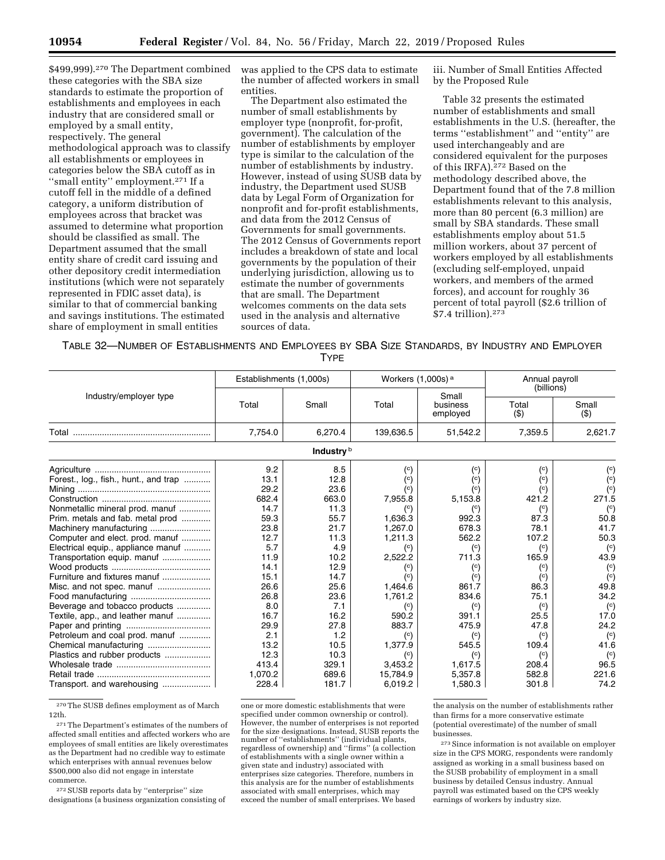\$499,999).<sup>270</sup> The Department combined these categories with the SBA size standards to estimate the proportion of establishments and employees in each industry that are considered small or employed by a small entity, respectively. The general methodological approach was to classify all establishments or employees in categories below the SBA cutoff as in "small entity" employment.<sup>271</sup> If a cutoff fell in the middle of a defined category, a uniform distribution of employees across that bracket was assumed to determine what proportion should be classified as small. The Department assumed that the small entity share of credit card issuing and other depository credit intermediation institutions (which were not separately represented in FDIC asset data), is similar to that of commercial banking and savings institutions. The estimated share of employment in small entities

was applied to the CPS data to estimate the number of affected workers in small entities.

The Department also estimated the number of small establishments by employer type (nonprofit, for-profit, government). The calculation of the number of establishments by employer type is similar to the calculation of the number of establishments by industry. However, instead of using SUSB data by industry, the Department used SUSB data by Legal Form of Organization for nonprofit and for-profit establishments, and data from the 2012 Census of Governments for small governments. The 2012 Census of Governments report includes a breakdown of state and local governments by the population of their underlying jurisdiction, allowing us to estimate the number of governments that are small. The Department welcomes comments on the data sets used in the analysis and alternative sources of data.

iii. Number of Small Entities Affected by the Proposed Rule

Table 32 presents the estimated number of establishments and small establishments in the U.S. (hereafter, the terms ''establishment'' and ''entity'' are used interchangeably and are considered equivalent for the purposes of this IRFA).272 Based on the methodology described above, the Department found that of the 7.8 million establishments relevant to this analysis, more than 80 percent (6.3 million) are small by SBA standards. These small establishments employ about 51.5 million workers, about 37 percent of workers employed by all establishments (excluding self-employed, unpaid workers, and members of the armed forces), and account for roughly 36 percent of total payroll (\$2.6 trillion of \$7.4 trillion).273

TABLE 32—NUMBER OF ESTABLISHMENTS AND EMPLOYEES BY SBA SIZE STANDARDS, BY INDUSTRY AND EMPLOYER **TYPF** 

|                                       | Establishments (1,000s) |            | Workers $(1,000s)$ <sup>a</sup> |                               | Annual payroll<br>(billions) |                        |
|---------------------------------------|-------------------------|------------|---------------------------------|-------------------------------|------------------------------|------------------------|
| Industry/employer type                | Total                   | Small      | Total                           | Small<br>business<br>employed | Total<br>$($ \$)             | Small<br>$($ \$)       |
|                                       | 7,754.0                 | 6,270.4    | 139,636.5                       | 51,542.2                      | 7,359.5                      | 2,621.7                |
|                                       |                         | Industry b |                                 |                               |                              |                        |
|                                       | 9.2                     | 8.5        | $\rm ^{(c)}$                    | $^{\rm (c)}$                  | $^{\rm (c)}$                 | $^{\rm (c)}$           |
| Forest., log., fish., hunt., and trap | 13.1                    | 12.8       | $\rm ^{(c)}$                    | $\binom{c}{c}$                | $\binom{c}{c}$               | $\binom{c}{c}$         |
|                                       | 29.2                    | 23.6       | $\rm ^{(c)}$                    | $\left( \circ \right)$        | $\binom{c}{c}$               | $\binom{c}{c}$         |
|                                       | 682.4                   | 663.0      | 7,955.8                         | 5,153.8                       | 421.2                        | 271.5                  |
| Nonmetallic mineral prod. manuf       | 14.7                    | 11.3       |                                 | $^{\rm (c)}$                  | $\binom{c}{c}$               | $\left( \circ \right)$ |
| Prim. metals and fab. metal prod      | 59.3                    | 55.7       | 1,636.3                         | 992.3                         | 87.3                         | 50.8                   |
| Machinery manufacturing               | 23.8                    | 21.7       | 1.267.0                         | 678.3                         | 78.1                         | 41.7                   |
| Computer and elect. prod. manuf       | 12.7                    | 11.3       | 1,211.3                         | 562.2                         | 107.2                        | 50.3                   |
| Electrical equip., appliance manuf    | 5.7                     | 4.9        |                                 | $^{\rm (c)}$                  | $\binom{c}{c}$               | $\binom{c}{c}$         |
| Transportation equip. manuf           | 11.9                    | 10.2       | 2,522.2                         | 711.3                         | 165.9                        | 43.9                   |
|                                       | 14.1                    | 12.9       | $^{\rm (c)}$                    | $^{\rm (c)}$                  | $\binom{c}{c}$               | $\binom{c}{c}$         |
| Furniture and fixtures manuf          | 15.1                    | 14.7       | $\left( \circ \right)$          | $\binom{c}{c}$                | $\binom{c}{c}$               | $\binom{c}{c}$         |
|                                       | 26.6                    | 25.6       | 1,464.6                         | 861.7                         | 86.3                         | 49.8                   |
|                                       | 26.8                    | 23.6       | 1.761.2                         | 834.6                         | 75.1                         | 34.2                   |
| Beverage and tobacco products         | 8.0                     | 7.1        | $^{\rm (c)}$                    | $^{\rm (c)}$                  | $\binom{c}{c}$               | $\binom{c}{c}$         |
| Textile, app., and leather manuf      | 16.7                    | 16.2       | 590.2                           | 391.1                         | 25.5                         | 17.0                   |
|                                       | 29.9                    | 27.8       | 883.7                           | 475.9                         | 47.8                         | 24.2                   |
| Petroleum and coal prod. manuf        | 2.1                     | 1.2        | $^{\rm (c)}$                    | $^{\rm (c)}$                  | $\left( \circ \right)$       | $\mathcal{L}^{(c)}$    |
|                                       | 13.2                    | 10.5       | 1,377.9                         | 545.5                         | 109.4                        | 41.6                   |
| Plastics and rubber products          | 12.3                    | 10.3       | $\binom{c}{c}$                  | $\binom{c}{c}$                | $\binom{c}{c}$               | $\mathcal{C}$          |
|                                       | 413.4                   | 329.1      | 3,453.2                         | 1,617.5                       | 208.4                        | 96.5                   |
|                                       | 1,070.2                 | 689.6      | 15,784.9                        | 5,357.8                       | 582.8                        | 221.6                  |
| Transport. and warehousing            | 228.4                   | 181.7      | 6,019.2                         | 1,580.3                       | 301.8                        | 74.2                   |

270The SUSB defines employment as of March 12th.

271The Department's estimates of the numbers of affected small entities and affected workers who are employees of small entities are likely overestimates as the Department had no credible way to estimate which enterprises with annual revenues below \$500,000 also did not engage in interstate commerce.

272SUSB reports data by ''enterprise'' size designations (a business organization consisting of

one or more domestic establishments that were specified under common ownership or control). However, the number of enterprises is not reported for the size designations. Instead, SUSB reports the number of ''establishments'' (individual plants, regardless of ownership) and ''firms'' (a collection of establishments with a single owner within a given state and industry) associated with enterprises size categories. Therefore, numbers in this analysis are for the number of establishments associated with small enterprises, which may exceed the number of small enterprises. We based

the analysis on the number of establishments rather than firms for a more conservative estimate (potential overestimate) of the number of small businesses.

273Since information is not available on employer size in the CPS MORG, respondents were randomly assigned as working in a small business based on the SUSB probability of employment in a small business by detailed Census industry. Annual payroll was estimated based on the CPS weekly earnings of workers by industry size.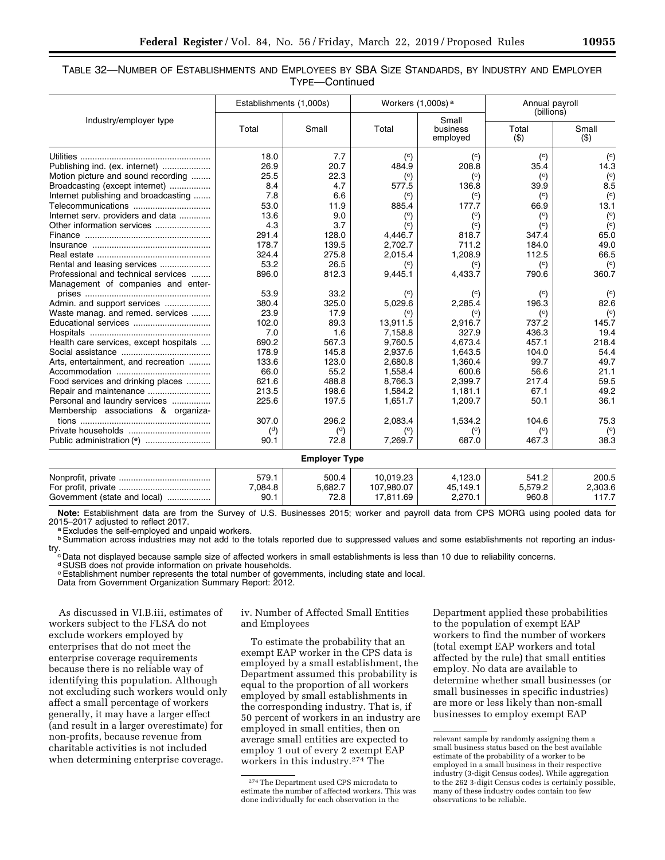### TABLE 32—NUMBER OF ESTABLISHMENTS AND EMPLOYEES BY SBA SIZE STANDARDS, BY INDUSTRY AND EMPLOYER TYPE—Continued

|                                        | Establishments (1,000s) |                      | Workers $(1,000s)$ <sup>a</sup> |                               | Annual payroll<br>(billions) |                |
|----------------------------------------|-------------------------|----------------------|---------------------------------|-------------------------------|------------------------------|----------------|
| Industry/employer type                 | Total                   | Small                | Total                           | Small<br>business<br>employed | Total<br>$($ \$)             | Small<br>(3)   |
|                                        | 18.0                    | 7.7                  | $\binom{c}{c}$                  | $\binom{c}{c}$                | $\binom{c}{c}$               | $\binom{c}{c}$ |
| Publishing ind. (ex. internet)         | 26.9                    | 20.7                 | 484.9                           | 208.8                         | 35.4                         | 14.3           |
| Motion picture and sound recording     | 25.5                    | 22.3                 | $\binom{c}{c}$                  | $\binom{c}{c}$                | $\binom{c}{c}$               | $\binom{c}{c}$ |
| Broadcasting (except internet)         | 8.4                     | 4.7                  | 577.5                           | 136.8                         | 39.9                         | 8.5            |
| Internet publishing and broadcasting   | 7.8                     | 6.6                  | $\binom{c}{c}$                  | $\binom{c}{c}$                | $\binom{c}{c}$               | $\binom{c}{c}$ |
| Telecommunications                     | 53.0                    | 11.9                 | 885.4                           | 177.7                         | 66.9                         | 13.1           |
| Internet serv. providers and data      | 13.6                    | 9.0                  | $\left( \circ \right)$          | $\left( \circ \right)$        | $\left( \circ \right)$       | $\binom{c}{c}$ |
|                                        | 4.3                     | 3.7                  | $\binom{c}{c}$                  | $\binom{c}{c}$                | $\binom{c}{c}$               | (c)            |
|                                        | 291.4                   | 128.0                | 4,446.7                         | 818.7                         | 347.4                        | 65.0           |
|                                        | 178.7                   | 139.5                | 2,702.7                         | 711.2                         | 184.0                        | 49.0           |
|                                        | 324.4                   | 275.8                | 2,015.4                         | 1,208.9                       | 112.5                        | 66.5           |
| Rental and leasing services            | 53.2                    | 26.5                 | $\binom{c}{c}$                  | $\binom{c}{c}$                | $\binom{c}{c}$               | $\binom{c}{c}$ |
| Professional and technical services    | 896.0                   | 812.3                | 9,445.1                         | 4,433.7                       | 790.6                        | 360.7          |
| Management of companies and enter-     |                         |                      |                                 |                               |                              |                |
|                                        | 53.9                    | 33.2                 | $\binom{c}{c}$                  | $\binom{c}{c}$                | $\binom{c}{c}$               | $\binom{c}{c}$ |
| Admin. and support services            | 380.4                   | 325.0                | 5,029.6                         | 2,285.4                       | 196.3                        | 82.6           |
| Waste manag. and remed. services       | 23.9                    | 17.9                 | $\rm ^{(c)}$                    | $\left( \circ \right)$        | $\binom{c}{c}$               | $\binom{c}{c}$ |
| Educational services                   | 102.0                   | 89.3                 | 13,911.5                        | 2,916.7                       | 737.2                        | 145.7          |
|                                        | 7.0                     | 1.6                  | 7,158.8                         | 327.9                         | 436.3                        | 19.4           |
| Health care services, except hospitals | 690.2                   | 567.3                | 9.760.5                         | 4.673.4                       | 457.1                        | 218.4          |
|                                        | 178.9                   | 145.8                | 2,937.6                         | 1,643.5                       | 104.0                        | 54.4           |
| Arts, entertainment, and recreation    | 133.6                   | 123.0                | 2.680.8                         | 1,360.4                       | 99.7                         | 49.7           |
|                                        | 66.0                    | 55.2                 | 1,558.4                         | 600.6                         | 56.6                         | 21.1           |
| Food services and drinking places      | 621.6                   | 488.8                | 8,766.3                         | 2,399.7                       | 217.4                        | 59.5           |
|                                        | 213.5                   | 198.6                | 1,584.2                         | 1,181.1                       | 67.1                         | 49.2           |
| Personal and laundry services          | 225.6                   | 197.5                | 1,651.7                         | 1,209.7                       | 50.1                         | 36.1           |
| Membership associations & organiza-    |                         |                      |                                 |                               |                              |                |
|                                        | 307.0                   | 296.2                | 2,083.4                         | 1,534.2                       | 104.6                        | 75.3           |
|                                        | $\binom{d}{ }$          | $\binom{d}{ }$       | $\binom{c}{c}$                  | $\left( \circ \right)$        | $\binom{c}{c}$               | $\binom{c}{c}$ |
|                                        | 90.1                    | 72.8                 | 7,269.7                         | 687.0                         | 467.3                        | 38.3           |
|                                        |                         | <b>Employer Type</b> |                                 |                               |                              |                |
|                                        | 579.1                   | 500.4                | 10,019.23                       | 4,123.0                       | 541.2                        | 200.5          |
|                                        | 7,084.8                 | 5,682.7              | 107,980.07                      | 45,149.1                      | 5,579.2                      | 2,303.6        |
| Government (state and local)           | 90.1                    | 72.8                 | 17,811.69                       | 2,270.1                       | 960.8                        | 117.7          |

**Note:** Establishment data are from the Survey of U.S. Businesses 2015; worker and payroll data from CPS MORG using pooled data for<br>2015–2017 adiusted to reflect 2017.

<sup>a</sup> Excludes the self-employed and unpaid workers.

**b Summation across industries may not add to the totals reported due to suppressed values and some establishments not reporting an indus-**

try.<br><sup>c</sup> Data not displayed because sample size of affected workers in small establishments is less than 10 due to reliability concerns.

d SUSB does not provide information on private households.

e Establishment number represents the total number of governments, including state and local.<br>Data from Government Organization Summary Report: 2012.

As discussed in VI.B.iii, estimates of workers subject to the FLSA do not exclude workers employed by enterprises that do not meet the enterprise coverage requirements because there is no reliable way of identifying this population. Although not excluding such workers would only affect a small percentage of workers generally, it may have a larger effect (and result in a larger overestimate) for non-profits, because revenue from charitable activities is not included when determining enterprise coverage.

iv. Number of Affected Small Entities and Employees

To estimate the probability that an exempt EAP worker in the CPS data is employed by a small establishment, the Department assumed this probability is equal to the proportion of all workers employed by small establishments in the corresponding industry. That is, if 50 percent of workers in an industry are employed in small entities, then on average small entities are expected to employ 1 out of every 2 exempt EAP workers in this industry.274 The

Department applied these probabilities to the population of exempt EAP workers to find the number of workers (total exempt EAP workers and total affected by the rule) that small entities employ. No data are available to determine whether small businesses (or small businesses in specific industries) are more or less likely than non-small businesses to employ exempt EAP

<sup>274</sup>The Department used CPS microdata to estimate the number of affected workers. This was done individually for each observation in the

relevant sample by randomly assigning them a small business status based on the best available estimate of the probability of a worker to be employed in a small business in their respective industry (3-digit Census codes). While aggregation to the 262 3-digit Census codes is certainly possible, many of these industry codes contain too few observations to be reliable.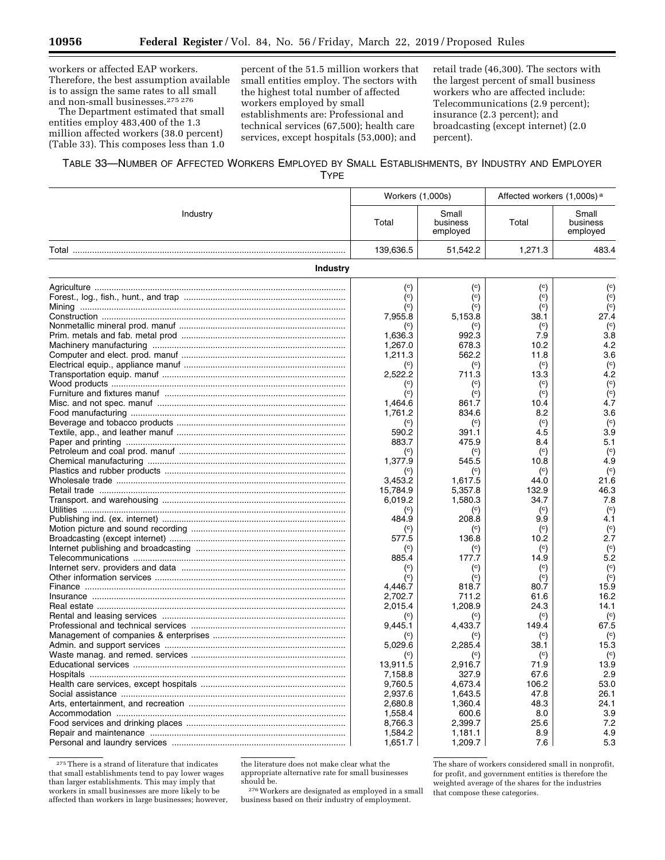workers or affected EAP workers. Therefore, the best assumption available is to assign the same rates to all small and non-small businesses.275 276

The Department estimated that small entities employ 483,400 of the 1.3 million affected workers (38.0 percent) (Table 33). This composes less than 1.0

percent of the 51.5 million workers that small entities employ. The sectors with the highest total number of affected workers employed by small establishments are: Professional and technical services (67,500); health care services, except hospitals (53,000); and

retail trade (46,300). The sectors with the largest percent of small business workers who are affected include: Telecommunications (2.9 percent); insurance (2.3 percent); and broadcasting (except internet) (2.0 percent).

| TABLE 33—NUMBER OF AFFECTED WORKERS EMPLOYED BY SMALL ESTABLISHMENTS, BY INDUSTRY AND EMPLOYER |      |  |  |
|------------------------------------------------------------------------------------------------|------|--|--|
|                                                                                                | TYPE |  |  |

|                                               | Workers (1,000s)        |                               | Affected workers (1,000s) <sup>a</sup> |                               |
|-----------------------------------------------|-------------------------|-------------------------------|----------------------------------------|-------------------------------|
| Industry                                      | Total                   | Small<br>business<br>employed | Total                                  | Small<br>business<br>employed |
|                                               | 139,636.5               | 51,542.2                      | 1,271.3                                | 483.4                         |
| <b>Industry</b>                               |                         |                               |                                        |                               |
|                                               | $^{\rm (c)}$            | $^{\rm (c)}$                  | $^{\rm (c)}$                           | $^{\rm (c)}$                  |
|                                               | $\binom{c}{c}$          | $\left( \circ \right)$        | $\left( \circ \right)$                 | $\binom{c}{c}$                |
|                                               | $\left( c\right)$       | $\left( \circ \right)$        | $^{\rm (c)}$                           | $\binom{c}{c}$                |
|                                               | 7,955.8                 | 5,153.8                       | 38.1                                   | 27.4                          |
|                                               | $\rm ^{(c)}$            | $\binom{c}{c}$                | $\rm ^{(c)}$                           | $\left( \circ \right)$        |
|                                               | 1.636.3                 | 992.3                         | 7.9                                    | 3.8<br>4.2                    |
|                                               | 1,267.0                 | 678.3<br>562.2                | 10.2                                   | 3.6                           |
|                                               | 1,211.3                 | $\binom{c}{c}$                | 11.8<br>$\binom{c}{c}$                 |                               |
|                                               | $\rm ^{(c)}$<br>2,522.2 | 711.3                         | 13.3                                   | $\left( \circ \right)$<br>4.2 |
|                                               | $^{\rm (c)}$            | (c)                           | $\left( \circ \right)$                 | (c)                           |
|                                               | $\left( \circ \right)$  | $\binom{c}{c}$                | $\left( \circ \right)$                 | $\overline{c}$                |
|                                               | 1,464.6                 | 861.7                         | 10.4                                   | 4.7                           |
|                                               | 1,761.2                 | 834.6                         | 8.2                                    | 3.6                           |
|                                               | $\left( \circ \right)$  | $\left( \circ \right)$        | $\left( \circ \right)$                 | (c)                           |
|                                               | 590.2                   | 391.1                         | 4.5                                    | 3.9                           |
|                                               | 883.7                   | 475.9                         | 8.4                                    | 5.1                           |
|                                               | $\mathcal{C}$           | $\left( \circ \right)$        | $\left( \circ \right)$                 | $\binom{c}{c}$                |
|                                               | 1,377.9                 | 545.5                         | 10.8                                   | 4.9                           |
|                                               | $\binom{c}{c}$          | $\left( \circ \right)$        | $\left( \circ \right)$                 | $\binom{c}{c}$                |
|                                               | 3,453.2                 | 1,617.5                       | 44.0                                   | 21.6                          |
|                                               | 15,784.9                | 5,357.8                       | 132.9                                  | 46.3                          |
|                                               | 6,019.2                 | 1,580.3                       | 34.7                                   | 7.8                           |
| Utilities …………………………………………………………………………………………… | $\left( \circ \right)$  | $^{\rm (c)}$                  | $\rm ^{(c)}$                           | $\binom{c}{c}$                |
|                                               | 484.9                   | 208.8                         | 9.9                                    | 4.1                           |
|                                               | $\left( \circ \right)$  | $\left( \circ \right)$        | $\left( \circ \right)$                 | $\binom{c}{c}$                |
|                                               | 577.5                   | 136.8                         | 10.2                                   | 2.7                           |
|                                               | $\rm ^{(c)}$            | $\left( \circ \right)$        | $\left( \circ \right)$                 | $\binom{c}{c}$                |
|                                               | 885.4                   | 177.7                         | 14.9                                   | 5.2                           |
|                                               | $\left( \circ \right)$  | $^{\rm (c)}$                  | $\left( \circ \right)$                 | $\left( \circ \right)$        |
|                                               | $\rm ^{(c)}$            | $\left( \circ \right)$        | $\left( \circ \right)$                 | $\binom{c}{c}$                |
|                                               | 4,446.7                 | 818.7                         | 80.7                                   | 15.9                          |
|                                               | 2,702.7                 | 711.2                         | 61.6                                   | 16.2                          |
|                                               | 2,015.4                 | 1,208.9                       | 24.3                                   | 14.1                          |
|                                               | $\rm ^{(c)}$            |                               | $\binom{c}{c}$                         | (c)                           |
|                                               | 9,445.1                 | 4,433.7                       | 149.4                                  | 67.5                          |
|                                               | $\left( \circ \right)$  | $\left( \circ \right)$        | $\left( \circ \right)$                 | $\left( \circ \right)$        |
|                                               | 5,029.6                 | 2,285.4                       | 38.1                                   | 15.3                          |
|                                               | $^{\rm (c)}$            | $^{\rm (c)}$                  | $\left( \circ \right)$                 | $\binom{c}{c}$                |
|                                               | 13,911.5                | 2,916.7                       | 71.9                                   | 13.9                          |
|                                               | 7,158.8<br>9.760.5      | 327.9<br>4.673.4              | 67.6<br>106.2                          | 2.9<br>53.0                   |
|                                               |                         |                               | 47.8                                   | 26.1                          |
|                                               | 2,937.6                 | 1,643.5                       |                                        |                               |
|                                               | 2,680.8                 | 1,360.4                       | 48.3                                   | 24.1                          |
|                                               | 1,558.4                 | 600.6                         | 8.0                                    | 3.9                           |
|                                               | 8,766.3                 | 2,399.7                       | 25.6                                   | 7.2<br>4.9                    |
|                                               | 1,584.2<br>1,651.7      | 1,181.1<br>1,209.7            | 8.9<br>7.6                             | 5.3                           |
|                                               |                         |                               |                                        |                               |

 $\mathrm{^{275}}$  There is a strand of literature that indicates that small establishments tend to pay lower wages than larger establishments. This may imply that workers in small businesses are more likely to be affected than workers in large businesses; however,

the literature does not make clear what the appropriate alternative rate for small businesses should be.

276Workers are designated as employed in a small business based on their industry of employment.

The share of workers considered small in nonprofit, for profit, and government entities is therefore the weighted average of the shares for the industries that compose these categories.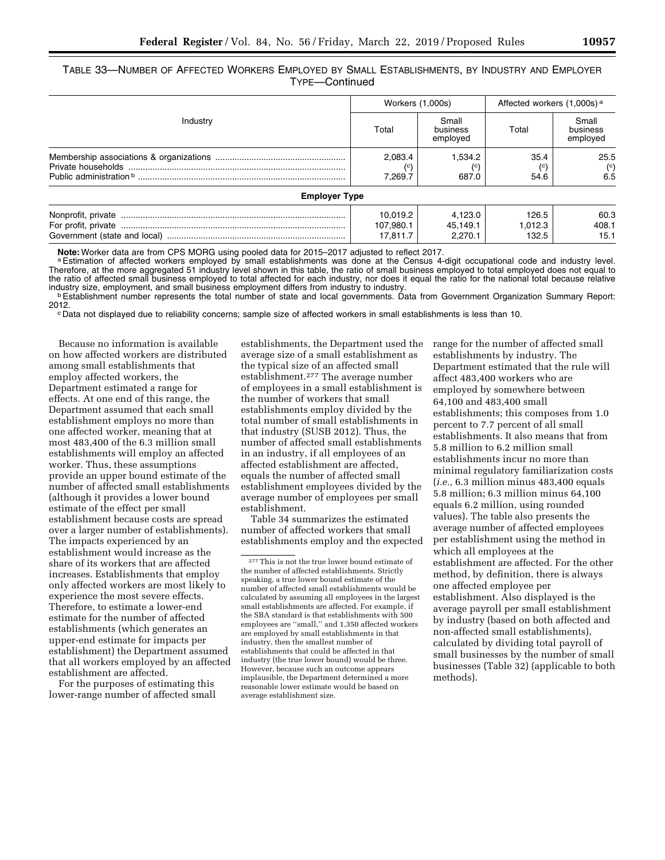TABLE 33—NUMBER OF AFFECTED WORKERS EMPLOYED BY SMALL ESTABLISHMENTS, BY INDUSTRY AND EMPLOYER TYPE—Continued

|                      | Workers (1,000s)      |                               | Affected workers (1,000s) <sup>a</sup> |                               |
|----------------------|-----------------------|-------------------------------|----------------------------------------|-------------------------------|
| Industry             | Total                 | Small<br>business<br>employed | Total                                  | Small<br>business<br>employed |
|                      | 2.083.4<br>7.269.7    | 1.534.2<br>687.0              | 35.4<br>54.6                           | 25.5<br>$\binom{c}{c}$<br>6.5 |
| <b>Employer Type</b> |                       |                               |                                        |                               |
|                      | 10.019.2<br>107.980.1 | 4,123.0<br>45.149.1           | 126.5<br>1.012.3                       | 60.3<br>408.1                 |
|                      | 17.811.7              | 2.270.1                       | 132.5                                  | 15.1                          |

Note: Worker data are from CPS MORG using pooled data for 2015–2017 adjusted to reflect 2017.<br>ª Estimation of affected workers employed by small establishments was done at the Census 4-digit occupational code and industry Therefore, at the more aggregated 51 industry level shown in this table, the ratio of small business employed to total employed does not equal to the ratio of affected small business employed to total affected for each industry, nor does it equal the ratio for the national total because relative industry size, employment, and small business employment differs from industry to industry.<br>**bEstablishment number represents the total** number of state and local governments. Data from Government Organization Summary Repo

<sup>c</sup> Data not displayed due to reliability concerns; sample size of affected workers in small establishments is less than 10.

Because no information is available on how affected workers are distributed among small establishments that employ affected workers, the Department estimated a range for effects. At one end of this range, the Department assumed that each small establishment employs no more than one affected worker, meaning that at most 483,400 of the 6.3 million small establishments will employ an affected worker. Thus, these assumptions provide an upper bound estimate of the number of affected small establishments (although it provides a lower bound estimate of the effect per small establishment because costs are spread over a larger number of establishments). The impacts experienced by an establishment would increase as the share of its workers that are affected increases. Establishments that employ only affected workers are most likely to experience the most severe effects. Therefore, to estimate a lower-end estimate for the number of affected establishments (which generates an upper-end estimate for impacts per establishment) the Department assumed that all workers employed by an affected establishment are affected.

For the purposes of estimating this lower-range number of affected small

establishments, the Department used the average size of a small establishment as the typical size of an affected small establishment.277 The average number of employees in a small establishment is the number of workers that small establishments employ divided by the total number of small establishments in that industry (SUSB 2012). Thus, the number of affected small establishments in an industry, if all employees of an affected establishment are affected, equals the number of affected small establishment employees divided by the average number of employees per small establishment.

Table 34 summarizes the estimated number of affected workers that small establishments employ and the expected range for the number of affected small establishments by industry. The Department estimated that the rule will affect 483,400 workers who are employed by somewhere between 64,100 and 483,400 small establishments; this composes from 1.0 percent to 7.7 percent of all small establishments. It also means that from 5.8 million to 6.2 million small establishments incur no more than minimal regulatory familiarization costs (*i.e.,* 6.3 million minus 483,400 equals 5.8 million; 6.3 million minus 64,100 equals 6.2 million, using rounded values). The table also presents the average number of affected employees per establishment using the method in which all employees at the establishment are affected. For the other method, by definition, there is always one affected employee per establishment. Also displayed is the average payroll per small establishment by industry (based on both affected and non-affected small establishments), calculated by dividing total payroll of small businesses by the number of small businesses (Table 32) (applicable to both methods).

<sup>277</sup>This is not the true lower bound estimate of the number of affected establishments. Strictly speaking, a true lower bound estimate of the number of affected small establishments would be calculated by assuming all employees in the largest small establishments are affected. For example, if the SBA standard is that establishments with 500 employees are ''small,'' and 1,350 affected workers are employed by small establishments in that industry, then the smallest number of establishments that could be affected in that industry (the true lower bound) would be three. However, because such an outcome appears implausible, the Department determined a more reasonable lower estimate would be based on average establishment size.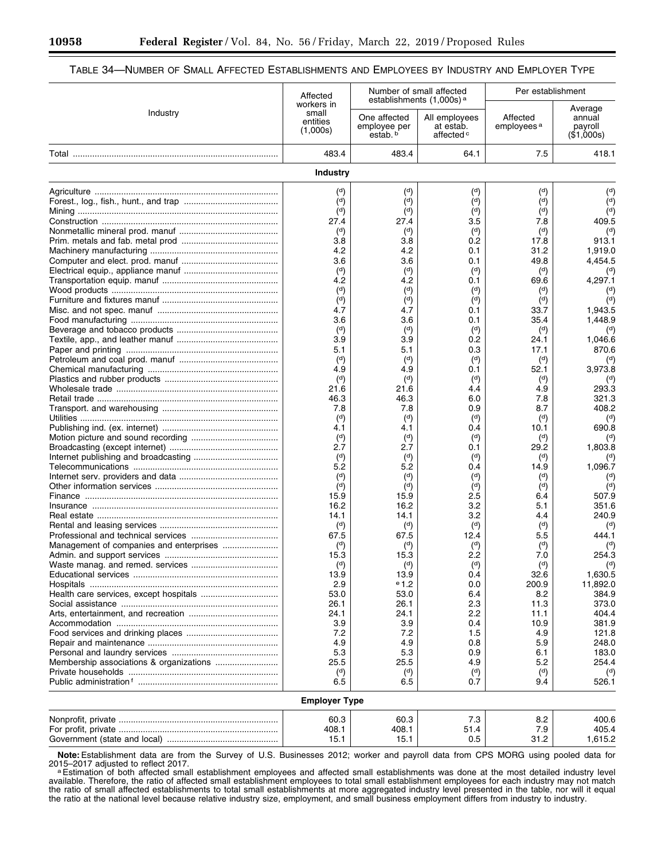### TABLE 34—NUMBER OF SMALL AFFECTED ESTABLISHMENTS AND EMPLOYEES BY INDUSTRY AND EMPLOYER TYPE

|          | Affected                                    |                                          | Number of small affected                                                                    | Per establishment                  |                                            |
|----------|---------------------------------------------|------------------------------------------|---------------------------------------------------------------------------------------------|------------------------------------|--------------------------------------------|
| Industry | workers in<br>small<br>entities<br>(1,000s) | One affected<br>employee per<br>estab. b | establishments (1,000s) <sup>a</sup><br>All employees<br>at estab.<br>affected <sup>c</sup> | Affected<br>employees <sup>a</sup> | Average<br>annual<br>payroll<br>(\$1,000s) |
|          | 483.4                                       | 483.4                                    | 64.1                                                                                        | 7.5                                | 418.1                                      |
|          | Industry                                    |                                          |                                                                                             |                                    |                                            |
|          | $^{\rm (d)}$                                | $\binom{d}{ }$                           | $^{\rm (d)}$                                                                                | $\binom{d}{ }$                     | $\binom{d}{ }$                             |
|          | (d)                                         | $\binom{d}{ }$                           | (d)                                                                                         | $\binom{d}{ }$                     | $\binom{d}{ }$                             |
|          | $^{\rm (d)}$                                | $^{\rm (d)}$                             | $\binom{d}{ }$                                                                              | $^{\rm (d)}$                       | (d)                                        |
|          | 27.4                                        | 27.4                                     | 3.5                                                                                         | 7.8                                | 409.5                                      |
|          | $\binom{d}{ }$                              | $\binom{d}{ }$                           | $\binom{d}{ }$                                                                              | $^{\rm (d)}$                       | $^{\rm (d)}$                               |
|          | 3.8                                         | 3.8                                      | 0.2                                                                                         | 17.8                               | 913.1                                      |
|          | 4.2                                         | 4.2                                      | 0.1                                                                                         | 31.2                               | 1,919.0                                    |
|          | 3.6<br>$^{\rm (d)}$                         | 3.6<br>$\binom{d}{ }$                    | 0.1<br>$\binom{d}{ }$                                                                       | 49.8<br>$\binom{d}{ }$             | 4,454.5                                    |
|          | 4.2                                         | 4.2                                      | 0.1                                                                                         | 69.6                               | $^{\rm (d)}$<br>4,297.1                    |
|          | $^{\rm (d)}$                                | $\binom{d}{ }$                           | $^{\rm (d)}$                                                                                | $^{\rm (d)}$                       | $^{\rm (d)}$                               |
|          | $\binom{d}{ }$                              | $\binom{d}{ }$                           | $\binom{d}{ }$                                                                              | $\binom{d}{ }$                     | $\overline{d}$                             |
|          | 4.7                                         | 4.7                                      | 0.1                                                                                         | 33.7                               | 1.943.5                                    |
|          | 3.6                                         | 3.6                                      | 0.1                                                                                         | 35.4                               | 1,448.9                                    |
|          | $^{\rm (d)}$                                | $\binom{d}{ }$                           | $\binom{d}{ }$                                                                              | $\binom{d}{ }$                     | $^{\rm (d)}$                               |
|          | 3.9                                         | 3.9                                      | 0.2                                                                                         | 24.1                               | 1,046.6                                    |
|          | 5.1                                         | 5.1                                      | 0.3                                                                                         | 17.1                               | 870.6                                      |
|          | $\binom{d}{ }$                              | $\binom{d}{ }$                           | $\binom{d}{ }$                                                                              | $\binom{d}{ }$                     | $\binom{d}{ }$                             |
|          | 4.9                                         | 4.9                                      | 0.1                                                                                         | 52.1                               | 3,973.8                                    |
|          | $\binom{d}{ }$                              | $\binom{d}{ }$                           | $\binom{d}{ }$                                                                              | $\binom{d}{ }$                     | $\binom{d}{ }$                             |
|          | 21.6                                        | 21.6                                     | 4.4                                                                                         | 4.9                                | 293.3                                      |
|          | 46.3                                        | 46.3                                     | 6.0                                                                                         | 7.8                                | 321.3                                      |
|          | 7.8                                         | 7.8                                      | 0.9                                                                                         | 8.7                                | 408.2                                      |
|          | $\binom{d}{ }$<br>4.1                       | $\binom{d}{ }$<br>4.1                    | $\binom{d}{ }$<br>0.4                                                                       | $\binom{d}{ }$<br>10.1             | $\binom{d}{ }$<br>690.8                    |
|          | $\binom{d}{ }$                              | $\binom{d}{ }$                           | $^{\rm (d)}$                                                                                | $\binom{d}{ }$                     | $\binom{d}{ }$                             |
|          | 2.7                                         | 2.7                                      | 0.1                                                                                         | 29.2                               | 1,803.8                                    |
|          | $\binom{d}{ }$                              | $\binom{d}{ }$                           | $\binom{d}{ }$                                                                              | $^{\rm (d)}$                       | $\binom{d}{ }$                             |
|          | 5.2                                         | 5.2                                      | 0.4                                                                                         | 14.9                               | 1,096.7                                    |
|          | $\binom{d}{ }$                              | $\binom{d}{ }$                           | $\binom{d}{ }$                                                                              | $^{\rm (d)}$                       | $^{\rm (d)}$                               |
|          | (d)                                         | $\binom{d}{ }$                           | $\binom{d}{ }$                                                                              | $\binom{d}{ }$                     | $^{\rm (d)}$                               |
|          | 15.9                                        | 15.9                                     | 2.5                                                                                         | 6.4                                | 507.9                                      |
|          | 16.2                                        | 16.2                                     | 3.2                                                                                         | 5.1                                | 351.6                                      |
|          | 14.1                                        | 14.1                                     | 3.2                                                                                         | 4.4                                | 240.9                                      |
|          | $\binom{d}{ }$                              | $^{\rm (d)}$                             | $\binom{d}{ }$                                                                              | $\binom{d}{ }$                     | $\binom{d}{ }$                             |
|          | 67.5                                        | 67.5                                     | 12.4                                                                                        | 5.5                                | 444.1                                      |
|          | $^{\rm (d)}$<br>15.3                        | $\binom{d}{ }$<br>15.3                   | $\binom{d}{ }$<br>2.2                                                                       | $^{\rm (d)}$<br>7.0                | 254.3                                      |
|          | (d)                                         | (d)                                      | (d)                                                                                         | (d)                                | (d)                                        |
|          | 13.9                                        | 13.9                                     | 0.4                                                                                         | 32.6                               | 1,630.5                                    |
|          | 2.9                                         | $e_{1.2}$                                | 0.0                                                                                         | 200.9                              | 11,892.0                                   |
|          | 53.0                                        | 53.0                                     | 6.4                                                                                         | 8.2                                | 384.9                                      |
|          | 26.1                                        | 26.1                                     | 2.3                                                                                         | 11.3                               | 373.0                                      |
|          | 24.1                                        | 24.1                                     | 2.2                                                                                         | 11.1                               | 404.4                                      |
|          | 3.9                                         | 3.9                                      | 0.4                                                                                         | 10.9                               | 381.9                                      |
|          | 7.2                                         | 7.2                                      | 1.5                                                                                         | 4.9                                | 121.8                                      |
|          | 4.9                                         | 4.9                                      | 0.8                                                                                         | 5.9                                | 248.0                                      |
|          | 5.3                                         | 5.3                                      | 0.9                                                                                         | 6.1                                | 183.0                                      |
|          | 25.5                                        | 25.5                                     | 4.9                                                                                         | 5.2                                | 254.4                                      |
|          | $\binom{d}{ }$                              | $\binom{d}{ }$                           | $\binom{d}{ }$                                                                              | $^{\rm (d)}$                       | $\binom{d}{ }$                             |
|          | 6.5                                         | 6.5                                      | 0.7                                                                                         | 9.4                                | 526.1                                      |
|          | <b>Employer Type</b>                        |                                          |                                                                                             |                                    |                                            |
|          | 60.3                                        | 60.3                                     | 7.3                                                                                         | 8.2                                | 400.6                                      |
|          | 408.1                                       | 408.1                                    | 51.4                                                                                        | 7.9                                | 405.4                                      |
|          | 15.1                                        | 15.1                                     | 0.5                                                                                         | 31.2                               | 1,615.2                                    |

**Note:**Establishment data are from the Survey of U.S. Businesses 2012; worker and payroll data from CPS MORG using pooled data for 2015–2017 adjusted to reflect 2017.<br><sup>a</sup>Estimation of both affected small establishment employees and affected small establishments was done at the most detailed industry level

available. Therefore, the ratio of affected small establishment employees to total small establishment employees for each industry may not match the ratio of small affected establishments to total small establishments at more aggregated industry level presented in the table, nor will it equal the ratio at the national level because relative industry size, employment, and small business employment differs from industry to industry.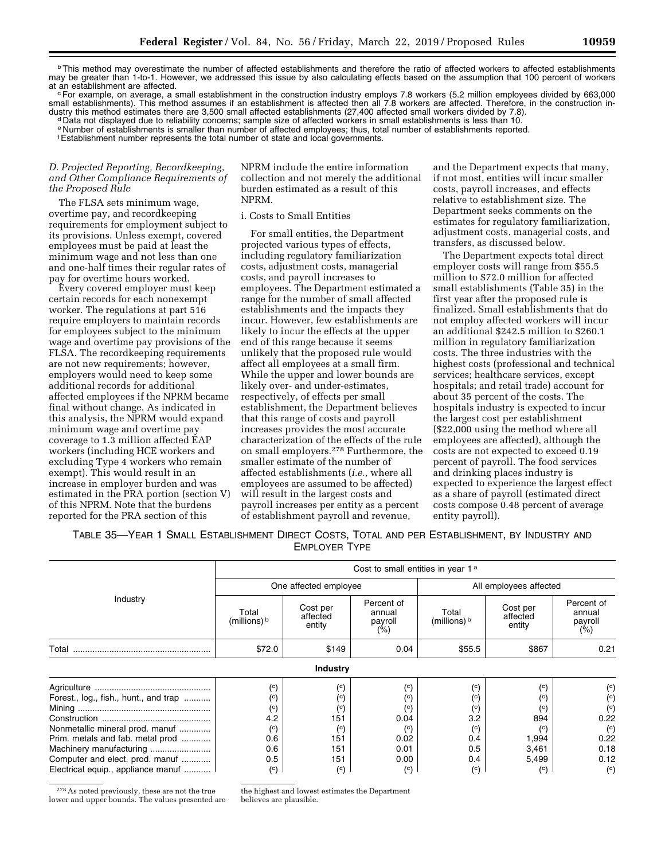<sup>b</sup>This method may overestimate the number of affected establishments and therefore the ratio of affected workers to affected establishments may be greater than 1-to-1. However, we addressed this issue by also calculating effects based on the assumption that 100 percent of workers<br>at an establishment are affected.

<sup>c</sup> For example, on average, a small establishment in the construction industry employs 7.8 workers (5.2 million employees divided by 663,000 small establishments). This method assumes if an establishment is affected then all 7.8 workers are affected. Therefore, in the construction in-<br>dustry this method estimates there are 3,500 small affected establishments (2

dData not displayed due to reliability concerns; sample size of affected workers in small establishments is less than 10. e Number of establishments is smaller than number of affected employees; thus, total number of establishments reported.

fEstablishment number represents the total number of state and local governments.

### *D. Projected Reporting, Recordkeeping, and Other Compliance Requirements of the Proposed Rule*

The FLSA sets minimum wage, overtime pay, and recordkeeping requirements for employment subject to its provisions. Unless exempt, covered employees must be paid at least the minimum wage and not less than one and one-half times their regular rates of pay for overtime hours worked.

Every covered employer must keep certain records for each nonexempt worker. The regulations at part 516 require employers to maintain records for employees subject to the minimum wage and overtime pay provisions of the FLSA. The recordkeeping requirements are not new requirements; however, employers would need to keep some additional records for additional affected employees if the NPRM became final without change. As indicated in this analysis, the NPRM would expand minimum wage and overtime pay coverage to 1.3 million affected EAP workers (including HCE workers and excluding Type 4 workers who remain exempt). This would result in an increase in employer burden and was estimated in the PRA portion (section V) of this NPRM. Note that the burdens reported for the PRA section of this

NPRM include the entire information collection and not merely the additional burden estimated as a result of this NPRM.

### i. Costs to Small Entities

For small entities, the Department projected various types of effects, including regulatory familiarization costs, adjustment costs, managerial costs, and payroll increases to employees. The Department estimated a range for the number of small affected establishments and the impacts they incur. However, few establishments are likely to incur the effects at the upper end of this range because it seems unlikely that the proposed rule would affect all employees at a small firm. While the upper and lower bounds are likely over- and under-estimates, respectively, of effects per small establishment, the Department believes that this range of costs and payroll increases provides the most accurate characterization of the effects of the rule on small employers.278 Furthermore, the smaller estimate of the number of affected establishments (*i.e.,* where all employees are assumed to be affected) will result in the largest costs and payroll increases per entity as a percent of establishment payroll and revenue,

and the Department expects that many, if not most, entities will incur smaller costs, payroll increases, and effects relative to establishment size. The Department seeks comments on the estimates for regulatory familiarization, adjustment costs, managerial costs, and transfers, as discussed below.

The Department expects total direct employer costs will range from \$55.5 million to \$72.0 million for affected small establishments (Table 35) in the first year after the proposed rule is finalized. Small establishments that do not employ affected workers will incur an additional \$242.5 million to \$260.1 million in regulatory familiarization costs. The three industries with the highest costs (professional and technical services; healthcare services, except hospitals; and retail trade) account for about 35 percent of the costs. The hospitals industry is expected to incur the largest cost per establishment (\$22,000 using the method where all employees are affected), although the costs are not expected to exceed 0.19 percent of payroll. The food services and drinking places industry is expected to experience the largest effect as a share of payroll (estimated direct costs compose 0.48 percent of average entity payroll).

TABLE 35—YEAR 1 SMALL ESTABLISHMENT DIRECT COSTS, TOTAL AND PER ESTABLISHMENT, BY INDUSTRY AND EMPLOYER TYPE

|                                                                                                                                                                                       |                                                                                            | Cost to small entities in year 1 <sup>a</sup>                                                                                              |                                                                                                               |                                                                                                                      |                                                                                                                          |                                                                                                                                     |
|---------------------------------------------------------------------------------------------------------------------------------------------------------------------------------------|--------------------------------------------------------------------------------------------|--------------------------------------------------------------------------------------------------------------------------------------------|---------------------------------------------------------------------------------------------------------------|----------------------------------------------------------------------------------------------------------------------|--------------------------------------------------------------------------------------------------------------------------|-------------------------------------------------------------------------------------------------------------------------------------|
|                                                                                                                                                                                       | One affected employee                                                                      |                                                                                                                                            |                                                                                                               | All employees affected                                                                                               |                                                                                                                          |                                                                                                                                     |
| Industry                                                                                                                                                                              | Total<br>(millions) b                                                                      | Cost per<br>affected<br>entity                                                                                                             | Percent of<br>annual<br>payroll<br>(%)                                                                        | Total<br>(millions) $\frac{b}{b}$                                                                                    | Cost per<br>affected<br>entity                                                                                           | Percent of<br>annual<br>payroll<br>$(\% )$                                                                                          |
| Total                                                                                                                                                                                 | \$72.0                                                                                     | \$149                                                                                                                                      | 0.04                                                                                                          | \$55.5                                                                                                               | \$867                                                                                                                    | 0.21                                                                                                                                |
|                                                                                                                                                                                       |                                                                                            | <b>Industry</b>                                                                                                                            |                                                                                                               |                                                                                                                      |                                                                                                                          |                                                                                                                                     |
| Forest., log., fish., hunt., and trap<br>Nonmetallic mineral prod. manuf<br>Prim. metals and fab. metal prod<br>Computer and elect. prod. manuf<br>Electrical equip., appliance manuf | (c)<br>(°)<br>$\binom{c}{c}$<br>4.2<br>$\rm ^{(c)}$<br>0.6<br>0.6<br>0.5<br>$\binom{c}{c}$ | $\left( \circ \right)$<br>$\left( \circ \right)$<br>$\left( \circ \right)$<br>151<br>$\binom{c}{c}$<br>151<br>151<br>151<br>$\binom{c}{c}$ | $\left( \circ \right)$<br>(°)<br>$^{\rm (c)}$<br>0.04<br>$^{\rm (c)}$<br>0.02<br>0.01<br>0.00<br>$^{\rm (c)}$ | $\left( \circ \right)$<br>$^{\rm (c)}$<br>$^{\rm (c)}$<br>3.2<br>$^{\rm (c)}$<br>0.4<br>0.5<br>0.4<br>$\binom{c}{c}$ | $\left( \circ \right)$<br>$^{\rm (c)}$<br>$^{\rm (c)}$<br>894<br>$^{\rm (c)}$<br>1,994<br>3,461<br>5,499<br>$^{\rm (c)}$ | $\left( \circ \right)$<br>$^{\rm (c)}$<br>$\binom{c}{c}$<br>0.22<br>$\mathcal{C}$<br>0.22<br>0.18<br>0.12<br>$\left( \circ \right)$ |

278As noted previously, these are not the true lower and upper bounds. The values presented are the highest and lowest estimates the Department believes are plausible.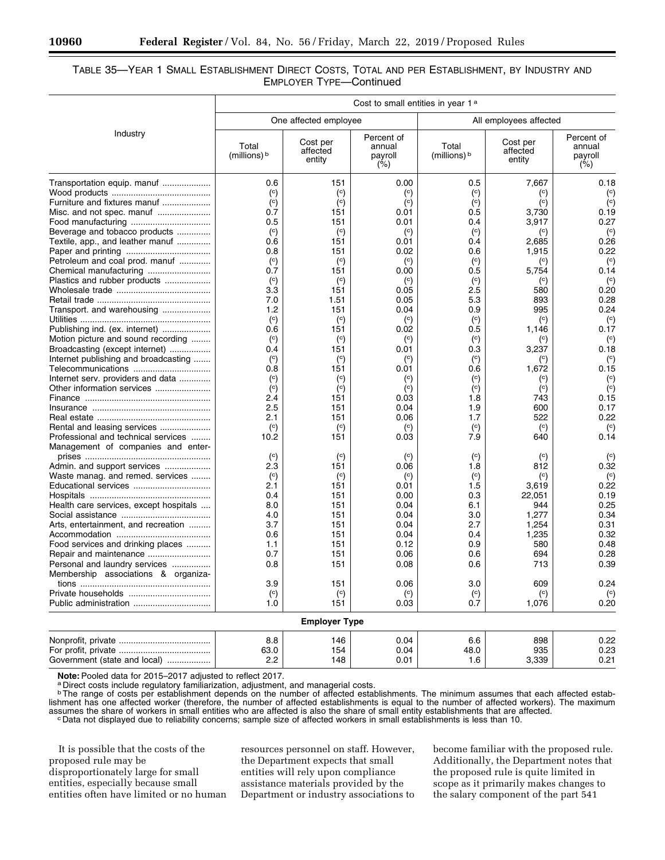### TABLE 35—YEAR 1 SMALL ESTABLISHMENT DIRECT COSTS, TOTAL AND PER ESTABLISHMENT, BY INDUSTRY AND EMPLOYER TYPE—Continued

|                                        | Cost to small entities in year 1 <sup>a</sup> |                                |                                        |                        |                                |                                        |
|----------------------------------------|-----------------------------------------------|--------------------------------|----------------------------------------|------------------------|--------------------------------|----------------------------------------|
|                                        |                                               | One affected employee          |                                        |                        | All employees affected         |                                        |
| Industry                               | Total<br>(millions) b                         | Cost per<br>affected<br>entity | Percent of<br>annual<br>payroll<br>(%) | Total<br>(millions) b  | Cost per<br>affected<br>entity | Percent of<br>annual<br>payroll<br>(%) |
| Transportation equip. manuf            | 0.6                                           | 151                            | 0.00                                   | 0.5                    | 7,667                          | 0.18                                   |
|                                        | $\left( \circ \right)$                        | $\left( \circ \right)$         | $\rm ^{(c)}$                           | $^{\circ}$             | $^{\rm (c)}$                   | $\binom{c}{c}$                         |
| Furniture and fixtures manuf           | $\left( \circ \right)$                        | $\binom{c}{c}$                 | $\left( \circ \right)$                 | $\left( \circ \right)$ | $\binom{c}{c}$                 | $\overline{c}$                         |
| Misc. and not spec. manuf              | 0.7                                           | 151                            | 0.01                                   | 0.5                    | 3,730                          | 0.19                                   |
| Food manufacturing                     | 0.5                                           | 151                            | 0.01                                   | 0.4                    | 3,917                          | 0.27                                   |
| Beverage and tobacco products          | $\left( \circ \right)$                        | $\binom{c}{c}$                 | $\left( \circ \right)$                 | $\binom{c}{c}$         | $\left( \circ \right)$         | $\binom{c}{c}$                         |
| Textile, app., and leather manuf       | 0.6                                           | 151                            | 0.01                                   | 0.4                    | 2,685                          | 0.26                                   |
|                                        | 0.8                                           | 151                            | 0.02                                   | 0.6                    | 1,915                          | 0.22                                   |
| Petroleum and coal prod. manuf         | $\left( \circ \right)$                        | $\binom{c}{c}$                 | $\left( \circ \right)$                 | $\left( \circ \right)$ | $\binom{c}{c}$                 | $\binom{c}{c}$                         |
| Chemical manufacturing                 | 0.7                                           | 151                            | 0.00                                   | 0.5                    | 5,754                          | 0.14                                   |
| Plastics and rubber products           | $\left( \circ \right)$                        | $\left( \circ \right)$         | $\left( \circ \right)$                 | $\left( \circ \right)$ | $\binom{c}{c}$                 | $\left( \circ \right)$                 |
|                                        | 3.3                                           | 151                            | 0.05                                   | 2.5                    | 580                            | 0.20                                   |
|                                        | 7.0                                           | 1.51                           | 0.05                                   | 5.3                    | 893                            | 0.28                                   |
| Transport. and warehousing             | 1.2                                           | 151                            | 0.04                                   | 0.9                    | 995                            | 0.24                                   |
|                                        | $\binom{c}{c}$                                | $\left( \circ \right)$         | $\left( \circ \right)$                 | $\left( \circ \right)$ | $\binom{c}{c}$                 | $\left( \circ \right)$                 |
| Publishing ind. (ex. internet)         | 0.6                                           | 151                            | 0.02                                   | 0.5                    | 1,146                          | 0.17                                   |
| Motion picture and sound recording     | $\binom{c}{c}$                                | $\binom{c}{c}$                 | $\left( \circ \right)$                 | $\left( \circ \right)$ | $^{\rm (c)}$                   | $\binom{c}{c}$                         |
| Broadcasting (except internet)         | 0.4                                           | 151                            | 0.01                                   | 0.3                    | 3,237                          | 0.18                                   |
| Internet publishing and broadcasting   | $\binom{c}{c}$                                | $\left( \circ \right)$         | $\left( \circ \right)$                 | $\left( \circ \right)$ | $^{\rm (c)}$                   | $\left( \circ \right)$                 |
| Telecommunications                     | 0.8                                           | 151                            | 0.01                                   | 0.6                    | 1,672                          | 0.15                                   |
| Internet serv. providers and data      | $\left( \circ \right)$                        | $\left( \circ \right)$         | $\rm ^{(c)}$                           | $\left( \circ \right)$ | $^{\rm (c)}$                   | $\left( \circ \right)$                 |
| Other information services             | $\left( \circ \right)$                        | $\binom{c}{c}$                 | $\left( \circ \right)$                 | $\binom{c}{c}$         | $^{\rm (c)}$                   | $\binom{c}{c}$                         |
|                                        | 2.4                                           | 151                            | 0.03                                   | 1.8                    | 743                            | 0.15                                   |
|                                        | 2.5                                           | 151                            | 0.04                                   | 1.9                    | 600                            | 0.17                                   |
|                                        | 2.1                                           | 151                            | 0.06                                   | 1.7                    | 522                            | 0.22                                   |
| Rental and leasing services            | $\binom{c}{c}$                                | $\binom{c}{c}$                 | $\binom{c}{c}$                         | $\binom{c}{c}$         | $\binom{c}{c}$                 | $\left( \circ \right)$                 |
| Professional and technical services    | 10.2                                          | 151                            | 0.03                                   | 7.9                    | 640                            | 0.14                                   |
| Management of companies and enter-     |                                               |                                |                                        |                        |                                |                                        |
|                                        | $\left( \circ \right)$                        | $\left( \circ \right)$         | $\left( \circ \right)$                 | $\left( \circ \right)$ | $\binom{c}{c}$                 | $\rm ^{(c)}$                           |
| Admin. and support services            | 2.3                                           | 151                            | 0.06                                   | 1.8                    | 812                            | 0.32                                   |
| Waste manag. and remed. services       | $\left( \circ \right)$                        | $\left( \circ \right)$         | $\left( \circ \right)$                 | $\binom{c}{c}$         | $\binom{c}{c}$                 | $\left( \circ \right)$                 |
| Educational services                   | 2.1                                           | 151                            | 0.01                                   | 1.5                    | 3,619                          | 0.22                                   |
|                                        | 0.4                                           | 151                            | 0.00                                   | 0.3                    | 22,051                         | 0.19                                   |
| Health care services, except hospitals | 8.0                                           | 151                            | 0.04                                   | 6.1                    | 944                            | 0.25                                   |
|                                        | 4.0                                           | 151                            | 0.04                                   | 3.0                    | 1,277                          | 0.34                                   |
| Arts, entertainment, and recreation    | 3.7                                           | 151                            | 0.04                                   | 2.7                    | 1,254                          | 0.31                                   |
|                                        | 0.6                                           | 151                            | 0.04                                   | 0.4                    | 1,235                          | 0.32                                   |
| Food services and drinking places      | 1.1                                           | 151                            | 0.12                                   | 0.9                    | 580                            | 0.48                                   |
| Repair and maintenance                 | 0.7                                           | 151                            | 0.06                                   | 0.6                    | 694                            | 0.28                                   |
| Personal and laundry services          | 0.8                                           | 151                            | 0.08                                   | 0.6                    | 713                            | 0.39                                   |
| Membership associations & organiza-    |                                               |                                |                                        |                        |                                |                                        |
|                                        |                                               |                                | 0.06                                   | $3.0\,$                |                                |                                        |
|                                        | 3.9<br>$\left( \circ \right)$                 | 151<br>$\left( \circ \right)$  | $\left( \circ \right)$                 | $\left( \circ \right)$ | 609<br>$\left( \circ \right)$  | 0.24<br>$\left( \circ \right)$         |
|                                        | 1.0                                           | 151                            | 0.03                                   | 0.7                    | 1,076                          | 0.20                                   |
|                                        |                                               | <b>Employer Type</b>           |                                        |                        |                                |                                        |
|                                        |                                               |                                |                                        |                        |                                |                                        |
|                                        | 8.8                                           | 146                            | 0.04                                   | 6.6                    | 898                            | 0.22                                   |
|                                        | 63.0                                          | 154                            | 0.04                                   | 48.0                   | 935                            | 0.23                                   |
| Government (state and local)           | 2.2                                           | 148                            | 0.01                                   | 1.6                    | 3,339                          | 0.21                                   |

Note: Pooled data for 2015–2017 adjusted to reflect 2017.<br><sup>a</sup> Direct costs include regulatory familiarization, adjustment, and managerial costs.

<sup>b</sup>The range of costs per establishment depends on the number of affected establishments. The minimum assumes that each affected establishment has one affected worker (therefore, the number of affected establishments is equal to the number of affected workers). The maximum Example that of workers in small entities who are affected is also the share of small entity establishments that are affected.<br><sup>C</sup>Data not displayed due to reliability concerns; sample size of affected workers in small est

It is possible that the costs of the proposed rule may be disproportionately large for small entities, especially because small entities often have limited or no human

resources personnel on staff. However, the Department expects that small entities will rely upon compliance assistance materials provided by the Department or industry associations to

become familiar with the proposed rule. Additionally, the Department notes that the proposed rule is quite limited in scope as it primarily makes changes to the salary component of the part 541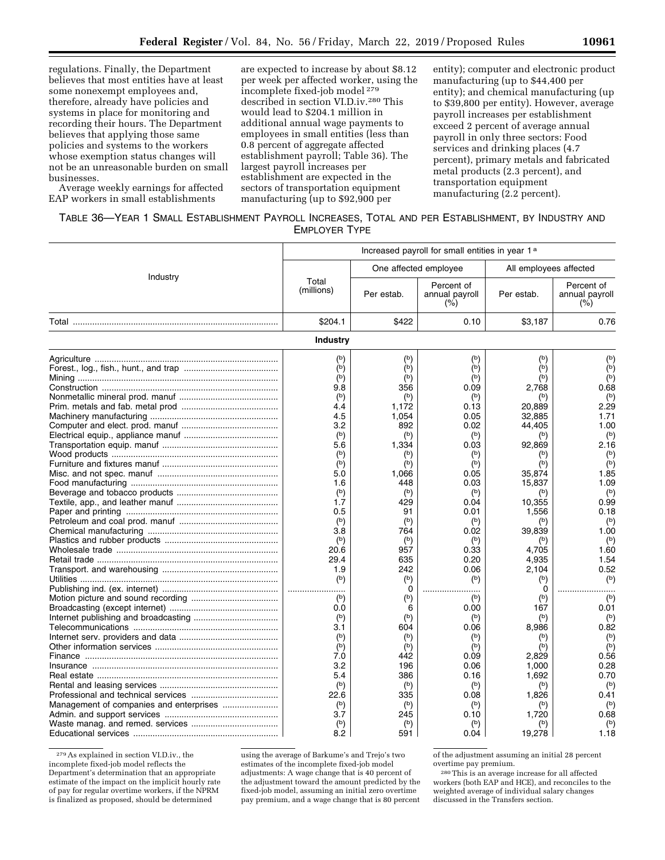regulations. Finally, the Department believes that most entities have at least some nonexempt employees and, therefore, already have policies and systems in place for monitoring and recording their hours. The Department believes that applying those same policies and systems to the workers whose exemption status changes will not be an unreasonable burden on small businesses.

Average weekly earnings for affected EAP workers in small establishments

are expected to increase by about \$8.12 per week per affected worker, using the incomplete fixed-job model 279 described in section VI.D.iv.280 This would lead to \$204.1 million in additional annual wage payments to employees in small entities (less than 0.8 percent of aggregate affected establishment payroll; Table 36). The largest payroll increases per establishment are expected in the sectors of transportation equipment manufacturing (up to \$92,900 per

entity); computer and electronic product manufacturing (up to \$44,400 per entity); and chemical manufacturing (up to \$39,800 per entity). However, average payroll increases per establishment exceed 2 percent of average annual payroll in only three sectors: Food services and drinking places (4.7 percent), primary metals and fabricated metal products (2.3 percent), and transportation equipment manufacturing (2.2 percent).

TABLE 36—YEAR 1 SMALL ESTABLISHMENT PAYROLL INCREASES, TOTAL AND PER ESTABLISHMENT, BY INDUSTRY AND EMPLOYER TYPE

|                                    | Increased payroll for small entities in year 1 <sup>a</sup>                                                                                                                                                                                                                          |                                                                                                                                                                                                                                                                     |                                                                                                                                                                                                                                                                                                        |                                                                                                                                                                                                                                                                             |                                                                                                                                                                                                                                                                                                        |
|------------------------------------|--------------------------------------------------------------------------------------------------------------------------------------------------------------------------------------------------------------------------------------------------------------------------------------|---------------------------------------------------------------------------------------------------------------------------------------------------------------------------------------------------------------------------------------------------------------------|--------------------------------------------------------------------------------------------------------------------------------------------------------------------------------------------------------------------------------------------------------------------------------------------------------|-----------------------------------------------------------------------------------------------------------------------------------------------------------------------------------------------------------------------------------------------------------------------------|--------------------------------------------------------------------------------------------------------------------------------------------------------------------------------------------------------------------------------------------------------------------------------------------------------|
| Industry                           |                                                                                                                                                                                                                                                                                      |                                                                                                                                                                                                                                                                     | One affected employee                                                                                                                                                                                                                                                                                  | All employees affected                                                                                                                                                                                                                                                      |                                                                                                                                                                                                                                                                                                        |
|                                    | Total<br>(millions)                                                                                                                                                                                                                                                                  | Per estab.                                                                                                                                                                                                                                                          | Percent of<br>annual payroll<br>$(\% )$                                                                                                                                                                                                                                                                | Per estab.                                                                                                                                                                                                                                                                  | Percent of<br>annual payroll<br>$(\% )$                                                                                                                                                                                                                                                                |
| Total ………………………………………………………………………… | \$204.1                                                                                                                                                                                                                                                                              | \$422                                                                                                                                                                                                                                                               | 0.10                                                                                                                                                                                                                                                                                                   | \$3,187                                                                                                                                                                                                                                                                     | 0.76                                                                                                                                                                                                                                                                                                   |
|                                    | Industry                                                                                                                                                                                                                                                                             |                                                                                                                                                                                                                                                                     |                                                                                                                                                                                                                                                                                                        |                                                                                                                                                                                                                                                                             |                                                                                                                                                                                                                                                                                                        |
|                                    | $^{\rm (b)}$<br>(b)<br>$(\circ)$<br>9.8<br>(b)<br>4.4<br>4.5<br>3.2<br>(b)<br>5.6<br>$(\mathsf{b})$<br>(b)<br>5.0<br>1.6<br>(b)<br>1.7<br>0.5<br>$(b)$<br>3.8<br>$(b)$<br>20.6<br>29.4<br>1.9<br>$(b)$<br>$(b)$<br>0.0<br>(b)<br>3.1<br>$(\circ)$<br>(b)<br>7.0<br>3.2<br>5.4<br>(b) | (b)<br>(b)<br>(b)<br>356<br>(b)<br>1,172<br>1.054<br>892<br>(b)<br>1,334<br>(b)<br>$(\mathsf{b})$<br>1,066<br>448<br>(b)<br>429<br>91<br>(b)<br>764<br>$(b)$<br>957<br>635<br>242<br>(b)<br>0<br>$(b)$<br>6<br>(b)<br>604<br>(b)<br>(b)<br>442<br>196<br>386<br>(b) | (b)<br>(b)<br>$(\circ)$<br>0.09<br>(b)<br>0.13<br>0.05<br>0.02<br>$(b)$<br>0.03<br>(b)<br>$(\circ)$<br>0.05<br>0.03<br>(b)<br>0.04<br>0.01<br>(b)<br>0.02<br>$(b)$<br>0.33<br>0.20<br>0.06<br>$(\mathsf{b})$<br><br>$(\mathsf{b})$<br>0.00<br>(b)<br>0.06<br>(b)<br>(b)<br>0.09<br>0.06<br>0.16<br>(b) | $(\mathsf{b})$<br>(b)<br>(b)<br>2,768<br>20,889<br>32,885<br>44.405<br>92,869<br>$(\circ)$<br>(b)<br>35,874<br>15,837<br>(b)<br>10,355<br>1,556<br>39,839<br>4,705<br>4,935<br>2.104<br>$(b)$<br>0<br>$(b)$<br>167<br>(b)<br>8,986<br>(b)<br>2,829<br>1,000<br>1,692<br>(b) | (b)<br>(b)<br>$(\circ)$<br>0.68<br>$^{\rm (b)}$<br>2.29<br>1.71<br>1.00<br>$(b)$<br>2.16<br>$(b)$<br>$(b)$<br>1.85<br>1.09<br>(b)<br>0.99<br>0.18<br>$(\circ)$<br>1.00<br>$(b)$<br>1.60<br>1.54<br>0.52<br>$(b)$<br>.<br>$(b)$<br>0.01<br>(b)<br>0.82<br>$(b)$<br>(b)<br>0.56<br>0.28<br>0.70<br>$(b)$ |
|                                    | 22.6<br>$^{\rm (b)}$<br>3.7<br>$(\mathsf{b})$<br>8.2                                                                                                                                                                                                                                 | 335<br>$(b)$<br>245<br>(b)<br>591                                                                                                                                                                                                                                   | 0.08<br>$(\circ)$<br>0.10<br>$(\circ)$<br>0.04                                                                                                                                                                                                                                                         | 1,826<br>(b)<br>1,720<br><sup>(b)</sup><br>19,278                                                                                                                                                                                                                           | 0.41<br>$(b)$<br>0.68<br>(b)<br>1.18                                                                                                                                                                                                                                                                   |

279As explained in section VI.D.iv., the incomplete fixed-job model reflects the Department's determination that an appropriate estimate of the impact on the implicit hourly rate of pay for regular overtime workers, if the NPRM is finalized as proposed, should be determined

using the average of Barkume's and Trejo's two estimates of the incomplete fixed-job model adjustments: A wage change that is 40 percent of the adjustment toward the amount predicted by the fixed-job model, assuming an initial zero overtime pay premium, and a wage change that is 80 percent of the adjustment assuming an initial 28 percent overtime pay premium.

280This is an average increase for all affected workers (both EAP and HCE), and reconciles to the weighted average of individual salary changes discussed in the Transfers section.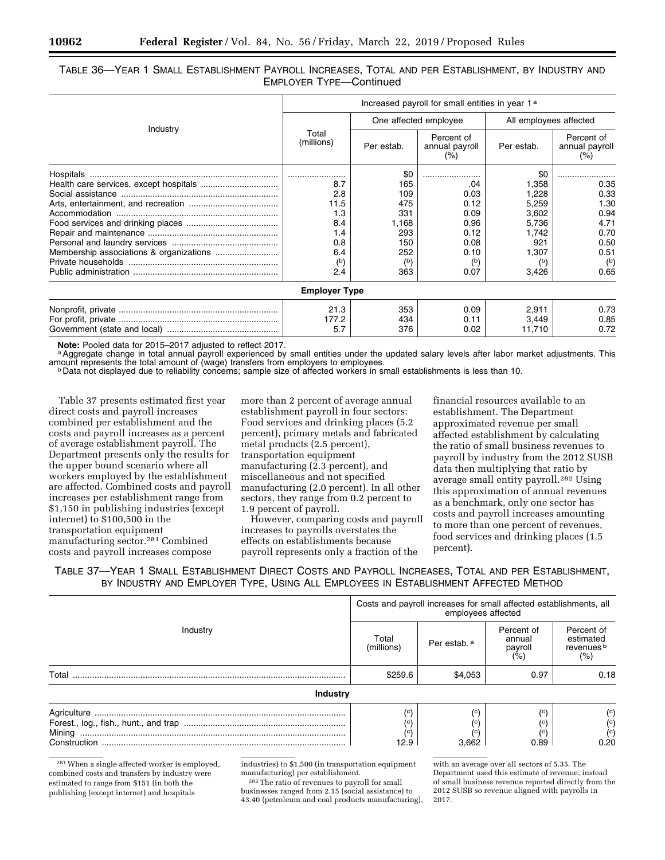### TABLE 36—YEAR 1 SMALL ESTABLISHMENT PAYROLL INCREASES, TOTAL AND PER ESTABLISHMENT, BY INDUSTRY AND EMPLOYER TYPE—Continued

|          | Increased payroll for small entities in year 1 <sup>a</sup> |            |                                     |                        |                                         |
|----------|-------------------------------------------------------------|------------|-------------------------------------|------------------------|-----------------------------------------|
|          |                                                             |            | One affected employee               | All employees affected |                                         |
| Industry | Total<br>(millions)                                         | Per estab. | Percent of<br>annual payroll<br>(%) | Per estab.             | Percent of<br>annual payroll<br>$(\% )$ |
|          |                                                             | \$0        |                                     | \$0                    |                                         |
|          | 8.7                                                         | 165        | .04                                 | 1,358                  | 0.35                                    |
|          | 2.8                                                         | 109        | 0.03                                | 1,228                  | 0.33                                    |
|          | 11.5                                                        | 475        | 0.12                                | 5,259                  | 1.30                                    |
|          | 1.3                                                         | 331        | 0.09                                | 3,602                  | 0.94                                    |
|          | 8.4                                                         | 1,168      | 0.96                                | 5,736                  | 4.71                                    |
|          | 1.4                                                         | 293        | 0.12                                | 1,742                  | 0.70                                    |
|          | 0.8                                                         | 150        | 0.08                                | 921                    | 0.50                                    |
|          | 6.4                                                         | 252        | 0.10                                | 1,307                  | 0.51                                    |
|          | $^{\rm (b)}$                                                | (b)        | $^{\rm (b)}$                        | (b)                    | $^{\rm (b)}$                            |
|          | 2.4                                                         | 363        | 0.07                                | 3,426                  | 0.65                                    |
|          | <b>Employer Type</b>                                        |            |                                     |                        |                                         |
|          | 21.3                                                        | 353        | 0.09                                | 2,911                  | 0.73                                    |
|          | 177.2                                                       | 434        | 0.11                                | 3,449                  | 0.85                                    |
|          | 5.7                                                         | 376        | 0.02                                | 11,710                 | 0.72                                    |

Note: Pooled data for 2015–2017 adjusted to reflect 2017.<br><sup>a</sup> Aggregate change in total annual payroll experienced by small entities under the updated salary levels after labor market adjustments. This amount represents th

<sup>b</sup> Data not displayed due to reliability concerns; sample size of affected workers in small establishments is less than 10.

Table 37 presents estimated first year direct costs and payroll increases combined per establishment and the costs and payroll increases as a percent of average establishment payroll. The Department presents only the results for the upper bound scenario where all workers employed by the establishment are affected. Combined costs and payroll increases per establishment range from \$1,150 in publishing industries (except internet) to \$100,500 in the transportation equipment manufacturing sector.281 Combined costs and payroll increases compose

more than 2 percent of average annual establishment payroll in four sectors: Food services and drinking places (5.2 percent), primary metals and fabricated metal products (2.5 percent), transportation equipment manufacturing (2.3 percent), and miscellaneous and not specified manufacturing (2.0 percent). In all other sectors, they range from 0.2 percent to 1.9 percent of payroll.

However, comparing costs and payroll increases to payrolls overstates the effects on establishments because payroll represents only a fraction of the

financial resources available to an establishment. The Department approximated revenue per small affected establishment by calculating the ratio of small business revenues to payroll by industry from the 2012 SUSB data then multiplying that ratio by average small entity payroll.<sup>282</sup> Using this approximation of annual revenues as a benchmark, only one sector has costs and payroll increases amounting to more than one percent of revenues, food services and drinking places (1.5 percent).

TABLE 37—YEAR 1 SMALL ESTABLISHMENT DIRECT COSTS AND PAYROLL INCREASES, TOTAL AND PER ESTABLISHMENT, BY INDUSTRY AND EMPLOYER TYPE, USING ALL EMPLOYEES IN ESTABLISHMENT AFFECTED METHOD

|                 | Costs and payroll increases for small affected establishments, all<br>employees affected |                           |                                        |                                                                  |  |
|-----------------|------------------------------------------------------------------------------------------|---------------------------|----------------------------------------|------------------------------------------------------------------|--|
| Industry        | Total<br>(millions)                                                                      | Per estab. <sup>a</sup>   | Percent of<br>annual<br>payroll<br>(%) | Percent of<br>estimated<br>revenues <sup>b</sup><br>(% )         |  |
| Total           | \$259.6                                                                                  | \$4.053                   | 0.97                                   | 0.18                                                             |  |
| <b>Industry</b> |                                                                                          |                           |                                        |                                                                  |  |
| Construction    | (c)<br>(c)<br>12.9                                                                       | (c)<br>(c)<br>(c<br>3.662 | (c)<br>(c'<br>(c)<br>0.89              | $\left( \circ \right)$<br>$^{\rm (c)}$<br>$\binom{c}{c}$<br>0.20 |  |

281When a single affected worker is employed, combined costs and transfers by industry were estimated to range from \$151 (in both the publishing (except internet) and hospitals

industries) to \$1,500 (in transportation equipment manufacturing) per establishment.

282The ratio of revenues to payroll for small businesses ranged from 2.15 (social assistance) to 43.40 (petroleum and coal products manufacturing),

with an average over all sectors of 5.35. The Department used this estimate of revenue, instead of small business revenue reported directly from the 2012 SUSB so revenue aligned with payrolls in 2017.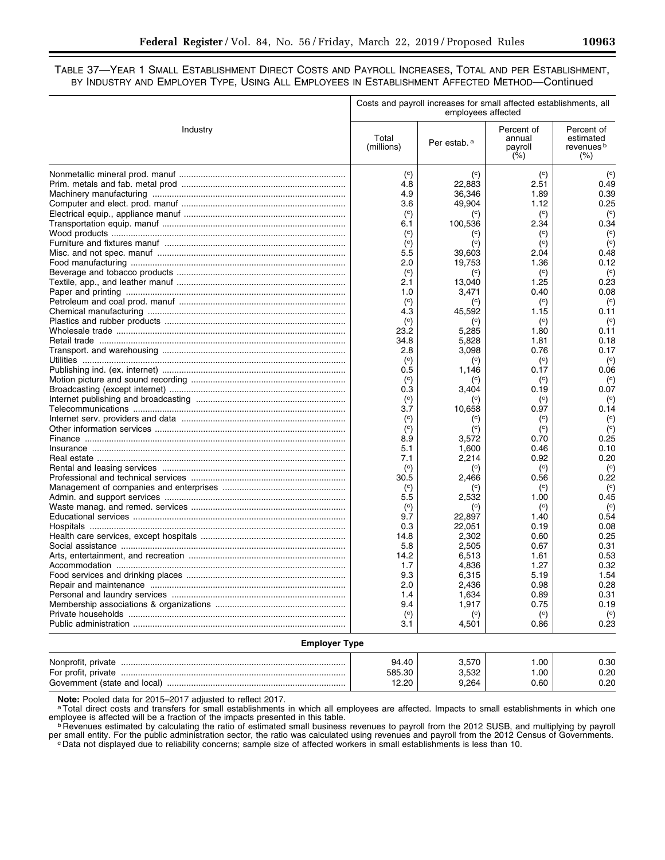### TABLE 37—YEAR 1 SMALL ESTABLISHMENT DIRECT COSTS AND PAYROLL INCREASES, TOTAL AND PER ESTABLISHMENT, BY INDUSTRY AND EMPLOYER TYPE, USING ALL EMPLOYEES IN ESTABLISHMENT AFFECTED METHOD—Continued

|                      | Costs and payroll increases for small affected establishments, all<br>employees affected |                         |                                                           |                                                          |
|----------------------|------------------------------------------------------------------------------------------|-------------------------|-----------------------------------------------------------|----------------------------------------------------------|
| Industry             | Total<br>(millions)                                                                      | Per estab. <sup>a</sup> | Percent of<br>annual<br>payroll<br>$(^{\circ}\!\!/\circ)$ | Percent of<br>estimated<br>revenues <sup>b</sup><br>(% ) |
|                      | $\left( \circ \right)$                                                                   | $\left( \circ \right)$  | $\left( \circ \right)$                                    | $\left( \circ \right)$                                   |
|                      | 4.8                                                                                      | 22,883                  | 2.51                                                      | 0.49                                                     |
|                      | 4.9                                                                                      | 36,346                  | 1.89                                                      | 0.39                                                     |
|                      | 3.6                                                                                      | 49,904                  | 1.12                                                      | 0.25                                                     |
|                      | $\left( \circ \right)$                                                                   | $^{\rm (c)}$            | $\left( \circ \right)$                                    | $\left( \circ \right)$                                   |
|                      | 6.1                                                                                      | 100,536                 | 2.34                                                      | 0.34                                                     |
|                      | $\left( \circ \right)$                                                                   | $^{\rm (c)}$            | (c)                                                       | (c)                                                      |
|                      | (c)                                                                                      | (c)                     | (c)                                                       | (c)                                                      |
|                      | 5.5                                                                                      | 39,603                  | 2.04                                                      | 0.48                                                     |
|                      | 2.0                                                                                      | 19,753                  | 1.36                                                      | 0.12                                                     |
|                      | (c)                                                                                      | $\left( \circ \right)$  | $\left( \circ \right)$                                    | (c)                                                      |
|                      | 2.1                                                                                      | 13,040                  | 1.25                                                      | 0.23                                                     |
|                      | 1.0                                                                                      | 3,471                   | 0.40                                                      | 0.08                                                     |
|                      | $\left( \circ \right)$                                                                   | $\left( \circ \right)$  | $\left( \circ \right)$                                    | (c)                                                      |
|                      | 4.3                                                                                      | 45,592                  | 1.15                                                      | 0.11                                                     |
|                      | $\left( \circ \right)$                                                                   | $^{\rm (c)}$            | $\left( \circ \right)$                                    | (c)                                                      |
|                      | 23.2                                                                                     | 5,285                   | 1.80                                                      | 0.11                                                     |
|                      | 34.8                                                                                     | 5,828                   | 1.81                                                      | 0.18                                                     |
|                      | 2.8                                                                                      | 3,098                   | 0.76                                                      | 0.17                                                     |
|                      | $\left( \circ \right)$                                                                   | $\left( \circ \right)$  | $\left( \circ \right)$                                    | (c)                                                      |
|                      | 0.5                                                                                      | 1,146                   | 0.17                                                      | 0.06                                                     |
|                      | $\left( \circ \right)$                                                                   | $\left( \circ \right)$  | $\left( \circ \right)$                                    | (c)                                                      |
|                      | 0.3                                                                                      | 3,404                   | 0.19                                                      | 0.07                                                     |
|                      | $\left( \circ \right)$                                                                   | $^{\rm (c)}$            | $\left( \circ \right)$                                    | (c)                                                      |
|                      | 3.7                                                                                      | 10,658                  | 0.97                                                      | 0.14                                                     |
|                      | $\left( \circ \right)$                                                                   | $^{\rm (c)}$            | $\left( \circ \right)$                                    | (c)                                                      |
|                      | $\left( \circ \right)$                                                                   | $^{\rm (c)}$            | $\left( \circ \right)$                                    | (c)                                                      |
|                      | 8.9                                                                                      | 3,572                   | 0.70                                                      | 0.25                                                     |
|                      | 5.1                                                                                      | 1,600                   | 0.46                                                      | 0.10                                                     |
|                      | 7.1                                                                                      | 2,214                   | 0.92                                                      | 0.20                                                     |
|                      | $\left( \circ \right)$                                                                   | $\left( \circ \right)$  | $\left( \circ \right)$                                    | $\left( \circ \right)$                                   |
|                      | 30.5                                                                                     | 2,466                   | 0.56                                                      | 0.22                                                     |
|                      | $\left( \circ \right)$                                                                   |                         | (c)                                                       | $\left( \circ \right)$                                   |
|                      | 5.5                                                                                      | 2,532                   | 1.00                                                      | 0.45                                                     |
|                      | $\left( \circ \right)$                                                                   |                         | $\left( \circ \right)$                                    | $\left( \circ \right)$                                   |
|                      | 9.7                                                                                      | 22,897                  | 1.40                                                      | 0.54                                                     |
|                      | 0.3                                                                                      | 22,051                  | 0.19                                                      | 0.08                                                     |
|                      | 14.8                                                                                     | 2,302                   | 0.60                                                      | 0.25                                                     |
|                      | 5.8                                                                                      | 2,505                   | 0.67                                                      | 0.31                                                     |
|                      | 14.2                                                                                     | 6,513                   | 1.61                                                      | 0.53                                                     |
|                      | 1.7                                                                                      | 4,836                   | 1.27                                                      | 0.32                                                     |
|                      | 9.3                                                                                      | 6,315                   | 5.19                                                      | 1.54                                                     |
|                      | 2.0                                                                                      | 2,436                   | 0.98                                                      | 0.28                                                     |
|                      | 1.4                                                                                      | 1,634                   | 0.89                                                      | 0.31                                                     |
|                      | 9.4                                                                                      | 1,917                   | 0.75                                                      | 0.19                                                     |
|                      | $\left( \circ \right)$                                                                   | $\left( \circ \right)$  | $\left( \circ \right)$                                    | $\left( \circ \right)$                                   |
|                      | 3.1                                                                                      | 4,501                   | 0.86                                                      | 0.23                                                     |
|                      |                                                                                          |                         |                                                           |                                                          |
| <b>Employer Type</b> |                                                                                          |                         |                                                           |                                                          |
|                      | 94.40                                                                                    | 3,570                   | 1.00                                                      | 0.30                                                     |
|                      | 585.30                                                                                   | 3,532                   | 1.00                                                      | 0.20                                                     |

Note: Pooled data for 2015–2017 adjusted to reflect 2017.<br><sup>a</sup>Total direct costs and transfers for small establishments in which all employees are affected. Impacts to small establishments in which one employee is affected will be a fraction of the impacts presented in this table.<br><sup>b</sup> Revenues estimated by calculating the ratio of estimated small business revenues to payroll from the 2012 SUSB, and multiplying by payroll

Government (state and local) .......................................................................... 12.20 9,264 0.60 0.20

per small entity. For the public administration sector, the ratio was calculated using revenues and payroll from the 2012 Census of Governments.<br>© Data not displayed due to reliability concerns; sample size of affected wor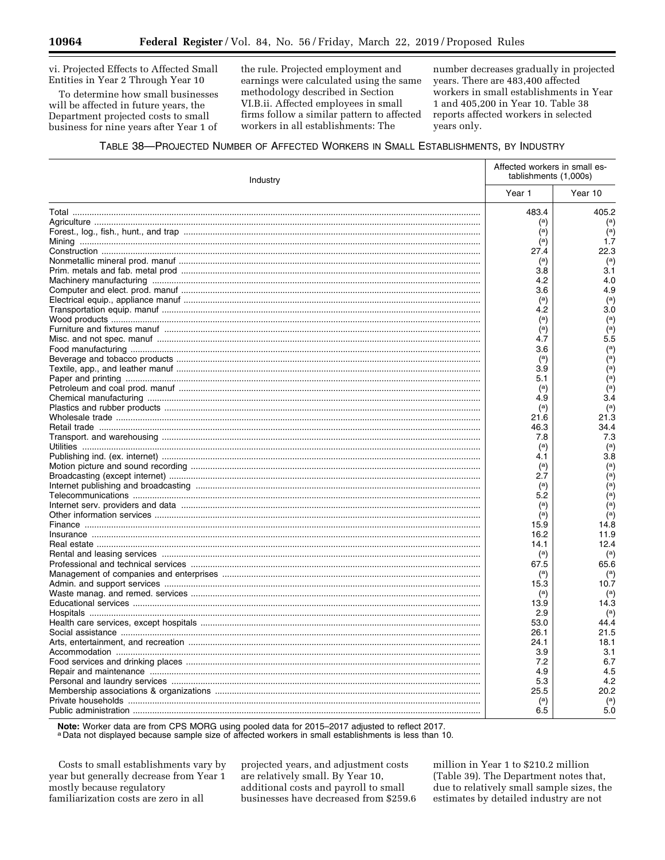vi. Projected Effects to Affected Small Entities in Year 2 Through Year 10

To determine how small businesses will be affected in future years, the Department projected costs to small business for nine years after Year 1 of

the rule. Projected employment and earnings were calculated using the same methodology described in Section VI.B.ii. Affected employees in small firms follow a similar pattern to affected workers in all establishments: The

number decreases gradually in projected years. There are 483,400 affected workers in small establishments in Year 1 and 405,200 in Year 10. Table 38 reports affected workers in selected years only.

### TABLE 38-PROJECTED NUMBER OF AFFECTED WORKERS IN SMALL ESTABLISHMENTS, BY INDUSTRY

| Industry |                       | Affected workers in small es-<br>tablishments (1,000s) |
|----------|-----------------------|--------------------------------------------------------|
|          | Year 1                | Year 10                                                |
|          | 483.4                 | 405.2                                                  |
|          | (a)                   | $^{\rm (a)}$                                           |
|          | $^{\rm (a)}$          | $\overline{a}$                                         |
|          | $\binom{a}{b}$        | 1.7                                                    |
|          | 27.4                  | 22.3                                                   |
|          | $^{\rm (a)}$          | (a)                                                    |
|          | 3.8                   | 3.1                                                    |
|          | 4.2                   | 4.0                                                    |
|          | 3.6                   | 4.9                                                    |
|          | (a)                   | $\binom{a}{b}$                                         |
|          | 4.2                   | 3.0                                                    |
|          | $^{\rm (a)}$          | (a)                                                    |
|          | $^{\rm (a)}$          | $\binom{a}{b}$                                         |
|          | 4.7                   | 5.5                                                    |
|          | 3.6                   | $\binom{a}{b}$                                         |
|          | (a)                   | $\overline{a}$                                         |
|          | 3.9                   | (a)                                                    |
|          | 5.1                   | $\overline{a}$                                         |
|          | (a)                   | $\binom{a}{b}$                                         |
|          | 4.9                   | 3.4                                                    |
|          | (a)                   | (a)                                                    |
|          | 21.6                  | 21.3                                                   |
|          | 46.3                  | 34.4                                                   |
|          | 7.8                   | 7.3                                                    |
|          | (a)                   | (a)                                                    |
|          | 4.1                   | 3.8                                                    |
|          | $^{\rm (a)}$          | $(a)$                                                  |
|          | 2.7                   | $\overline{a}$                                         |
|          |                       | $\overline{a}$                                         |
|          | $\binom{a}{b}$<br>5.2 | $\binom{a}{b}$                                         |
|          |                       | (a)                                                    |
|          | $^{\rm (a)}$          | $\overline{a}$                                         |
|          | (a)                   |                                                        |
|          | 15.9                  | 14.8                                                   |
|          | 16.2                  | 11.9                                                   |
|          | 14.1                  | 12.4                                                   |
|          | (a)                   | $^{\rm (a)}$                                           |
|          | 67.5                  | 65.6                                                   |
|          | $^{\rm (a)}$          | $\binom{a}{b}$                                         |
|          | 15.3                  | 10.7                                                   |
|          | $^{\rm (a)}$          | (a)                                                    |
|          | 13.9                  | 14.3                                                   |
|          | 2.9                   | $^{\rm (a)}$                                           |
|          | 53.0                  | 44.4                                                   |
|          | 26.1                  | 21.5                                                   |
|          | 24.1                  | 18.1                                                   |
|          | 3.9                   | 3.1                                                    |
|          | 7.2                   | 6.7                                                    |
|          | 4.9                   | 4.5                                                    |
|          | 5.3                   | 4.2                                                    |
|          | 25.5                  | 20.2                                                   |
|          | $\binom{a}{b}$        | $^{\rm (a)}$                                           |
|          | 6.5                   | 5.0                                                    |

Note: Worker data are from CPS MORG using pooled data for 2015-2017 adjusted to reflect 2017.

a Data not displayed because sample size of affected workers in small establishments is less than 10.

Costs to small establishments vary by year but generally decrease from Year 1 mostly because regulatory familiarization costs are zero in all

projected years, and adjustment costs are relatively small. By Year 10, additional costs and payroll to small businesses have decreased from \$259.6 million in Year 1 to \$210.2 million (Table 39). The Department notes that, due to relatively small sample sizes, the estimates by detailed industry are not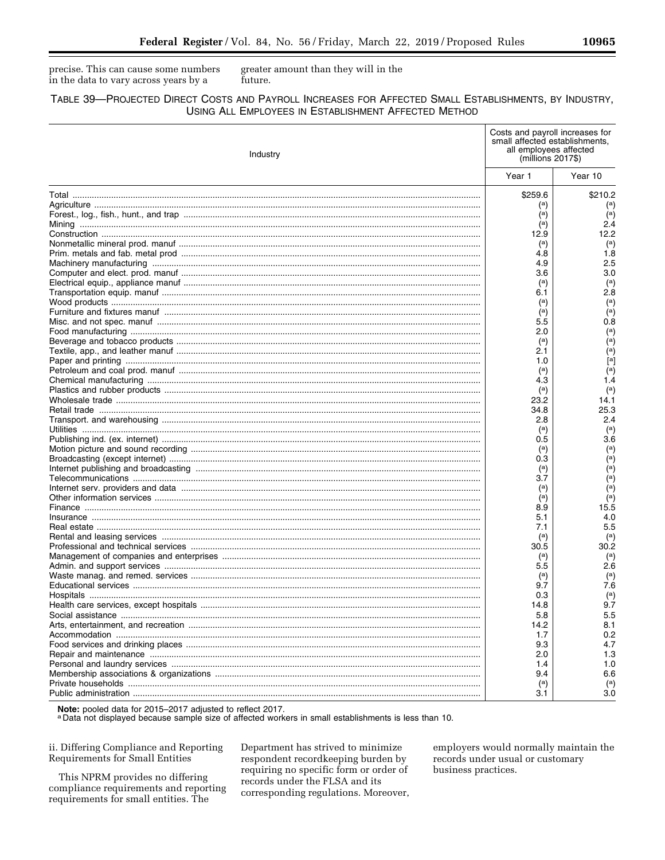precise. This can cause some numbers in the data to vary across years by a

greater amount than they will in the future.

### TABLE 39-PROJECTED DIRECT COSTS AND PAYROLL INCREASES FOR AFFECTED SMALL ESTABLISHMENTS, BY INDUSTRY, USING ALL EMPLOYEES IN ESTABLISHMENT AFFECTED METHOD

| Industry |                     | Costs and payroll increases for<br>small affected establishments.<br>all employees affected<br>$(millions 2017\$ |
|----------|---------------------|------------------------------------------------------------------------------------------------------------------|
|          | Year 1              | Year 10                                                                                                          |
|          | \$259.6             | \$210.2                                                                                                          |
|          | (a)                 | $\binom{a}{b}$                                                                                                   |
|          | (a)                 | $\binom{a}{b}$                                                                                                   |
|          | $\binom{a}{b}$      | 2.4                                                                                                              |
|          | 12.9                | 12.2                                                                                                             |
|          |                     | $\binom{a}{b}$                                                                                                   |
|          | $^{\rm (a)}$<br>4.8 | 1.8                                                                                                              |
|          | 4.9                 | 2.5                                                                                                              |
|          | 3.6                 | 3.0                                                                                                              |
|          |                     |                                                                                                                  |
|          | (a)                 | $\binom{a}{b}$                                                                                                   |
|          | 6.1                 | 2.8                                                                                                              |
|          | $\binom{a}{b}$      | $\binom{a}{b}$                                                                                                   |
|          | $\binom{a}{b}$      | $\overline{a}$                                                                                                   |
|          | 5.5                 | 0.8                                                                                                              |
|          | 2.0                 | $\binom{a}{b}$                                                                                                   |
|          | (a)                 | $\binom{a}{b}$                                                                                                   |
|          | 2.1                 | $\binom{a}{b}$                                                                                                   |
|          | 1.0                 | $^{[a]}$                                                                                                         |
|          | (a)                 | $\left( \begin{matrix} a \end{matrix} \right)$                                                                   |
|          | 4.3                 | 1.4                                                                                                              |
|          | $\binom{a}{b}$      | $\binom{a}{b}$                                                                                                   |
|          | 23.2                | 14.1                                                                                                             |
|          | 34.8                | 25.3                                                                                                             |
|          | 2.8                 | 2.4                                                                                                              |
|          | (a)                 | $\binom{a}{b}$                                                                                                   |
|          | 0.5                 | 3.6                                                                                                              |
|          | $\binom{a}{b}$      | $\binom{a}{b}$                                                                                                   |
|          | 0.3                 | $\binom{a}{b}$                                                                                                   |
|          | $\binom{a}{b}$      | $\binom{a}{b}$                                                                                                   |
|          | 3.7                 | $(a)$                                                                                                            |
|          | (a)                 | $\binom{a}{b}$                                                                                                   |
|          | (a)                 | $\binom{a}{b}$                                                                                                   |
|          | 8.9                 | 15.5                                                                                                             |
|          | 5.1                 | 4.0                                                                                                              |
|          | 7.1                 | 5.5                                                                                                              |
|          | (a)                 | $\binom{a}{b}$                                                                                                   |
|          | 30.5                | 30.2                                                                                                             |
|          |                     |                                                                                                                  |
|          | $^{\rm (a)}$        | $\left( \begin{smallmatrix} a\end{smallmatrix} \right)$<br>2.6                                                   |
|          | 5.5                 |                                                                                                                  |
|          | $\binom{a}{b}$      | $^{\rm (a)}$                                                                                                     |
|          | 9.7                 | 7.6                                                                                                              |
|          | 0.3                 | $^{\rm (a)}$                                                                                                     |
|          | 14.8                | 9.7                                                                                                              |
|          | 5.8                 | 5.5                                                                                                              |
|          | 14.2                | 8.1                                                                                                              |
|          | 1.7                 | 0.2                                                                                                              |
|          | 9.3                 | 4.7                                                                                                              |
|          | 2.0                 | 1.3                                                                                                              |
|          | 1.4                 | 1.0                                                                                                              |
|          | 9.4                 | 6.6                                                                                                              |
|          | $\binom{a}{b}$      | $^{\rm (a)}$                                                                                                     |
|          | 3.1                 | 3.0                                                                                                              |

Note: pooled data for 2015–2017 adjusted to reflect 2017.<br>a Data not displayed because sample size of affected workers in small establishments is less than 10.

ii. Differing Compliance and Reporting Requirements for Small Entities

This NPRM provides no differing compliance requirements and reporting requirements for small entities. The

Department has strived to minimize respondent recordkeeping burden by requiring no specific form or order of records under the FLSA and its corresponding regulations. Moreover,

employers would normally maintain the records under usual or customary business practices.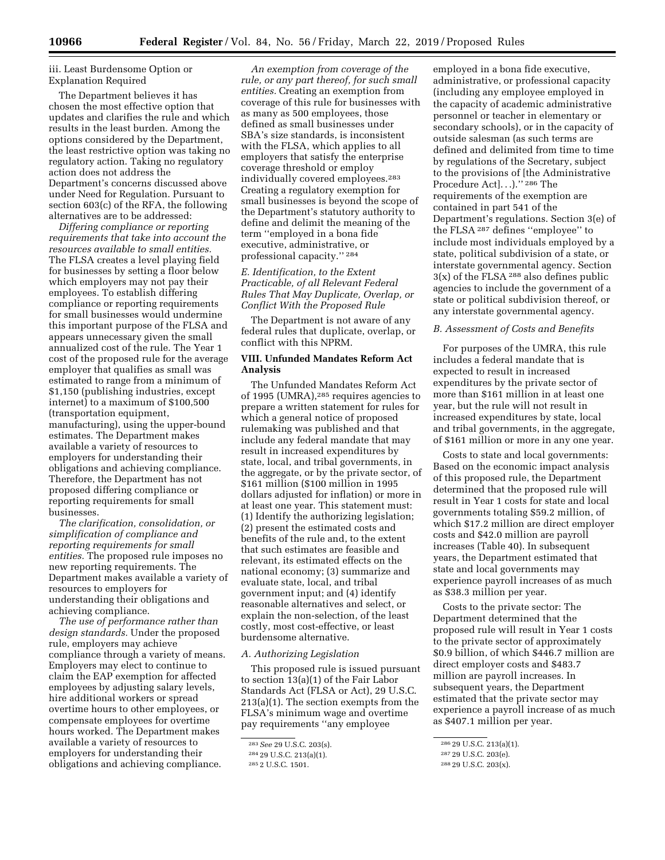### iii. Least Burdensome Option or Explanation Required

The Department believes it has chosen the most effective option that updates and clarifies the rule and which results in the least burden. Among the options considered by the Department, the least restrictive option was taking no regulatory action. Taking no regulatory action does not address the Department's concerns discussed above under Need for Regulation. Pursuant to section 603(c) of the RFA, the following alternatives are to be addressed:

*Differing compliance or reporting requirements that take into account the resources available to small entities.*  The FLSA creates a level playing field for businesses by setting a floor below which employers may not pay their employees. To establish differing compliance or reporting requirements for small businesses would undermine this important purpose of the FLSA and appears unnecessary given the small annualized cost of the rule. The Year 1 cost of the proposed rule for the average employer that qualifies as small was estimated to range from a minimum of \$1,150 (publishing industries, except internet) to a maximum of \$100,500 (transportation equipment, manufacturing), using the upper-bound estimates. The Department makes available a variety of resources to employers for understanding their obligations and achieving compliance. Therefore, the Department has not proposed differing compliance or reporting requirements for small businesses.

*The clarification, consolidation, or simplification of compliance and reporting requirements for small entities.* The proposed rule imposes no new reporting requirements. The Department makes available a variety of resources to employers for understanding their obligations and achieving compliance.

*The use of performance rather than design standards.* Under the proposed rule, employers may achieve compliance through a variety of means. Employers may elect to continue to claim the EAP exemption for affected employees by adjusting salary levels, hire additional workers or spread overtime hours to other employees, or compensate employees for overtime hours worked. The Department makes available a variety of resources to employers for understanding their obligations and achieving compliance.

*An exemption from coverage of the rule, or any part thereof, for such small entities.* Creating an exemption from coverage of this rule for businesses with as many as 500 employees, those defined as small businesses under SBA's size standards, is inconsistent with the FLSA, which applies to all employers that satisfy the enterprise coverage threshold or employ individually covered employees.283 Creating a regulatory exemption for small businesses is beyond the scope of the Department's statutory authority to define and delimit the meaning of the term ''employed in a bona fide executive, administrative, or professional capacity.'' 284

### *E. Identification, to the Extent Practicable, of all Relevant Federal Rules That May Duplicate, Overlap, or Conflict With the Proposed Rule*

The Department is not aware of any federal rules that duplicate, overlap, or conflict with this NPRM.

### **VIII. Unfunded Mandates Reform Act Analysis**

The Unfunded Mandates Reform Act of 1995 (UMRA),285 requires agencies to prepare a written statement for rules for which a general notice of proposed rulemaking was published and that include any federal mandate that may result in increased expenditures by state, local, and tribal governments, in the aggregate, or by the private sector, of \$161 million (\$100 million in 1995 dollars adjusted for inflation) or more in at least one year. This statement must: (1) Identify the authorizing legislation; (2) present the estimated costs and benefits of the rule and, to the extent that such estimates are feasible and relevant, its estimated effects on the national economy; (3) summarize and evaluate state, local, and tribal government input; and (4) identify reasonable alternatives and select, or explain the non-selection, of the least costly, most cost-effective, or least burdensome alternative.

#### *A. Authorizing Legislation*

This proposed rule is issued pursuant to section 13(a)(1) of the Fair Labor Standards Act (FLSA or Act), 29 U.S.C. 213(a)(1). The section exempts from the FLSA's minimum wage and overtime pay requirements ''any employee

employed in a bona fide executive, administrative, or professional capacity (including any employee employed in the capacity of academic administrative personnel or teacher in elementary or secondary schools), or in the capacity of outside salesman (as such terms are defined and delimited from time to time by regulations of the Secretary, subject to the provisions of [the Administrative Procedure Act]...)."<sup>286</sup> The requirements of the exemption are contained in part 541 of the Department's regulations. Section 3(e) of the FLSA 287 defines ''employee'' to include most individuals employed by a state, political subdivision of a state, or interstate governmental agency. Section  $3(x)$  of the FLSA <sup>288</sup> also defines public agencies to include the government of a state or political subdivision thereof, or any interstate governmental agency.

#### *B. Assessment of Costs and Benefits*

For purposes of the UMRA, this rule includes a federal mandate that is expected to result in increased expenditures by the private sector of more than \$161 million in at least one year, but the rule will not result in increased expenditures by state, local and tribal governments, in the aggregate, of \$161 million or more in any one year.

Costs to state and local governments: Based on the economic impact analysis of this proposed rule, the Department determined that the proposed rule will result in Year 1 costs for state and local governments totaling \$59.2 million, of which \$17.2 million are direct employer costs and \$42.0 million are payroll increases (Table 40). In subsequent years, the Department estimated that state and local governments may experience payroll increases of as much as \$38.3 million per year.

Costs to the private sector: The Department determined that the proposed rule will result in Year 1 costs to the private sector of approximately \$0.9 billion, of which \$446.7 million are direct employer costs and \$483.7 million are payroll increases. In subsequent years, the Department estimated that the private sector may experience a payroll increase of as much as \$407.1 million per year.

<sup>283</sup>*See* 29 U.S.C. 203(s).

<sup>284</sup> 29 U.S.C. 213(a)(1).

<sup>285</sup> 2 U.S.C. 1501.

<sup>286</sup> 29 U.S.C. 213(a)(1).

<sup>287</sup> 29 U.S.C. 203(e).

<sup>288</sup> 29 U.S.C. 203(x).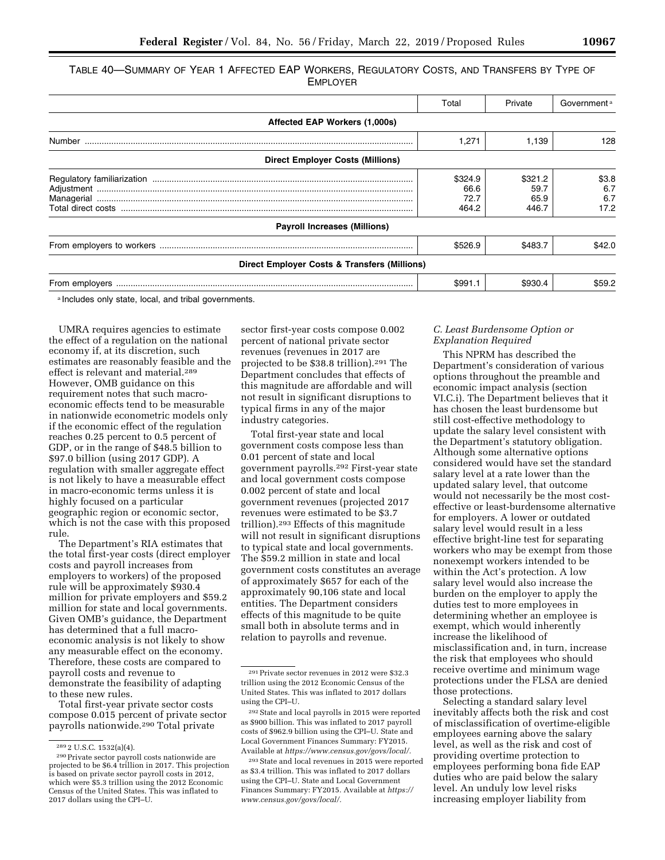TABLE 40—SUMMARY OF YEAR 1 AFFECTED EAP WORKERS, REGULATORY COSTS, AND TRANSFERS BY TYPE OF EMPLOYER

|                                                         | Total                            | Private                          | Government <sup>a</sup>     |
|---------------------------------------------------------|----------------------------------|----------------------------------|-----------------------------|
| Affected EAP Workers (1,000s)                           |                                  |                                  |                             |
| Number                                                  | 1,271                            | 1,139                            | 128                         |
| <b>Direct Employer Costs (Millions)</b>                 |                                  |                                  |                             |
|                                                         | \$324.9<br>66.6<br>72.7<br>464.2 | \$321.2<br>59.7<br>65.9<br>446.7 | \$3.8<br>6.7<br>6.7<br>17.2 |
| <b>Payroll Increases (Millions)</b>                     |                                  |                                  |                             |
|                                                         | \$526.9                          | \$483.7                          | \$42.0                      |
| <b>Direct Employer Costs &amp; Transfers (Millions)</b> |                                  |                                  |                             |
| From employers                                          | \$991.1                          | \$930.4                          | \$59.2                      |

a Includes only state, local, and tribal governments.

UMRA requires agencies to estimate the effect of a regulation on the national economy if, at its discretion, such estimates are reasonably feasible and the effect is relevant and material.289 However, OMB guidance on this requirement notes that such macroeconomic effects tend to be measurable in nationwide econometric models only if the economic effect of the regulation reaches 0.25 percent to 0.5 percent of GDP, or in the range of \$48.5 billion to \$97.0 billion (using 2017 GDP). A regulation with smaller aggregate effect is not likely to have a measurable effect in macro-economic terms unless it is highly focused on a particular geographic region or economic sector, which is not the case with this proposed rule.

The Department's RIA estimates that the total first-year costs (direct employer costs and payroll increases from employers to workers) of the proposed rule will be approximately \$930.4 million for private employers and \$59.2 million for state and local governments. Given OMB's guidance, the Department has determined that a full macroeconomic analysis is not likely to show any measurable effect on the economy. Therefore, these costs are compared to payroll costs and revenue to demonstrate the feasibility of adapting to these new rules.

Total first-year private sector costs compose 0.015 percent of private sector payrolls nationwide.290 Total private

sector first-year costs compose 0.002 percent of national private sector revenues (revenues in 2017 are projected to be \$38.8 trillion).291 The Department concludes that effects of this magnitude are affordable and will not result in significant disruptions to typical firms in any of the major industry categories.

Total first-year state and local government costs compose less than 0.01 percent of state and local government payrolls.292 First-year state and local government costs compose 0.002 percent of state and local government revenues (projected 2017 revenues were estimated to be \$3.7 trillion).293 Effects of this magnitude will not result in significant disruptions to typical state and local governments. The \$59.2 million in state and local government costs constitutes an average of approximately \$657 for each of the approximately 90,106 state and local entities. The Department considers effects of this magnitude to be quite small both in absolute terms and in relation to payrolls and revenue.

### *C. Least Burdensome Option or Explanation Required*

This NPRM has described the Department's consideration of various options throughout the preamble and economic impact analysis (section VI.C.i). The Department believes that it has chosen the least burdensome but still cost-effective methodology to update the salary level consistent with the Department's statutory obligation. Although some alternative options considered would have set the standard salary level at a rate lower than the updated salary level, that outcome would not necessarily be the most costeffective or least-burdensome alternative for employers. A lower or outdated salary level would result in a less effective bright-line test for separating workers who may be exempt from those nonexempt workers intended to be within the Act's protection. A low salary level would also increase the burden on the employer to apply the duties test to more employees in determining whether an employee is exempt, which would inherently increase the likelihood of misclassification and, in turn, increase the risk that employees who should receive overtime and minimum wage protections under the FLSA are denied those protections.

Selecting a standard salary level inevitably affects both the risk and cost of misclassification of overtime-eligible employees earning above the salary level, as well as the risk and cost of providing overtime protection to employees performing bona fide EAP duties who are paid below the salary level. An unduly low level risks increasing employer liability from

<sup>&</sup>lt;sup>289</sup> 2 U.S.C. 1532(a)(4).<br><sup>290</sup> Private sector payroll costs nationwide are projected to be \$6.4 trillion in 2017. This projection is based on private sector payroll costs in 2012, which were \$5.3 trillion using the 2012 Economic Census of the United States. This was inflated to 2017 dollars using the CPI–U.

<sup>291</sup>Private sector revenues in 2012 were \$32.3 trillion using the 2012 Economic Census of the United States. This was inflated to 2017 dollars using the CPI–U.

<sup>292</sup>State and local payrolls in 2015 were reported as \$900 billion. This was inflated to 2017 payroll costs of \$962.9 billion using the CPI–U. State and Local Government Finances Summary: FY2015. Available at *[https://www.census.gov/govs/local/.](https://www.census.gov/govs/local/)* 

<sup>293</sup>State and local revenues in 2015 were reported as \$3.4 trillion. This was inflated to 2017 dollars using the CPI–U. State and Local Government Finances Summary: FY2015. Available at *[https://](https://www.census.gov/govs/local/) [www.census.gov/govs/local/.](https://www.census.gov/govs/local/)*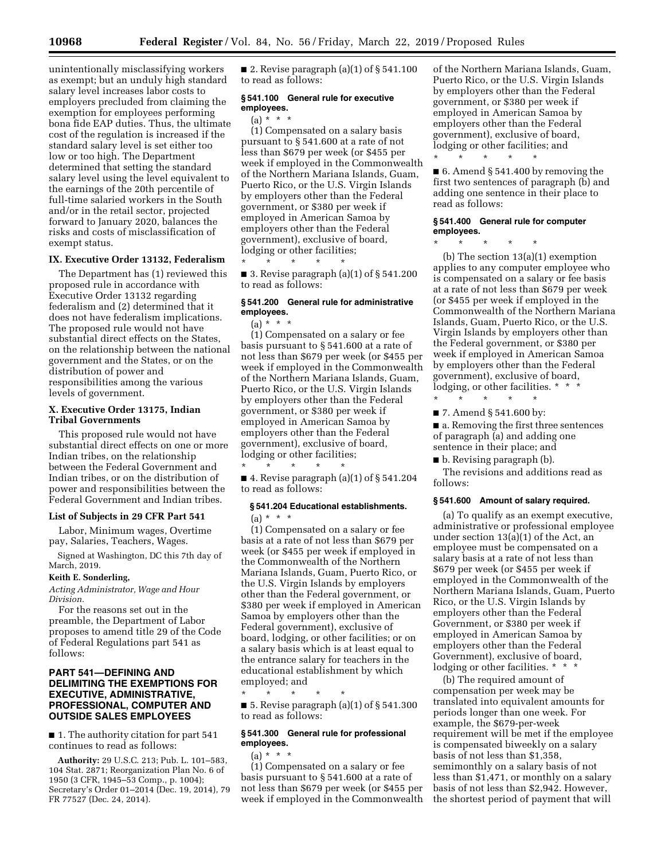unintentionally misclassifying workers as exempt; but an unduly high standard salary level increases labor costs to employers precluded from claiming the exemption for employees performing bona fide EAP duties. Thus, the ultimate cost of the regulation is increased if the standard salary level is set either too low or too high. The Department determined that setting the standard salary level using the level equivalent to the earnings of the 20th percentile of full-time salaried workers in the South and/or in the retail sector, projected forward to January 2020, balances the risks and costs of misclassification of exempt status.

### **IX. Executive Order 13132, Federalism**

The Department has (1) reviewed this proposed rule in accordance with Executive Order 13132 regarding federalism and (2) determined that it does not have federalism implications. The proposed rule would not have substantial direct effects on the States, on the relationship between the national government and the States, or on the distribution of power and responsibilities among the various levels of government.

### **X. Executive Order 13175, Indian Tribal Governments**

This proposed rule would not have substantial direct effects on one or more Indian tribes, on the relationship between the Federal Government and Indian tribes, or on the distribution of power and responsibilities between the Federal Government and Indian tribes.

#### **List of Subjects in 29 CFR Part 541**

Labor, Minimum wages, Overtime pay, Salaries, Teachers, Wages.

Signed at Washington, DC this 7th day of March, 2019.

### **Keith E. Sonderling,**

*Acting Administrator, Wage and Hour Division.* 

For the reasons set out in the preamble, the Department of Labor proposes to amend title 29 of the Code of Federal Regulations part 541 as follows:

### **PART 541—DEFINING AND DELIMITING THE EXEMPTIONS FOR EXECUTIVE, ADMINISTRATIVE, PROFESSIONAL, COMPUTER AND OUTSIDE SALES EMPLOYEES**

■ 1. The authority citation for part 541 continues to read as follows:

**Authority:** 29 U.S.C. 213; Pub. L. 101–583, 104 Stat. 2871; Reorganization Plan No. 6 of 1950 (3 CFR, 1945–53 Comp., p. 1004); Secretary's Order 01–2014 (Dec. 19, 2014), 79 FR 77527 (Dec. 24, 2014).

■ 2. Revise paragraph  $(a)(1)$  of § 541.100 to read as follows:

#### **§ 541.100 General rule for executive employees.**

### $(a) * * * *$

(1) Compensated on a salary basis pursuant to § 541.600 at a rate of not less than \$679 per week (or \$455 per week if employed in the Commonwealth of the Northern Mariana Islands, Guam, Puerto Rico, or the U.S. Virgin Islands by employers other than the Federal government, or \$380 per week if employed in American Samoa by employers other than the Federal government), exclusive of board, lodging or other facilities; \* \* \* \* \*

■ 3. Revise paragraph  $(a)(1)$  of § 541.200 to read as follows:

### **§ 541.200 General rule for administrative employees.**

 $(a) * * * *$ 

(1) Compensated on a salary or fee basis pursuant to § 541.600 at a rate of not less than \$679 per week (or \$455 per week if employed in the Commonwealth of the Northern Mariana Islands, Guam, Puerto Rico, or the U.S. Virgin Islands by employers other than the Federal government, or \$380 per week if employed in American Samoa by employers other than the Federal government), exclusive of board, lodging or other facilities; \* \* \* \* \*

 $\blacksquare$  4. Revise paragraph (a)(1) of § 541.204 to read as follows:

### **§ 541.204 Educational establishments.**   $(a) * * * *$

(1) Compensated on a salary or fee basis at a rate of not less than \$679 per week (or \$455 per week if employed in the Commonwealth of the Northern Mariana Islands, Guam, Puerto Rico, or the U.S. Virgin Islands by employers other than the Federal government, or \$380 per week if employed in American Samoa by employers other than the Federal government), exclusive of board, lodging, or other facilities; or on a salary basis which is at least equal to the entrance salary for teachers in the educational establishment by which employed; and

\* \* \* \* \* ■ 5. Revise paragraph  $(a)(1)$  of § 541.300 to read as follows:

### **§ 541.300 General rule for professional employees.**

 $(a) * * * *$ 

(1) Compensated on a salary or fee basis pursuant to § 541.600 at a rate of not less than \$679 per week (or \$455 per week if employed in the Commonwealth

of the Northern Mariana Islands, Guam, Puerto Rico, or the U.S. Virgin Islands by employers other than the Federal government, or \$380 per week if employed in American Samoa by employers other than the Federal government), exclusive of board, lodging or other facilities; and

■ 6. Amend § 541.400 by removing the first two sentences of paragraph (b) and adding one sentence in their place to read as follows:

#### **§ 541.400 General rule for computer employees.**

\* \* \* \* \*

\* \* \* \* \* (b) The section 13(a)(1) exemption applies to any computer employee who is compensated on a salary or fee basis at a rate of not less than \$679 per week (or \$455 per week if employed in the Commonwealth of the Northern Mariana Islands, Guam, Puerto Rico, or the U.S. Virgin Islands by employers other than the Federal government, or \$380 per week if employed in American Samoa by employers other than the Federal government), exclusive of board, lodging, or other facilities. \* \*

\* \* \* \* \*

■ 7. Amend § 541.600 by:

■ a. Removing the first three sentences of paragraph (a) and adding one sentence in their place; and

■ b. Revising paragraph (b).

The revisions and additions read as follows:

### **§ 541.600 Amount of salary required.**

(a) To qualify as an exempt executive, administrative or professional employee under section 13(a)(1) of the Act, an employee must be compensated on a salary basis at a rate of not less than \$679 per week (or \$455 per week if employed in the Commonwealth of the Northern Mariana Islands, Guam, Puerto Rico, or the U.S. Virgin Islands by employers other than the Federal Government, or \$380 per week if employed in American Samoa by employers other than the Federal Government), exclusive of board, lodging or other facilities. \* \* \*

(b) The required amount of compensation per week may be translated into equivalent amounts for periods longer than one week. For example, the \$679-per-week requirement will be met if the employee is compensated biweekly on a salary basis of not less than \$1,358, semimonthly on a salary basis of not less than \$1,471, or monthly on a salary basis of not less than \$2,942. However, the shortest period of payment that will